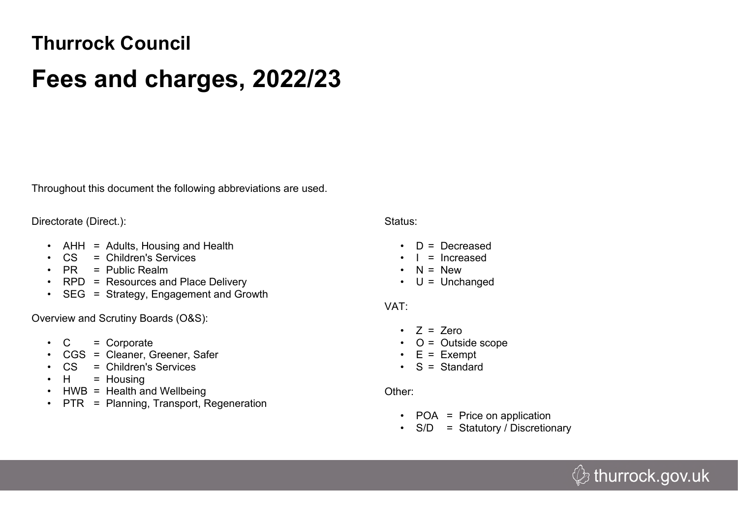# **Thurrock Council**

# **Fees and charges, 2022/23**

Throughout this document the following abbreviations are used.

Directorate (Direct.):

- AHH = Adults, Housing and Health
- CS = Children's Services
- PR = Public Realm
- RPD = Resources and Place Delivery
- SEG = Strategy, Engagement and Growth

Overview and Scrutiny Boards (O&S):

- $\bullet$  C = Corporate
- CGS = Cleaner, Greener, Safer
- CS = Children's Services
- $\cdot$  H = Housing
- HWB = Health and Wellbeing
- PTR = Planning, Transport, Regeneration

#### Status:

- $\cdot$  D = Decreased
- $\cdot$  | = Increased
- $\cdot$  N = New
- $\cdot$  U = Unchanged

## VAT:

- $\cdot$  7 = 7ero
- $\bullet$  O = Outside scope
- $\cdot$  E = Exempt
- $\cdot$  S = Standard

## Other:

- POA = Price on application
- S/D = Statutory / Discretionary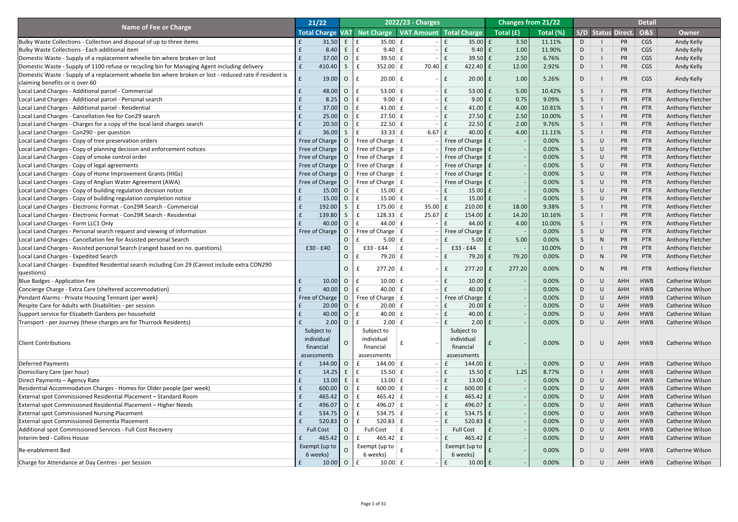|                                                                                                         | 21/22                          |                                  |                                                          | <b>2022/23 - Charges</b> |                                          |                                                          | <b>Changes from 21/22</b> |              |                  |                           | <b>Detail</b>            |                                                    |
|---------------------------------------------------------------------------------------------------------|--------------------------------|----------------------------------|----------------------------------------------------------|--------------------------|------------------------------------------|----------------------------------------------------------|---------------------------|--------------|------------------|---------------------------|--------------------------|----------------------------------------------------|
| <b>Name of Fee or Charge</b>                                                                            |                                |                                  | Total Charge VAT Net Charge   VAT Amount   Total Charge  |                          |                                          | $\overline{\phantom{a}}$ Total $\overline{\mathrm{(f)}}$ | Total (%)                 |              |                  | <b>S/D Status Direct.</b> | <b>O&amp;S</b>           | <b>Owner</b>                                       |
| Bulky Waste Collections - Collection and disposal of up to three items                                  | 31.50                          | E                                | E<br>$35.00 \mid f$                                      |                          | $35.00 \mid f$<br>E                      | 3.50                                                     | 11.11%                    | D            |                  | PR                        | <b>CGS</b>               | Andy Kelly                                         |
| Bulky Waste Collections - Each additional item                                                          | 8.40                           | E                                | $\mathbf f$<br>$9.40 \mid f$                             |                          | $9.40 \mid f$<br>$\mathbf{f}$            | 1.00                                                     | 11.90%                    | D            |                  | PR                        | <b>CGS</b>               | Andy Kelly                                         |
| Domestic Waste - Supply of a replacement wheelie bin where broken or lost                               | 37.00                          | $\overline{O}$                   | E<br>39.50 $E$                                           |                          | $39.50 \text{ }$ £<br>f                  | 2.50                                                     | 6.76%                     | D            |                  | PR                        | <b>CGS</b>               | Andy Kelly                                         |
| Domestic Waste - Supply of 1100 refuse or recycling bin for Managing Agent including delivery           | 410.40<br>$\mathbf{f}$         | S                                | E<br>$352.00 \mid f$                                     | $70.40$ £                | $422.40$ $E$                             | 12.00                                                    | 2.92%                     | D            |                  | PR                        | <b>CGS</b>               | Andy Kelly                                         |
| Domestic Waste - Supply of a replacement wheelie bin where broken or lost - reduced rate if resident is |                                |                                  |                                                          |                          |                                          |                                                          |                           |              |                  |                           |                          |                                                    |
| claiming benefits or is over 60                                                                         | 19.00                          | $\overline{O}$                   | f<br>$20.00 \mid f$                                      |                          | $20.00$ $E$                              | 1.00                                                     | 5.26%                     | D.           |                  | PR                        | <b>CGS</b>               | Andy Kelly                                         |
| Local Land Charges - Additional parcel - Commercial                                                     | 48.00                          | $\overline{O}$                   | 53.00 $E$<br>f                                           |                          | $53.00 \mid f$<br>$\mathbf{f}$           | 5.00                                                     | 10.42%                    | $\mathsf{S}$ |                  | PR                        | <b>PTR</b>               | <b>Anthony Fletcher</b>                            |
| Local Land Charges - Additional parcel - Personal search                                                | 8.25                           | $\overline{O}$                   | $\mathbf{f}$<br>$9.00 \mid f$                            |                          | $9.00 \mid f$<br>$\mathbf{f}$            | 0.75                                                     | 9.09%                     | S.           |                  | PR                        | <b>PTR</b>               | <b>Anthony Fletcher</b>                            |
| Local Land Charges - Additional parcel - Residential                                                    | 37.00                          | $\overline{O}$                   | E<br>41.00 $E$                                           |                          | f<br>$41.00$ $E$                         | 4.00                                                     | 10.81%                    | $\mathsf{S}$ |                  | <b>PR</b>                 | <b>PTR</b>               | <b>Anthony Fletcher</b>                            |
| Local Land Charges - Cancellation fee for Con29 search                                                  | 25.00                          | $\overline{O}$                   | E<br>$27.50 \mid f$                                      |                          | $27.50 \text{ }$ £<br>$\mathbf{f}$       | 2.50                                                     | 10.00%                    | S.           |                  | <b>PR</b>                 | <b>PTR</b>               | <b>Anthony Fletcher</b>                            |
| Local Land Charges - Charges for a copy of the local land charges search                                | 20.50                          | $\overline{O}$                   | E<br>$22.50 \mid f$                                      |                          | $22.50$ £<br>$\mathbf{f}$                | 2.00                                                     | 9.76%                     | $\mathsf{S}$ |                  | <b>PR</b>                 | <b>PTR</b>               | <b>Anthony Fletcher</b>                            |
| Local Land Charges - Con290 - per question                                                              | 36.00                          | $\mathsf{S}$                     | f<br>$33.33 \mid f$                                      | $6.67 \mid f$            | $40.00$ £                                | 4.00                                                     | 11.11%                    | $\mathsf{S}$ |                  | PR                        | <b>PTR</b>               | <b>Anthony Fletcher</b>                            |
| Local Land Charges - Copy of tree preservation orders                                                   | Free of Charge   O             |                                  | Free of Charge $\vert$ £                                 |                          | Free of Charge   £                       |                                                          | 0.00%                     | $\mathsf{S}$ | $\cup$           | PR                        | <b>PTR</b>               | <b>Anthony Fletcher</b>                            |
| Local Land Charges - Copy of planning decision and enforcement notices                                  | Free of Charge   O             |                                  | Free of Charge $\vert$ £                                 |                          | Free of Charge   £                       |                                                          | 0.00%                     | S.           | $\cup$           | PR                        | <b>PTR</b>               | <b>Anthony Fletcher</b>                            |
| Local Land Charges - Copy of smoke control order                                                        | Free of Charge   O             |                                  | Free of Charge $\vert$ £                                 |                          | Free of Charge   £                       |                                                          | 0.00%                     | $\mathsf{S}$ | $\cup$           | PR                        | <b>PTR</b>               | <b>Anthony Fletcher</b>                            |
| Local Land Charges - Copy of legal agreements                                                           | Free of Charge   O             |                                  | Free of Charge $\vert$ £                                 |                          | Free of Charge   £                       |                                                          | 0.00%                     | S.           | $\cup$           | PR                        | <b>PTR</b>               | <b>Anthony Fletcher</b>                            |
| Local Land Charges - Copy of Home Improvement Grants (HIGs)                                             | Free of Charge   O             |                                  | Free of Charge $\vert$ £                                 |                          | Free of Charge E                         |                                                          | 0.00%                     | $\mathsf{S}$ | $\cup$           | PR                        | <b>PTR</b>               | <b>Anthony Fletcher</b>                            |
| Local Land Charges - Copy of Anglian Water Agreement (AWA)                                              | Free of Charge   O             |                                  | Free of Charge $\vert$ £                                 |                          | Free of Charge   £                       |                                                          | 0.00%                     | $\mathsf{S}$ | $\cup$           | PR                        | <b>PTR</b>               | <b>Anthony Fletcher</b>                            |
| Local Land Charges - Copy of building regulation decision notice                                        | 15.00                          | $\overline{O}$                   | $\mathbf{f}$<br>$15.00 \mid f$                           |                          | $15.00 \mid f$<br>£                      |                                                          | 0.00%                     | $\mathsf{S}$ | $\cup$           | PR                        | <b>PTR</b>               | <b>Anthony Fletcher</b>                            |
| Local Land Charges - Copy of building regulation completion notice                                      | 15.00                          | $\overline{O}$                   | $\mathbf{f}$<br>$15.00 \mid f$                           |                          | $15.00 \mid f \mid$<br>$\mathbf{f}$      |                                                          | 0.00%                     | $\mathsf{S}$ | $\cup$           | <b>PR</b>                 | <b>PTR</b>               | <b>Anthony Fletcher</b>                            |
| Local Land Charges - Electronic Format - Con29R Search - Commercial                                     | 192.00                         | S                                | $\mathbf{f}$<br>$175.00 \mid f$                          | $35.00 \mid f$           | $210.00$ $E$                             | 18.00                                                    | 9.38%                     | $\mathsf{S}$ |                  | PR                        | <b>PTR</b>               | <b>Anthony Fletcher</b>                            |
| Local Land Charges - Electronic Format - Con29R Search - Residential                                    | 139.80<br>£                    | S                                | $\mathbf{f}$<br>128.33   f                               | $25.67$ $E$              | $154.00$ $E$                             | 14.20                                                    | 10.16%                    | S            |                  | PR                        | <b>PTR</b>               | <b>Anthony Fletcher</b>                            |
| Local Land Charges - Form LLC1 Only                                                                     | 40.00                          | O f                              | 44.00 $E$                                                |                          | 44.00 $\vert$ £                          | 4.00                                                     | 10.00%                    |              |                  | <b>PR</b>                 | PTR                      | <b>Anthony Fletcher</b>                            |
| Local Land Charges - Personal search request and viewing of information                                 | Free of Charge                 | $\overline{O}$                   | Free of Charge $\vert$ £                                 |                          | Free of Charge E                         |                                                          | 0.00%                     | S            | $\cup$           | PR                        | <b>PTR</b>               | <b>Anthony Fletcher</b>                            |
| Local Land Charges - Cancellation fee for Assisted personal Search                                      |                                | $\circ$                          | $5.00 \mid f$                                            |                          | $5.00$ $E$                               | 5.00                                                     | 0.00%                     | $\mathsf{S}$ | $\mathsf{N}$     | PR                        | <b>PTR</b>               | <b>Anthony Fletcher</b>                            |
| Local Land Charges - Assisted personal Search (ranged based on no. questions)                           | £30 - £40                      | $\overline{O}$                   | £33 - £44<br>$\vert$ f                                   |                          | $-E44$<br>£33                            |                                                          | 10.00%                    | D            |                  | PR                        | <b>PTR</b>               | <b>Anthony Fletcher</b>                            |
| Local Land Charges - Expedited Search                                                                   |                                | O                                | 79.20 $E$                                                |                          | $79.20$ £<br>$\mathbf f$                 | 79.20                                                    | 0.00%                     | D            | $\mathsf{N}$     | PR                        | <b>PTR</b>               | <b>Anthony Fletcher</b>                            |
| Local Land Charges - Expedited Residential search including Con 29 (Cannot include extra CON290         |                                |                                  |                                                          |                          |                                          |                                                          |                           |              |                  |                           |                          |                                                    |
| questions)                                                                                              |                                | $\Omega$                         | $277.20 \mid f$                                          |                          | $277.20$ $E$                             | 277.20                                                   | 0.00%                     | D.           | N                | PR                        | <b>PTR</b>               | <b>Anthony Fletcher</b>                            |
| <b>Blue Badges - Application Fee</b>                                                                    | 10.00                          | $\overline{O}$                   | $10.00 \mid f$<br>$\mathbf{f}$                           |                          | $10.00$ $E$<br>$\mathbf{f}$              |                                                          | 0.00%                     | D            | $\cup$           | AHH                       | <b>HWB</b>               | <b>Catherine Wilson</b>                            |
| Concierge Charge - Extra Care (sheltered accommodation)                                                 | 40.00                          | $\overline{O}$                   | 40.00 $E$<br>$\mathbf{f}$                                |                          | $40.00$ £<br>$\mathbf f$                 |                                                          | 0.00%                     | D            | $\cup$           | <b>AHH</b>                | <b>HWB</b>               | <b>Catherine Wilson</b>                            |
| Pendant Alarms - Private Housing Tennant (per week)                                                     | Free of Charge                 | $\overline{O}$                   | Free of Charge $\mid$ £                                  |                          | Free of Charge   £                       |                                                          | 0.00%                     | D            | $\cup$           | <b>AHH</b>                | <b>HWB</b>               | <b>Catherine Wilson</b>                            |
| Respite Care for Adults with Disabilities - per session                                                 | 20.00                          | $\overline{O}$                   | $20.00 \mid f$<br>E                                      |                          | $20.00$ £<br>£                           |                                                          | 0.00%                     | D            | $\cup$           | <b>AHH</b>                | <b>HWB</b>               | <b>Catherine Wilson</b>                            |
| Support service for Elizabeth Gardens per household                                                     | 40.00                          | $\overline{O}$                   | 40.00 $E$<br>$\mathbf{f}$                                |                          | $40.00$ £<br>$\mathbf{f}$                |                                                          | 0.00%                     | D            | $\cup$           | <b>AHH</b>                | <b>HWB</b>               | <b>Catherine Wilson</b>                            |
| Transport - per Journey (these charges are for Thurrock Residents)                                      | 2.00                           | $\overline{O}$                   | $2.00 \mid f$                                            |                          | $2.00$ $E$                               |                                                          | 0.00%                     | D            | $\cup$           | <b>AHH</b>                | <b>HWB</b>               | <b>Catherine Wilson</b>                            |
|                                                                                                         | Subject to                     |                                  | Subject to                                               |                          | Subject to                               |                                                          |                           |              |                  |                           |                          |                                                    |
|                                                                                                         | individual                     |                                  | individual                                               |                          | individual                               |                                                          |                           |              |                  |                           |                          |                                                    |
| <b>Client Contributions</b>                                                                             | financial                      | $\Omega$                         | financial                                                |                          | financial                                |                                                          | 0.00%                     | D            | $\cup$           | AHH                       | <b>HWB</b>               | <b>Catherine Wilson</b>                            |
|                                                                                                         | assessments                    |                                  | assessments                                              |                          | assessments                              |                                                          |                           |              |                  |                           |                          |                                                    |
| Deferred Payments                                                                                       | 144.00 O                       |                                  | 144.00 $E$                                               |                          | 144.00 £                                 |                                                          | 0.00%                     | D            | $\cup$           | <b>AHH</b>                | <b>HWB</b>               | <b>Catherine Wilson</b>                            |
|                                                                                                         | 14.25                          |                                  | f<br>$15.50 \mid f$                                      |                          | $15.50 \text{ }$ £<br>$\mathbf{f}$       | 1.25                                                     | 8.77%                     | D            |                  | AHH                       | <b>HWB</b>               | <b>Catherine Wilson</b>                            |
| Domiciliary Care (per hour)                                                                             | 13.00                          |                                  | $13.00 \mid f$                                           |                          | $13.00 \text{ f}$<br>$\mathbf{f}$        |                                                          | 0.00%                     |              | $\cup$           | <b>AHH</b>                | <b>HWB</b>               | <b>Catherine Wilson</b>                            |
| Direct Payments - Agency Rate                                                                           |                                |                                  | $600.00$ $E$<br>$\mathbf{f}$                             |                          |                                          |                                                          |                           | D            |                  | <b>AHH</b>                | <b>HWB</b>               |                                                    |
| Residential Accommodation Charges - Homes for Older people (per week)                                   | 600.00                         | $\overline{O}$                   |                                                          |                          | $600.00$ $E$                             |                                                          | 0.00%                     | D            | $\cup$           |                           |                          | <b>Catherine Wilson</b>                            |
| External spot Commissioned Residential Placement - Standard Room                                        | 465.42<br>496.07               | $\overline{O}$<br>$\overline{O}$ | 465.42 $E$<br>$\mathbf{f}$<br>496.07 $E$<br>$\mathbf{f}$ |                          | $465.42$ $E$<br>496.07 $E$               |                                                          | 0.00%<br>0.00%            | D            | $\cup$<br>$\cup$ | <b>AHH</b><br><b>AHH</b>  | <b>HWB</b><br><b>HWB</b> | <b>Catherine Wilson</b><br><b>Catherine Wilson</b> |
| External spot Commissioned Residential Placement - Higher Needs                                         |                                |                                  |                                                          |                          |                                          |                                                          |                           | D            |                  |                           |                          |                                                    |
| <b>External spot Commissioned Nursing Placement</b>                                                     | 534.75                         | $\overline{O}$                   | 534.75 $E$<br>$\mathbf{f}$                               |                          | 534.75 $E$                               |                                                          | 0.00%                     | D            | $\cup$           | <b>AHH</b>                | <b>HWB</b>               | <b>Catherine Wilson</b>                            |
| <b>External spot Commissioned Dementia Placement</b>                                                    | 520.83                         | $\overline{O}$                   | 520.83   $E$                                             |                          | $520.83 \mid f$                          |                                                          | 0.00%                     | D            | U                | AHH                       | <b>HWB</b>               | Catherine Wilson                                   |
| Additional spot Commissioned Services - Full Cost Recovery                                              | <b>Full Cost</b>               | $\overline{O}$                   | <b>Full Cost</b><br>$\mathsf{E}$                         |                          | <b>Full Cost</b>                         |                                                          | 0.00%                     | D            | U                | <b>AHH</b>                | <b>HWB</b>               | Catherine Wilson                                   |
| Interim bed - Collins House                                                                             | 465.42                         | $\overline{O}$                   | 465.42 $E$<br>$\mathbf{f}$                               |                          | $465.42$ $E$                             |                                                          | 0.00%                     | D            | $\bigcup$        | AHH                       | <b>HWB</b>               | Catherine Wilson                                   |
| Re-enablement Bed                                                                                       | Exempt (up to $\ $<br>6 weeks) | $\overline{O}$                   | Exempt (up to $\vert$ $_{\rm f}$<br>6 weeks)             |                          | Exempt (up to $\blacksquare$<br>6 weeks) |                                                          | 0.00%                     | D            | $\cup$           | AHH                       | HWB                      | <b>Catherine Wilson</b>                            |
| Charge for Attendance at Day Centres - per Session                                                      | $10.00$ O                      |                                  | $10.00 \mid f \mid$<br>E                                 |                          | $10.00$ $f$<br>$ E$                      |                                                          | 0.00%                     | D            | $\bigcup$        | AHH                       | <b>HWB</b>               | Catherine Wilson                                   |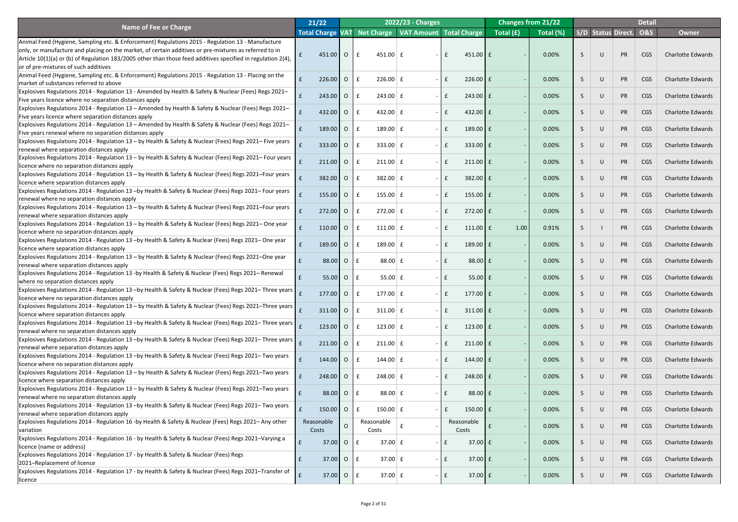|                                                                                                                              | 21/22                   |                |              |                      | 2022/23 - Charges                      |      |                    | <b>Changes from 21/22</b> |           |   |        |                    | <b>Detail</b>  |                          |
|------------------------------------------------------------------------------------------------------------------------------|-------------------------|----------------|--------------|----------------------|----------------------------------------|------|--------------------|---------------------------|-----------|---|--------|--------------------|----------------|--------------------------|
| <b>Name of Fee or Charge</b>                                                                                                 | <b>Total Charge VAT</b> |                |              |                      | Net Charge   VAT Amount   Total Charge |      |                    | Total (£)                 | Total (%) |   |        | S/D Status Direct. | <b>O&amp;S</b> | <b>Owner</b>             |
| Animal Feed (Hygiene, Sampling etc. & Enforcement) Regulations 2015 - Regulation 13 - Manufacture                            |                         |                |              |                      |                                        |      |                    |                           |           |   |        |                    |                |                          |
| only, or manufacture and placing on the market, of certain additives or pre-mixtures as referred to in                       |                         |                |              |                      |                                        |      |                    |                           |           |   |        |                    |                |                          |
| Article 10(1)(a) or (b) of Regulation 183/2005 other than those feed additives specified in regulation 2(4),                 | 451.00                  | $\overline{O}$ | $\mathbf{f}$ | $451.00 \mid f$      |                                        | £    | $451.00$ $E$       |                           | 0.00%     |   | $\cup$ | <b>PR</b>          | <b>CGS</b>     | <b>Charlotte Edwards</b> |
| or of pre-mixtures of such additives                                                                                         |                         |                |              |                      |                                        |      |                    |                           |           |   |        |                    |                |                          |
| Animal Feed (Hygiene, Sampling etc. & Enforcement) Regulations 2015 - Regulation 13 - Placing on the                         |                         |                |              |                      |                                        |      |                    |                           |           |   |        |                    |                |                          |
| market of substances referred to above                                                                                       | 226.00                  | $\overline{O}$ | £            | $226.00$ $E$         |                                        |      | $226.00$ $E$       |                           | 0.00%     |   | U      | <b>PR</b>          | <b>CGS</b>     | <b>Charlotte Edwards</b> |
| Explosives Regulations 2014 - Regulation 13 - Amended by Health & Safety & Nuclear (Fees) Regs 2021-                         |                         |                |              |                      |                                        |      |                    |                           |           |   |        |                    |                |                          |
| Five years licence where no separation distances apply                                                                       | 243.00                  | $\overline{O}$ | £            | $243.00 \mid f$      |                                        |      | $243.00$ $E$       |                           | 0.00%     |   |        | PR                 | <b>CGS</b>     | <b>Charlotte Edwards</b> |
| Explosives Regulations 2014 - Regulation 13 - Amended by Health & Safety & Nuclear (Fees) Regs 2021-                         |                         |                |              |                      |                                        |      |                    |                           |           |   |        |                    |                |                          |
| Five years licence where separation distances apply                                                                          | 432.00                  | $\overline{O}$ |              | 432.00 $E$           |                                        |      | 432.00 $E$         |                           | 0.00%     |   |        | PR                 | <b>CGS</b>     | <b>Charlotte Edwards</b> |
| Explosives Regulations 2014 - Regulation 13 - Amended by Health & Safety & Nuclear (Fees) Regs 2021-                         |                         |                |              |                      |                                        |      |                    |                           |           |   |        |                    |                |                          |
| Five years renewal where no separation distances apply                                                                       | $189.00$ 0              |                | £            | 189.00 $E$           |                                        |      | 189.00 $E$         |                           | 0.00%     |   |        | PR                 | <b>CGS</b>     | <b>Charlotte Edwards</b> |
| Explosives Regulations 2014 - Regulation 13 - by Health & Safety & Nuclear (Fees) Regs 2021– Five years                      |                         |                |              |                      |                                        |      |                    |                           |           |   |        |                    |                |                          |
| renewal where separation distances apply                                                                                     | 333.00                  | $\overline{O}$ |              | $333.00 \mid f$      |                                        |      | $333.00$ $E$       |                           | 0.00%     |   |        | PR                 | <b>CGS</b>     | <b>Charlotte Edwards</b> |
| Explosives Regulations 2014 - Regulation 13 - by Health & Safety & Nuclear (Fees) Regs 2021– Four years                      |                         |                |              |                      |                                        |      |                    |                           |           |   |        |                    |                |                          |
| licence where no separation distances apply                                                                                  | 211.00                  | $\overline{O}$ | £            | $211.00 \mid f$      |                                        |      | $211.00$ $E$       |                           | 0.00%     |   |        | PR                 | <b>CGS</b>     | <b>Charlotte Edwards</b> |
| Explosives Regulations 2014 - Regulation 13 - by Health & Safety & Nuclear (Fees) Regs 2021-Four years                       |                         |                |              |                      |                                        |      |                    |                           |           |   |        |                    |                |                          |
| licence where separation distances apply                                                                                     | 382.00                  | $\overline{O}$ |              | $382.00 \mid f$      |                                        |      | $382.00$ $E$       |                           | 0.00%     |   |        | PR                 | <b>CGS</b>     | <b>Charlotte Edwards</b> |
| Explosives Regulations 2014 - Regulation 13 -by Health & Safety & Nuclear (Fees) Regs 2021- Four years                       |                         |                |              |                      |                                        |      |                    |                           |           |   |        |                    |                |                          |
| renewal where no separation distances apply                                                                                  | $155.00$ 0              |                | £            | 155.00 $E$           |                                        |      | 155.00 $E$         |                           | 0.00%     |   |        | PR                 | <b>CGS</b>     | <b>Charlotte Edwards</b> |
| Explosives Regulations 2014 - Regulation 13 - by Health & Safety & Nuclear (Fees) Regs 2021-Four years                       |                         |                |              |                      |                                        |      |                    |                           |           |   |        |                    |                | <b>Charlotte Edwards</b> |
| renewal where separation distances apply                                                                                     | $272.00$ 0              |                |              | $272.00 \mid f \mid$ |                                        |      | $272.00$ $E$       |                           | 0.00%     |   |        | <b>PR</b>          | <b>CGS</b>     |                          |
| Explosives Regulations 2014 - Regulation 13 - by Health & Safety & Nuclear (Fees) Regs 2021 - One year                       | 110.00                  | $\overline{O}$ |              | 111.00 $E$           |                                        |      |                    |                           |           |   |        |                    |                | <b>Charlotte Edwards</b> |
| licence where no separation distances apply                                                                                  |                         |                | $\mathbf{f}$ |                      |                                        |      | $111.00$ $E$       | 1.00                      | 0.91%     |   |        | <b>PR</b>          | <b>CGS</b>     |                          |
| Explosives Regulations 2014 - Regulation 13 -by Health & Safety & Nuclear (Fees) Regs 2021 - One year                        | 189.00                  | $\overline{O}$ | £            | $189.00 \mid f$      |                                        |      | 189.00 $E$         |                           | 0.00%     |   | U      | PR                 | <b>CGS</b>     | <b>Charlotte Edwards</b> |
| licence where separation distances apply                                                                                     |                         |                |              |                      |                                        |      |                    |                           |           |   |        |                    |                |                          |
| Explosives Regulations 2014 - Regulation 13 - by Health & Safety & Nuclear (Fees) Regs 2021-One year                         | 88.00                   | $\overline{O}$ | £            | $88.00 \mid f$       |                                        |      | 88.00 £            |                           | 0.00%     |   | $\cup$ | PR                 | <b>CGS</b>     | <b>Charlotte Edwards</b> |
| renewal where separation distances apply                                                                                     |                         |                |              |                      |                                        |      |                    |                           |           |   |        |                    |                |                          |
| Explosives Regulations 2014 - Regulation 13 -by Health & Safety & Nuclear (Fees) Regs 2021- Renewal                          | 55.00                   | $\overline{O}$ | £            | 55.00 $E$            |                                        |      | $55.00$ £          |                           | 0.00%     |   | $\cup$ | PR                 | <b>CGS</b>     | <b>Charlotte Edwards</b> |
| where no separation distances apply                                                                                          |                         |                |              |                      |                                        |      |                    |                           |           |   |        |                    |                |                          |
| Explosives Regulations 2014 - Regulation 13 -by Health & Safety & Nuclear (Fees) Regs 2021– Three years $\int_{\mathcal{L}}$ | $177.00$ 0              |                | £            | 177.00 $E$           |                                        |      | $177.00$ $E$       |                           | 0.00%     |   | $\cup$ | PR                 | <b>CGS</b>     | <b>Charlotte Edwards</b> |
| licence where no separation distances apply                                                                                  |                         |                |              |                      |                                        |      |                    |                           |           |   |        |                    |                |                          |
| Explosives Regulations 2014 - Regulation 13 – by Health & Safety & Nuclear (Fees) Regs 2021–Three years $\vert$ $\vert$      | 311.00                  | $\overline{O}$ | £            | $311.00 \mid f$      |                                        |      | $311.00$ $E$       |                           | 0.00%     |   | $\cup$ | PR                 | <b>CGS</b>     | <b>Charlotte Edwards</b> |
| licence where separation distances apply                                                                                     |                         |                |              |                      |                                        |      |                    |                           |           |   |        |                    |                |                          |
| Explosives Regulations 2014 - Regulation 13 –by Health & Safety & Nuclear (Fees) Regs 2021– Three years $\vert$ $\vert$      | 123.00                  | $\overline{O}$ | $\mathbf{f}$ | 123.00 $E$           |                                        |      | 123.00 $E$         |                           | 0.00%     |   | $\cup$ | PR                 | <b>CGS</b>     | <b>Charlotte Edwards</b> |
| renewal where no separation distances apply                                                                                  |                         |                |              |                      |                                        |      |                    |                           |           |   |        |                    |                |                          |
| Explosives Regulations 2014 - Regulation 13 –by Health & Safety & Nuclear (Fees) Regs 2021– Three years $\vert$ $\vert$      | 211.00                  | <b>O</b>       | $\mathbf{f}$ | $211.00$ $E$         |                                        |      | $211.00$ $E$       |                           | 0.00%     |   | $\cup$ | PR                 | CGS            | <b>Charlotte Edwards</b> |
| renewal where separation distances apply                                                                                     |                         |                |              |                      |                                        |      |                    |                           |           |   |        |                    |                |                          |
| Explosives Regulations 2014 - Regulation 13 -by Health & Safety & Nuclear (Fees) Regs 2021- Two years                        | 144.00 O                |                | $\mathbf{f}$ | $144.00 \mid f$      |                                        |      | $144.00$ $E$       |                           | 0.00%     |   | $\cup$ | PR                 | CGS            | <b>Charlotte Edwards</b> |
| licence where no separation distances apply                                                                                  |                         |                |              |                      |                                        |      |                    |                           |           |   |        |                    |                |                          |
| Explosives Regulations 2014 - Regulation 13 - by Health & Safety & Nuclear (Fees) Regs 2021-Two years                        | $248.00$ 0              |                | $\mathbf{f}$ | $248.00 \mid f$      |                                        |      | $248.00$ $E$       |                           | 0.00%     |   | $\cup$ | PR                 | CGS            | <b>Charlotte Edwards</b> |
| licence where separation distances apply                                                                                     |                         |                |              |                      |                                        |      |                    |                           |           |   |        |                    |                |                          |
| Explosives Regulations 2014 - Regulation 13 - by Health & Safety & Nuclear (Fees) Regs 2021-Two years                        | 88.00                   | $\overline{O}$ | $\mathbf f$  | $88.00 \mid f$       |                                        |      | 88.00 £            |                           | 0.00%     |   | $\cup$ | PR                 | CGS            | <b>Charlotte Edwards</b> |
| renewal where no separation distances apply                                                                                  |                         |                |              |                      |                                        |      |                    |                           |           |   |        |                    |                |                          |
| Explosives Regulations 2014 - Regulation 13 -by Health & Safety & Nuclear (Fees) Regs 2021- Two years                        | $150.00$ 0              |                | $\mathbf{f}$ | $150.00 \mid f$      |                                        |      | $150.00$ $E$       |                           | 0.00%     |   | $\cup$ | PR                 | CGS            | <b>Charlotte Edwards</b> |
| renewal where separation distances apply                                                                                     |                         |                |              |                      |                                        |      |                    |                           |           |   |        |                    |                |                          |
| Explosives Regulations 2014 - Regulation 16 -by Health & Safety & Nuclear (Fees) Regs 2021 - Any other                       | Reasonable              | $\cap$         |              | Reasonable           |                                        |      | Reasonable         |                           | 0.00%     |   | $\cup$ | <b>PR</b>          | CGS            | <b>Charlotte Edwards</b> |
| variation                                                                                                                    | Costs                   |                |              | Costs                |                                        |      | Costs              |                           |           |   |        |                    |                |                          |
| Explosives Regulations 2014 - Regulation 16 - by Health & Safety & Nuclear (Fees) Regs 2021-Varying a                        | f<br>37.00              | $\overline{O}$ | E            | $37.00 \mid f \mid$  |                                        | $ E$ | $37.00 \text{ }$ £ |                           | 0.00%     | S | $\cup$ | PR                 | <b>CGS</b>     | <b>Charlotte Edwards</b> |
| licence (name or address)                                                                                                    |                         |                |              |                      |                                        |      |                    |                           |           |   |        |                    |                |                          |
| Explosives Regulations 2014 - Regulation 17 - by Health & Safety & Nuclear (Fees) Regs                                       | 37.00                   | $\circ$        | l £          | $37.00 \mid f \mid$  |                                        | $ E$ | $37.00 \text{ }$ £ |                           | 0.00%     | S | $\cup$ | PR                 | <b>CGS</b>     | <b>Charlotte Edwards</b> |
| 2021-Replacement of licence                                                                                                  |                         |                |              |                      |                                        |      |                    |                           |           |   |        |                    |                |                          |
| Explosives Regulations 2014 - Regulation 17 - by Health & Safety & Nuclear (Fees) Regs 2021-Transfer of                      | 37.00                   |                | $O \mid f$   | $37.00 \mid f \mid$  |                                        | E    | $37.00 \text{ }$ £ |                           | 0.00%     | S | U      | PR                 | <b>CGS</b>     | <b>Charlotte Edwards</b> |
| licence                                                                                                                      |                         |                |              |                      |                                        |      |                    |                           |           |   |        |                    |                |                          |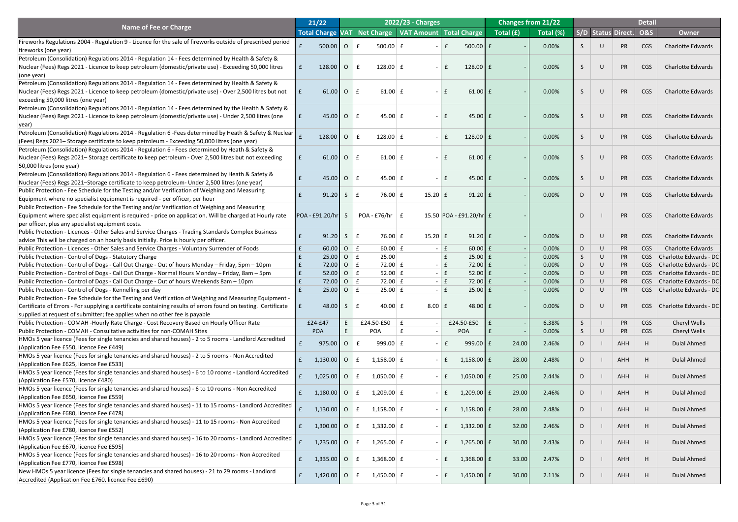|                                                                                                                                       | 21/22                   |              |                |                                        | 2022/23 - Charges   |               |                                |                                                | <b>Changes from 21/22</b> |    |        |                           | <b>Detail</b>  |                               |
|---------------------------------------------------------------------------------------------------------------------------------------|-------------------------|--------------|----------------|----------------------------------------|---------------------|---------------|--------------------------------|------------------------------------------------|---------------------------|----|--------|---------------------------|----------------|-------------------------------|
| Name of Fee or Charge                                                                                                                 | <b>Total Charge VAT</b> |              |                | Net Charge   VAT Amount   Total Charge |                     |               |                                | $\sqrt{\mathsf{Total}\left(\mathbf{f}\right)}$ | Total (%)                 |    |        | <b>S/D Status Direct.</b> | <b>O&amp;S</b> | <b>Owner</b>                  |
| Fireworks Regulations 2004 - Regulation 9 - Licence for the sale of fireworks outside of prescribed period                            |                         |              |                |                                        |                     |               |                                |                                                |                           |    |        |                           |                |                               |
| fireworks (one year)                                                                                                                  |                         | 500.00       | $\overline{O}$ | $500.00$ $E$                           |                     |               | $500.00$ $E$                   |                                                | 0.00%                     |    |        | <b>PR</b>                 | CGS            | <b>Charlotte Edwards</b>      |
| Petroleum (Consolidation) Regulations 2014 - Regulation 14 - Fees determined by Health & Safety &                                     |                         |              |                |                                        |                     |               |                                |                                                |                           |    |        |                           |                |                               |
| Nuclear (Fees) Regs 2021 - Licence to keep petroleum (domestic/private use) - Exceeding 50,000 litres                                 | $\mathbf{f}$            | 128.00       | $\overline{O}$ | $128.00$ $E$<br>$\mathbf{f}$           |                     | $\sim$        | 128.00 $E$<br>$\mathbf{f}$     |                                                | 0.00%                     |    |        | <b>PR</b>                 | <b>CGS</b>     | <b>Charlotte Edwards</b>      |
| (one year)                                                                                                                            |                         |              |                |                                        |                     |               |                                |                                                |                           |    |        |                           |                |                               |
| Petroleum (Consolidation) Regulations 2014 - Regulation 14 - Fees determined by Health & Safety &                                     |                         |              |                |                                        |                     |               |                                |                                                |                           |    |        |                           |                |                               |
| Nuclear (Fees) Regs 2021 - Licence to keep petroleum (domestic/private use) - Over 2,500 litres but not                               | l £                     | 61.00        | $\overline{O}$ | $61.00 \mid f$<br>$\mathbf{f}$         |                     | $\sim$        | $61.00$ $E$<br>$\mathbf{f}$    |                                                | 0.00%                     |    |        | PR                        | <b>CGS</b>     | <b>Charlotte Edwards</b>      |
| exceeding 50,000 litres (one year)                                                                                                    |                         |              |                |                                        |                     |               |                                |                                                |                           |    |        |                           |                |                               |
| Petroleum (Consolidation) Regulations 2014 - Regulation 14 - Fees determined by the Health & Safety &                                 |                         |              |                |                                        |                     |               |                                |                                                |                           |    |        |                           |                |                               |
| Nuclear (Fees) Regs 2021 - Licence to keep petroleum (domestic/private use) - Under 2,500 litres (one                                 | l £                     | 45.00        | $\overline{O}$ | $45.00 \mid f$<br>$\mathbf{f}$         |                     |               | 45.00 $E$<br>$\mathbf{f}$      |                                                | 0.00%                     |    | $\cup$ | <b>PR</b>                 | <b>CGS</b>     | <b>Charlotte Edwards</b>      |
| year)                                                                                                                                 |                         |              |                |                                        |                     |               |                                |                                                |                           |    |        |                           |                |                               |
| Petroleum (Consolidation) Regulations 2014 - Regulation 6 -Fees determined by Heath & Safety & Nuclear                                |                         |              |                |                                        |                     |               |                                |                                                |                           |    |        |                           |                |                               |
| (Fees) Regs 2021–Storage certificate to keep petroleum - Exceeding 50,000 litres (one year)                                           |                         | $128.00$ O   |                | $128.00$ £<br>$\mathbf{f}$             |                     |               | 128.00 $E$<br>$\mathbf{f}$     |                                                | 0.00%                     |    |        | PR                        | CGS            | <b>Charlotte Edwards</b>      |
| Petroleum (Consolidation) Regulations 2014 - Regulation 6 - Fees determined by Heath & Safety &                                       |                         |              |                |                                        |                     |               |                                |                                                |                           |    |        |                           |                |                               |
| Nuclear (Fees) Regs 2021–Storage certificate to keep petroleum - Over 2,500 litres but not exceeding                                  | $\mathbf{f}$            | 61.00        | $\overline{O}$ | $\mathbf{f}$<br>61.00 $\vert$ £        |                     |               | $61.00$ E<br>$\mathbf{f}$      |                                                | 0.00%                     |    |        | <b>PR</b>                 | <b>CGS</b>     | <b>Charlotte Edwards</b>      |
| 50,000 litres (one year)                                                                                                              |                         |              |                |                                        |                     |               |                                |                                                |                           |    |        |                           |                |                               |
| Petroleum (Consolidation) Regulations 2014 - Regulation 6 - Fees determined by Heath & Safety &                                       |                         |              |                |                                        |                     |               |                                |                                                |                           |    |        |                           |                |                               |
| Nuclear (Fees) Regs 2021-Storage certificate to keep petroleum- Under 2,500 litres (one year)                                         |                         | 45.00        | $\overline{O}$ | 45.00 $E$                              |                     |               | 45.00 $E$<br>$\mathbf{f}$      |                                                | 0.00%                     |    |        | <b>PR</b>                 | CGS            | <b>Charlotte Edwards</b>      |
| Public Protection - Fee Schedule for the Testing and/or Verification of Weighing and Measuring                                        |                         |              |                |                                        |                     |               |                                |                                                |                           |    |        |                           |                |                               |
| Equipment where no specialist equipment is required - per officer, per hour                                                           |                         | 91.20        | S.             | 76.00 $E$                              | $15.20 \mid f \mid$ |               | $91.20$ £                      |                                                | 0.00%                     |    |        | <b>PR</b>                 | <b>CGS</b>     | <b>Charlotte Edwards</b>      |
| Public Protection - Fee Schedule for the Testing and/or Verification of Weighing and Measuring                                        |                         |              |                |                                        |                     |               |                                |                                                |                           |    |        |                           |                |                               |
| Equipment where specialist equipment is required - price on application. Will be charged at Hourly rate                               | POA - £91.20/hr         |              |                | $POA - E76/hr \mid f$                  |                     |               | 15.50 POA - £91.20/hr £        |                                                |                           |    |        | <b>PR</b>                 | <b>CGS</b>     | <b>Charlotte Edwards</b>      |
| per officer, plus any specialist equipment costs.                                                                                     |                         |              |                |                                        |                     |               |                                |                                                |                           |    |        |                           |                |                               |
| Public Protection - Licences - Other Sales and Service Charges - Trading Standards Complex Business                                   |                         |              |                |                                        |                     |               |                                |                                                |                           |    |        |                           |                |                               |
| advice This will be charged on an hourly basis initially. Price is hourly per officer.                                                |                         | 91.20        | S              | 76.00 $E$                              | $15.20 \mid f \mid$ |               | $91.20$ $E$                    |                                                | 0.00%                     | D. | $\cup$ | <b>PR</b>                 | <b>CGS</b>     | <b>Charlotte Edwards</b>      |
| Public Protection - Licences - Other Sales and Service Charges - Voluntary Surrender of Foods                                         |                         | 60.00        | $\overline{O}$ | 60.00 $E$<br>£                         |                     |               | $60.00$ £<br>$\mathbf{f}$      |                                                | 0.00%                     | D  |        | PR                        | <b>CGS</b>     | <b>Charlotte Edwards</b>      |
| Public Protection - Control of Dogs - Statutory Charge                                                                                |                         | 25.00        | $\overline{O}$ | 25.00<br>$\mathbf f$                   |                     |               | $25.00$ $E$                    |                                                | 0.00%                     | S. |        | <b>PR</b>                 | CGS            | Charlotte Edwards - DC        |
| Public Protection - Control of Dogs - Call Out Charge - Out of hours Monday - Friday, 5pm - 10pm                                      | E                       | 72.00        | $\overline{O}$ | $72.00 \mid f \mid$<br>£               |                     |               | $\mathbf{f}$<br>$72.00 \mid f$ |                                                | 0.00%                     | D  |        | <b>PR</b>                 | CGS            | Charlotte Edwards - DC        |
| Public Protection - Control of Dogs - Call Out Charge - Normal Hours Monday - Friday, 8am - 5pm                                       | E                       | 52.00        | $\overline{O}$ | $52.00 \mid f$<br>£                    |                     | E             | $52.00$ $E$                    |                                                | 0.00%                     | D. |        | <b>PR</b>                 | CGS            | Charlotte Edwards - DC        |
| Public Protection - Control of Dogs - Call Out Charge - Out of hours Weekends 8am - 10pm                                              |                         | 72.00        | $\overline{O}$ | $72.00 \mid f$<br>$\mathbf f$          |                     | l £           | $72.00$ £                      |                                                | 0.00%                     | D  |        | <b>PR</b>                 | CGS            | Charlotte Edwards - DC        |
| Public Protection - Control of Dogs - Kennelling per day                                                                              |                         | 25.00        | $\overline{O}$ | $25.00 \mid f$<br>l £                  |                     |               | $25.00 \mid f$<br>$\mathbf{f}$ |                                                | 0.00%                     | D. |        | <b>PR</b>                 |                | CGS   Charlotte Edwards - DC  |
| Public Protection - Fee Schedule for the Testing and Verification of Weighing and Measuring Equipment -                               |                         |              |                |                                        |                     |               |                                |                                                |                           |    |        |                           |                |                               |
| Certificate of Errors - For supplying a certificate containing results of errors found on testing. Certificate                        | LE.                     | 48.00        | S              | 40.00 $\vert$ £<br>$\mathbf f$         |                     | $8.00 \mid f$ | $48.00 \text{ }$ £             |                                                | 0.00%                     | D  |        | <b>PR</b>                 | <b>CGS</b>     | <b>Charlotte Edwards - DC</b> |
| supplied at request of submitter; fee applies when no other fee is payable                                                            |                         |              |                |                                        |                     |               |                                |                                                |                           |    |        |                           |                |                               |
| Public Protection - COMAH -Hourly Rate Charge - Cost Recovery Based on Hourly Officer Rate                                            | £24-£47                 |              | E.             | £24.50-£50                             | $\mathbf{f}$        |               | £24.50-£50                     |                                                | 6.38%                     |    |        | PR                        | <b>CGS</b>     | Cheryl Wells                  |
| Public Protection - COMAH - Consultative activities for non-COMAH Sites                                                               | POA                     |              |                | <b>POA</b>                             |                     |               | <b>POA</b>                     |                                                | 0.00%                     |    |        | <b>PR</b>                 | <b>CGS</b>     | Cheryl Wells                  |
| HMOs 5 year licence (Fees for single tenancies and shared houses) - 2 to 5 rooms - Landlord Accredited                                |                         |              |                |                                        |                     |               |                                |                                                |                           |    |        |                           |                |                               |
| (Application Fee £550, licence Fee £449)                                                                                              |                         | 975.00       | $\overline{O}$ | $\mathbf{f}$<br>$999.00 \mid f$        |                     |               | $\mathbf{f}$<br>999.00 $E$     | 24.00                                          | 2.46%                     |    |        | <b>AHH</b>                |                | <b>Dulal Ahmed</b>            |
| HMOs 5 year licence (Fees for single tenancies and shared houses) - 2 to 5 rooms - Non Accredited                                     |                         |              |                |                                        |                     |               |                                |                                                |                           |    |        |                           |                |                               |
| (Application Fee £625, licence Fee £533)                                                                                              | 1,130.00                |              | $\overline{O}$ | $1,158.00 \mid f$<br>$\mathbf{f}$      |                     |               | $\mathbf{f}$<br>$1,158.00$ £   | 28.00                                          | 2.48%                     | D. |        | <b>AHH</b>                |                | <b>Dulal Ahmed</b>            |
| HMOs 5 year licence (Fees for single tenancies and shared houses) - 6 to 10 rooms - Landlord Accredited                               |                         |              |                |                                        |                     |               |                                |                                                |                           |    |        |                           |                |                               |
| (Application Fee £570, licence £480)                                                                                                  |                         | 1,025.00     | $\overline{O}$ | $1,050.00$ £<br>$\mathbf{f}$           |                     |               | $\mathbf{f}$<br>$1,050.00$ £   | 25.00                                          | 2.44%                     | D. |        | <b>AHH</b>                |                | <b>Dulal Ahmed</b>            |
| HMOs 5 year licence (Fees for single tenancies and shared houses) - 6 to 10 rooms - Non Accredited                                    |                         |              |                |                                        |                     |               |                                |                                                |                           |    |        |                           |                |                               |
| (Application Fee £650, licence Fee £559)                                                                                              |                         | $1,180.00$ 0 |                | $1,209.00 \mid f$<br>$\mathbf{f}$      |                     |               | 1,209.00 $E$<br>$\mathbf{f}$   | 29.00                                          | 2.46%                     | D. |        | <b>AHH</b>                |                | <b>Dulal Ahmed</b>            |
| HMOs 5 year licence (Fees for single tenancies and shared houses) - 11 to 15 rooms - Landlord Accredited                              |                         |              |                |                                        |                     |               |                                |                                                |                           |    |        |                           |                |                               |
| (Application Fee £680, licence Fee £478)                                                                                              |                         | $1,130.00$ 0 |                | $1,158.00 \mid f$<br>$\mathbf{f}$      |                     |               | $1,158.00$ £<br>$\mathbf{f}$   | 28.00                                          | 2.48%                     | D. |        | AHH                       |                | <b>Dulal Ahmed</b>            |
| HMOs 5 year licence (Fees for single tenancies and shared houses) - 11 to 15 rooms - Non Accredited                                   |                         |              |                |                                        |                     |               |                                |                                                |                           |    |        |                           |                |                               |
| (Application Fee £780, licence Fee £552)                                                                                              | $\mathbf{f}$            | $1,300.00$ 0 |                | $1,332.00 \mid f$<br>$\mathbf{f}$      |                     | $ \mathsf{E}$ | $1,332.00$ £                   | 32.00                                          | 2.46%                     | D. |        | AHH                       |                | <b>Dulal Ahmed</b>            |
| HMOs 5 year licence (Fees for single tenancies and shared houses) - 16 to 20 rooms - Landlord Accredited $\left  \frac{1}{f} \right $ |                         |              |                |                                        |                     |               |                                |                                                |                           |    |        |                           |                |                               |
| (Application Fee £670, licence Fee £595)                                                                                              |                         | 1,235.00     | $\overline{O}$ | 1,265.00 $E$<br>$\mathbf{f}$           |                     | $\sim$        | $\mathbf{f}$<br>1,265.00 $E$   | 30.00                                          | 2.43%                     | D  |        | <b>AHH</b>                |                | <b>Dulal Ahmed</b>            |
| HMOs 5 year licence (Fees for single tenancies and shared houses) - 16 to 20 rooms - Non Accredited                                   |                         |              |                |                                        |                     |               |                                |                                                |                           |    |        |                           |                |                               |
| (Application Fee £770, licence Fee £598)                                                                                              | f                       | 1,335.00     | $\overline{O}$ | 1,368.00 $E$<br>$\mathbf{f}$           |                     |               | 1,368.00 $E$<br>$\mathbf{f}$   | 33.00                                          | 2.47%                     | D  |        | AHH                       |                | <b>Dulal Ahmed</b>            |
| New HMOs 5 year licence (Fees for single tenancies and shared houses) - 21 to 29 rooms - Landlord                                     |                         |              |                |                                        |                     |               |                                |                                                |                           |    |        |                           |                |                               |
| Accredited (Application Fee £760, licence Fee £690)                                                                                   | $\mathbf{f}$            | $1,420.00$ O |                | $1,450.00$ £<br>$\mathbf{f}$           |                     |               | $1,450.00$ $E$<br>$\mathbf{f}$ | 30.00                                          | 2.11%                     | D. |        | AHH                       |                | <b>Dulal Ahmed</b>            |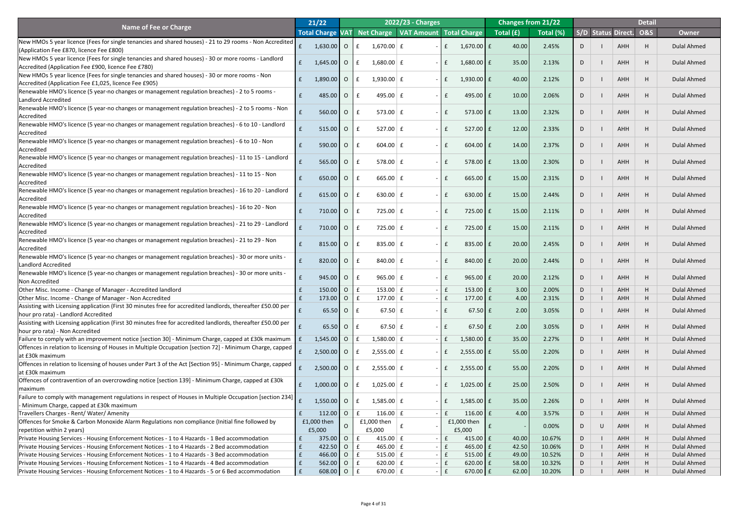|                                                                                                                                       | 21/22                   |                          |                |                                        | <b>2022/23 - Charges</b> |              |                     |           | <b>Changes from 21/22</b> |    |   |                    | <b>Detail</b>  |                    |
|---------------------------------------------------------------------------------------------------------------------------------------|-------------------------|--------------------------|----------------|----------------------------------------|--------------------------|--------------|---------------------|-----------|---------------------------|----|---|--------------------|----------------|--------------------|
| <b>Name of Fee or Charge</b>                                                                                                          | <b>Total Charge VAT</b> |                          |                | Net Charge   VAT Amount   Total Charge |                          |              |                     | Total (£) | Total (%)                 |    |   | S/D Status Direct. | <b>O&amp;S</b> | <b>Owner</b>       |
| New HMOs 5 year licence (Fees for single tenancies and shared houses) - 21 to 29 rooms - Non Accredited                               |                         |                          |                |                                        |                          |              |                     |           |                           |    |   |                    |                |                    |
| (Application Fee £870, licence Fee £800)                                                                                              |                         | 1,630.00 0               |                | $1,670.00$ £                           |                          |              | $1,670.00$ £        | 40.00     | 2.45%                     |    |   | <b>AHH</b>         | H              | <b>Dulal Ahmed</b> |
| New HMOs 5 year licence (Fees for single tenancies and shared houses) - 30 or more rooms - Landlord                                   |                         |                          |                |                                        |                          |              |                     |           |                           |    |   |                    |                |                    |
| Accredited (Application Fee £900, licence Fee £780)                                                                                   | f                       | $1,645.00$ O             |                | $1,680.00 \mid f$                      |                          |              | $1,680.00$ £        | 35.00     | 2.13%                     |    |   | <b>AHH</b>         | H              | <b>Dulal Ahmed</b> |
| New HMOs 5 year licence (Fees for single tenancies and shared houses) - 30 or more rooms - Non                                        |                         |                          |                |                                        |                          |              |                     |           |                           |    |   |                    |                |                    |
| Accredited (Application Fee £1,025, licence Fee £905)                                                                                 |                         | $1,890.00$ O             |                | 1,930.00 $E$                           |                          |              | $1,930.00$ $E$      | 40.00     | 2.12%                     |    |   | <b>AHH</b>         | H              | <b>Dulal Ahmed</b> |
| [Renewable HMO's licence (5 year-no changes or management regulation breaches) - 2 to 5 rooms -                                       |                         |                          |                |                                        |                          |              |                     |           |                           |    |   |                    |                |                    |
| Landlord Accredited                                                                                                                   |                         | 485.00                   | 10             | 495.00 $E$                             |                          | f            | 495.00 $E$          | 10.00     | 2.06%                     |    |   | <b>AHH</b>         | H              | <b>Dulal Ahmed</b> |
| Renewable HMO's licence (5 year-no changes or management regulation breaches) - 2 to 5 rooms - Non                                    |                         |                          |                |                                        |                          |              |                     |           |                           |    |   |                    |                |                    |
| Accredited                                                                                                                            |                         | 560.00 O                 |                | 573.00 $E$                             |                          | £            | 573.00 $E$          | 13.00     | 2.32%                     |    |   | <b>AHH</b>         | H              | <b>Dulal Ahmed</b> |
| Renewable HMO's licence (5 year-no changes or management regulation breaches) - 6 to 10 - Landlord                                    |                         |                          |                |                                        |                          |              |                     |           |                           |    |   |                    |                |                    |
| Accredited                                                                                                                            |                         | $515.00$ 0               |                | $527.00 \mid f \mid$                   |                          | £            | $527.00$ $E$        | 12.00     | 2.33%                     |    |   | <b>AHH</b>         | H              | <b>Dulal Ahmed</b> |
| Renewable HMO's licence (5 year-no changes or management regulation breaches) - 6 to 10 - Non                                         |                         |                          |                |                                        |                          |              |                     |           |                           |    |   |                    |                |                    |
| Accredited                                                                                                                            |                         | 590.00<br>$\overline{O}$ |                | $604.00 \mid f$                        |                          |              | $604.00$ E          | 14.00     | 2.37%                     |    |   | <b>AHH</b>         | H              | <b>Dulal Ahmed</b> |
| Renewable HMO's licence (5 year-no changes or management regulation breaches) - 11 to 15 - Landlord                                   |                         |                          |                |                                        |                          |              |                     |           |                           |    |   |                    |                |                    |
| Accredited                                                                                                                            |                         | $565.00$ 0               |                | 578.00 $E$                             |                          |              | $578.00$ £          | 13.00     | 2.30%                     |    |   | <b>AHH</b>         | H              | <b>Dulal Ahmed</b> |
| Renewable HMO's licence (5 year-no changes or management regulation breaches) - 11 to 15 - Non                                        |                         | 650.00<br>10             |                | 665.00 $E$                             |                          |              |                     | 15.00     |                           |    |   | <b>AHH</b>         | H              | <b>Dulal Ahmed</b> |
| Accredited                                                                                                                            |                         |                          |                |                                        |                          |              | 665.00 $E$          |           | 2.31%                     |    |   |                    |                |                    |
| Renewable HMO's licence (5 year-no changes or management regulation breaches) - 16 to 20 - Landlord                                   |                         | $615.00$ 0               |                | 630.00 $E$                             |                          |              | $630.00$ $E$        | 15.00     | 2.44%                     |    |   | <b>AHH</b>         | H              | Dulal Ahmed        |
| Accredited                                                                                                                            |                         |                          |                |                                        |                          |              |                     |           |                           |    |   |                    |                |                    |
| Renewable HMO's licence (5 year-no changes or management regulation breaches) - 16 to 20 - Non                                        |                         | $710.00$ O               |                | $725.00 \mid f$<br>$\cdot$ F           |                          |              | $725.00 \text{ }$ £ | 15.00     | 2.11%                     |    |   | AHH                |                | Dulal Ahmed        |
| Accredited                                                                                                                            |                         |                          |                |                                        |                          |              |                     |           |                           |    |   |                    |                |                    |
| Renewable HMO's licence (5 year-no changes or management regulation breaches) - 21 to 29 - Landlord                                   |                         | 710.00 O                 |                | $725.00 \mid f$<br>$\mathbf{f}$        |                          | £            | $725.00 \text{ }$ £ | 15.00     | 2.11%                     |    |   | <b>AHH</b>         | H              | <b>Dulal Ahmed</b> |
| Accredited                                                                                                                            |                         |                          |                |                                        |                          |              |                     |           |                           |    |   |                    |                |                    |
| Renewable HMO's licence (5 year-no changes or management regulation breaches) - 21 to 29 - Non                                        |                         | 815.00                   | $\overline{O}$ | 835.00 $E$<br>£                        |                          | £            | 835.00 $E$          | 20.00     | 2.45%                     |    |   | <b>AHH</b>         | H              | <b>Dulal Ahmed</b> |
| Accredited                                                                                                                            |                         |                          |                |                                        |                          |              |                     |           |                           |    |   |                    |                |                    |
| [Renewable HMO's licence (5 year-no changes or management regulation breaches) - 30 or more units -                                   |                         | 820.00                   | $\overline{O}$ | 840.00 $E$<br>£                        |                          | f            | 840.00 $E$          | 20.00     | 2.44%                     |    |   | <b>AHH</b>         | H              | <b>Dulal Ahmed</b> |
| Landlord Accredited                                                                                                                   |                         |                          |                |                                        |                          |              |                     |           |                           |    |   |                    |                |                    |
| [Renewable HMO's licence (5 year-no changes or management regulation breaches) - 30 or more units -                                   |                         | 945.00                   | $\bullet$ 0    | $965.00 \mid f$<br>$\mathbf{f}$        |                          | £            | $965.00$ £          | 20.00     | 2.12%                     |    |   | AHH                | H              | <b>Dulal Ahmed</b> |
| Non Accredited                                                                                                                        |                         |                          |                |                                        |                          |              |                     |           |                           |    |   |                    |                |                    |
| Other Misc. Income - Change of Manager - Accredited landlord                                                                          |                         | 150.00                   | $\overline{O}$ | 153.00 $E$<br>£                        |                          | £            | 153.00 $E$          | 3.00      | 2.00%                     | D  |   | <b>AHH</b>         | H              | <b>Dulal Ahmed</b> |
| Other Misc. Income - Change of Manager - Non Accredited                                                                               |                         | $173.00$ 0               |                | 177.00 $E$<br>£                        |                          | £            | 177.00 £            | 4.00      | 2.31%                     | D. |   | AHH                | H              | <b>Dulal Ahmed</b> |
| Assisting with Licensing application (First 30 minutes free for accredited landlords, thereafter £50.00 per                           |                         | $65.50$ 0                |                | 67.50 $E$<br>£                         |                          |              | $67.50$ £           | 2.00      | 3.05%                     |    |   | AHH                | H              | <b>Dulal Ahmed</b> |
| hour pro rata) - Landlord Accredited                                                                                                  |                         |                          |                |                                        |                          |              |                     |           |                           |    |   |                    |                |                    |
| Assisting with Licensing application (First 30 minutes free for accredited landlords, thereafter £50.00 per                           |                         | $65.50$ O                |                | 67.50 $E$<br>$\mathbf{f}$              |                          |              | $67.50 \text{ }$ £  | 2.00      | 3.05%                     |    |   | <b>AHH</b>         | H              | <b>Dulal Ahmed</b> |
| hour pro rata) - Non Accredited<br>Failure to comply with an improvement notice [section 30] - Minimum Charge, capped at £30k maximum |                         | $1,545.00$ O             |                | $1,580.00 \mid f$<br>$\mathbf{f}$      |                          |              | 1,580.00 $E$        | 35.00     | 2.27%                     | D  |   | <b>AHH</b>         | H              | <b>Dulal Ahmed</b> |
| Offences in relation to licensing of Houses in Multiple Occupation [section 72] - Minimum Charge, capped                              |                         |                          |                |                                        |                          |              |                     |           |                           |    |   |                    |                |                    |
| at £30k maximum                                                                                                                       |                         | $2,500.00$ O             |                | $2,555.00 \mid f$                      |                          |              | $2,555.00$ £        | 55.00     | 2.20%                     |    |   | AHH                | H              | <b>Dulal Ahmed</b> |
| Offences in relation to licensing of houses under Part 3 of the Act [Section 95] - Minimum Charge, capped                             |                         |                          |                |                                        |                          |              |                     |           |                           |    |   |                    |                |                    |
| lat £30k maximum                                                                                                                      |                         | $2,500.00$ O             |                | $2,555.00 \mid f$<br>$\mathbf{f}$      |                          |              | $2,555.00$ £        | 55.00     | 2.20%                     |    |   | <b>AHH</b>         | H              | Dulal Ahmed        |
| Offences of contravention of an overcrowding notice [section 139] - Minimum Charge, capped at £30k                                    |                         |                          |                |                                        |                          |              |                     |           |                           |    |   |                    |                |                    |
| <i>I</i> maximum                                                                                                                      |                         | $1,000.00$ O             |                | $1,025.00$ £<br>$\mathbf{f}$           |                          |              | $1,025.00$ £        | 25.00     | 2.50%                     |    |   | <b>AHH</b>         | H              | Dulal Ahmed        |
| Failure to comply with management regulations in respect of Houses in Multiple Occupation [section 234]                               |                         |                          |                |                                        |                          |              |                     |           |                           |    |   |                    |                |                    |
| - Minimum Charge, capped at £30k maximum                                                                                              |                         | $1,550.00$ 0             |                | $1,585.00 \mid f$<br>-F                |                          |              | $1,585.00$ £        | 35.00     | 2.26%                     |    |   | AHH                | H              | <b>Dulal Ahmed</b> |
| Travellers Charges - Rent/Water/Amenity                                                                                               |                         | 112.00<br>$\overline{O}$ |                | $116.00 \mid f$<br>$\mathbf{f}$        |                          |              | 116.00 $E$          | 4.00      | 3.57%                     | D  |   | <b>AHH</b>         | H              | <b>Dulal Ahmed</b> |
| Offences for Smoke & Carbon Monoxide Alarm Regulations non compliance (Initial fine followed by                                       | £1,000 then             |                          |                | £1,000 then                            |                          |              | £1,000 then         |           |                           |    |   |                    |                |                    |
| repetition within 2 years)                                                                                                            | £5,000                  |                          | $\cap$         | £5,000                                 |                          |              | £5,000              |           | 0.00%                     | D. | U | AHH                |                | <b>Dulal Ahmed</b> |
| Private Housing Services - Housing Enforcement Notices - 1 to 4 Hazards - 1 Bed accommodation                                         | E                       | $\overline{O}$<br>375.00 |                | f<br>415.00 $E$                        |                          | f            | 415.00 $E$          | 40.00     | 10.67%                    | D  |   | AHH                | H              | <b>Dulal Ahmed</b> |
| Private Housing Services - Housing Enforcement Notices - 1 to 4 Hazards - 2 Bed accommodation                                         | $\mathbf{f}$            | 422.50                   | $\overline{O}$ | $465.00 \mid f$<br>£                   |                          | £            | 465.00 $E$          | 42.50     | 10.06%                    | D  |   | AHH                | H              | <b>Dulal Ahmed</b> |
| Private Housing Services - Housing Enforcement Notices - 1 to 4 Hazards - 3 Bed accommodation                                         | E                       | 466.00                   | $\overline{O}$ | $515.00 \mid f$<br>-£                  |                          | £            | $515.00 \mid f$     | 49.00     | 10.52%                    | D  |   | AHH                | H              | <b>Dulal Ahmed</b> |
| Private Housing Services - Housing Enforcement Notices - 1 to 4 Hazards - 4 Bed accommodation                                         |                         | 562.00                   | $\overline{O}$ | 620.00 $E$<br>$\mathbf{f}$             |                          | $\mathbf{f}$ | $620.00$   £        | 58.00     | 10.32%                    | D  |   | AHH                | H              | <b>Dulal Ahmed</b> |
| Private Housing Services - Housing Enforcement Notices - 1 to 4 Hazards - 5 or 6 Bed accommodation                                    |                         | $608.00$ 0               |                | 670.00 $E$<br>$\mathbf{f}$             |                          | f            | $670.00$ £          | 62.00     | 10.20%                    | D  |   | AHH                | H              | <b>Dulal Ahmed</b> |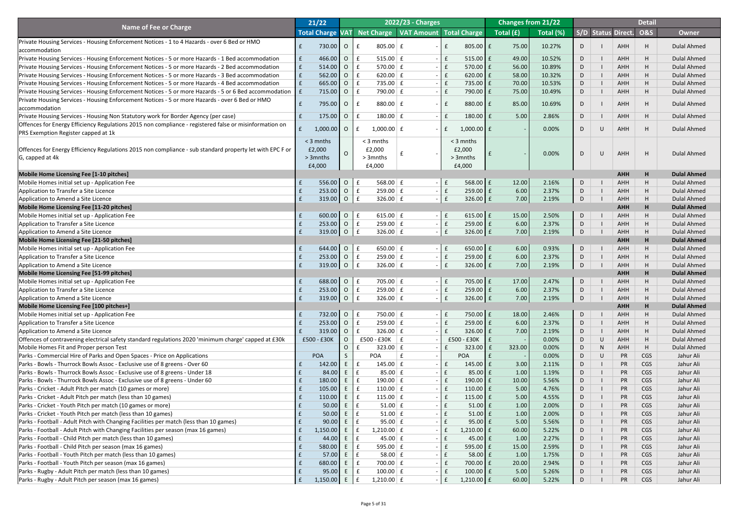|                                                                                                              | 21/22                   |              |                 |                                 | <b>2022/23 - Charges</b>               |                            |                     |           | <b>Changes from 21/22</b> |   |        |                           | <b>Detail</b>  |                    |
|--------------------------------------------------------------------------------------------------------------|-------------------------|--------------|-----------------|---------------------------------|----------------------------------------|----------------------------|---------------------|-----------|---------------------------|---|--------|---------------------------|----------------|--------------------|
| <b>Name of Fee or Charge</b>                                                                                 | <b>Total Charge VAT</b> |              |                 |                                 | Net Charge   VAT Amount   Total Charge |                            |                     | Total (£) | Total (%)                 |   |        | <b>S/D Status Direct.</b> | <b>O&amp;S</b> | <b>Owner</b>       |
| Private Housing Services - Housing Enforcement Notices - 1 to 4 Hazards - over 6 Bed or HMO                  |                         |              |                 |                                 |                                        |                            |                     |           |                           |   |        |                           |                |                    |
| accommodation                                                                                                |                         | 730.00       | $\overline{O}$  | $805.00 \mid f \mid$            |                                        |                            | 805.00 $E$          | 75.00     | 10.27%                    | D |        | <b>AHH</b>                | H              | <b>Dulal Ahmed</b> |
| Private Housing Services - Housing Enforcement Notices - 5 or more Hazards - 1 Bed accommodation             | $\mathbf{f}$            | 466.00       | $\overline{O}$  | $515.00 \mid f$                 |                                        | $\mathsf{E}$<br>$\sim$ $-$ | $515.00 \mid f$     | 49.00     | 10.52%                    | D |        | AHH                       | H              | <b>Dulal Ahmed</b> |
| Private Housing Services - Housing Enforcement Notices - 5 or more Hazards - 2 Bed accommodation             | f                       | 514.00       | $\overline{O}$  | 570.00 $E$<br>$\mathbf f$       |                                        | E<br>$\sim$                | $570.00$ £          | 56.00     | 10.89%                    | D |        | <b>AHH</b>                | H              | <b>Dulal Ahmed</b> |
| Private Housing Services - Housing Enforcement Notices - 5 or more Hazards - 3 Bed accommodation             | f                       | 562.00       | $\overline{O}$  | 620.00 $E$                      |                                        | E<br>$\sim$                | $620.00$ E          | 58.00     | 10.32%                    | D |        | <b>AHH</b>                | H              | <b>Dulal Ahmed</b> |
| Private Housing Services - Housing Enforcement Notices - 5 or more Hazards - 4 Bed accommodation             | f                       | 665.00       | $\overline{O}$  | $\mathbf f$<br>$735.00 \mid f$  |                                        | $\sim$                     | 735.00 £            | 70.00     | 10.53%                    | D |        | <b>AHH</b>                | H              | <b>Dulal Ahmed</b> |
| Private Housing Services - Housing Enforcement Notices - 5 or more Hazards - 5 or 6 Bed accommodation $\ $ £ |                         | 715.00       | $\overline{O}$  | 790.00 $E$                      |                                        |                            | 790.00 £            | 75.00     | 10.49%                    | D |        | AHH                       | H              | <b>Dulal Ahmed</b> |
| Private Housing Services - Housing Enforcement Notices - 5 or more Hazards - over 6 Bed or HMO               |                         |              |                 |                                 |                                        |                            |                     |           |                           |   |        |                           |                |                    |
| accommodation                                                                                                |                         | 795.00       | $\overline{O}$  | 880.00 $E$<br>$\mathbf{f}$      | $\overline{\phantom{0}}$               |                            | 880.00 £            | 85.00     | 10.69%                    | D |        | <b>AHH</b>                | H              | <b>Dulal Ahmed</b> |
| Private Housing Services - Housing Non Statutory work for Border Agency (per case)                           |                         | 175.00       | $\overline{O}$  | $\mathbf{f}$<br>$180.00 \mid f$ | $\sim$                                 | $\mathbf{f}$               | $180.00$ $E$        | 5.00      | 2.86%                     | D |        | AHH                       | H              | <b>Dulal Ahmed</b> |
| Offences for Energy Efficiency Regulations 2015 non compliance - registered false or misinformation on       |                         | $1,000.00$ O |                 | $1,000.00$ £                    |                                        | f                          | $1,000.00$ £        |           | 0.00%                     | D | $\cup$ | AHH                       | H              | <b>Dulal Ahmed</b> |
| <b>PRS Exemption Register capped at 1k</b>                                                                   |                         |              |                 |                                 |                                        |                            |                     |           |                           |   |        |                           |                |                    |
|                                                                                                              | $<$ 3 mnths             |              |                 | $<$ 3 mnths                     |                                        |                            | $<$ 3 mnths         |           |                           |   |        |                           |                |                    |
| Offences for Energy Efficiency Regulations 2015 non compliance - sub standard property let with EPC F or     | £2,000                  |              |                 | £2,000                          |                                        |                            | £2,000              |           | 0.00%                     | D | $\cup$ | AHH                       | H              | <b>Dulal Ahmed</b> |
| G, capped at 4k                                                                                              | > 3 mnths               |              |                 | > 3 mnths                       |                                        |                            | > 3 mnths           |           |                           |   |        |                           |                |                    |
|                                                                                                              | £4,000                  |              |                 | £4,000                          |                                        |                            | £4,000              |           |                           |   |        |                           |                |                    |
| Mobile Home Licensing Fee [1-10 pitches]                                                                     |                         |              |                 |                                 |                                        |                            |                     |           |                           |   |        | <b>AHH</b>                | H              | <b>Dulal Ahmed</b> |
| Mobile Homes initial set up - Application Fee                                                                |                         | 556.00 O     |                 | $\mathbf f$<br>568.00 $E$       |                                        | $ E$                       | 568.00 $E$          | 12.00     | 2.16%                     | D |        | AHH                       | H              | <b>Dulal Ahmed</b> |
| Application to Transfer a Site Licence                                                                       |                         | 253.00       | $\overline{O}$  | $\mathbf f$<br>$259.00 \mid f$  |                                        | $ \mathbf{f}$              | $259.00$ $E$        | 6.00      | 2.37%                     | D |        | <b>AHH</b>                | H              | <b>Dulal Ahmed</b> |
| Application to Amend a Site Licence                                                                          |                         | $319.00$ 0   |                 | $\mathbf f$<br>326.00 $E$       |                                        | $\mathbf{f}$<br>$\sim$ 1   | $326.00$ $E$        | 7.00      | 2.19%                     | D |        | <b>AHH</b>                | H              | <b>Dulal Ahmed</b> |
| Mobile Home Licensing Fee [11-20 pitches]                                                                    |                         |              |                 |                                 |                                        |                            |                     |           |                           |   |        | <b>AHH</b>                | H              | <b>Dulal Ahmed</b> |
| Mobile Homes initial set up - Application Fee                                                                | E                       | $600.00$ O   |                 | 615.00 $E$<br>$\mathbf{f}$      |                                        | $ E$                       | $615.00$ $E$        | 15.00     | 2.50%                     | D |        | <b>AHH</b>                | H              | <b>Dulal Ahmed</b> |
| Application to Transfer a Site Licence                                                                       |                         | $253.00$ 0   |                 | $259.00 \mid f$<br>$\mathbf{f}$ |                                        |                            | 259.00 £            | 6.00      | 2.37%                     | D |        | <b>AHH</b>                | H              | <b>Dulal Ahmed</b> |
| Application to Amend a Site Licence                                                                          |                         | $319.00$ 0   |                 | E<br>326.00 $E$                 |                                        | $\mathsf{E}$<br>$\sim$ 1   | $326.00$ $E$        | 7.00      | 2.19%                     | D |        | <b>AHH</b>                | H              | <b>Dulal Ahmed</b> |
| Mobile Home Licensing Fee [21-50 pitches]                                                                    |                         |              |                 |                                 |                                        |                            |                     |           |                           |   |        | <b>AHH</b>                | H              | <b>Dulal Ahmed</b> |
| Mobile Homes initial set up - Application Fee                                                                |                         | $644.00$ 0   |                 | E<br>650.00 $E$                 |                                        | $ E$                       | $650.00$ $E$        | 6.00      | 0.93%                     | D |        | <b>AHH</b>                | H              | <b>Dulal Ahmed</b> |
| Application to Transfer a Site Licence                                                                       |                         | 253.00       | $\overline{O}$  | E<br>$259.00 \mid f$            |                                        | $ \mathbf{f}$              | $259.00$ £          | 6.00      | 2.37%                     | D |        | <b>AHH</b>                | H              | <b>Dulal Ahmed</b> |
| Application to Amend a Site Licence                                                                          |                         | 319.00       | $\overline{O}$  | E<br>326.00 $E$                 |                                        | $\mathbf{f}$<br>$\sim$ 1   | $326.00$ $E$        | 7.00      | 2.19%                     | D |        | <b>AHH</b>                | H              | <b>Dulal Ahmed</b> |
| Mobile Home Licensing Fee [51-99 pitches]                                                                    |                         |              |                 |                                 |                                        |                            |                     |           |                           |   |        | <b>AHH</b>                | H              | <b>Dulal Ahmed</b> |
| Mobile Homes initial set up - Application Fee                                                                |                         | 688.00 0     |                 | E<br>$705.00 \mid f \mid$       |                                        | $ E$                       | 705.00 £            | 17.00     | 2.47%                     | D |        | <b>AHH</b>                | H              | <b>Dulal Ahmed</b> |
| Application to Transfer a Site Licence                                                                       |                         | 253.00       | $\overline{O}$  | E<br>$259.00 \mid f$            |                                        | $ E$                       | $259.00$ £          | 6.00      | 2.37%                     | D |        | <b>AHH</b>                | H              | <b>Dulal Ahmed</b> |
| Application to Amend a Site Licence                                                                          |                         | 319.00       | $\overline{O}$  | E<br>326.00 $E$                 |                                        | $\mathbf{f}$<br>$\sim$     | $326.00$ $E$        | 7.00      | 2.19%                     | D |        | <b>AHH</b>                | H              | <b>Dulal Ahmed</b> |
| Mobile Home Licensing Fee [100 pitches+]                                                                     |                         |              |                 |                                 |                                        |                            |                     |           |                           |   |        | <b>AHH</b>                | H              | <b>Dulal Ahmed</b> |
| Mobile Homes initial set up - Application Fee                                                                |                         | 732.00 O     |                 | E<br>750.00 $E$                 |                                        | $ E$                       | 750.00 £            | 18.00     | 2.46%                     | D |        | <b>AHH</b>                | H              | <b>Dulal Ahmed</b> |
| Application to Transfer a Site Licence                                                                       |                         | 253.00       | $\overline{O}$  | $\mathbf{f}$<br>$259.00 \mid f$ |                                        | $\mathsf{E}$<br>$\sim$ 1   | $259.00$ £          | 6.00      | 2.37%                     | D |        | <b>AHH</b>                | H              | <b>Dulal Ahmed</b> |
| Application to Amend a Site Licence                                                                          |                         | 319.00       | $\overline{O}$  | $\mathbf{f}$<br>$326.00 \mid f$ |                                        | $\mathbf{f}$<br>$\sim$     | $326.00$ $E$        | 7.00      | 2.19%                     | D |        | <b>AHH</b>                | H              | <b>Dulal Ahmed</b> |
| Offences of contravening electrical safety standard regulations 2020 'minimum charge' capped at £30k         | £500 - £30K             |              | $\mathsf{O}$    | $£500 - £30K$ $E$               | $\overline{\phantom{a}}$               |                            | $-E30K$<br>£500     |           | 0.00%                     | D | U      | <b>AHH</b>                | H              | <b>Dulal Ahmed</b> |
| Mobile Homes Fit and Proper person Test                                                                      |                         |              | $\overline{O}$  | $323.00 \mid f$                 |                                        | $\mathbf f$<br>$\sim$      | $323.00$ $E$        | 323.00    | 0.00%                     | D | N      | <b>AHH</b>                | H              | <b>Dulal Ahmed</b> |
| Parks - Commercial Hire of Parks and Open Spaces - Price on Applications                                     | <b>POA</b>              |              |                 | <b>POA</b>                      | $\sim$                                 |                            | <b>POA</b>          |           | 0.00%                     | D | U      | <b>PR</b>                 | <b>CGS</b>     | Jahur Ali          |
| Parks - Bowls - Thurrock Bowls Assoc - Exclusive use of 8 greens - Over 60                                   |                         | 142.00       | $E_{\perp}$     | 145.00 $E$<br>$\mathbf f$       |                                        | $\mathbf{f}$<br>$\sim$     | $145.00$ $E$        | 3.00      | 2.11%                     | D |        | PR                        | <b>CGS</b>     | Jahur Ali          |
| Parks - Bowls - Thurrock Bowls Assoc - Exclusive use of 8 greens - Under 18                                  |                         | 84.00        | $E_{\perp}$     | E<br>85.00 $E$                  |                                        | E<br>$\sim$ 1              | $85.00$ £           | 1.00      | 1.19%                     | D |        | PR                        | <b>CGS</b>     | Jahur Ali          |
| Parks - Bowls - Thurrock Bowls Assoc - Exclusive use of 8 greens - Under 60                                  |                         | 180.00       | E               | $\mathbf{f}$<br>190.00 $E$      |                                        | $\sim$                     | 190.00 $E$          | 10.00     | 5.56%                     | D |        | PR                        | <b>CGS</b>     | Jahur Ali          |
| Parks - Cricket - Adult Pitch per match (10 games or more)                                                   |                         | 105.00       | $E_{\perp}$     | E<br>110.00 $E$                 |                                        | $\mathsf{E}$<br>$\sim$ 1   | $110.00$ $E$        | 5.00      | 4.76%                     | D |        | PR                        | <b>CGS</b>     | Jahur Ali          |
| Parks - Cricket - Adult Pitch per match (less than 10 games)                                                 |                         | 110.00       | E               | $\mathbf{f}$<br>115.00 $E$      |                                        | $\mathbf{f}$               | $115.00$ $E$        | 5.00      | 4.55%                     | D |        | PR                        | <b>CGS</b>     | Jahur Ali          |
| Parks - Cricket - Youth Pitch per match (10 games or more)                                                   |                         | 50.00        | $E_{\perp}$     | f<br>$51.00 \mid f$             |                                        |                            | $51.00$ $E$         | 1.00      | 2.00%                     | D |        | PR                        | <b>CGS</b>     | Jahur Ali          |
| Parks - Cricket - Youth Pitch per match (less than 10 games)                                                 |                         | 50.00        | E               | $51.00 \mid f$<br>$\mathbf f$   |                                        |                            | $51.00$ $E$         | 1.00      | 2.00%                     | D |        | PR                        | <b>CGS</b>     | Jahur Ali          |
| Parks - Football - Adult Pitch with Changing Facilities per match (less than 10 games)                       |                         | 90.00        | E               | $95.00 \mid f$<br>$\mathbf f$   |                                        |                            | $95.00$ £           | 5.00      | 5.56%                     | D |        | PR                        | <b>CGS</b>     | Jahur Ali          |
| Parks - Football - Adult Pitch with Changing Facilities per season (max 16 games)                            |                         | $1,150.00$ E |                 | 1,210.00 E                      |                                        | £                          | 1,210.00 £          | 60.00     | 5.22%                     | D |        | <b>PR</b>                 | <b>CGS</b>     | Jahur Ali          |
| Parks - Football - Child Pitch per match (less than 10 games)                                                |                         | 44.00        | $E \mid f$      | 45.00 $E$                       |                                        | l £<br>$\sim$              | $45.00 \mid f \mid$ | 1.00      | 2.27%                     | D |        | PR                        | <b>CGS</b>     | Jahur Ali          |
| Parks - Football - Child Pitch per season (max 16 games)                                                     |                         | 580.00       | $E_{\perp}$     | $\mathbf{f}$<br>595.00 $E$      |                                        | l £                        | 595.00 $E$          | 15.00     | 2.59%                     | D |        | PR                        | <b>CGS</b>     | Jahur Ali          |
| Parks - Football - Youth Pitch per match (less than 10 games)                                                |                         | 57.00        | $E \mid f$      | $58.00 \mid f$                  |                                        |                            | $58.00 \mid f \mid$ | 1.00      | 1.75%                     | D |        | PR                        | <b>CGS</b>     | Jahur Ali          |
| Parks - Football - Youth Pitch per season (max 16 games)                                                     |                         | 680.00       | $E_{\parallel}$ | $\mathsf{E}$<br>700.00 $E$      |                                        | $ \mathbf{f}$              | 700.00 £            | 20.00     | 2.94%                     | D |        | PR                        | <b>CGS</b>     | Jahur Ali          |
| Parks - Rugby - Adult Pitch per match (less than 10 games)                                                   |                         | 95.00        | E               | $100.00 \mid f$<br>$\mathbf{f}$ |                                        |                            | $100.00$ $E$        | 5.00      | 5.26%                     | D |        | PR                        | <b>CGS</b>     | Jahur Ali          |
| Parks - Rugby - Adult Pitch per season (max 16 games)                                                        |                         | $1,150.00$ E |                 | $1,210.00$ $E$<br>$\mathsf{E}$  |                                        | $ E$                       | $1,210.00$ £        | 60.00     | 5.22%                     | D |        | <b>PR</b>                 | <b>CGS</b>     | Jahur Ali          |
|                                                                                                              |                         |              |                 |                                 |                                        |                            |                     |           |                           |   |        |                           |                |                    |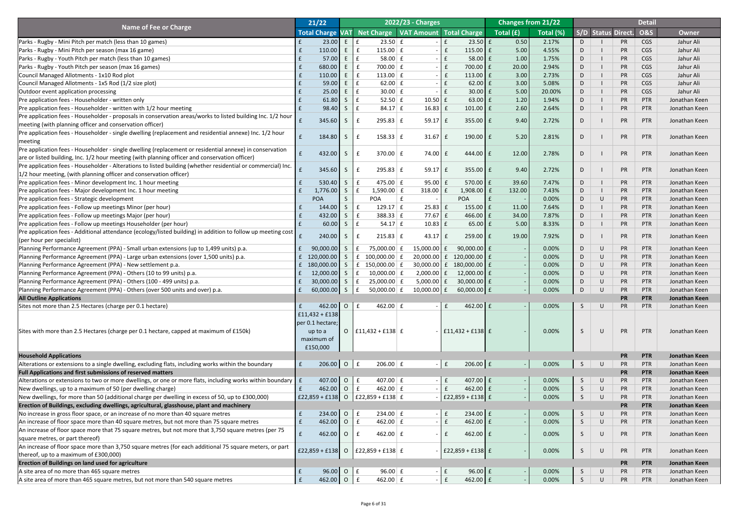|                                                                                                                               |              | 21/22             |                |                                                | 2022/23 - Charges        |                 |                      | <b>Changes from 21/22</b> |           |              |           |                    | <b>Detail</b>  |               |
|-------------------------------------------------------------------------------------------------------------------------------|--------------|-------------------|----------------|------------------------------------------------|--------------------------|-----------------|----------------------|---------------------------|-----------|--------------|-----------|--------------------|----------------|---------------|
| <b>Name of Fee or Charge</b>                                                                                                  |              | Total Charge VAT  |                | Net Charge   VAT Amount   Total Charge         |                          |                 |                      | Total (£)                 | Total (%) |              |           | S/D Status Direct. | <b>O&amp;S</b> | <b>Owner</b>  |
| Parks - Rugby - Mini Pitch per match (less than 10 games)                                                                     |              | 23.00             | $E \mid E$     | $23.50 \mid f$                                 |                          |                 | $23.50 \text{ }$ £   | 0.50                      | 2.17%     |              |           | <b>PR</b>          | CGS            | Jahur Ali     |
| Parks - Rugby - Mini Pitch per season (max 16 game)                                                                           |              | 110.00            | E              | $\mathbf{f}$<br>115.00 $E$                     | $\overline{\phantom{0}}$ |                 | $115.00$ $E$         | 5.00                      | 4.55%     |              |           | <b>PR</b>          | CGS            | Jahur Ali     |
| Parks - Rugby - Youth Pitch per match (less than 10 games)                                                                    |              | 57.00             | E              | 58.00 $E$<br>$\mathbf f$                       | $\sim$                   |                 | $58.00$ $E$          | 1.00                      | 1.75%     | D            |           | <b>PR</b>          | CGS            | Jahur Ali     |
| Parks - Rugby - Youth Pitch per season (max 16 games)                                                                         |              | 680.00            | E              | $\mathbf{f}$<br>$700.00$ $E$                   | $\sim$                   |                 | 700.00 £             | 20.00                     | 2.94%     | D            |           | <b>PR</b>          | CGS            | Jahur Ali     |
| Council Managed Allotments - 1x10 Rod plot                                                                                    |              | 110.00            | E              | $\mathbf f$<br>113.00 $E$                      | $\sim$                   | $\mathbf{f}$    | 113.00 $E$           | 3.00                      | 2.73%     | D            |           | <b>PR</b>          | CGS            | Jahur Ali     |
| Council Managed Allotments - 1x5 Rod (1/2 size plot)                                                                          |              | 59.00             | E              | 62.00 $E$<br>$\mathbf f$                       |                          |                 | $62.00$ £            | 3.00                      | 5.08%     | D            |           | <b>PR</b>          | CGS            | Jahur Ali     |
|                                                                                                                               |              | 25.00             | Æ,             | $\mathbf f$<br>$30.00 \mid f$                  | $\sim$                   |                 | $30.00$ £            | 5.00                      | 20.00%    |              |           | <b>PR</b>          | CGS            | Jahur Ali     |
| Outdoor event application processing                                                                                          |              |                   |                |                                                |                          |                 |                      |                           |           | D            |           |                    |                |               |
| Pre application fees - Householder - written only                                                                             |              | 61.80             | S              | $\mathbf f$<br>$52.50 \mid f$                  | $10.50$ $E$              |                 | $63.00$ £            | 1.20                      | 1.94%     | D            |           | <b>PR</b>          | PTR            | Jonathan Keen |
| Pre application fees - Householder - written with 1/2 hour meeting                                                            |              | 98.40             | S              | $\mathbf f$<br>$84.17 \mid f$                  | $16.83$ $E$              |                 | $101.00$   £         | 2.60                      | 2.64%     | D            |           | <b>PR</b>          | <b>PTR</b>     | Jonathan Keen |
| Pre application fees - Householder - proposals in conservation areas/works to listed building Inc. $1/2$ hour                 |              | 345.60            | S              | $295.83 \mid f$                                | $59.17$ $E$              |                 | $355.00$ $E$         | 9.40                      | 2.72%     | D            |           | <b>PR</b>          | PTR            | Jonathan Keen |
| meeting (with planning officer and conservation officer)                                                                      |              |                   |                |                                                |                          |                 |                      |                           |           |              |           |                    |                |               |
| Pre application fees - Householder - single dwelling (replacement and residential annexe) Inc. 1/2 hour                       |              | 184.80            | S              | $158.33 \mid f$                                | 31.67                    | E               | $190.00$ $E$         | 5.20                      | 2.81%     | D            |           | <b>PR</b>          | PTR            | Jonathan Keen |
| meeting                                                                                                                       |              |                   |                |                                                |                          |                 |                      |                           |           |              |           |                    |                |               |
| Pre application fees - Householder - single dwelling (replacement or residential annexe) in conservation                      |              | 432.00            | $S_{\perp}$    | $370.00 \mid f$                                | 74.00                    | $\mathbf{f}$    | 444.00 $E$           | 12.00                     | 2.78%     | D            |           | <b>PR</b>          | PTR            | Jonathan Keen |
| are or listed building, Inc. 1/2 hour meeting (with planning officer and conservation officer)                                |              |                   |                |                                                |                          |                 |                      |                           |           |              |           |                    |                |               |
| Pre application fees - Householder - Alterations to listed building (whether residential or commercial) Inc.                  |              | 345.60            | $\mathsf{S}$   | $295.83 \mid f$                                | $59.17$ $E$              |                 | $355.00$ $E$         | 9.40                      | 2.72%     | D            |           | <b>PR</b>          | PTR            | Jonathan Keen |
| $ 1/2$ hour meeting, (with planning officer and conservation officer)                                                         |              |                   |                |                                                |                          |                 |                      |                           |           |              |           |                    |                |               |
| Pre application fees - Minor development Inc. 1 hour meeting                                                                  |              | 530.40            | S              | 475.00 $E$<br>$\mathbf{f}$                     | $95.00$ £                |                 | $570.00$ $E$         | 39.60                     | 7.47%     | D            |           | <b>PR</b>          | <b>PTR</b>     | Jonathan Keen |
| Pre application fees - Major development Inc. 1 hour meeting                                                                  |              | 1,776.00          | S              | $1,590.00$ £                                   | $318.00 \mid f$          |                 | $1,908.00$ £         | 132.00                    | 7.43%     | D            |           | <b>PR</b>          | <b>PTR</b>     | Jonathan Keen |
| Pre application fees - Strategic development                                                                                  |              | <b>POA</b>        |                | <b>POA</b>                                     |                          |                 | <b>POA</b>           |                           | 0.00%     | D            | U         | <b>PR</b>          | <b>PTR</b>     | Jonathan Keen |
| Pre application fees - Follow up meetings Minor (per hour)                                                                    |              | 144.00            | S              | 129.17 $E$<br>$\mathbf{f}$                     | $25.83 \mid f$           |                 | 155.00 $E$           | 11.00                     | 7.64%     | D            |           | <b>PR</b>          | <b>PTR</b>     | Jonathan Keen |
| Pre application fees - Follow up meetings Major (per hour)                                                                    |              | 432.00            | S.             | $\mathbf{f}$<br>$388.33 \mid f$                | $77.67 \mid f \mid$      |                 | 466.00 $E$           | 34.00                     | 7.87%     | D            |           | <b>PR</b>          | <b>PTR</b>     | Jonathan Keen |
| Pre application fees - Follow up meetings Householder (per hour)                                                              |              | 60.00             | $S \mid f$     | $54.17 \mid f$                                 | $10.83$ $E$              |                 | $65.00$ £            | 5.00                      | 8.33%     | D            |           | <b>PR</b>          | PTR            | Jonathan Keen |
| Pre application fees - Additional attendance (ecology/listed building) in addition to follow up meeting cost $\left  \right $ |              |                   |                |                                                |                          |                 |                      |                           |           |              |           |                    |                |               |
| (per hour per specialist)                                                                                                     |              | 240.00            | S              | $215.83 \mid f$                                | $43.17$ $E$              |                 | $259.00$ $E$         | 19.00                     | 7.92%     | D.           |           | <b>PR</b>          | PTR            | Jonathan Keen |
| Planning Performance Agreement (PPA) - Small urban extensions (up to 1,499 units) p.a.                                        |              | 90,000.00         | $\mathsf{S}$   | 75,000.00 £                                    | $15,000.00$ £            |                 | $90,000.00$ £        |                           | 0.00%     | D            | $\cup$    | PR                 | <b>PTR</b>     | Jonathan Keen |
|                                                                                                                               |              |                   |                |                                                |                          |                 |                      |                           | 0.00%     |              |           |                    |                |               |
| Planning Performance Agreement (PPA) - Large urban extensions (over 1,500 units) p.a.                                         |              | 120,000.00        | $\mathsf{S}$   | f<br>$100,000.00$ $E$                          | $20,000.00$ £            |                 | 120,000.00 £         |                           |           | D            | U         | <b>PR</b>          | PTR            | Jonathan Keen |
| Planning Performance Agreement (PPA) - New settlement p.a.                                                                    |              | 180,000.00        | $\mathsf{S}$   | £ 150,000.00 $E$                               | $30,000.00$ £            |                 | 180,000.00 £         |                           | 0.00%     | D            | U         | <b>PR</b>          | <b>PTR</b>     | Jonathan Keen |
| Planning Performance Agreement (PPA) - Others (10 to 99 units) p.a.                                                           |              | 12,000.00         | S.             | $10,000.00$ £<br>$\mathbf{f}$                  | $2,000.00$   £           |                 | 12,000.00 $f$        |                           | 0.00%     | D            | U         | <b>PR</b>          | <b>PTR</b>     | Jonathan Keen |
| Planning Performance Agreement (PPA) - Others (100 - 499 units) p.a.                                                          |              | 30,000.00         | $\mathsf{S}$   | $25,000.00$ £<br>$\mathbf{f}$                  | $5,000.00$ $E$           |                 | $30,000.00$ £        |                           | 0.00%     | D            | U         | <b>PR</b>          | <b>PTR</b>     | Jonathan Keen |
| Planning Performance Agreement (PPA) - Others (over 500 units and over) p.a.                                                  |              | 60,000.00 S       |                | f <br>50,000.00 $E$                            | $10,000.00$ $E$          |                 | $60,000.00$ £        |                           | 0.00%     | D            | $\cup$    | <b>PR</b>          | <b>PTR</b>     | Jonathan Keen |
| <b>All Outline Applications</b>                                                                                               |              |                   |                |                                                |                          |                 |                      |                           |           |              |           | <b>PR</b>          | <b>PTR</b>     | Jonathan Keen |
| Sites not more than 2.5 Hectares (charge per 0.1 hectare)                                                                     |              | $462.00$ O E      |                | 462.00 $E$                                     |                          | E               | 462.00 $E$           |                           | 0.00%     | $\mathsf{S}$ | $\bigcup$ | PR                 | PTR            | Jonathan Keen |
|                                                                                                                               |              | $f11,432 + f138$  |                |                                                |                          |                 |                      |                           |           |              |           |                    |                |               |
|                                                                                                                               |              | per 0.1 hectare;  |                |                                                |                          |                 |                      |                           |           |              |           |                    |                |               |
| Sites with more than 2.5 Hectares (charge per 0.1 hectare, capped at maximum of £150k)                                        |              | up to a           |                | O   $E11,432 + E138$   $E$                     |                          |                 | $-$ £11,432 + £138 £ |                           | 0.00%     | <sub>S</sub> | $\bigcup$ | PR                 | PTR            | Jonathan Keen |
|                                                                                                                               |              | maximum of        |                |                                                |                          |                 |                      |                           |           |              |           |                    |                |               |
|                                                                                                                               |              | £150,000          |                |                                                |                          |                 |                      |                           |           |              |           |                    |                |               |
| <b>Household Applications</b>                                                                                                 |              |                   |                |                                                |                          |                 |                      |                           |           |              |           | <b>PR</b>          | <b>PTR</b>     | Jonathan Keen |
| Alterations or extensions to a single dwelling, excluding flats, including works within the boundary                          | E            | 206.00 0 $f$      |                | $206.00$ £                                     |                          | $ E$            | $206.00$ £           | $-1$                      | 0.00%     | S            | $\bigcup$ | PR                 | PTR            | Jonathan Keen |
| <b>Full Applications and first submissions of reserved matters</b>                                                            |              |                   |                |                                                |                          |                 |                      |                           |           |              |           | <b>PR</b>          | <b>PTR</b>     | Jonathan Keen |
| Alterations or extensions to two or more dwellings, or one or more flats, including works within boundary $\ \mathbf{f}\ $    |              | 407.00 0 $\mid$ 6 |                | 407.00 $E$                                     |                          | $ E$            | 407.00 $E$           |                           | 0.00%     | $\mathsf{S}$ | $\bigcup$ | PR                 | PTR            | Jonathan Keen |
| New dwellings, up to a maximum of 50 (per dwelling charge)                                                                    |              | $462.00$ 0        |                | E<br>462.00 $E$                                |                          | $\mathbf{f}$    | 462.00 £             |                           | 0.00%     | S            | $\cup$    | <b>PR</b>          | <b>PTR</b>     | Jonathan Keen |
| New dwellings, for more than 50 (additional charge per dwelling in excess of 50, up to £300,000)                              |              |                   |                | $\mid$ £22,859 + £138   0   £22,859 + £138   £ |                          |                 | $ £22,859 + £138$ £  |                           | 0.00%     | S            | $\cup$    | <b>PR</b>          | <b>PTR</b>     | Jonathan Keen |
| Erection of Buildings, excluding dwellings, agricultural, glasshouse, plant and machinery                                     |              |                   |                |                                                |                          |                 |                      |                           |           |              |           | <b>PR</b>          | <b>PTR</b>     | Jonathan Keen |
| No increase in gross floor space, or an increase of no more than 40 square metres                                             |              | $234.00$ 0 $f$    |                | $234.00 \mid f$                                |                          | $\vert f \vert$ | $234.00$ $E$         |                           | 0.00%     | $\mathsf{S}$ | $\bigcup$ | PR                 | PTR            | Jonathan Keen |
| An increase of floor space more than 40 square metres, but not more than 75 square metres                                     |              | 462.00            | $\overline{O}$ | f <br>462.00 $E$                               |                          | $\mathbf{f}$    | 462.00 £             |                           | 0.00%     | S.           | U         | <b>PR</b>          | PTR            | Jonathan Keen |
|                                                                                                                               |              |                   |                |                                                |                          |                 |                      |                           |           |              |           |                    |                |               |
| An increase of floor space more that 75 square metres, but not more that 3,750 square metres (per 75                          | $\mathbf{f}$ | $462.00$ 0        |                | E<br>462.00 $E$                                | $\sim$                   | f               | $462.00$ $E$         |                           | 0.00%     | <sub>S</sub> | U         | PR                 | PTR            | Jonathan Keen |
| square metres, or part thereof)                                                                                               |              |                   |                |                                                |                          |                 |                      |                           |           |              |           |                    |                |               |
| An increase of floor space more than 3,750 square metres (for each additional 75 square meters, or part                       |              | $£22,859 + £138$  |                | $O$   £22,859 + £138   £                       |                          |                 | $ £22,859 + £138$ £  |                           | 0.00%     | <sub>S</sub> | $\bigcup$ | PR                 | PTR            | Jonathan Keen |
| thereof, up to a maximum of £300,000)                                                                                         |              |                   |                |                                                |                          |                 |                      |                           |           |              |           |                    |                |               |
| <b>Erection of Buildings on land used for agriculture</b>                                                                     |              |                   |                |                                                |                          |                 |                      |                           |           |              |           | <b>PR</b>          | <b>PTR</b>     | Jonathan Keen |
| A site area of no more than 465 square metres                                                                                 | E            | $96.00$ O E       |                | $96.00 \mid f$                                 |                          | $ E$            | $96.00$ £            |                           | 0.00%     | S            | $\bigcup$ | PR                 | PTR            | Jonathan Keen |
| A site area of more than 465 square metres, but not more than 540 square metres                                               | E            | 462.00 0 $f$      |                | 462.00 $E$                                     |                          | $\vert f$       | $462.00$ $E$         |                           | 0.00%     | S            | $\cup$    | PR                 | <b>PTR</b>     | Jonathan Keen |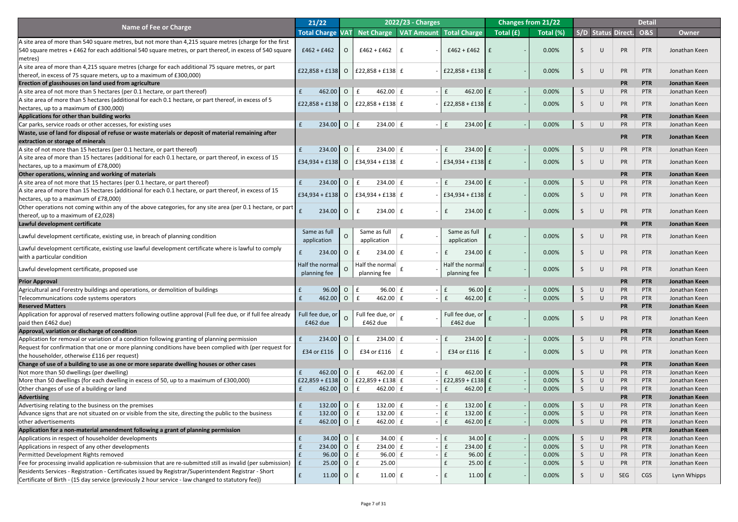|                                                                                                                                                              | 21/22                      |                |                                             | <b>2022/23 - Charges</b> |                                        |           | <b>Changes from 21/22</b> |                    |           |                    | <b>Detail</b>            |                                |
|--------------------------------------------------------------------------------------------------------------------------------------------------------------|----------------------------|----------------|---------------------------------------------|--------------------------|----------------------------------------|-----------|---------------------------|--------------------|-----------|--------------------|--------------------------|--------------------------------|
| <b>Name of Fee or Charge</b>                                                                                                                                 | <b>Total Charge VAT</b>    |                |                                             |                          | Net Charge   VAT Amount   Total Charge | Total (£) | Total (%)                 |                    |           | S/D Status Direct. | <b>O&amp;S</b>           | <b>Owner</b>                   |
| A site area of more than 540 square metres, but not more than 4,215 square metres (charge for the first                                                      |                            |                |                                             |                          |                                        |           |                           |                    |           |                    |                          |                                |
| 540 square metres + £462 for each additional 540 square metres, or part thereof, in excess of 540 square                                                     | $£462 + £462$              |                | $£462 + £462$                               | $\mathsf{E}$             | $£462 + £462$                          |           | 0.00%                     | <sub>S</sub>       | U         | <b>PR</b>          | PTR                      | Jonathan Keen                  |
| metres)                                                                                                                                                      |                            |                |                                             |                          |                                        |           |                           |                    |           |                    |                          |                                |
| A site area of more than 4,215 square metres (charge for each additional 75 square metres, or part                                                           |                            |                |                                             |                          |                                        |           |                           |                    |           |                    |                          |                                |
| thereof, in excess of 75 square meters, up to a maximum of £300,000)                                                                                         |                            |                | £22,858 + £138 0 $ $ £22,858 + £138 $ $ £   |                          | $ £22,858 + £138$ £                    |           | 0.00%                     | <sub>S</sub>       | U         | PR                 | PTR                      | Jonathan Keen                  |
| Erection of glasshouses on land used from agriculture                                                                                                        |                            |                |                                             |                          |                                        |           |                           |                    |           | <b>PR</b>          | <b>PTR</b>               | Jonathan Keen                  |
| A site area of not more than 5 hectares (per 0.1 hectare, or part thereof)                                                                                   | 462.00<br>$\mathbf{f}$     | $\overline{O}$ | 462.00 $E$<br>f                             |                          | $462.00$ $E$<br>f                      |           | 0.00%                     | $\mathsf{S}$       | U         | PR                 | <b>PTR</b>               | Jonathan Keen                  |
| A site area of more than 5 hectares (additional for each 0.1 hectare, or part thereof, in excess of 5                                                        |                            |                |                                             |                          |                                        |           |                           |                    |           |                    |                          |                                |
| [hectares, up to a maximum of £300,000)                                                                                                                      |                            |                | £22,858 + £138 0 $ $ £22,858 + £138 $ $ £   |                          | £22,858 + £138 $\vert$ £               |           | 0.00%                     | <sub>S</sub>       | U         | <b>PR</b>          | <b>PTR</b>               | Jonathan Keen                  |
| Applications for other than building works                                                                                                                   |                            |                |                                             |                          |                                        |           |                           |                    |           | <b>PR</b>          | <b>PTR</b>               | Jonathan Keen                  |
| Car parks, service roads or other accesses, for existing uses                                                                                                | $234.00$ O<br>$\mathbf{f}$ |                | $\mathbf{f}$<br>$234.00 \mid f$             |                          | $234.00 \text{ }E$<br>f                | $-1$      | 0.00%                     | $\mathsf{S}$       | $\cup$    | <b>PR</b>          | <b>PTR</b>               | Jonathan Keen                  |
| Waste, use of land for disposal of refuse or waste materials or deposit of material remaining after                                                          |                            |                |                                             |                          |                                        |           |                           |                    |           |                    |                          |                                |
| extraction or storage of minerals                                                                                                                            |                            |                |                                             |                          |                                        |           |                           |                    |           | <b>PR</b>          | <b>PTR</b>               | Jonathan Keen                  |
| A site of not more than 15 hectares (per 0.1 hectare, or part thereof)                                                                                       | $234.00$ 0<br>f            |                | f<br>$234.00 \mid f$                        |                          | $234.00 \mid f$<br>f                   |           | 0.00%                     | S                  | U         | PR                 | PTR                      | Jonathan Keen                  |
| A site area of more than 15 hectares (additional for each 0.1 hectare, or part thereof, in excess of 15                                                      |                            |                |                                             |                          |                                        |           |                           |                    |           |                    |                          |                                |
| hectares, up to a maximum of £78,000)                                                                                                                        |                            |                | $E34,934 + E138$ O   $E34,934 + E138$   $E$ |                          | $ $ £34,934 + £138 $ $ £               |           | 0.00%                     | <sub>S</sub>       | U         | <b>PR</b>          | <b>PTR</b>               | Jonathan Keen                  |
| Other operations, winning and working of materials                                                                                                           |                            |                |                                             |                          |                                        |           |                           |                    |           | <b>PR</b>          | <b>PTR</b>               | Jonathan Keen                  |
| A site area of not more that 15 hectares (per 0.1 hectare, or part thereof)                                                                                  | $234.00$ 0<br>$\mathbf{f}$ |                | f<br>$234.00 \mid f$                        |                          | $234.00 \mid f$<br>f                   |           | 0.00%                     | S.                 | U         | PR                 | <b>PTR</b>               | Jonathan Keen                  |
| A site area of more than 15 hectares (additional for each 0.1 hectare, or part thereof, in excess of 15                                                      |                            |                |                                             |                          |                                        |           |                           |                    |           |                    |                          |                                |
| hectares, up to a maximum of £78,000)                                                                                                                        |                            |                | $f34,934 + f138$ O   $f34,934 + f138$ $f$   |                          | $ E34,934 + E138 E$                    |           | 0.00%                     | <sub>S</sub>       | U         | <b>PR</b>          | <b>PTR</b>               | Jonathan Keen                  |
| Other operations not coming within any of the above categories, for any site area (per 0.1 hectare, or part                                                  |                            |                |                                             |                          |                                        |           |                           |                    |           |                    |                          |                                |
| thereof, up to a maximum of £2,028)                                                                                                                          | $234.00$ 0                 |                | $\mathbf{f}$<br>$234.00 \mid f$             |                          | $234.00$ $E$<br>f                      |           | 0.00%                     | <sub>S</sub>       | U         | <b>PR</b>          | <b>PTR</b>               | Jonathan Keen                  |
| Lawful development certificate                                                                                                                               |                            |                |                                             |                          |                                        |           |                           |                    |           | <b>PR</b>          | <b>PTR</b>               | Jonathan Keen                  |
|                                                                                                                                                              | Same as full               | $\Omega$       | Same as full                                |                          | Same as full                           |           | 0.00%                     | S                  | U         | <b>PR</b>          | <b>PTR</b>               | Jonathan Keen                  |
| Lawful development certificate, existing use, in breach of planning condition                                                                                | application                |                | application                                 |                          | application                            |           |                           |                    |           |                    |                          |                                |
| Lawful development certificate, existing use lawful development certificate where is lawful to comply                                                        | 234.00                     | $\overline{O}$ | $234.00 \mid f$<br>$\mathbf{f}$             |                          | $234.00 \text{ } E$<br>f               |           | 0.00%                     | <sub>S</sub>       | U         | <b>PR</b>          | <b>PTR</b>               | Jonathan Keen                  |
| with a particular condition                                                                                                                                  |                            |                |                                             |                          |                                        |           |                           |                    |           |                    |                          |                                |
| Lawful development certificate, proposed use                                                                                                                 | Half the normal            |                | Half the normal                             |                          | Half the normal                        |           | 0.00%                     | <sub>S</sub>       | U         | <b>PR</b>          | <b>PTR</b>               | Jonathan Keen                  |
|                                                                                                                                                              | planning fee               |                | planning fee                                |                          | planning fee                           |           |                           |                    |           |                    |                          |                                |
| <b>Prior Approval</b>                                                                                                                                        |                            |                |                                             |                          |                                        |           |                           |                    |           | <b>PR</b>          | <b>PTR</b>               | Jonathan Keen                  |
| Agricultural and Forestry buildings and operations, or demolition of buildings                                                                               |                            | $96.00$ O      | f<br>96.00 $E$                              |                          | $96.00$ £<br>f                         |           | 0.00%                     | S.                 | U         | <b>PR</b>          | <b>PTR</b>               | Jonathan Keen                  |
| Telecommunications code systems operators                                                                                                                    | 462.00 O                   |                | f<br>462.00 $E$                             |                          | f<br>462.00 $f$                        |           | 0.00%                     | $\mathsf{S}$       | $\cup$    | <b>PR</b>          | <b>PTR</b>               | Jonathan Keen                  |
| <b>Reserved Matters</b>                                                                                                                                      |                            |                |                                             |                          |                                        |           |                           |                    |           | <b>PR</b>          | <b>PTR</b>               | Jonathan Keen                  |
| Application for approval of reserved matters following outline approval (Full fee due, or if full fee already                                                | Full fee due, or           |                | Full fee due, or                            |                          | Full fee due, or                       |           | 0.00%                     | <sub>S</sub>       | $\bigcup$ | <b>PR</b>          | PTR                      | Jonathan Keen                  |
| paid then £462 due)                                                                                                                                          | £462 due                   |                | £462 due                                    |                          | £462 due                               |           |                           |                    |           |                    |                          |                                |
| Approval, variation or discharge of condition                                                                                                                |                            |                |                                             |                          |                                        |           |                           |                    |           | <b>PR</b>          | <b>PTR</b>               | Jonathan Keen                  |
| Application for removal or variation of a condition following granting of planning permission                                                                | 234.00                     | $\overline{O}$ | $234.00 \mid f$<br>f                        |                          | $234.00$ $E$<br>f                      |           | 0.00%                     | S.                 | U         | <b>PR</b>          | <b>PTR</b>               | Jonathan Keen                  |
| Request for confirmation that one or more planning conditions have been complied with (per request for                                                       | £34 or £116                | $\overline{O}$ | £34 or £116 $\vert$ £                       |                          | £34 or £116                            | £         | 0.00%                     | <sub>S</sub>       | U         | <b>PR</b>          | <b>PTR</b>               | Jonathan Keen                  |
| the householder, otherwise £116 per request)                                                                                                                 |                            |                |                                             |                          |                                        |           |                           |                    |           |                    |                          |                                |
| Change of use of a building to use as one or more separate dwelling houses or other cases                                                                    |                            |                |                                             |                          |                                        |           |                           |                    |           | <b>PR</b>          | <b>PTR</b>               | Jonathan Keen                  |
| Not more than 50 dwellings (per dwelling)                                                                                                                    | $462.00$ O                 |                | 462.00 $E$<br>f                             |                          | $462.00$ $E$<br>f                      |           | 0.00%                     | S.                 | U         | <b>PR</b>          | <b>PTR</b>               | Jonathan Keen                  |
| More than 50 dwellings (for each dwelling in excess of 50, up to a maximum of £300,000)                                                                      | £22,859 + £138 0           |                | £22,859 + £138 $\vert$ £                    |                          | £22,859 + £138 $f$                     |           | 0.00%                     | S.                 | U         | <b>PR</b>          | <b>PTR</b>               | Jonathan Keen                  |
| Other changes of use of a building or land                                                                                                                   | 462.00 O                   |                | 462.00 $E$<br>£                             |                          | f<br>$462.00$ $f$                      |           | 0.00%                     | S                  | U         | <b>PR</b>          | <b>PTR</b>               | Jonathan Keen                  |
| <b>Advertising</b>                                                                                                                                           |                            |                |                                             |                          |                                        |           |                           |                    |           | <b>PR</b>          | <b>PTR</b>               | Jonathan Keen                  |
| Advertising relating to the business on the premises                                                                                                         | $132.00$ O                 |                | $132.00 \mid f$<br>f                        |                          | 132.00 $E$<br>f                        |           | 0.00%                     | $\mathsf{S}$       | U         | <b>PR</b>          | <b>PTR</b>               | Jonathan Keen                  |
| Advance signs that are not situated on or visible from the site, directing the public to the business                                                        | 132.00                     | $\overline{O}$ | $\mathbf{f}$<br>$132.00 \mid f$             |                          | f<br>132.00 $f$                        |           | 0.00%                     | S.                 | U         | <b>PR</b>          | <b>PTR</b>               | Jonathan Keen                  |
| other advertisements                                                                                                                                         | $462.00$ 0                 |                | $\mathbf{f}$<br>462.00 $E$                  |                          | $462.00$ $E$<br>f                      |           | 0.00%                     | S.                 | U         | <b>PR</b>          | <b>PTR</b>               | Jonathan Keen                  |
| Application for a non-material amendment following a grant of planning permission                                                                            |                            | $34.00$ O E    |                                             |                          |                                        |           |                           |                    |           | <b>PR</b>          | <b>PTR</b>               | Jonathan Keen                  |
| Applications in respect of householder developments                                                                                                          |                            |                | $34.00 \mid f$                              |                          | $34.00 \text{ f}$<br>f                 |           | 0.00%                     | $\mathsf{S}$       | U         | PR                 | <b>PTR</b>               | Jonathan Keen                  |
| Applications in respect of any other developments                                                                                                            | $234.00$ 0                 | $96.00$ O      | $\mathbf{f}$<br>$234.00 \mid f$<br>£        |                          | $234.00$ $E$<br>f<br>£                 |           | 0.00%<br>0.00%            | S.                 | U<br>U    | <b>PR</b>          | <b>PTR</b><br><b>PTR</b> | Jonathan Keen                  |
| <b>Permitted Development Rights removed</b><br>[Fee for processing invalid application re-submission that are re-submitted still as invalid (per submission) | E                          | $25.00$ O E    | $96.00 \mid f$<br>25.00                     |                          | $96.00 \mid f$<br>$25.00 \text{ }$ £   |           | 0.00%                     | S.<br>$\mathsf{S}$ | U         | <b>PR</b><br>PR    | <b>PTR</b>               | Jonathan Keen<br>Jonathan Keen |
| Residents Services - Registration - Certificates issued by Registrar/Superintendent Registrar - Short                                                        |                            |                |                                             |                          |                                        |           |                           |                    |           |                    |                          |                                |
| [Certificate of Birth - (15 day service (previously 2 hour service - law changed to statutory fee))                                                          | $\mathbf{f}$               | $11.00$ 0      | $11.00 \mid f \mid$<br>$\mathbf{f}$         |                          | $11.00$ $f$                            |           | 0.00%                     | <sub>S</sub>       | U         | SEG                | <b>CGS</b>               | Lynn Whipps                    |
|                                                                                                                                                              |                            |                |                                             |                          |                                        |           |                           |                    |           |                    |                          |                                |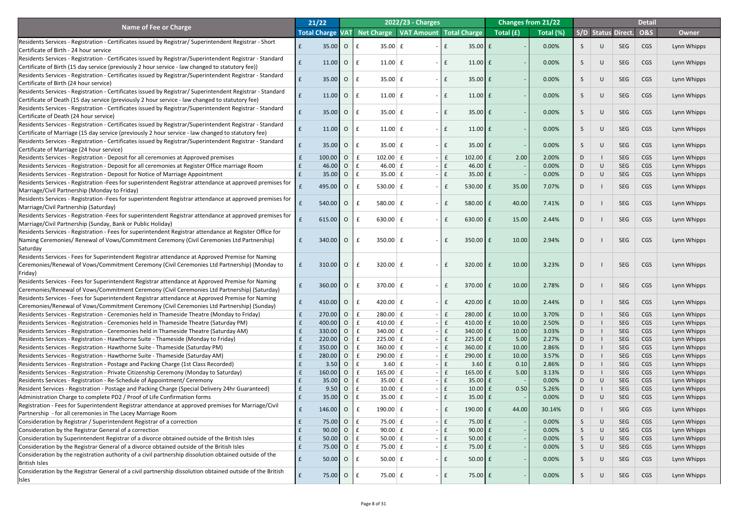|                                                                                                                                                           |              | 21/22                   |                |                          | 2022/23 - Charges                      |               |                     |           | <b>Changes from 21/22</b> |              |        |                           | <b>Detail</b>  |              |
|-----------------------------------------------------------------------------------------------------------------------------------------------------------|--------------|-------------------------|----------------|--------------------------|----------------------------------------|---------------|---------------------|-----------|---------------------------|--------------|--------|---------------------------|----------------|--------------|
| <b>Name of Fee or Charge</b>                                                                                                                              |              | <b>Total Charge VAT</b> |                |                          | Net Charge   VAT Amount   Total Charge |               |                     | Total (£) | Total (%)                 |              |        | <b>S/D Status Direct.</b> | <b>O&amp;S</b> | <b>Owner</b> |
| Residents Services - Registration - Certificates issued by Registrar/ Superintendent Registrar - Short                                                    |              |                         |                |                          |                                        |               |                     |           |                           |              |        |                           |                |              |
| Certificate of Birth - 24 hour service                                                                                                                    |              | 35.00                   | $\overline{O}$ | $35.00 \mid f$           |                                        |               | $35.00$ £           |           | 0.00%                     |              | U      | <b>SEG</b>                | CGS            | Lynn Whipps  |
| Residents Services - Registration - Certificates issued by Registrar/Superintendent Registrar - Standard                                                  |              |                         |                |                          |                                        |               |                     |           |                           |              |        |                           |                |              |
| Certificate of Birth (15 day service (previously 2 hour service - law changed to statutory fee))                                                          |              | 11.00                   | $\overline{O}$ | $11.00 \mid f$<br>-£     | $\sim$                                 |               | $11.00$ £           |           | 0.00%                     | S            | $\cup$ | SEG                       | CGS            | Lynn Whipps  |
| Residents Services - Registration - Certificates issued by Registrar/Superintendent Registrar - Standard                                                  |              |                         |                |                          |                                        |               |                     |           |                           |              |        |                           |                |              |
| Certificate of Birth (24 hour service)                                                                                                                    |              | 35.00                   | $\overline{O}$ | $35.00 \mid f$           | $\sim$                                 |               | $35.00 \text{ f}$   |           | 0.00%                     | S            | $\cup$ | SEG                       | CGS            | Lynn Whipps  |
| Residents Services - Registration - Certificates issued by Registrar/ Superintendent Registrar - Standard                                                 |              | 11.00                   | $\overline{O}$ | $11.00 \mid f$           | $\sim$                                 |               | $11.00$ $E$         |           | 0.00%                     | S            | $\cup$ | SEG                       | CGS            | Lynn Whipps  |
| Certificate of Death (15 day service (previously 2 hour service - law changed to statutory fee)                                                           |              |                         |                |                          |                                        |               |                     |           |                           |              |        |                           |                |              |
| Residents Services - Registration - Certificates issued by Registrar/Superintendent Registrar - Standard                                                  |              | 35.00                   | $\overline{O}$ | $35.00 \mid f$           | $\sim$                                 |               | $35.00 \text{ f}$   |           | 0.00%                     | S            | $\cup$ | SEG                       | CGS            | Lynn Whipps  |
| Certificate of Death (24 hour service)                                                                                                                    |              |                         |                |                          |                                        |               |                     |           |                           |              |        |                           |                |              |
| Residents Services - Registration - Certificates issued by Registrar/Superintendent Registrar - Standard                                                  |              | 11.00                   | $\overline{O}$ | $11.00 \mid f$<br>- £    | $\sim$                                 |               | $11.00$ $E$         |           | 0.00%                     | S            | $\cup$ | SEG                       | CGS            | Lynn Whipps  |
| Certificate of Marriage (15 day service (previously 2 hour service - law changed to statutory fee)                                                        |              |                         |                |                          |                                        |               |                     |           |                           |              |        |                           |                |              |
| Residents Services - Registration - Certificates issued by Registrar/Superintendent Registrar - Standard                                                  |              | 35.00                   | $\overline{O}$ | $35.00 \mid f$<br>- f    | $\sim$                                 |               | $35.00 \text{ f}$   |           | 0.00%                     | S            | $\cup$ | SEG                       | CGS            | Lynn Whipps  |
| Certificate of Marriage (24 hour service)<br>Residents Services - Registration - Deposit for all ceremonies at Approved premises                          |              | 100.00                  | $\overline{O}$ | $102.00$ $E$             |                                        | $\mathsf{E}$  | $102.00$ $E$        | 2.00      | 2.00%                     | D            |        | <b>SEG</b>                | <b>CGS</b>     | Lynn Whipps  |
| Residents Services - Registration - Deposit for all ceremonies at Register Office marriage Room                                                           |              | 46.00                   | $\overline{O}$ | 46.00 $E$<br>-£          |                                        |               | 46.00 $E$           |           | 0.00%                     | D            | U      | <b>SEG</b>                | <b>CGS</b>     | Lynn Whipps  |
| Residents Services - Registration - Deposit for Notice of Marriage Appointment                                                                            |              | 35.00                   | $\overline{O}$ | $35.00 \mid f$<br>£      |                                        | $\mathbf{f}$  | $35.00 \mid f$      |           | 0.00%                     | D            | $\cup$ | <b>SEG</b>                | <b>CGS</b>     |              |
|                                                                                                                                                           |              |                         |                |                          |                                        |               |                     |           |                           |              |        |                           |                | Lynn Whipps  |
| Residents Services - Registration -Fees for superintendent Registrar attendance at approved premises for<br>Marriage/Civil Partnership (Monday to Friday) |              | 495.00                  | $\overline{O}$ | 530.00 $E$               | $\sim$                                 |               | $530.00$ $E$        | 35.00     | 7.07%                     | D            |        | <b>SEG</b>                | <b>CGS</b>     | Lynn Whipps  |
| Residents Services - Registration -Fees for superintendent Registrar attendance at approved premises for                                                  |              |                         |                |                          |                                        |               |                     |           |                           |              |        |                           |                |              |
| Marriage/Civil Partnership (Saturday)                                                                                                                     |              | $540.00$ O              |                | 580.00 $E$               |                                        |               | $580.00$ $E$        | 40.00     | 7.41%                     | D            |        | <b>SEG</b>                | CGS            | Lynn Whipps  |
| Residents Services - Registration -Fees for superintendent Registrar attendance at approved premises for                                                  |              |                         |                |                          |                                        |               |                     |           |                           |              |        |                           |                |              |
| Marriage/Civil Partnership (Sunday, Bank or Public Holiday)                                                                                               |              | $615.00$ 0              |                | 630.00 $E$               |                                        |               | 630.00 $E$          | 15.00     | 2.44%                     | D.           |        | <b>SEG</b>                | <b>CGS</b>     | Lynn Whipps  |
| Residents Services - Registration - Fees for superintendent Registrar attendance at Register Office for                                                   |              |                         |                |                          |                                        |               |                     |           |                           |              |        |                           |                |              |
| Naming Ceremonies/ Renewal of Vows/Commitment Ceremony (Civil Ceremonies Ltd Partnership)                                                                 | E            | 340.00                  | $\overline{O}$ | $350.00 \mid f$<br>Ι£    | $\sim$                                 | £             | $350.00$ $E$        | 10.00     | 2.94%                     | D            |        | <b>SEG</b>                | CGS            | Lynn Whipps  |
| Saturday                                                                                                                                                  |              |                         |                |                          |                                        |               |                     |           |                           |              |        |                           |                |              |
| Residents Services - Fees for Superintendent Registrar attendance at Approved Premise for Naming                                                          |              |                         |                |                          |                                        |               |                     |           |                           |              |        |                           |                |              |
| Ceremonies/Renewal of Vows/Commitment Ceremony (Civil Ceremonies Ltd Partnership) (Monday to                                                              | $\mathbf f$  | 310.00                  | $\overline{O}$ | 320.00 $E$<br>£          |                                        | £             | $320.00$ $E$        | 10.00     | 3.23%                     | D            |        | <b>SEG</b>                | CGS            | Lynn Whipps  |
| Friday)                                                                                                                                                   |              |                         |                |                          |                                        |               |                     |           |                           |              |        |                           |                |              |
| Residents Services - Fees for Superintendent Registrar attendance at Approved Premise for Naming                                                          |              | 360.00                  | $\overline{O}$ | 370.00 $E$               |                                        |               | $370.00$ $E$        | 10.00     | 2.78%                     | D            |        | <b>SEG</b>                | <b>CGS</b>     | Lynn Whipps  |
| Ceremonies/Renewal of Vows/Commitment Ceremony (Civil Ceremonies Ltd Partnership) (Saturday)                                                              |              |                         |                |                          |                                        |               |                     |           |                           |              |        |                           |                |              |
| Residents Services - Fees for Superintendent Registrar attendance at Approved Premise for Naming                                                          |              | 410.00                  | $\overline{O}$ | 420.00 $E$               | $\sim$                                 | £             | 420.00 $E$          | 10.00     | 2.44%                     | D            |        | <b>SEG</b>                | <b>CGS</b>     | Lynn Whipps  |
| Ceremonies/Renewal of Vows/Commitment Ceremony (Civil Ceremonies Ltd Partnership) (Sunday)                                                                |              |                         |                |                          |                                        |               |                     |           |                           |              |        |                           |                |              |
| Residents Services - Registration - Ceremonies held in Thameside Theatre (Monday to Friday)                                                               |              | 270.00                  | $\overline{O}$ | $280.00$ $E$             |                                        | l £           | $280.00$ $E$        | 10.00     | 3.70%                     | D            |        | <b>SEG</b>                | <b>CGS</b>     | Lynn Whipps  |
| Residents Services - Registration - Ceremonies held in Thameside Theatre (Saturday PM)                                                                    |              | 400.00                  | $\overline{O}$ | 410.00 $E$<br>£          |                                        | $\mathsf{E}$  | 410.00 $E$          | 10.00     | 2.50%                     | D            |        | <b>SEG</b>                | <b>CGS</b>     | Lynn Whipps  |
| Residents Services - Registration - Ceremonies held in Thameside Theatre (Saturday AM)                                                                    |              | 330.00                  | $\overline{O}$ | 340.00 $E$               |                                        | $\mathbf{f}$  | $340.00$ $E$        | 10.00     | 3.03%                     | D            |        | <b>SEG</b>                | <b>CGS</b>     | Lynn Whipps  |
| Residents Services - Registration - Hawthorne Suite - Thameside (Monday to Friday)                                                                        |              | 220.00                  | $\overline{O}$ | $225.00 \mid f$<br>£     |                                        | l £           | $225.00$   £        | 5.00      | 2.27%                     | D            |        | <b>SEG</b>                | <b>CGS</b>     | Lynn Whipps  |
| Residents Services - Registration - Hawthorne Suite - Thameside (Saturday PM)                                                                             |              | 350.00                  | $\overline{O}$ | $360.00 \mid f$          |                                        | $\mathsf{E}$  | $360.00$ E          | 10.00     | 2.86%                     | D            |        | <b>SEG</b>                | <b>CGS</b>     | Lynn Whipps  |
| Residents Services - Registration - Hawthorne Suite - Thameside (Saturday AM)                                                                             |              | 280.00                  | $\overline{O}$ | $290.00 \mid f$          |                                        | E             | $290.00$ $E$        | 10.00     | 3.57%                     | D            |        | <b>SEG</b>                | <b>CGS</b>     | Lynn Whipps  |
| Residents Services - Registration - Postage and Packing Charge (1st Class Recorded)                                                                       |              | 3.50                    | $\overline{O}$ | $3.60 \mid f$            |                                        | E             | $3.60 \mid f$       | 0.10      | 2.86%                     | D            |        | <b>SEG</b>                | <b>CGS</b>     | Lynn Whipps  |
| Residents Services - Registration - Private Citizenship Ceremony (Monday to Saturday)                                                                     |              | 160.00                  | $\overline{O}$ | $165.00 \mid f$<br>£     |                                        | E             | 165.00 $E$          | 5.00      | 3.13%                     | D            |        | <b>SEG</b>                | <b>CGS</b>     | Lynn Whipps  |
| Residents Services - Registration - Re-Schedule of Appointment/ Ceremony                                                                                  |              | 35.00                   | $\overline{O}$ | $35.00 \mid f$<br>-£     |                                        | E             | $35.00 \mid f$      |           | 0.00%                     | D            | U      | <b>SEG</b>                | <b>CGS</b>     | Lynn Whipps  |
| Resident Services - Registration - Postage and Packing Charge (Special Delivery 24hr Guaranteed)                                                          | $\mathbf{f}$ | 9.50                    | $\overline{O}$ | $10.00 \, \text{E}$<br>£ |                                        |               | $10.00$ $E$         | 0.50      | 5.26%                     | D            |        | <b>SEG</b>                | <b>CGS</b>     | Lynn Whipps  |
| Administration Charge to complete PD2 / Proof of Life Confirmation forms                                                                                  |              | 35.00                   | $\overline{O}$ | $35.00 \mid f$<br>£      |                                        | £             | $35.00 \mid f \mid$ |           | 0.00%                     | D            | U      | <b>SEG</b>                | <b>CGS</b>     | Lynn Whipps  |
| Registration - Fees for Superintendent Registrar attendance at approved premises for Marriage/Civil                                                       |              | 146.00                  | $\overline{O}$ | 190.00 $E$<br>£          |                                        | $ E$          | 190.00 $E$          | 44.00     | 30.14%                    | D            |        | <b>SEG</b>                | <b>CGS</b>     | Lynn Whipps  |
| Partnership - for all ceremonies in The Lacey Marriage Room                                                                                               |              |                         |                |                          |                                        |               |                     |           |                           |              |        |                           |                |              |
| Consideration by Registrar / Superintendent Registrar of a correction                                                                                     |              | 75.00                   | $\overline{O}$ | 75.00 $E$<br>Ι£          |                                        | $\mathbf{f}$  | $75.00 \mid f$      |           | 0.00%                     |              | $\cup$ | <b>SEG</b>                | CGS            | Lynn Whipps  |
| Consideration by the Registrar General of a correction                                                                                                    |              | 90.00                   | $O \mid f$     | 90.00 $E$                |                                        | E             | $90.00$ £           |           | 0.00%                     | <sub>5</sub> | U      | <b>SEG</b>                | <b>CGS</b>     | Lynn Whipps  |
| Consideration by Superintendent Registrar of a divorce obtained outside of the British Isles                                                              |              | 50.00                   | O f            | $50.00 \mid f$           |                                        | $ \mathbf{f}$ | $50.00$ £           |           | 0.00%                     | S.           | U      | <b>SEG</b>                | <b>CGS</b>     | Lynn Whipps  |
| Consideration by the Registrar General of a divorce obtained outside of the British Isles                                                                 |              | 75.00                   | $O \mid f$     | $75.00 \mid f \mid$      |                                        | $ E$          | $75.00 \mid f \mid$ |           | 0.00%                     | S.           | $\cup$ | <b>SEG</b>                | <b>CGS</b>     | Lynn Whipps  |
| Consideration by the registration authority of a civil partnership dissolution obtained outside of the                                                    | E            | 50.00                   | O f            | $50.00 \mid f \mid$      |                                        | $ E$          | $50.00$ $E$         |           | 0.00%                     | S.           | $\cup$ | <b>SEG</b>                | CGS            | Lynn Whipps  |
| <b>British Isles</b>                                                                                                                                      |              |                         |                |                          |                                        |               |                     |           |                           |              |        |                           |                |              |
| Consideration by the Registrar General of a civil partnership dissolution obtained outside of the British                                                 | f            | 75.00                   | $O \mid f$     | 75.00 $E$                |                                        | $ E$          | $75.00 \text{ }$ £  |           | 0.00%                     | S.           | $\cup$ | SEG                       | <b>CGS</b>     | Lynn Whipps  |
| <b>Isles</b>                                                                                                                                              |              |                         |                |                          |                                        |               |                     |           |                           |              |        |                           |                |              |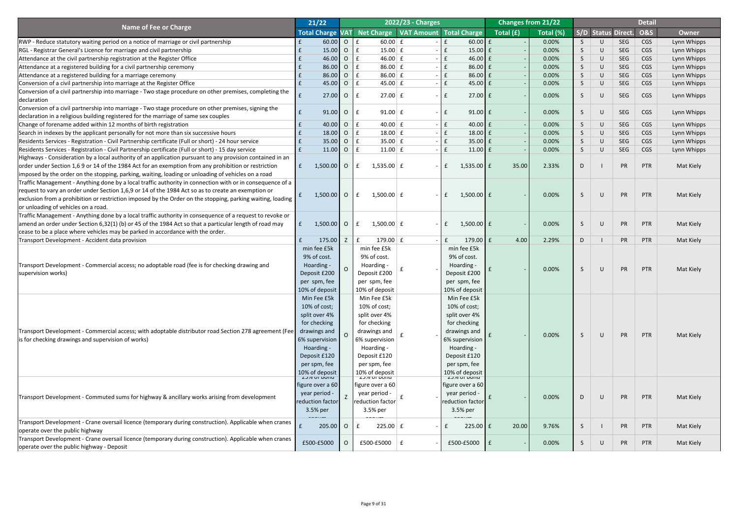|                                                                                                            | 21/22            |                                        |                | 2022/23 - Charges                                       |              |                                        |           | <b>Changes from 21/22</b> |                 |        |                    | <b>Detail</b>  |              |
|------------------------------------------------------------------------------------------------------------|------------------|----------------------------------------|----------------|---------------------------------------------------------|--------------|----------------------------------------|-----------|---------------------------|-----------------|--------|--------------------|----------------|--------------|
| <b>Name of Fee or Charge</b>                                                                               |                  |                                        |                | Total Charge VAT Net Charge   VAT Amount   Total Charge |              |                                        | Total (£) | Total (%)                 |                 |        | S/D Status Direct. | <b>O&amp;S</b> | <b>Owner</b> |
| RWP - Reduce statutory waiting period on a notice of marriage or civil partnership                         |                  | 60.00                                  | $\overline{O}$ | $60.00$ £<br>£                                          | $\mathbf{f}$ | $60.00$ £                              |           | 0.00%                     | S.              | U      | <b>SEG</b>         | <b>CGS</b>     | Lynn Whipps  |
| RGL - Registrar General's Licence for marriage and civil partnership                                       |                  | 15.00                                  | $\overline{O}$ | $15.00 \mid f$<br>£                                     |              | $15.00$ $E$                            |           | 0.00%                     | S.              | $\cup$ | <b>SEG</b>         | <b>CGS</b>     | Lynn Whipps  |
| Attendance at the civil partnership registration at the Register Office                                    |                  | 46.00                                  | $\overline{O}$ | 46.00 $E$<br>£                                          |              | $46.00 \text{ E}$                      |           | 0.00%                     | S.              | $\cup$ | <b>SEG</b>         | <b>CGS</b>     | Lynn Whipps  |
| Attendance at a registered building for a civil partnership ceremony                                       |                  | 86.00                                  | $\overline{O}$ | 86.00 $E$<br>£                                          |              | $86.00 \text{ E}$                      |           | 0.00%                     | S.              | $\cup$ | <b>SEG</b>         | <b>CGS</b>     | Lynn Whipps  |
| Attendance at a registered building for a marriage ceremony                                                |                  | 86.00                                  | $\overline{O}$ | $86.00 \mid f$<br>£                                     |              | $86.00 \text{ f}$                      |           | 0.00%                     | S.              | $\cup$ | <b>SEG</b>         | <b>CGS</b>     | Lynn Whipps  |
| Conversion of a civil partnership into marriage at the Register Office                                     |                  | 45.00                                  | $\overline{O}$ | $45.00 \mid f \mid$<br>E                                |              | $45.00 \text{ E}$                      |           | 0.00%                     | $S_{\parallel}$ | $\cup$ | <b>SEG</b>         | <b>CGS</b>     | Lynn Whipps  |
| Conversion of a civil partnership into marriage - Two stage procedure on other premises, completing the    |                  |                                        |                |                                                         |              |                                        |           |                           |                 |        |                    |                |              |
| declaration                                                                                                |                  | 27.00                                  | $\overline{O}$ | $27.00 \mid f \mid$<br>- £                              | $\mathbf{f}$ | $27.00$ $E$                            |           | 0.00%                     | S               | $\cup$ | <b>SEG</b>         | CGS            | Lynn Whipps  |
| Conversion of a civil partnership into marriage - Two stage procedure on other premises, signing the       |                  |                                        |                |                                                         |              |                                        |           |                           |                 |        |                    |                |              |
| declaration in a religious building registered for the marriage of same sex couples                        |                  | 91.00                                  | $\overline{O}$ | $91.00 \mid f$<br>- £                                   | l £          | $91.00$ $E$                            |           | 0.00%                     | S               | $\cup$ | <b>SEG</b>         | <b>CGS</b>     | Lynn Whipps  |
| Change of forename added within 12 months of birth registration                                            |                  | 40.00                                  | $\overline{O}$ | 40.00 $\pm$<br>$\mathbf{f}$                             | f            | $40.00$ $E$                            |           | 0.00%                     | S.              | $\cup$ | <b>SEG</b>         | <b>CGS</b>     | Lynn Whipps  |
| Search in indexes by the applicant personally for not more than six successive hours                       |                  | 18.00                                  | $\overline{O}$ | $18.00 \mid f$<br>£                                     |              | $18.00$ $E$                            |           | 0.00%                     | $S_{\parallel}$ | $\cup$ | <b>SEG</b>         | <b>CGS</b>     | Lynn Whipps  |
| Residents Services - Registration - Civil Partnership certificate (Full or short) - 24 hour service        |                  | 35.00                                  | $\overline{O}$ | $35.00 \mid f$<br>£                                     |              | $35.00 \text{ E}$                      |           | 0.00%                     | $S_{\parallel}$ | $\cup$ | <b>SEG</b>         | <b>CGS</b>     | Lynn Whipps  |
| Residents Services - Registration - Civil Partnership certificate (Full or short) - 15 day service         |                  | 11.00                                  | $\overline{O}$ | E<br>$11.00 \mid f$                                     |              | $11.00$ $E$                            |           | 0.00%                     | $S_{\parallel}$ | $\cup$ | <b>SEG</b>         | <b>CGS</b>     | Lynn Whipps  |
| Highways - Consideration by a local authority of an application pursuant to any provision contained in an  |                  |                                        |                |                                                         |              |                                        |           |                           |                 |        |                    |                |              |
| order under Section 1,6 9 or 14 of the 1984 Act for an exemption from any prohibition or restriction       |                  | $1,500.00$ O                           |                | $1,535.00 \mid f$<br>$\mathbf{f}$                       | $\mathbf{f}$ | $1,535.00$ £                           | 35.00     | 2.33%                     | D               |        | PR                 | PTR            | Mat Kiely    |
| imposed by the order on the stopping, parking, waiting, loading or unloading of vehicles on a road         |                  |                                        |                |                                                         |              |                                        |           |                           |                 |        |                    |                |              |
| Traffic Management - Anything done by a local traffic authority in connection with or in consequence of a  |                  |                                        |                |                                                         |              |                                        |           |                           |                 |        |                    |                |              |
| request to vary an order under Section 1,6,9 or 14 of the 1984 Act so as to create an exemption or         |                  |                                        |                |                                                         |              |                                        |           |                           |                 |        |                    |                |              |
| exclusion from a prohibition or restriction imposed by the Order on the stopping, parking waiting, loading |                  | 1,500.00                               | $\overline{O}$ | $1,500.00$ £<br>E                                       | $\mathbf{f}$ | $1,500.00$ $E$                         |           | 0.00%                     | S               | $\cup$ | PR                 | PTR            | Mat Kiely    |
| or unloading of vehicles on a road.                                                                        |                  |                                        |                |                                                         |              |                                        |           |                           |                 |        |                    |                |              |
| Traffic Management - Anything done by a local traffic authority in consequence of a request to revoke or   |                  |                                        |                |                                                         |              |                                        |           |                           |                 |        |                    |                |              |
| amend an order under Section 6,32(1) (b) or 45 of the 1984 Act so that a particular length of road may     | f                | $1,500.00$ O                           |                | 1,500.00 $E$<br>E                                       | $\mathbf{f}$ | $1,500.00$ £                           |           | 0.00%                     |                 | U      | <b>PR</b>          | PTR            | Mat Kiely    |
| cease to be a place where vehicles may be parked in accordance with the order.                             |                  |                                        |                |                                                         |              |                                        |           |                           |                 |        |                    |                |              |
| Transport Development - Accident data provision                                                            |                  | 175.00                                 | Z              | 179.00 $E$<br>$\mathbf{f}$                              | $\mathbf{f}$ | 179.00 $E$                             | 4.00      | 2.29%                     | D               |        | PR                 | <b>PTR</b>     | Mat Kiely    |
|                                                                                                            |                  | min fee £5k                            |                | min fee £5k                                             |              | min fee £5k                            |           |                           |                 |        |                    |                |              |
|                                                                                                            | 9% of cost.      |                                        |                | 9% of cost.                                             |              | 9% of cost.                            |           |                           |                 |        |                    |                |              |
| Transport Development - Commercial access; no adoptable road (fee is for checking drawing and              |                  | Hoarding -                             |                | Hoarding -                                              |              | Hoarding -                             |           | 0.00%                     |                 | $\cup$ | PR                 | PTR            |              |
| supervision works)                                                                                         |                  | Deposit £200                           |                | Deposit £200                                            |              | Deposit £200                           |           |                           | S               |        |                    |                | Mat Kiely    |
|                                                                                                            |                  | per spm, fee                           |                | per spm, fee                                            |              | per spm, fee                           |           |                           |                 |        |                    |                |              |
|                                                                                                            |                  | 10% of deposit                         |                | 10% of deposit                                          |              | 10% of deposit                         |           |                           |                 |        |                    |                |              |
|                                                                                                            |                  | Min Fee £5k                            |                | Min Fee £5k                                             |              | Min Fee £5k                            |           |                           |                 |        |                    |                |              |
|                                                                                                            |                  | 10% of cost;                           |                | 10% of cost;                                            |              | 10% of cost;                           |           |                           |                 |        |                    |                |              |
|                                                                                                            | split over 4%    |                                        |                | split over 4%                                           |              | split over 4%                          |           |                           |                 |        |                    |                |              |
|                                                                                                            |                  | for checking                           |                | for checking                                            |              | for checking                           |           |                           |                 |        |                    |                |              |
| Transport Development - Commercial access; with adoptable distributor road Section 278 agreement (Fee      |                  | drawings and                           |                | drawings and                                            |              | drawings and                           |           | 0.00%                     | S               | $\cup$ | PR                 | PTR            | Mat Kiely    |
| is for checking drawings and supervision of works)                                                         |                  | 6% supervision                         |                | 6% supervision                                          |              | 6% supervision                         |           |                           |                 |        |                    |                |              |
|                                                                                                            |                  | Hoarding -                             |                | Hoarding -                                              |              | Hoarding -                             |           |                           |                 |        |                    |                |              |
|                                                                                                            |                  | Deposit £120                           |                | Deposit £120                                            |              | Deposit £120                           |           |                           |                 |        |                    |                |              |
|                                                                                                            | per spm, fee     |                                        |                | per spm, fee                                            |              | per spm, fee                           |           |                           |                 |        |                    |                |              |
|                                                                                                            |                  | 10% of deposit<br><b>LJ70 UI DUITU</b> |                | 10% of deposit<br><b>LJ70 UI DUIIU</b>                  |              | 10% of deposit<br><b>LJ70 UI DUIIU</b> |           |                           |                 |        |                    |                |              |
|                                                                                                            |                  | figure over a 60                       |                | figure over a 60                                        |              | figure over a 60                       |           |                           |                 |        |                    |                |              |
|                                                                                                            | year period -    |                                        |                | year period -                                           |              | year period -                          |           |                           |                 |        |                    |                |              |
| Transport Development - Commuted sums for highway & ancillary works arising from development               | reduction factor |                                        |                | reduction factor                                        |              | reduction factor                       |           | 0.00%                     | D               | $\cup$ | PR                 | PTR            | Mat Kiely    |
|                                                                                                            | 3.5% per         |                                        |                | 3.5% per                                                |              | 3.5% per                               |           |                           |                 |        |                    |                |              |
|                                                                                                            |                  |                                        |                |                                                         |              |                                        |           |                           |                 |        |                    |                |              |
| Transport Development - Crane oversail licence (temporary during construction). Applicable when cranes     |                  | $205.00$ 0                             |                | $225.00$ $E$                                            |              | $225.00$ $f$                           | 20.00     | 9.76%                     | S.              |        | <b>PR</b>          | PTR            | Mat Kiely    |
| operate over the public highway                                                                            |                  |                                        |                |                                                         |              |                                        |           |                           |                 |        |                    |                |              |
| Transport Development - Crane oversail licence (temporary during construction). Applicable when cranes     |                  | £500-£5000                             | $\overline{O}$ | £500-£5000 $\vert$ £                                    |              | $£500-E5000$ $E$                       |           | 0.00%                     | S               | $\cup$ | PR                 | PTR            | Mat Kiely    |
| operate over the public highway - Deposit                                                                  |                  |                                        |                |                                                         |              |                                        |           |                           |                 |        |                    |                |              |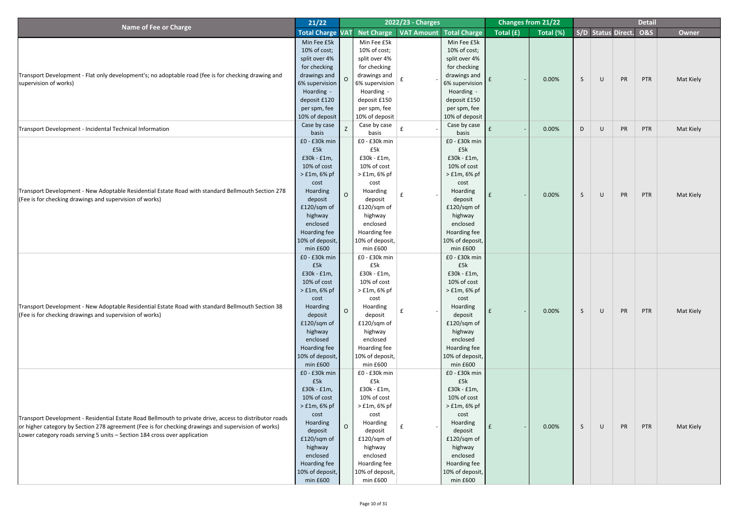|                                                                                                         | 21/22                |                |                             | 2022/23 - Charges |                 |           | <b>Changes from 21/22</b> |    |                           |           | <b>Detail</b>  |              |
|---------------------------------------------------------------------------------------------------------|----------------------|----------------|-----------------------------|-------------------|-----------------|-----------|---------------------------|----|---------------------------|-----------|----------------|--------------|
| <b>Name of Fee or Charge</b>                                                                            |                      |                | Total Charge VAT Net Charge | VAT Amount        | Total Charge    | Total (£) | Total (%)                 |    | <b>S/D Status Direct.</b> |           | <b>O&amp;S</b> | <b>Owner</b> |
|                                                                                                         | Min Fee £5k          |                | Min Fee £5k                 |                   | Min Fee £5k     |           |                           |    |                           |           |                |              |
|                                                                                                         | 10% of cost;         |                | 10% of cost;                |                   | $10\%$ of cost; |           |                           |    |                           |           |                |              |
|                                                                                                         | split over 4%        |                | split over 4%               |                   | split over 4%   |           |                           |    |                           |           |                |              |
|                                                                                                         | for checking         |                | for checking                |                   | for checking    |           |                           |    |                           |           |                |              |
| Transport Development - Flat only development's; no adoptable road (fee is for checking drawing and     | drawings and $\vert$ | $\Omega$       | drawings and                |                   | drawings and    |           |                           |    |                           |           |                |              |
| supervision of works)                                                                                   | 6% supervision       |                | 6% supervision              | f                 | 6% supervision  |           | 0.00%                     | S  | $\mathsf U$               | PR        | PTR            | Mat Kiely    |
|                                                                                                         | Hoarding -           |                | Hoarding -                  |                   | Hoarding -      |           |                           |    |                           |           |                |              |
|                                                                                                         | deposit £120         |                | deposit £150                |                   | deposit £150    |           |                           |    |                           |           |                |              |
|                                                                                                         | per spm, fee         |                | per spm, fee                |                   | per spm, fee    |           |                           |    |                           |           |                |              |
|                                                                                                         | 10% of deposit       |                | 10% of deposit              |                   | 10% of deposit  |           |                           |    |                           |           |                |              |
| Transport Development - Incidental Technical Information                                                | Case by case         | Z              | Case by case                |                   | Case by case    |           | 0.00%                     | D  | $\bigcup$                 | PR        | <b>PTR</b>     | Mat Kiely    |
|                                                                                                         | basis                |                | basis                       |                   | basis           |           |                           |    |                           |           |                |              |
|                                                                                                         | $£0 - £30k$ min      |                | £0 - £30k min               |                   | $f0 - f30k$ min |           |                           |    |                           |           |                |              |
|                                                                                                         | £5k                  |                | £5k                         |                   | £5k             |           |                           |    |                           |           |                |              |
|                                                                                                         | $£30k - £1m,$        |                | $£30k - £1m,$               |                   | $£30k - £1m,$   |           |                           |    |                           |           |                |              |
|                                                                                                         | 10% of cost          |                | 10% of cost                 |                   | 10% of cost     |           |                           |    |                           |           |                |              |
|                                                                                                         | $>$ £1m, 6% pf       |                | $>$ £1m, 6% pf              |                   | $>$ £1m, 6% pf  |           |                           |    |                           |           |                |              |
|                                                                                                         | cost                 |                | cost                        |                   | cost            |           |                           |    |                           |           |                |              |
| Transport Development - New Adoptable Residential Estate Road with standard Bellmouth Section 278       | Hoarding             | $\overline{O}$ | Hoarding                    |                   | Hoarding        |           | 0.00%                     | S  | $\mathsf U$               | PR        | PTR            | Mat Kiely    |
| (Fee is for checking drawings and supervision of works)                                                 | deposit              |                | deposit                     |                   | deposit         |           |                           |    |                           |           |                |              |
|                                                                                                         | £120/sqm of          |                | £120/sqm of                 |                   | £120/sqm of     |           |                           |    |                           |           |                |              |
|                                                                                                         | highway              |                | highway                     |                   | highway         |           |                           |    |                           |           |                |              |
|                                                                                                         | enclosed             |                | enclosed                    |                   | enclosed        |           |                           |    |                           |           |                |              |
|                                                                                                         | Hoarding fee         |                | Hoarding fee                |                   | Hoarding fee    |           |                           |    |                           |           |                |              |
|                                                                                                         | 10% of deposit,      |                | 10% of deposit,             |                   | 10% of deposit, |           |                           |    |                           |           |                |              |
|                                                                                                         | min f600             |                | min f600                    |                   | min f600        |           |                           |    |                           |           |                |              |
|                                                                                                         | $f0 - f30k$ min      |                | £0 - £30k min               |                   | $f0 - f30k$ min |           |                           |    |                           |           |                |              |
|                                                                                                         | £5k                  |                | £5k                         |                   | £5k             |           |                           |    |                           |           |                |              |
|                                                                                                         | $£30k - £1m,$        |                | $£30k - £1m,$               |                   | $£30k - £1m,$   |           |                           |    |                           |           |                |              |
|                                                                                                         | 10% of cost          |                | 10% of cost                 |                   | 10% of cost     |           |                           |    |                           |           |                |              |
|                                                                                                         | $>$ £1m, 6% pf       |                | $>$ £1m, 6% pf              |                   | $>$ £1m, 6% pf  |           |                           |    |                           |           |                |              |
|                                                                                                         | cost                 |                | cost                        |                   | cost            |           |                           |    |                           |           |                |              |
| Transport Development - New Adoptable Residential Estate Road with standard Bellmouth Section 38        | Hoarding             | $\Omega$       | Hoarding                    |                   | Hoarding        |           | 0.00%                     | S. | $\bigcup$                 | PR        | PTR            | Mat Kiely    |
| (Fee is for checking drawings and supervision of works)                                                 | deposit              |                | deposit                     |                   | deposit         |           |                           |    |                           |           |                |              |
|                                                                                                         | £120/sqm of          |                | £120/sqm of                 |                   | £120/sqm of     |           |                           |    |                           |           |                |              |
|                                                                                                         | highway              |                | highway                     |                   | highway         |           |                           |    |                           |           |                |              |
|                                                                                                         | enclosed             |                | enclosed                    |                   | enclosed        |           |                           |    |                           |           |                |              |
|                                                                                                         | Hoarding fee         |                | Hoarding fee                |                   | Hoarding fee    |           |                           |    |                           |           |                |              |
|                                                                                                         | 10% of deposit,      |                | 10% of deposit,             |                   | 10% of deposit, |           |                           |    |                           |           |                |              |
|                                                                                                         | min f600             |                | $min$ £600                  |                   | min f600        |           |                           |    |                           |           |                |              |
|                                                                                                         | £0 - £30k min        |                | £0 - £30k min               |                   | £0 - £30k min   |           |                           |    |                           |           |                |              |
|                                                                                                         | £5k                  |                | £5k                         |                   | £5k             |           |                           |    |                           |           |                |              |
|                                                                                                         | $£30k - £1m,$        |                | $£30k - £1m,$               |                   | $£30k - £1m,$   |           |                           |    |                           |           |                |              |
|                                                                                                         | 10% of cost          |                | 10% of cost                 |                   | 10% of cost     |           |                           |    |                           |           |                |              |
|                                                                                                         | $>$ £1m, 6% pf       |                | $>$ £1m, 6% pf              |                   | $>$ £1m, 6% pf  |           |                           |    |                           |           |                |              |
| Transport Development - Residential Estate Road Bellmouth to private drive, access to distributor roads | cost                 |                | cost                        |                   | cost            |           |                           |    |                           |           |                |              |
| or higher category by Section 278 agreement (Fee is for checking drawings and supervision of works)     | Hoarding             | $\Omega$       | Hoarding                    |                   | Hoarding        |           | 0.00%                     | S. | $\bigcup$                 | <b>PR</b> | <b>PTR</b>     | Mat Kiely    |
| Lower category roads serving 5 units - Section 184 cross over application                               | deposit              |                | deposit                     |                   | deposit         |           |                           |    |                           |           |                |              |
|                                                                                                         | £120/sqm of          |                | £120/sqm of                 |                   | £120/sqm of     |           |                           |    |                           |           |                |              |
|                                                                                                         | highway              |                | highway                     |                   | highway         |           |                           |    |                           |           |                |              |
|                                                                                                         | enclosed             |                | enclosed                    |                   | enclosed        |           |                           |    |                           |           |                |              |
|                                                                                                         | Hoarding fee         |                | Hoarding fee                |                   | Hoarding fee    |           |                           |    |                           |           |                |              |
|                                                                                                         | 10% of deposit,      |                | 10% of deposit,             |                   | 10% of deposit, |           |                           |    |                           |           |                |              |
|                                                                                                         | min f600             |                | min £600                    |                   | min f600        |           |                           |    |                           |           |                |              |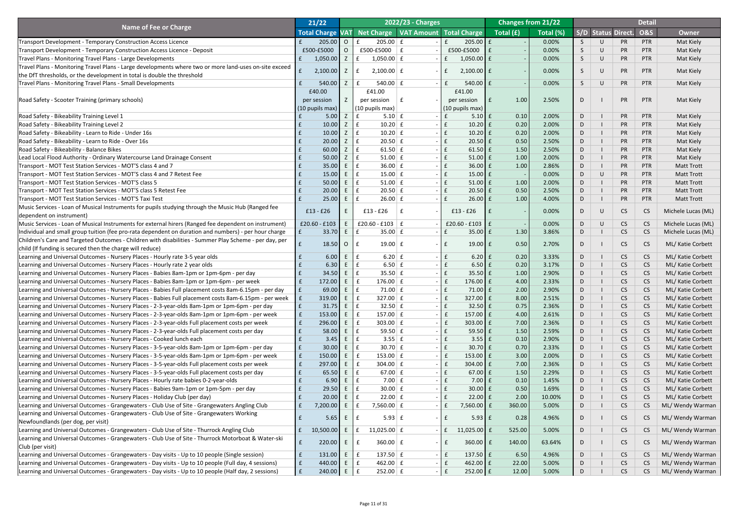| Net Charge   VAT Amount   Total Charge<br>Total (%)<br>Total (£)<br><b>S/D Status Direct.</b><br><b>O&amp;S</b><br><b>Total Charge</b><br><b>VAT</b><br><b>Owner</b><br>205.00<br>$\overline{O}$<br>$205.00 \mid f$<br>$205.00$ $E$<br>0.00%<br>PR<br>Mat Kiely<br><b>Transport Development - Temporary Construction Access Licence</b><br>$\mathbf{f}$<br>$\cup$<br><b>PTR</b><br>S.<br>£500-£5000<br>$£500-E5000$ $E$<br>£500-£5000<br>0.00%<br>$\cup$<br>PR<br>Mat Kiely<br>$\overline{O}$<br>$\mathbf{f}$<br>S<br><b>PTR</b><br>Transport Development - Temporary Construction Access Licence - Deposit<br>PR<br>1,050.00<br>Z<br>$1,050.00 \mid f$<br>$1,050.00$ £<br>$\cup$<br>Mat Kiely<br>Travel Plans - Monitoring Travel Plans - Large Developments<br>$\mathbf{f}$<br>0.00%<br>S<br><b>PTR</b><br>$\mathbf{f}$<br>Travel Plans - Monitoring Travel Plans - Large developments where two or more land-uses on-site exceed<br>PR<br>2,100.00<br>Z<br>$\mathbf f$<br>$2,100.00 \mid f$<br>$2,100.00$ $E$<br>$\cup$<br>Mat Kiely<br>0.00%<br><b>PTR</b><br>S.<br>$\mathbf{f}$<br>the DfT thresholds, or the development in total is double the threshold<br>540.00<br>Z<br>540.00 $E$<br>$540.00$ $E$<br>PR<br>Mat Kiely<br>$\mathbf{f}$<br>$\mathbf{f}$<br>0.00%<br>$\cup$<br><b>PTR</b><br>Travel Plans - Monitoring Travel Plans - Small Developments<br>S.<br>£41.00<br>£40.00<br>£41.00<br><b>PR</b><br>2.50%<br>Mat Kiely<br>Road Safety - Scooter Training (primary schools)<br>1.00<br>PTR<br>D<br>per session<br>$\mathbf{f}$<br>per session<br>l £<br>per session<br>(10 pupils max)<br>$(10 \text{ pupils max})$<br>$(10 \text{ pupils max})$<br>PR<br>Z<br>0.10<br>2.00%<br><b>PTR</b><br>5.00<br>$\mathbf f$<br>$5.10 \mid f$<br>$5.10$ $E$<br>D<br>Mat Kiely<br>Road Safety - Bikeability Training Level 1<br>10.00<br>$10.20$ f<br>0.20<br>PR<br>Road Safety - Bikeability Training Level 2<br>Z<br>$\mathbf{f}$<br>$10.20$ £<br>2.00%<br>D<br><b>PTR</b><br>Mat Kiely<br>10.00<br>$\mathbf{f}$<br>$10.20$ f<br>0.20<br>PR<br>Z<br>$10.20$ £<br>2.00%<br><b>PTR</b><br>Mat Kiely<br>Road Safety - Bikeability - Learn to Ride - Under 16s<br>$\mathbf{f}$<br>D<br>20.00<br>Z<br>$20.50 \mid f \mid$<br>$20.50$ £<br>PR<br>Road Safety - Bikeability - Learn to Ride - Over 16s<br>0.50<br>2.50%<br><b>PTR</b><br>Mat Kiely<br>$\mathbf{f}$<br>D<br>Z<br>$\mathbf{f}$<br>$61.50$ £<br>PR<br>Road Safety - Bikeability - Balance Bikes<br>60.00<br>61.50 $E$<br>1.50<br>2.50%<br>D<br><b>PTR</b><br>Mat Kiely<br>$\mathbf{f}$<br>50.00<br>Z<br>$51.00 \mid f$<br>PR<br>$51.00$ £<br>1.00<br>2.00%<br><b>PTR</b><br>Mat Kiely<br>Lead Local Flood Authority - Ordinary Watercourse Land Drainage Consent<br>$\mathbf{f}$<br>D<br>35.00<br>$\mathbf{f}$<br>$36.00$ £<br>PR<br>E<br>$36.00 \mid f$<br>1.00<br>2.86%<br>D<br><b>PTR</b><br><b>Matt Trott</b><br>Transport - MOT Test Station Services - MOT'S class 4 and 7<br>$\mathbf{f}$<br>15.00<br>E<br>$\mathbf{f}$<br>PR<br>$15.00 \mid f$<br>$15.00 \mid f$<br>0.00%<br>D<br>$\cup$<br><b>PTR</b><br><b>Matt Trott</b><br>Transport - MOT Test Station Services - MOT'S class 4 and 7 Retest Fee<br>$\mathbf{f}$<br>50.00<br>$\mathbf{f}$<br>$51.00$ £<br>PR<br>E<br>51.00 $E$<br>1.00<br>2.00%<br><b>PTR</b><br><b>Matt Trott</b><br>Transport - MOT Test Station Services - MOT'S class 5<br>$\mathbf{f}$<br>D<br>20.00<br>E<br>$\mathbf{f}$<br>$20.50 \mid f \mid$<br>$20.50$ £<br>0.50<br>PR<br>2.50%<br><b>PTR</b><br><b>Matt Trott</b><br>Transport - MOT Test Station Services - MOT'S class 5 Retest Fee<br>$\mathbf{f}$<br>D<br>PR<br>25.00<br>$\mathbf{f}$<br>$26.00$ £<br>4.00%<br>$26.00 \mid f$<br>1.00<br><b>PTR</b><br><b>Matt Trott</b><br>Transport - MOT Test Station Services - MOT'S Taxi Test<br>f<br>D<br>Music Services - Loan of Musical Instruments for pupils studying through the Music Hub (Ranged fee<br>$£13 - £26$<br>£13 - £26<br>$£13 - £26$<br>0.00%<br><b>CS</b><br>$\cup$<br>C <sub>S</sub><br>Michele Lucas (ML)<br>D.<br>dependent on instrument)<br>Music Services - Loan of Musical Instruments for external hirers (Ranged fee dependent on instrument)<br>$£20.60 - £103$<br>£20.60 - £103   £<br>£20.60 - £103 $E$<br>0.00%<br>Michele Lucas (ML)<br>CS<br>CS<br>U<br>Individual and small group tuition (fee pro-rata dependent on duration and numbers) - per hour charge<br>33.70<br>$35.00 \mid f$<br>$35.00 \text{ f}$<br>1.30<br>3.86%<br><b>CS</b><br>CS<br>Michele Lucas (ML)<br>$\mathbf f$<br>D<br>Children's Care and Targeted Outcomes - Children with disabilities - Summer Play Scheme - per day, per<br>$19.00 \mid f$<br>18.50<br>$\mathbf{f}$<br>$19.00$ $E$<br>0.50<br>2.70%<br><b>CS</b><br>ML/ Katie Corbett<br>$\overline{O}$<br><b>CS</b><br>D<br>child (If funding is secured then the charge will reduce)<br>6.00<br>$6.20 \mid f$<br>$6.20$ £<br>0.20<br>3.33%<br>Learning and Universal Outcomes - Nursery Places - Hourly rate 3-5 year olds<br>E<br>$\mathbf{f}$<br><b>CS</b><br><b>CS</b><br>ML/ Katie Corbett<br>$\mathbf{f}$<br>D<br>Learning and Universal Outcomes - Nursery Places - Hourly rate 2 year olds<br>6.30<br>$6.50 \mid f$<br>0.20<br>$6.50$ £<br>3.17%<br><b>CS</b><br>CS<br>ML/ Katie Corbett<br>D<br>34.50<br>$35.50 \mid f$<br>Learning and Universal Outcomes - Nursery Places - Babies 8am-1pm or 1pm-6pm - per day<br>$\mathbf{f}$<br>$35.50 \mid f$<br>1.00<br>2.90%<br><b>CS</b><br>CS<br>ML/ Katie Corbett<br>D<br>Learning and Universal Outcomes - Nursery Places - Babies 8am-1pm or 1pm-6pm - per week<br>172.00<br>E<br>$176.00 \mid f \mid$<br>$\mathbf{f}$<br>4.00<br>2.33%<br><b>CS</b><br>CS<br>ML/ Katie Corbett<br>$\mathbf{f}$<br>176.00 £<br>D<br>71.00 $\mathbf{f}$<br>2.00<br>Learning and Universal Outcomes - Nursery Places - Babies Full placement costs 8am-6.15pm - per day<br>69.00<br>$71.00$ £<br>2.90%<br><b>CS</b><br>CS<br>ML/ Katie Corbett<br>$\mathbf{f}$<br>D<br>Learning and Universal Outcomes - Nursery Places - Babies Full placement costs 8am-6.15pm - per week<br>319.00<br>$327.00 \mid f$<br>E<br>$327.00$ $E$<br>8.00<br><b>CS</b><br><b>CS</b><br>ML/ Katie Corbett<br>$\mathbf{f}$<br>2.51%<br>D<br>31.75<br>$32.50 \mid f$<br>0.75<br>Learning and Universal Outcomes - Nursery Places - 2-3-year-olds 8am-1pm or 1pm-6pm - per day<br>$32.50 \text{ }$ £<br>2.36%<br><b>CS</b><br>CS<br>ML/ Katie Corbett<br>$\mathbf f$<br>D<br>Learning and Universal Outcomes - Nursery Places - 2-3-year-olds 8am-1pm or 1pm-6pm - per week<br>153.00<br>157.00 $E$<br>f<br>E<br>$\mathbf{f}$<br>4.00<br><b>CS</b><br><b>CS</b><br>ML/ Katie Corbett<br>$\mathbf{f}$<br>157.00 £<br>2.61%<br>D<br>296.00<br>303.00 $E$<br>7.00<br>Learning and Universal Outcomes - Nursery Places - 2-3-year-olds Full placement costs per week<br>f<br>$303.00$ $E$<br>2.36%<br><b>CS</b><br>CS<br>ML/ Katie Corbett<br>$\mathbf{f}$<br>D<br>Learning and Universal Outcomes - Nursery Places - 2-3-year-olds Full placement costs per day<br>59.50 $E$<br>58.00<br>$59.50$ £<br>1.50<br>2.59%<br><b>CS</b><br><b>CS</b><br>ML/ Katie Corbett<br>D<br>0.10<br>Learning and Universal Outcomes - Nursery Places - Cooked lunch each<br>3.45<br>$3.55 \mid f$<br>$3.55$ $E$<br>2.90%<br><b>CS</b><br>CS<br>ML/ Katie Corbett<br>D<br>Learning and Universal Outcomes - Nursery Places - 3-5-year-olds 8am-1pm or 1pm-6pm - per day<br>30.00<br>$30.70 \mid f \mid$<br>0.70<br>$\mathbf{f}$<br>$30.70$ £<br>2.33%<br><b>CS</b><br><b>CS</b><br>ML/ Katie Corbett<br>D<br>150.00<br>$153.00 \mid f \mid$<br>3.00<br>ML/ Katie Corbett<br>Learning and Universal Outcomes - Nursery Places - 3-5-year-olds 8am-1pm or 1pm-6pm - per week<br>$\mathbf{f}$<br>E<br>$\mathbf{f}$<br>153.00 £<br>2.00%<br><b>CS</b><br>CS<br>D<br>Learning and Universal Outcomes - Nursery Places - 3-5-year-olds Full placement costs per week<br>297.00<br>f<br>E<br>$304.00 \mid f$<br>7.00<br><b>CS</b><br><b>CS</b><br>ML/ Katie Corbett<br>$\mathbf{f}$<br>$304.00$ $E$<br>2.36%<br>D<br>Learning and Universal Outcomes - Nursery Places - 3-5-year-olds Full placement costs per day<br>$67.00$ £<br>1.50<br>ML/ Katie Corbett<br>65.50<br>67.00 $E$<br>2.29%<br><b>CS</b><br>CS<br>$\mathbf f$<br>D<br>Learning and Universal Outcomes - Nursery Places - Hourly rate babies 0-2-year-olds<br>7.00 $E$<br>6.90<br>E<br>f<br>0.10<br><b>CS</b><br><b>CS</b><br>ML/ Katie Corbett<br>$7.00$ £<br>1.45%<br>D<br>29.50<br>$30.00 \mid f \mid$<br>$30.00$ £<br>0.50<br>ML/ Katie Corbett<br>Learning and Universal Outcomes - Nursery Places - Babies 9am-1pm or 1pm-5pm - per day<br>1.69%<br><b>CS</b><br><b>CS</b><br>$\mathbf{f}$<br>D<br>20.00<br>$22.00 \mid f \mid$<br>Learning and Universal Outcomes - Nursery Places - Holiday Club (per day)<br>$22.00$ £<br>2.00<br>10.00%<br><b>CS</b><br><b>CS</b><br>ML/ Katie Corbett<br>$\mathbf{f}$<br>D<br>7,200.00<br>360.00<br>Learning and Universal Outcomes - Grangewaters - Club Use of Site - Grangewaters Angling Club<br>$7,560.00 \mid f$<br>7,560.00 £<br>5.00%<br><b>CS</b><br><b>CS</b><br>ML/ Wendy Warman<br>D<br>Learning and Universal Outcomes - Grangewaters - Club Use of Site - Grangewaters Working<br>$5.93 \mid f$<br>$5.93$ $E$<br>0.28<br><b>CS</b><br>4.96%<br>ML/ Wendy Warman<br>5.65<br><b>CS</b><br>Newfoundlands (per dog, per visit)<br>Learning and Universal Outcomes - Grangewaters - Club Use of Site - Thurrock Angling Club<br>10,500.00<br>11,025.00 $E$<br>11,025.00 $f$<br>525.00<br>5.00%<br>CS<br>ML/ Wendy Warman<br><b>CS</b><br>f(x)<br>D<br>Learning and Universal Outcomes - Grangewaters - Club Use of Site - Thurrock Motorboat & Water-ski<br>E<br>360.00 $E$<br>CS<br>220.00<br>140.00<br>ML/ Wendy Warman<br>$360.00$ $E$<br>63.64%<br>CS<br>D<br>Club (per visit)<br>137.50 $E$<br>131.00<br>E<br>137.50 $E$<br><b>CS</b><br>Learning and Universal Outcomes - Grangewaters - Day visits - Up to 10 people (Single session)<br>6.50<br>4.96%<br>D<br>ML/ Wendy Warman<br>CS<br>£<br>440.00<br>462.00 $E$<br>$462.00$ $E$<br>22.00<br><b>CS</b><br>ML/ Wendy Warman<br>Learning and Universal Outcomes - Grangewaters - Day visits - Up to 10 people (Full day, 4 sessions)<br>$\mathsf{E}$<br>$E_{\perp}$<br>$\mathbf{f}$<br>5.00%<br><b>CS</b><br>D<br>$252.00$ $E$<br>ML/ Wendy Warman<br>Learning and Universal Outcomes - Grangewaters - Day visits - Up to 10 people (Half day, 2 sessions)<br>240.00<br>$252.00$ $E$<br>12.00<br><b>CS</b><br>E<br>$\mathsf{E}$<br>5.00%<br>CS<br>$E_{\perp}$<br>$\mathbf{f}$<br>D |                              | 21/22 |  | 2022/23 - Charges |  | <b>Changes from 21/22</b> |  | <b>Detail</b> |  |
|-------------------------------------------------------------------------------------------------------------------------------------------------------------------------------------------------------------------------------------------------------------------------------------------------------------------------------------------------------------------------------------------------------------------------------------------------------------------------------------------------------------------------------------------------------------------------------------------------------------------------------------------------------------------------------------------------------------------------------------------------------------------------------------------------------------------------------------------------------------------------------------------------------------------------------------------------------------------------------------------------------------------------------------------------------------------------------------------------------------------------------------------------------------------------------------------------------------------------------------------------------------------------------------------------------------------------------------------------------------------------------------------------------------------------------------------------------------------------------------------------------------------------------------------------------------------------------------------------------------------------------------------------------------------------------------------------------------------------------------------------------------------------------------------------------------------------------------------------------------------------------------------------------------------------------------------------------------------------------------------------------------------------------------------------------------------------------------------------------------------------------------------------------------------------------------------------------------------------------------------------------------------------------------------------------------------------------------------------------------------------------------------------------------------------------------------------------------------------------------------------------------------------------------------------------------------------------------------------------------------------------------------------------------------------------------------------------------------------------------------------------------------------------------------------------------------------------------------------------------------------------------------------------------------------------------------------------------------------------------------------------------------------------------------------------------------------------------------------------------------------------------------------------------------------------------------------------------------------------------------------------------------------------------------------------------------------------------------------------------------------------------------------------------------------------------------------------------------------------------------------------------------------------------------------------------------------------------------------------------------------------------------------------------------------------------------------------------------------------------------------------------------------------------------------------------------------------------------------------------------------------------------------------------------------------------------------------------------------------------------------------------------------------------------------------------------------------------------------------------------------------------------------------------------------------------------------------------------------------------------------------------------------------------------------------------------------------------------------------------------------------------------------------------------------------------------------------------------------------------------------------------------------------------------------------------------------------------------------------------------------------------------------------------------------------------------------------------------------------------------------------------------------------------------------------------------------------------------------------------------------------------------------------------------------------------------------------------------------------------------------------------------------------------------------------------------------------------------------------------------------------------------------------------------------------------------------------------------------------------------------------------------------------------------------------------------------------------------------------------------------------------------------------------------------------------------------------------------------------------------------------------------------------------------------------------------------------------------------------------------------------------------------------------------------------------------------------------------------------------------------------------------------------------------------------------------------------------------------------------------------------------------------------------------------------------------------------------------------------------------------------------------------------------------------------------------------------------------------------------------------------------------------------------------------------------------------------------------------------------------------------------------------------------------------------------------------------------------------------------------------------------------------------------------------------------------------------------------------------------------------------------------------------------------------------------------------------------------------------------------------------------------------------------------------------------------------------------------------------------------------------------------------------------------------------------------------------------------------------------------------------------------------------------------------------------------------------------------------------------------------------------------------------------------------------------------------------------------------------------------------------------------------------------------------------------------------------------------------------------------------------------------------------------------------------------------------------------------------------------------------------------------------------------------------------------------------------------------------------------------------------------------------------------------------------------------------------------------------------------------------------------------------------------------------------------------------------------------------------------------------------------------------------------------------------------------------------------------------------------------------------------------------------------------------------------------------------------------------------------------------------------------------------------------------------------------------------------------------------------------------------------------------------------------------------------------------------------------------------------------------------------------------------------------------------------------------------------------------------------------------------------------------------------------------------------------------------------------------------------------------------------------------------------------------------------------------------------------------------------------------------------------------------------------------------------------------------------------------------------------------------------------------------------------------------------------------------------------------------------------------------------------------------------------------------------------------------------------------------------------------------------------------------------------------------------------------------------------------------------------------------------------------------------------------------------------------------------------------------------------------------------------------------------------------------------------------------------------------------------------------------------------------------------------------------------------------------------------------------------------------------------------------------------------------------------------------------------------------------------------------------------------------------------------------------------------------------------------------------------------------------------------------------------------------------------------------------------------------------------------------------------------------------------------------------------------------------------------------------------------------------------------------------------------------------------------------------------------------------------------------------------------------------------------------------------------------------------------------------------------------------------------------------------------------------------------------------------------------------------------------------------------------------------------------------------------------------------------------------------------------------------------------------------------------------------------------------------------------------------|------------------------------|-------|--|-------------------|--|---------------------------|--|---------------|--|
|                                                                                                                                                                                                                                                                                                                                                                                                                                                                                                                                                                                                                                                                                                                                                                                                                                                                                                                                                                                                                                                                                                                                                                                                                                                                                                                                                                                                                                                                                                                                                                                                                                                                                                                                                                                                                                                                                                                                                                                                                                                                                                                                                                                                                                                                                                                                                                                                                                                                                                                                                                                                                                                                                                                                                                                                                                                                                                                                                                                                                                                                                                                                                                                                                                                                                                                                                                                                                                                                                                                                                                                                                                                                                                                                                                                                                                                                                                                                                                                                                                                                                                                                                                                                                                                                                                                                                                                                                                                                                                                                                                                                                                                                                                                                                                                                                                                                                                                                                                                                                                                                                                                                                                                                                                                                                                                                                                                                                                                                                                                                                                                                                                                                                                                                                                                                                                                                                                                                                                                                                                                                                                                                                                                                                                                                                                                                                                                                                                                                                                                                                                                                                                                                                                                                                                                                                                                                                                                                                                                                                                                                                                                                                                                                                                                                                                                                                                                                                                                                                                                                                                                                                                                                                                                                                                                                                                                                                                                                                                                                                                                                                                                                                                                                                                                                                                                                                                                                                                                                                                                                                                                                                                                                                                                                                                                                                                                                                                                                                                                                                                                                                                                                                                                                                                                                                                                                                                                                                                                                                                                                                                                                                                                                                                                                                                                                                                                                                                                                                                                                                                                                                                                                                                                                                                                                                                                                                                                                                                                                                                                                                                                                             | <b>Name of Fee or Charge</b> |       |  |                   |  |                           |  |               |  |
|                                                                                                                                                                                                                                                                                                                                                                                                                                                                                                                                                                                                                                                                                                                                                                                                                                                                                                                                                                                                                                                                                                                                                                                                                                                                                                                                                                                                                                                                                                                                                                                                                                                                                                                                                                                                                                                                                                                                                                                                                                                                                                                                                                                                                                                                                                                                                                                                                                                                                                                                                                                                                                                                                                                                                                                                                                                                                                                                                                                                                                                                                                                                                                                                                                                                                                                                                                                                                                                                                                                                                                                                                                                                                                                                                                                                                                                                                                                                                                                                                                                                                                                                                                                                                                                                                                                                                                                                                                                                                                                                                                                                                                                                                                                                                                                                                                                                                                                                                                                                                                                                                                                                                                                                                                                                                                                                                                                                                                                                                                                                                                                                                                                                                                                                                                                                                                                                                                                                                                                                                                                                                                                                                                                                                                                                                                                                                                                                                                                                                                                                                                                                                                                                                                                                                                                                                                                                                                                                                                                                                                                                                                                                                                                                                                                                                                                                                                                                                                                                                                                                                                                                                                                                                                                                                                                                                                                                                                                                                                                                                                                                                                                                                                                                                                                                                                                                                                                                                                                                                                                                                                                                                                                                                                                                                                                                                                                                                                                                                                                                                                                                                                                                                                                                                                                                                                                                                                                                                                                                                                                                                                                                                                                                                                                                                                                                                                                                                                                                                                                                                                                                                                                                                                                                                                                                                                                                                                                                                                                                                                                                                                                                             |                              |       |  |                   |  |                           |  |               |  |
|                                                                                                                                                                                                                                                                                                                                                                                                                                                                                                                                                                                                                                                                                                                                                                                                                                                                                                                                                                                                                                                                                                                                                                                                                                                                                                                                                                                                                                                                                                                                                                                                                                                                                                                                                                                                                                                                                                                                                                                                                                                                                                                                                                                                                                                                                                                                                                                                                                                                                                                                                                                                                                                                                                                                                                                                                                                                                                                                                                                                                                                                                                                                                                                                                                                                                                                                                                                                                                                                                                                                                                                                                                                                                                                                                                                                                                                                                                                                                                                                                                                                                                                                                                                                                                                                                                                                                                                                                                                                                                                                                                                                                                                                                                                                                                                                                                                                                                                                                                                                                                                                                                                                                                                                                                                                                                                                                                                                                                                                                                                                                                                                                                                                                                                                                                                                                                                                                                                                                                                                                                                                                                                                                                                                                                                                                                                                                                                                                                                                                                                                                                                                                                                                                                                                                                                                                                                                                                                                                                                                                                                                                                                                                                                                                                                                                                                                                                                                                                                                                                                                                                                                                                                                                                                                                                                                                                                                                                                                                                                                                                                                                                                                                                                                                                                                                                                                                                                                                                                                                                                                                                                                                                                                                                                                                                                                                                                                                                                                                                                                                                                                                                                                                                                                                                                                                                                                                                                                                                                                                                                                                                                                                                                                                                                                                                                                                                                                                                                                                                                                                                                                                                                                                                                                                                                                                                                                                                                                                                                                                                                                                                                                             |                              |       |  |                   |  |                           |  |               |  |
|                                                                                                                                                                                                                                                                                                                                                                                                                                                                                                                                                                                                                                                                                                                                                                                                                                                                                                                                                                                                                                                                                                                                                                                                                                                                                                                                                                                                                                                                                                                                                                                                                                                                                                                                                                                                                                                                                                                                                                                                                                                                                                                                                                                                                                                                                                                                                                                                                                                                                                                                                                                                                                                                                                                                                                                                                                                                                                                                                                                                                                                                                                                                                                                                                                                                                                                                                                                                                                                                                                                                                                                                                                                                                                                                                                                                                                                                                                                                                                                                                                                                                                                                                                                                                                                                                                                                                                                                                                                                                                                                                                                                                                                                                                                                                                                                                                                                                                                                                                                                                                                                                                                                                                                                                                                                                                                                                                                                                                                                                                                                                                                                                                                                                                                                                                                                                                                                                                                                                                                                                                                                                                                                                                                                                                                                                                                                                                                                                                                                                                                                                                                                                                                                                                                                                                                                                                                                                                                                                                                                                                                                                                                                                                                                                                                                                                                                                                                                                                                                                                                                                                                                                                                                                                                                                                                                                                                                                                                                                                                                                                                                                                                                                                                                                                                                                                                                                                                                                                                                                                                                                                                                                                                                                                                                                                                                                                                                                                                                                                                                                                                                                                                                                                                                                                                                                                                                                                                                                                                                                                                                                                                                                                                                                                                                                                                                                                                                                                                                                                                                                                                                                                                                                                                                                                                                                                                                                                                                                                                                                                                                                                                                             |                              |       |  |                   |  |                           |  |               |  |
|                                                                                                                                                                                                                                                                                                                                                                                                                                                                                                                                                                                                                                                                                                                                                                                                                                                                                                                                                                                                                                                                                                                                                                                                                                                                                                                                                                                                                                                                                                                                                                                                                                                                                                                                                                                                                                                                                                                                                                                                                                                                                                                                                                                                                                                                                                                                                                                                                                                                                                                                                                                                                                                                                                                                                                                                                                                                                                                                                                                                                                                                                                                                                                                                                                                                                                                                                                                                                                                                                                                                                                                                                                                                                                                                                                                                                                                                                                                                                                                                                                                                                                                                                                                                                                                                                                                                                                                                                                                                                                                                                                                                                                                                                                                                                                                                                                                                                                                                                                                                                                                                                                                                                                                                                                                                                                                                                                                                                                                                                                                                                                                                                                                                                                                                                                                                                                                                                                                                                                                                                                                                                                                                                                                                                                                                                                                                                                                                                                                                                                                                                                                                                                                                                                                                                                                                                                                                                                                                                                                                                                                                                                                                                                                                                                                                                                                                                                                                                                                                                                                                                                                                                                                                                                                                                                                                                                                                                                                                                                                                                                                                                                                                                                                                                                                                                                                                                                                                                                                                                                                                                                                                                                                                                                                                                                                                                                                                                                                                                                                                                                                                                                                                                                                                                                                                                                                                                                                                                                                                                                                                                                                                                                                                                                                                                                                                                                                                                                                                                                                                                                                                                                                                                                                                                                                                                                                                                                                                                                                                                                                                                                                                             |                              |       |  |                   |  |                           |  |               |  |
|                                                                                                                                                                                                                                                                                                                                                                                                                                                                                                                                                                                                                                                                                                                                                                                                                                                                                                                                                                                                                                                                                                                                                                                                                                                                                                                                                                                                                                                                                                                                                                                                                                                                                                                                                                                                                                                                                                                                                                                                                                                                                                                                                                                                                                                                                                                                                                                                                                                                                                                                                                                                                                                                                                                                                                                                                                                                                                                                                                                                                                                                                                                                                                                                                                                                                                                                                                                                                                                                                                                                                                                                                                                                                                                                                                                                                                                                                                                                                                                                                                                                                                                                                                                                                                                                                                                                                                                                                                                                                                                                                                                                                                                                                                                                                                                                                                                                                                                                                                                                                                                                                                                                                                                                                                                                                                                                                                                                                                                                                                                                                                                                                                                                                                                                                                                                                                                                                                                                                                                                                                                                                                                                                                                                                                                                                                                                                                                                                                                                                                                                                                                                                                                                                                                                                                                                                                                                                                                                                                                                                                                                                                                                                                                                                                                                                                                                                                                                                                                                                                                                                                                                                                                                                                                                                                                                                                                                                                                                                                                                                                                                                                                                                                                                                                                                                                                                                                                                                                                                                                                                                                                                                                                                                                                                                                                                                                                                                                                                                                                                                                                                                                                                                                                                                                                                                                                                                                                                                                                                                                                                                                                                                                                                                                                                                                                                                                                                                                                                                                                                                                                                                                                                                                                                                                                                                                                                                                                                                                                                                                                                                                                                             |                              |       |  |                   |  |                           |  |               |  |
|                                                                                                                                                                                                                                                                                                                                                                                                                                                                                                                                                                                                                                                                                                                                                                                                                                                                                                                                                                                                                                                                                                                                                                                                                                                                                                                                                                                                                                                                                                                                                                                                                                                                                                                                                                                                                                                                                                                                                                                                                                                                                                                                                                                                                                                                                                                                                                                                                                                                                                                                                                                                                                                                                                                                                                                                                                                                                                                                                                                                                                                                                                                                                                                                                                                                                                                                                                                                                                                                                                                                                                                                                                                                                                                                                                                                                                                                                                                                                                                                                                                                                                                                                                                                                                                                                                                                                                                                                                                                                                                                                                                                                                                                                                                                                                                                                                                                                                                                                                                                                                                                                                                                                                                                                                                                                                                                                                                                                                                                                                                                                                                                                                                                                                                                                                                                                                                                                                                                                                                                                                                                                                                                                                                                                                                                                                                                                                                                                                                                                                                                                                                                                                                                                                                                                                                                                                                                                                                                                                                                                                                                                                                                                                                                                                                                                                                                                                                                                                                                                                                                                                                                                                                                                                                                                                                                                                                                                                                                                                                                                                                                                                                                                                                                                                                                                                                                                                                                                                                                                                                                                                                                                                                                                                                                                                                                                                                                                                                                                                                                                                                                                                                                                                                                                                                                                                                                                                                                                                                                                                                                                                                                                                                                                                                                                                                                                                                                                                                                                                                                                                                                                                                                                                                                                                                                                                                                                                                                                                                                                                                                                                                                             |                              |       |  |                   |  |                           |  |               |  |
|                                                                                                                                                                                                                                                                                                                                                                                                                                                                                                                                                                                                                                                                                                                                                                                                                                                                                                                                                                                                                                                                                                                                                                                                                                                                                                                                                                                                                                                                                                                                                                                                                                                                                                                                                                                                                                                                                                                                                                                                                                                                                                                                                                                                                                                                                                                                                                                                                                                                                                                                                                                                                                                                                                                                                                                                                                                                                                                                                                                                                                                                                                                                                                                                                                                                                                                                                                                                                                                                                                                                                                                                                                                                                                                                                                                                                                                                                                                                                                                                                                                                                                                                                                                                                                                                                                                                                                                                                                                                                                                                                                                                                                                                                                                                                                                                                                                                                                                                                                                                                                                                                                                                                                                                                                                                                                                                                                                                                                                                                                                                                                                                                                                                                                                                                                                                                                                                                                                                                                                                                                                                                                                                                                                                                                                                                                                                                                                                                                                                                                                                                                                                                                                                                                                                                                                                                                                                                                                                                                                                                                                                                                                                                                                                                                                                                                                                                                                                                                                                                                                                                                                                                                                                                                                                                                                                                                                                                                                                                                                                                                                                                                                                                                                                                                                                                                                                                                                                                                                                                                                                                                                                                                                                                                                                                                                                                                                                                                                                                                                                                                                                                                                                                                                                                                                                                                                                                                                                                                                                                                                                                                                                                                                                                                                                                                                                                                                                                                                                                                                                                                                                                                                                                                                                                                                                                                                                                                                                                                                                                                                                                                                                             |                              |       |  |                   |  |                           |  |               |  |
|                                                                                                                                                                                                                                                                                                                                                                                                                                                                                                                                                                                                                                                                                                                                                                                                                                                                                                                                                                                                                                                                                                                                                                                                                                                                                                                                                                                                                                                                                                                                                                                                                                                                                                                                                                                                                                                                                                                                                                                                                                                                                                                                                                                                                                                                                                                                                                                                                                                                                                                                                                                                                                                                                                                                                                                                                                                                                                                                                                                                                                                                                                                                                                                                                                                                                                                                                                                                                                                                                                                                                                                                                                                                                                                                                                                                                                                                                                                                                                                                                                                                                                                                                                                                                                                                                                                                                                                                                                                                                                                                                                                                                                                                                                                                                                                                                                                                                                                                                                                                                                                                                                                                                                                                                                                                                                                                                                                                                                                                                                                                                                                                                                                                                                                                                                                                                                                                                                                                                                                                                                                                                                                                                                                                                                                                                                                                                                                                                                                                                                                                                                                                                                                                                                                                                                                                                                                                                                                                                                                                                                                                                                                                                                                                                                                                                                                                                                                                                                                                                                                                                                                                                                                                                                                                                                                                                                                                                                                                                                                                                                                                                                                                                                                                                                                                                                                                                                                                                                                                                                                                                                                                                                                                                                                                                                                                                                                                                                                                                                                                                                                                                                                                                                                                                                                                                                                                                                                                                                                                                                                                                                                                                                                                                                                                                                                                                                                                                                                                                                                                                                                                                                                                                                                                                                                                                                                                                                                                                                                                                                                                                                                                             |                              |       |  |                   |  |                           |  |               |  |
|                                                                                                                                                                                                                                                                                                                                                                                                                                                                                                                                                                                                                                                                                                                                                                                                                                                                                                                                                                                                                                                                                                                                                                                                                                                                                                                                                                                                                                                                                                                                                                                                                                                                                                                                                                                                                                                                                                                                                                                                                                                                                                                                                                                                                                                                                                                                                                                                                                                                                                                                                                                                                                                                                                                                                                                                                                                                                                                                                                                                                                                                                                                                                                                                                                                                                                                                                                                                                                                                                                                                                                                                                                                                                                                                                                                                                                                                                                                                                                                                                                                                                                                                                                                                                                                                                                                                                                                                                                                                                                                                                                                                                                                                                                                                                                                                                                                                                                                                                                                                                                                                                                                                                                                                                                                                                                                                                                                                                                                                                                                                                                                                                                                                                                                                                                                                                                                                                                                                                                                                                                                                                                                                                                                                                                                                                                                                                                                                                                                                                                                                                                                                                                                                                                                                                                                                                                                                                                                                                                                                                                                                                                                                                                                                                                                                                                                                                                                                                                                                                                                                                                                                                                                                                                                                                                                                                                                                                                                                                                                                                                                                                                                                                                                                                                                                                                                                                                                                                                                                                                                                                                                                                                                                                                                                                                                                                                                                                                                                                                                                                                                                                                                                                                                                                                                                                                                                                                                                                                                                                                                                                                                                                                                                                                                                                                                                                                                                                                                                                                                                                                                                                                                                                                                                                                                                                                                                                                                                                                                                                                                                                                                                             |                              |       |  |                   |  |                           |  |               |  |
|                                                                                                                                                                                                                                                                                                                                                                                                                                                                                                                                                                                                                                                                                                                                                                                                                                                                                                                                                                                                                                                                                                                                                                                                                                                                                                                                                                                                                                                                                                                                                                                                                                                                                                                                                                                                                                                                                                                                                                                                                                                                                                                                                                                                                                                                                                                                                                                                                                                                                                                                                                                                                                                                                                                                                                                                                                                                                                                                                                                                                                                                                                                                                                                                                                                                                                                                                                                                                                                                                                                                                                                                                                                                                                                                                                                                                                                                                                                                                                                                                                                                                                                                                                                                                                                                                                                                                                                                                                                                                                                                                                                                                                                                                                                                                                                                                                                                                                                                                                                                                                                                                                                                                                                                                                                                                                                                                                                                                                                                                                                                                                                                                                                                                                                                                                                                                                                                                                                                                                                                                                                                                                                                                                                                                                                                                                                                                                                                                                                                                                                                                                                                                                                                                                                                                                                                                                                                                                                                                                                                                                                                                                                                                                                                                                                                                                                                                                                                                                                                                                                                                                                                                                                                                                                                                                                                                                                                                                                                                                                                                                                                                                                                                                                                                                                                                                                                                                                                                                                                                                                                                                                                                                                                                                                                                                                                                                                                                                                                                                                                                                                                                                                                                                                                                                                                                                                                                                                                                                                                                                                                                                                                                                                                                                                                                                                                                                                                                                                                                                                                                                                                                                                                                                                                                                                                                                                                                                                                                                                                                                                                                                                                             |                              |       |  |                   |  |                           |  |               |  |
|                                                                                                                                                                                                                                                                                                                                                                                                                                                                                                                                                                                                                                                                                                                                                                                                                                                                                                                                                                                                                                                                                                                                                                                                                                                                                                                                                                                                                                                                                                                                                                                                                                                                                                                                                                                                                                                                                                                                                                                                                                                                                                                                                                                                                                                                                                                                                                                                                                                                                                                                                                                                                                                                                                                                                                                                                                                                                                                                                                                                                                                                                                                                                                                                                                                                                                                                                                                                                                                                                                                                                                                                                                                                                                                                                                                                                                                                                                                                                                                                                                                                                                                                                                                                                                                                                                                                                                                                                                                                                                                                                                                                                                                                                                                                                                                                                                                                                                                                                                                                                                                                                                                                                                                                                                                                                                                                                                                                                                                                                                                                                                                                                                                                                                                                                                                                                                                                                                                                                                                                                                                                                                                                                                                                                                                                                                                                                                                                                                                                                                                                                                                                                                                                                                                                                                                                                                                                                                                                                                                                                                                                                                                                                                                                                                                                                                                                                                                                                                                                                                                                                                                                                                                                                                                                                                                                                                                                                                                                                                                                                                                                                                                                                                                                                                                                                                                                                                                                                                                                                                                                                                                                                                                                                                                                                                                                                                                                                                                                                                                                                                                                                                                                                                                                                                                                                                                                                                                                                                                                                                                                                                                                                                                                                                                                                                                                                                                                                                                                                                                                                                                                                                                                                                                                                                                                                                                                                                                                                                                                                                                                                                                                             |                              |       |  |                   |  |                           |  |               |  |
|                                                                                                                                                                                                                                                                                                                                                                                                                                                                                                                                                                                                                                                                                                                                                                                                                                                                                                                                                                                                                                                                                                                                                                                                                                                                                                                                                                                                                                                                                                                                                                                                                                                                                                                                                                                                                                                                                                                                                                                                                                                                                                                                                                                                                                                                                                                                                                                                                                                                                                                                                                                                                                                                                                                                                                                                                                                                                                                                                                                                                                                                                                                                                                                                                                                                                                                                                                                                                                                                                                                                                                                                                                                                                                                                                                                                                                                                                                                                                                                                                                                                                                                                                                                                                                                                                                                                                                                                                                                                                                                                                                                                                                                                                                                                                                                                                                                                                                                                                                                                                                                                                                                                                                                                                                                                                                                                                                                                                                                                                                                                                                                                                                                                                                                                                                                                                                                                                                                                                                                                                                                                                                                                                                                                                                                                                                                                                                                                                                                                                                                                                                                                                                                                                                                                                                                                                                                                                                                                                                                                                                                                                                                                                                                                                                                                                                                                                                                                                                                                                                                                                                                                                                                                                                                                                                                                                                                                                                                                                                                                                                                                                                                                                                                                                                                                                                                                                                                                                                                                                                                                                                                                                                                                                                                                                                                                                                                                                                                                                                                                                                                                                                                                                                                                                                                                                                                                                                                                                                                                                                                                                                                                                                                                                                                                                                                                                                                                                                                                                                                                                                                                                                                                                                                                                                                                                                                                                                                                                                                                                                                                                                                                             |                              |       |  |                   |  |                           |  |               |  |
|                                                                                                                                                                                                                                                                                                                                                                                                                                                                                                                                                                                                                                                                                                                                                                                                                                                                                                                                                                                                                                                                                                                                                                                                                                                                                                                                                                                                                                                                                                                                                                                                                                                                                                                                                                                                                                                                                                                                                                                                                                                                                                                                                                                                                                                                                                                                                                                                                                                                                                                                                                                                                                                                                                                                                                                                                                                                                                                                                                                                                                                                                                                                                                                                                                                                                                                                                                                                                                                                                                                                                                                                                                                                                                                                                                                                                                                                                                                                                                                                                                                                                                                                                                                                                                                                                                                                                                                                                                                                                                                                                                                                                                                                                                                                                                                                                                                                                                                                                                                                                                                                                                                                                                                                                                                                                                                                                                                                                                                                                                                                                                                                                                                                                                                                                                                                                                                                                                                                                                                                                                                                                                                                                                                                                                                                                                                                                                                                                                                                                                                                                                                                                                                                                                                                                                                                                                                                                                                                                                                                                                                                                                                                                                                                                                                                                                                                                                                                                                                                                                                                                                                                                                                                                                                                                                                                                                                                                                                                                                                                                                                                                                                                                                                                                                                                                                                                                                                                                                                                                                                                                                                                                                                                                                                                                                                                                                                                                                                                                                                                                                                                                                                                                                                                                                                                                                                                                                                                                                                                                                                                                                                                                                                                                                                                                                                                                                                                                                                                                                                                                                                                                                                                                                                                                                                                                                                                                                                                                                                                                                                                                                                                             |                              |       |  |                   |  |                           |  |               |  |
|                                                                                                                                                                                                                                                                                                                                                                                                                                                                                                                                                                                                                                                                                                                                                                                                                                                                                                                                                                                                                                                                                                                                                                                                                                                                                                                                                                                                                                                                                                                                                                                                                                                                                                                                                                                                                                                                                                                                                                                                                                                                                                                                                                                                                                                                                                                                                                                                                                                                                                                                                                                                                                                                                                                                                                                                                                                                                                                                                                                                                                                                                                                                                                                                                                                                                                                                                                                                                                                                                                                                                                                                                                                                                                                                                                                                                                                                                                                                                                                                                                                                                                                                                                                                                                                                                                                                                                                                                                                                                                                                                                                                                                                                                                                                                                                                                                                                                                                                                                                                                                                                                                                                                                                                                                                                                                                                                                                                                                                                                                                                                                                                                                                                                                                                                                                                                                                                                                                                                                                                                                                                                                                                                                                                                                                                                                                                                                                                                                                                                                                                                                                                                                                                                                                                                                                                                                                                                                                                                                                                                                                                                                                                                                                                                                                                                                                                                                                                                                                                                                                                                                                                                                                                                                                                                                                                                                                                                                                                                                                                                                                                                                                                                                                                                                                                                                                                                                                                                                                                                                                                                                                                                                                                                                                                                                                                                                                                                                                                                                                                                                                                                                                                                                                                                                                                                                                                                                                                                                                                                                                                                                                                                                                                                                                                                                                                                                                                                                                                                                                                                                                                                                                                                                                                                                                                                                                                                                                                                                                                                                                                                                                                             |                              |       |  |                   |  |                           |  |               |  |
|                                                                                                                                                                                                                                                                                                                                                                                                                                                                                                                                                                                                                                                                                                                                                                                                                                                                                                                                                                                                                                                                                                                                                                                                                                                                                                                                                                                                                                                                                                                                                                                                                                                                                                                                                                                                                                                                                                                                                                                                                                                                                                                                                                                                                                                                                                                                                                                                                                                                                                                                                                                                                                                                                                                                                                                                                                                                                                                                                                                                                                                                                                                                                                                                                                                                                                                                                                                                                                                                                                                                                                                                                                                                                                                                                                                                                                                                                                                                                                                                                                                                                                                                                                                                                                                                                                                                                                                                                                                                                                                                                                                                                                                                                                                                                                                                                                                                                                                                                                                                                                                                                                                                                                                                                                                                                                                                                                                                                                                                                                                                                                                                                                                                                                                                                                                                                                                                                                                                                                                                                                                                                                                                                                                                                                                                                                                                                                                                                                                                                                                                                                                                                                                                                                                                                                                                                                                                                                                                                                                                                                                                                                                                                                                                                                                                                                                                                                                                                                                                                                                                                                                                                                                                                                                                                                                                                                                                                                                                                                                                                                                                                                                                                                                                                                                                                                                                                                                                                                                                                                                                                                                                                                                                                                                                                                                                                                                                                                                                                                                                                                                                                                                                                                                                                                                                                                                                                                                                                                                                                                                                                                                                                                                                                                                                                                                                                                                                                                                                                                                                                                                                                                                                                                                                                                                                                                                                                                                                                                                                                                                                                                                                             |                              |       |  |                   |  |                           |  |               |  |
|                                                                                                                                                                                                                                                                                                                                                                                                                                                                                                                                                                                                                                                                                                                                                                                                                                                                                                                                                                                                                                                                                                                                                                                                                                                                                                                                                                                                                                                                                                                                                                                                                                                                                                                                                                                                                                                                                                                                                                                                                                                                                                                                                                                                                                                                                                                                                                                                                                                                                                                                                                                                                                                                                                                                                                                                                                                                                                                                                                                                                                                                                                                                                                                                                                                                                                                                                                                                                                                                                                                                                                                                                                                                                                                                                                                                                                                                                                                                                                                                                                                                                                                                                                                                                                                                                                                                                                                                                                                                                                                                                                                                                                                                                                                                                                                                                                                                                                                                                                                                                                                                                                                                                                                                                                                                                                                                                                                                                                                                                                                                                                                                                                                                                                                                                                                                                                                                                                                                                                                                                                                                                                                                                                                                                                                                                                                                                                                                                                                                                                                                                                                                                                                                                                                                                                                                                                                                                                                                                                                                                                                                                                                                                                                                                                                                                                                                                                                                                                                                                                                                                                                                                                                                                                                                                                                                                                                                                                                                                                                                                                                                                                                                                                                                                                                                                                                                                                                                                                                                                                                                                                                                                                                                                                                                                                                                                                                                                                                                                                                                                                                                                                                                                                                                                                                                                                                                                                                                                                                                                                                                                                                                                                                                                                                                                                                                                                                                                                                                                                                                                                                                                                                                                                                                                                                                                                                                                                                                                                                                                                                                                                                                             |                              |       |  |                   |  |                           |  |               |  |
|                                                                                                                                                                                                                                                                                                                                                                                                                                                                                                                                                                                                                                                                                                                                                                                                                                                                                                                                                                                                                                                                                                                                                                                                                                                                                                                                                                                                                                                                                                                                                                                                                                                                                                                                                                                                                                                                                                                                                                                                                                                                                                                                                                                                                                                                                                                                                                                                                                                                                                                                                                                                                                                                                                                                                                                                                                                                                                                                                                                                                                                                                                                                                                                                                                                                                                                                                                                                                                                                                                                                                                                                                                                                                                                                                                                                                                                                                                                                                                                                                                                                                                                                                                                                                                                                                                                                                                                                                                                                                                                                                                                                                                                                                                                                                                                                                                                                                                                                                                                                                                                                                                                                                                                                                                                                                                                                                                                                                                                                                                                                                                                                                                                                                                                                                                                                                                                                                                                                                                                                                                                                                                                                                                                                                                                                                                                                                                                                                                                                                                                                                                                                                                                                                                                                                                                                                                                                                                                                                                                                                                                                                                                                                                                                                                                                                                                                                                                                                                                                                                                                                                                                                                                                                                                                                                                                                                                                                                                                                                                                                                                                                                                                                                                                                                                                                                                                                                                                                                                                                                                                                                                                                                                                                                                                                                                                                                                                                                                                                                                                                                                                                                                                                                                                                                                                                                                                                                                                                                                                                                                                                                                                                                                                                                                                                                                                                                                                                                                                                                                                                                                                                                                                                                                                                                                                                                                                                                                                                                                                                                                                                                                                             |                              |       |  |                   |  |                           |  |               |  |
|                                                                                                                                                                                                                                                                                                                                                                                                                                                                                                                                                                                                                                                                                                                                                                                                                                                                                                                                                                                                                                                                                                                                                                                                                                                                                                                                                                                                                                                                                                                                                                                                                                                                                                                                                                                                                                                                                                                                                                                                                                                                                                                                                                                                                                                                                                                                                                                                                                                                                                                                                                                                                                                                                                                                                                                                                                                                                                                                                                                                                                                                                                                                                                                                                                                                                                                                                                                                                                                                                                                                                                                                                                                                                                                                                                                                                                                                                                                                                                                                                                                                                                                                                                                                                                                                                                                                                                                                                                                                                                                                                                                                                                                                                                                                                                                                                                                                                                                                                                                                                                                                                                                                                                                                                                                                                                                                                                                                                                                                                                                                                                                                                                                                                                                                                                                                                                                                                                                                                                                                                                                                                                                                                                                                                                                                                                                                                                                                                                                                                                                                                                                                                                                                                                                                                                                                                                                                                                                                                                                                                                                                                                                                                                                                                                                                                                                                                                                                                                                                                                                                                                                                                                                                                                                                                                                                                                                                                                                                                                                                                                                                                                                                                                                                                                                                                                                                                                                                                                                                                                                                                                                                                                                                                                                                                                                                                                                                                                                                                                                                                                                                                                                                                                                                                                                                                                                                                                                                                                                                                                                                                                                                                                                                                                                                                                                                                                                                                                                                                                                                                                                                                                                                                                                                                                                                                                                                                                                                                                                                                                                                                                                                             |                              |       |  |                   |  |                           |  |               |  |
|                                                                                                                                                                                                                                                                                                                                                                                                                                                                                                                                                                                                                                                                                                                                                                                                                                                                                                                                                                                                                                                                                                                                                                                                                                                                                                                                                                                                                                                                                                                                                                                                                                                                                                                                                                                                                                                                                                                                                                                                                                                                                                                                                                                                                                                                                                                                                                                                                                                                                                                                                                                                                                                                                                                                                                                                                                                                                                                                                                                                                                                                                                                                                                                                                                                                                                                                                                                                                                                                                                                                                                                                                                                                                                                                                                                                                                                                                                                                                                                                                                                                                                                                                                                                                                                                                                                                                                                                                                                                                                                                                                                                                                                                                                                                                                                                                                                                                                                                                                                                                                                                                                                                                                                                                                                                                                                                                                                                                                                                                                                                                                                                                                                                                                                                                                                                                                                                                                                                                                                                                                                                                                                                                                                                                                                                                                                                                                                                                                                                                                                                                                                                                                                                                                                                                                                                                                                                                                                                                                                                                                                                                                                                                                                                                                                                                                                                                                                                                                                                                                                                                                                                                                                                                                                                                                                                                                                                                                                                                                                                                                                                                                                                                                                                                                                                                                                                                                                                                                                                                                                                                                                                                                                                                                                                                                                                                                                                                                                                                                                                                                                                                                                                                                                                                                                                                                                                                                                                                                                                                                                                                                                                                                                                                                                                                                                                                                                                                                                                                                                                                                                                                                                                                                                                                                                                                                                                                                                                                                                                                                                                                                                                             |                              |       |  |                   |  |                           |  |               |  |
|                                                                                                                                                                                                                                                                                                                                                                                                                                                                                                                                                                                                                                                                                                                                                                                                                                                                                                                                                                                                                                                                                                                                                                                                                                                                                                                                                                                                                                                                                                                                                                                                                                                                                                                                                                                                                                                                                                                                                                                                                                                                                                                                                                                                                                                                                                                                                                                                                                                                                                                                                                                                                                                                                                                                                                                                                                                                                                                                                                                                                                                                                                                                                                                                                                                                                                                                                                                                                                                                                                                                                                                                                                                                                                                                                                                                                                                                                                                                                                                                                                                                                                                                                                                                                                                                                                                                                                                                                                                                                                                                                                                                                                                                                                                                                                                                                                                                                                                                                                                                                                                                                                                                                                                                                                                                                                                                                                                                                                                                                                                                                                                                                                                                                                                                                                                                                                                                                                                                                                                                                                                                                                                                                                                                                                                                                                                                                                                                                                                                                                                                                                                                                                                                                                                                                                                                                                                                                                                                                                                                                                                                                                                                                                                                                                                                                                                                                                                                                                                                                                                                                                                                                                                                                                                                                                                                                                                                                                                                                                                                                                                                                                                                                                                                                                                                                                                                                                                                                                                                                                                                                                                                                                                                                                                                                                                                                                                                                                                                                                                                                                                                                                                                                                                                                                                                                                                                                                                                                                                                                                                                                                                                                                                                                                                                                                                                                                                                                                                                                                                                                                                                                                                                                                                                                                                                                                                                                                                                                                                                                                                                                                                                             |                              |       |  |                   |  |                           |  |               |  |
|                                                                                                                                                                                                                                                                                                                                                                                                                                                                                                                                                                                                                                                                                                                                                                                                                                                                                                                                                                                                                                                                                                                                                                                                                                                                                                                                                                                                                                                                                                                                                                                                                                                                                                                                                                                                                                                                                                                                                                                                                                                                                                                                                                                                                                                                                                                                                                                                                                                                                                                                                                                                                                                                                                                                                                                                                                                                                                                                                                                                                                                                                                                                                                                                                                                                                                                                                                                                                                                                                                                                                                                                                                                                                                                                                                                                                                                                                                                                                                                                                                                                                                                                                                                                                                                                                                                                                                                                                                                                                                                                                                                                                                                                                                                                                                                                                                                                                                                                                                                                                                                                                                                                                                                                                                                                                                                                                                                                                                                                                                                                                                                                                                                                                                                                                                                                                                                                                                                                                                                                                                                                                                                                                                                                                                                                                                                                                                                                                                                                                                                                                                                                                                                                                                                                                                                                                                                                                                                                                                                                                                                                                                                                                                                                                                                                                                                                                                                                                                                                                                                                                                                                                                                                                                                                                                                                                                                                                                                                                                                                                                                                                                                                                                                                                                                                                                                                                                                                                                                                                                                                                                                                                                                                                                                                                                                                                                                                                                                                                                                                                                                                                                                                                                                                                                                                                                                                                                                                                                                                                                                                                                                                                                                                                                                                                                                                                                                                                                                                                                                                                                                                                                                                                                                                                                                                                                                                                                                                                                                                                                                                                                                                             |                              |       |  |                   |  |                           |  |               |  |
|                                                                                                                                                                                                                                                                                                                                                                                                                                                                                                                                                                                                                                                                                                                                                                                                                                                                                                                                                                                                                                                                                                                                                                                                                                                                                                                                                                                                                                                                                                                                                                                                                                                                                                                                                                                                                                                                                                                                                                                                                                                                                                                                                                                                                                                                                                                                                                                                                                                                                                                                                                                                                                                                                                                                                                                                                                                                                                                                                                                                                                                                                                                                                                                                                                                                                                                                                                                                                                                                                                                                                                                                                                                                                                                                                                                                                                                                                                                                                                                                                                                                                                                                                                                                                                                                                                                                                                                                                                                                                                                                                                                                                                                                                                                                                                                                                                                                                                                                                                                                                                                                                                                                                                                                                                                                                                                                                                                                                                                                                                                                                                                                                                                                                                                                                                                                                                                                                                                                                                                                                                                                                                                                                                                                                                                                                                                                                                                                                                                                                                                                                                                                                                                                                                                                                                                                                                                                                                                                                                                                                                                                                                                                                                                                                                                                                                                                                                                                                                                                                                                                                                                                                                                                                                                                                                                                                                                                                                                                                                                                                                                                                                                                                                                                                                                                                                                                                                                                                                                                                                                                                                                                                                                                                                                                                                                                                                                                                                                                                                                                                                                                                                                                                                                                                                                                                                                                                                                                                                                                                                                                                                                                                                                                                                                                                                                                                                                                                                                                                                                                                                                                                                                                                                                                                                                                                                                                                                                                                                                                                                                                                                                                             |                              |       |  |                   |  |                           |  |               |  |
|                                                                                                                                                                                                                                                                                                                                                                                                                                                                                                                                                                                                                                                                                                                                                                                                                                                                                                                                                                                                                                                                                                                                                                                                                                                                                                                                                                                                                                                                                                                                                                                                                                                                                                                                                                                                                                                                                                                                                                                                                                                                                                                                                                                                                                                                                                                                                                                                                                                                                                                                                                                                                                                                                                                                                                                                                                                                                                                                                                                                                                                                                                                                                                                                                                                                                                                                                                                                                                                                                                                                                                                                                                                                                                                                                                                                                                                                                                                                                                                                                                                                                                                                                                                                                                                                                                                                                                                                                                                                                                                                                                                                                                                                                                                                                                                                                                                                                                                                                                                                                                                                                                                                                                                                                                                                                                                                                                                                                                                                                                                                                                                                                                                                                                                                                                                                                                                                                                                                                                                                                                                                                                                                                                                                                                                                                                                                                                                                                                                                                                                                                                                                                                                                                                                                                                                                                                                                                                                                                                                                                                                                                                                                                                                                                                                                                                                                                                                                                                                                                                                                                                                                                                                                                                                                                                                                                                                                                                                                                                                                                                                                                                                                                                                                                                                                                                                                                                                                                                                                                                                                                                                                                                                                                                                                                                                                                                                                                                                                                                                                                                                                                                                                                                                                                                                                                                                                                                                                                                                                                                                                                                                                                                                                                                                                                                                                                                                                                                                                                                                                                                                                                                                                                                                                                                                                                                                                                                                                                                                                                                                                                                                                             |                              |       |  |                   |  |                           |  |               |  |
|                                                                                                                                                                                                                                                                                                                                                                                                                                                                                                                                                                                                                                                                                                                                                                                                                                                                                                                                                                                                                                                                                                                                                                                                                                                                                                                                                                                                                                                                                                                                                                                                                                                                                                                                                                                                                                                                                                                                                                                                                                                                                                                                                                                                                                                                                                                                                                                                                                                                                                                                                                                                                                                                                                                                                                                                                                                                                                                                                                                                                                                                                                                                                                                                                                                                                                                                                                                                                                                                                                                                                                                                                                                                                                                                                                                                                                                                                                                                                                                                                                                                                                                                                                                                                                                                                                                                                                                                                                                                                                                                                                                                                                                                                                                                                                                                                                                                                                                                                                                                                                                                                                                                                                                                                                                                                                                                                                                                                                                                                                                                                                                                                                                                                                                                                                                                                                                                                                                                                                                                                                                                                                                                                                                                                                                                                                                                                                                                                                                                                                                                                                                                                                                                                                                                                                                                                                                                                                                                                                                                                                                                                                                                                                                                                                                                                                                                                                                                                                                                                                                                                                                                                                                                                                                                                                                                                                                                                                                                                                                                                                                                                                                                                                                                                                                                                                                                                                                                                                                                                                                                                                                                                                                                                                                                                                                                                                                                                                                                                                                                                                                                                                                                                                                                                                                                                                                                                                                                                                                                                                                                                                                                                                                                                                                                                                                                                                                                                                                                                                                                                                                                                                                                                                                                                                                                                                                                                                                                                                                                                                                                                                                                             |                              |       |  |                   |  |                           |  |               |  |
|                                                                                                                                                                                                                                                                                                                                                                                                                                                                                                                                                                                                                                                                                                                                                                                                                                                                                                                                                                                                                                                                                                                                                                                                                                                                                                                                                                                                                                                                                                                                                                                                                                                                                                                                                                                                                                                                                                                                                                                                                                                                                                                                                                                                                                                                                                                                                                                                                                                                                                                                                                                                                                                                                                                                                                                                                                                                                                                                                                                                                                                                                                                                                                                                                                                                                                                                                                                                                                                                                                                                                                                                                                                                                                                                                                                                                                                                                                                                                                                                                                                                                                                                                                                                                                                                                                                                                                                                                                                                                                                                                                                                                                                                                                                                                                                                                                                                                                                                                                                                                                                                                                                                                                                                                                                                                                                                                                                                                                                                                                                                                                                                                                                                                                                                                                                                                                                                                                                                                                                                                                                                                                                                                                                                                                                                                                                                                                                                                                                                                                                                                                                                                                                                                                                                                                                                                                                                                                                                                                                                                                                                                                                                                                                                                                                                                                                                                                                                                                                                                                                                                                                                                                                                                                                                                                                                                                                                                                                                                                                                                                                                                                                                                                                                                                                                                                                                                                                                                                                                                                                                                                                                                                                                                                                                                                                                                                                                                                                                                                                                                                                                                                                                                                                                                                                                                                                                                                                                                                                                                                                                                                                                                                                                                                                                                                                                                                                                                                                                                                                                                                                                                                                                                                                                                                                                                                                                                                                                                                                                                                                                                                                                             |                              |       |  |                   |  |                           |  |               |  |
|                                                                                                                                                                                                                                                                                                                                                                                                                                                                                                                                                                                                                                                                                                                                                                                                                                                                                                                                                                                                                                                                                                                                                                                                                                                                                                                                                                                                                                                                                                                                                                                                                                                                                                                                                                                                                                                                                                                                                                                                                                                                                                                                                                                                                                                                                                                                                                                                                                                                                                                                                                                                                                                                                                                                                                                                                                                                                                                                                                                                                                                                                                                                                                                                                                                                                                                                                                                                                                                                                                                                                                                                                                                                                                                                                                                                                                                                                                                                                                                                                                                                                                                                                                                                                                                                                                                                                                                                                                                                                                                                                                                                                                                                                                                                                                                                                                                                                                                                                                                                                                                                                                                                                                                                                                                                                                                                                                                                                                                                                                                                                                                                                                                                                                                                                                                                                                                                                                                                                                                                                                                                                                                                                                                                                                                                                                                                                                                                                                                                                                                                                                                                                                                                                                                                                                                                                                                                                                                                                                                                                                                                                                                                                                                                                                                                                                                                                                                                                                                                                                                                                                                                                                                                                                                                                                                                                                                                                                                                                                                                                                                                                                                                                                                                                                                                                                                                                                                                                                                                                                                                                                                                                                                                                                                                                                                                                                                                                                                                                                                                                                                                                                                                                                                                                                                                                                                                                                                                                                                                                                                                                                                                                                                                                                                                                                                                                                                                                                                                                                                                                                                                                                                                                                                                                                                                                                                                                                                                                                                                                                                                                                                                             |                              |       |  |                   |  |                           |  |               |  |
|                                                                                                                                                                                                                                                                                                                                                                                                                                                                                                                                                                                                                                                                                                                                                                                                                                                                                                                                                                                                                                                                                                                                                                                                                                                                                                                                                                                                                                                                                                                                                                                                                                                                                                                                                                                                                                                                                                                                                                                                                                                                                                                                                                                                                                                                                                                                                                                                                                                                                                                                                                                                                                                                                                                                                                                                                                                                                                                                                                                                                                                                                                                                                                                                                                                                                                                                                                                                                                                                                                                                                                                                                                                                                                                                                                                                                                                                                                                                                                                                                                                                                                                                                                                                                                                                                                                                                                                                                                                                                                                                                                                                                                                                                                                                                                                                                                                                                                                                                                                                                                                                                                                                                                                                                                                                                                                                                                                                                                                                                                                                                                                                                                                                                                                                                                                                                                                                                                                                                                                                                                                                                                                                                                                                                                                                                                                                                                                                                                                                                                                                                                                                                                                                                                                                                                                                                                                                                                                                                                                                                                                                                                                                                                                                                                                                                                                                                                                                                                                                                                                                                                                                                                                                                                                                                                                                                                                                                                                                                                                                                                                                                                                                                                                                                                                                                                                                                                                                                                                                                                                                                                                                                                                                                                                                                                                                                                                                                                                                                                                                                                                                                                                                                                                                                                                                                                                                                                                                                                                                                                                                                                                                                                                                                                                                                                                                                                                                                                                                                                                                                                                                                                                                                                                                                                                                                                                                                                                                                                                                                                                                                                                                             |                              |       |  |                   |  |                           |  |               |  |
|                                                                                                                                                                                                                                                                                                                                                                                                                                                                                                                                                                                                                                                                                                                                                                                                                                                                                                                                                                                                                                                                                                                                                                                                                                                                                                                                                                                                                                                                                                                                                                                                                                                                                                                                                                                                                                                                                                                                                                                                                                                                                                                                                                                                                                                                                                                                                                                                                                                                                                                                                                                                                                                                                                                                                                                                                                                                                                                                                                                                                                                                                                                                                                                                                                                                                                                                                                                                                                                                                                                                                                                                                                                                                                                                                                                                                                                                                                                                                                                                                                                                                                                                                                                                                                                                                                                                                                                                                                                                                                                                                                                                                                                                                                                                                                                                                                                                                                                                                                                                                                                                                                                                                                                                                                                                                                                                                                                                                                                                                                                                                                                                                                                                                                                                                                                                                                                                                                                                                                                                                                                                                                                                                                                                                                                                                                                                                                                                                                                                                                                                                                                                                                                                                                                                                                                                                                                                                                                                                                                                                                                                                                                                                                                                                                                                                                                                                                                                                                                                                                                                                                                                                                                                                                                                                                                                                                                                                                                                                                                                                                                                                                                                                                                                                                                                                                                                                                                                                                                                                                                                                                                                                                                                                                                                                                                                                                                                                                                                                                                                                                                                                                                                                                                                                                                                                                                                                                                                                                                                                                                                                                                                                                                                                                                                                                                                                                                                                                                                                                                                                                                                                                                                                                                                                                                                                                                                                                                                                                                                                                                                                                                                             |                              |       |  |                   |  |                           |  |               |  |
|                                                                                                                                                                                                                                                                                                                                                                                                                                                                                                                                                                                                                                                                                                                                                                                                                                                                                                                                                                                                                                                                                                                                                                                                                                                                                                                                                                                                                                                                                                                                                                                                                                                                                                                                                                                                                                                                                                                                                                                                                                                                                                                                                                                                                                                                                                                                                                                                                                                                                                                                                                                                                                                                                                                                                                                                                                                                                                                                                                                                                                                                                                                                                                                                                                                                                                                                                                                                                                                                                                                                                                                                                                                                                                                                                                                                                                                                                                                                                                                                                                                                                                                                                                                                                                                                                                                                                                                                                                                                                                                                                                                                                                                                                                                                                                                                                                                                                                                                                                                                                                                                                                                                                                                                                                                                                                                                                                                                                                                                                                                                                                                                                                                                                                                                                                                                                                                                                                                                                                                                                                                                                                                                                                                                                                                                                                                                                                                                                                                                                                                                                                                                                                                                                                                                                                                                                                                                                                                                                                                                                                                                                                                                                                                                                                                                                                                                                                                                                                                                                                                                                                                                                                                                                                                                                                                                                                                                                                                                                                                                                                                                                                                                                                                                                                                                                                                                                                                                                                                                                                                                                                                                                                                                                                                                                                                                                                                                                                                                                                                                                                                                                                                                                                                                                                                                                                                                                                                                                                                                                                                                                                                                                                                                                                                                                                                                                                                                                                                                                                                                                                                                                                                                                                                                                                                                                                                                                                                                                                                                                                                                                                                                             |                              |       |  |                   |  |                           |  |               |  |
|                                                                                                                                                                                                                                                                                                                                                                                                                                                                                                                                                                                                                                                                                                                                                                                                                                                                                                                                                                                                                                                                                                                                                                                                                                                                                                                                                                                                                                                                                                                                                                                                                                                                                                                                                                                                                                                                                                                                                                                                                                                                                                                                                                                                                                                                                                                                                                                                                                                                                                                                                                                                                                                                                                                                                                                                                                                                                                                                                                                                                                                                                                                                                                                                                                                                                                                                                                                                                                                                                                                                                                                                                                                                                                                                                                                                                                                                                                                                                                                                                                                                                                                                                                                                                                                                                                                                                                                                                                                                                                                                                                                                                                                                                                                                                                                                                                                                                                                                                                                                                                                                                                                                                                                                                                                                                                                                                                                                                                                                                                                                                                                                                                                                                                                                                                                                                                                                                                                                                                                                                                                                                                                                                                                                                                                                                                                                                                                                                                                                                                                                                                                                                                                                                                                                                                                                                                                                                                                                                                                                                                                                                                                                                                                                                                                                                                                                                                                                                                                                                                                                                                                                                                                                                                                                                                                                                                                                                                                                                                                                                                                                                                                                                                                                                                                                                                                                                                                                                                                                                                                                                                                                                                                                                                                                                                                                                                                                                                                                                                                                                                                                                                                                                                                                                                                                                                                                                                                                                                                                                                                                                                                                                                                                                                                                                                                                                                                                                                                                                                                                                                                                                                                                                                                                                                                                                                                                                                                                                                                                                                                                                                                                             |                              |       |  |                   |  |                           |  |               |  |
|                                                                                                                                                                                                                                                                                                                                                                                                                                                                                                                                                                                                                                                                                                                                                                                                                                                                                                                                                                                                                                                                                                                                                                                                                                                                                                                                                                                                                                                                                                                                                                                                                                                                                                                                                                                                                                                                                                                                                                                                                                                                                                                                                                                                                                                                                                                                                                                                                                                                                                                                                                                                                                                                                                                                                                                                                                                                                                                                                                                                                                                                                                                                                                                                                                                                                                                                                                                                                                                                                                                                                                                                                                                                                                                                                                                                                                                                                                                                                                                                                                                                                                                                                                                                                                                                                                                                                                                                                                                                                                                                                                                                                                                                                                                                                                                                                                                                                                                                                                                                                                                                                                                                                                                                                                                                                                                                                                                                                                                                                                                                                                                                                                                                                                                                                                                                                                                                                                                                                                                                                                                                                                                                                                                                                                                                                                                                                                                                                                                                                                                                                                                                                                                                                                                                                                                                                                                                                                                                                                                                                                                                                                                                                                                                                                                                                                                                                                                                                                                                                                                                                                                                                                                                                                                                                                                                                                                                                                                                                                                                                                                                                                                                                                                                                                                                                                                                                                                                                                                                                                                                                                                                                                                                                                                                                                                                                                                                                                                                                                                                                                                                                                                                                                                                                                                                                                                                                                                                                                                                                                                                                                                                                                                                                                                                                                                                                                                                                                                                                                                                                                                                                                                                                                                                                                                                                                                                                                                                                                                                                                                                                                                                             |                              |       |  |                   |  |                           |  |               |  |
|                                                                                                                                                                                                                                                                                                                                                                                                                                                                                                                                                                                                                                                                                                                                                                                                                                                                                                                                                                                                                                                                                                                                                                                                                                                                                                                                                                                                                                                                                                                                                                                                                                                                                                                                                                                                                                                                                                                                                                                                                                                                                                                                                                                                                                                                                                                                                                                                                                                                                                                                                                                                                                                                                                                                                                                                                                                                                                                                                                                                                                                                                                                                                                                                                                                                                                                                                                                                                                                                                                                                                                                                                                                                                                                                                                                                                                                                                                                                                                                                                                                                                                                                                                                                                                                                                                                                                                                                                                                                                                                                                                                                                                                                                                                                                                                                                                                                                                                                                                                                                                                                                                                                                                                                                                                                                                                                                                                                                                                                                                                                                                                                                                                                                                                                                                                                                                                                                                                                                                                                                                                                                                                                                                                                                                                                                                                                                                                                                                                                                                                                                                                                                                                                                                                                                                                                                                                                                                                                                                                                                                                                                                                                                                                                                                                                                                                                                                                                                                                                                                                                                                                                                                                                                                                                                                                                                                                                                                                                                                                                                                                                                                                                                                                                                                                                                                                                                                                                                                                                                                                                                                                                                                                                                                                                                                                                                                                                                                                                                                                                                                                                                                                                                                                                                                                                                                                                                                                                                                                                                                                                                                                                                                                                                                                                                                                                                                                                                                                                                                                                                                                                                                                                                                                                                                                                                                                                                                                                                                                                                                                                                                                                             |                              |       |  |                   |  |                           |  |               |  |
|                                                                                                                                                                                                                                                                                                                                                                                                                                                                                                                                                                                                                                                                                                                                                                                                                                                                                                                                                                                                                                                                                                                                                                                                                                                                                                                                                                                                                                                                                                                                                                                                                                                                                                                                                                                                                                                                                                                                                                                                                                                                                                                                                                                                                                                                                                                                                                                                                                                                                                                                                                                                                                                                                                                                                                                                                                                                                                                                                                                                                                                                                                                                                                                                                                                                                                                                                                                                                                                                                                                                                                                                                                                                                                                                                                                                                                                                                                                                                                                                                                                                                                                                                                                                                                                                                                                                                                                                                                                                                                                                                                                                                                                                                                                                                                                                                                                                                                                                                                                                                                                                                                                                                                                                                                                                                                                                                                                                                                                                                                                                                                                                                                                                                                                                                                                                                                                                                                                                                                                                                                                                                                                                                                                                                                                                                                                                                                                                                                                                                                                                                                                                                                                                                                                                                                                                                                                                                                                                                                                                                                                                                                                                                                                                                                                                                                                                                                                                                                                                                                                                                                                                                                                                                                                                                                                                                                                                                                                                                                                                                                                                                                                                                                                                                                                                                                                                                                                                                                                                                                                                                                                                                                                                                                                                                                                                                                                                                                                                                                                                                                                                                                                                                                                                                                                                                                                                                                                                                                                                                                                                                                                                                                                                                                                                                                                                                                                                                                                                                                                                                                                                                                                                                                                                                                                                                                                                                                                                                                                                                                                                                                                                             |                              |       |  |                   |  |                           |  |               |  |
|                                                                                                                                                                                                                                                                                                                                                                                                                                                                                                                                                                                                                                                                                                                                                                                                                                                                                                                                                                                                                                                                                                                                                                                                                                                                                                                                                                                                                                                                                                                                                                                                                                                                                                                                                                                                                                                                                                                                                                                                                                                                                                                                                                                                                                                                                                                                                                                                                                                                                                                                                                                                                                                                                                                                                                                                                                                                                                                                                                                                                                                                                                                                                                                                                                                                                                                                                                                                                                                                                                                                                                                                                                                                                                                                                                                                                                                                                                                                                                                                                                                                                                                                                                                                                                                                                                                                                                                                                                                                                                                                                                                                                                                                                                                                                                                                                                                                                                                                                                                                                                                                                                                                                                                                                                                                                                                                                                                                                                                                                                                                                                                                                                                                                                                                                                                                                                                                                                                                                                                                                                                                                                                                                                                                                                                                                                                                                                                                                                                                                                                                                                                                                                                                                                                                                                                                                                                                                                                                                                                                                                                                                                                                                                                                                                                                                                                                                                                                                                                                                                                                                                                                                                                                                                                                                                                                                                                                                                                                                                                                                                                                                                                                                                                                                                                                                                                                                                                                                                                                                                                                                                                                                                                                                                                                                                                                                                                                                                                                                                                                                                                                                                                                                                                                                                                                                                                                                                                                                                                                                                                                                                                                                                                                                                                                                                                                                                                                                                                                                                                                                                                                                                                                                                                                                                                                                                                                                                                                                                                                                                                                                                                                             |                              |       |  |                   |  |                           |  |               |  |
|                                                                                                                                                                                                                                                                                                                                                                                                                                                                                                                                                                                                                                                                                                                                                                                                                                                                                                                                                                                                                                                                                                                                                                                                                                                                                                                                                                                                                                                                                                                                                                                                                                                                                                                                                                                                                                                                                                                                                                                                                                                                                                                                                                                                                                                                                                                                                                                                                                                                                                                                                                                                                                                                                                                                                                                                                                                                                                                                                                                                                                                                                                                                                                                                                                                                                                                                                                                                                                                                                                                                                                                                                                                                                                                                                                                                                                                                                                                                                                                                                                                                                                                                                                                                                                                                                                                                                                                                                                                                                                                                                                                                                                                                                                                                                                                                                                                                                                                                                                                                                                                                                                                                                                                                                                                                                                                                                                                                                                                                                                                                                                                                                                                                                                                                                                                                                                                                                                                                                                                                                                                                                                                                                                                                                                                                                                                                                                                                                                                                                                                                                                                                                                                                                                                                                                                                                                                                                                                                                                                                                                                                                                                                                                                                                                                                                                                                                                                                                                                                                                                                                                                                                                                                                                                                                                                                                                                                                                                                                                                                                                                                                                                                                                                                                                                                                                                                                                                                                                                                                                                                                                                                                                                                                                                                                                                                                                                                                                                                                                                                                                                                                                                                                                                                                                                                                                                                                                                                                                                                                                                                                                                                                                                                                                                                                                                                                                                                                                                                                                                                                                                                                                                                                                                                                                                                                                                                                                                                                                                                                                                                                                                                             |                              |       |  |                   |  |                           |  |               |  |
|                                                                                                                                                                                                                                                                                                                                                                                                                                                                                                                                                                                                                                                                                                                                                                                                                                                                                                                                                                                                                                                                                                                                                                                                                                                                                                                                                                                                                                                                                                                                                                                                                                                                                                                                                                                                                                                                                                                                                                                                                                                                                                                                                                                                                                                                                                                                                                                                                                                                                                                                                                                                                                                                                                                                                                                                                                                                                                                                                                                                                                                                                                                                                                                                                                                                                                                                                                                                                                                                                                                                                                                                                                                                                                                                                                                                                                                                                                                                                                                                                                                                                                                                                                                                                                                                                                                                                                                                                                                                                                                                                                                                                                                                                                                                                                                                                                                                                                                                                                                                                                                                                                                                                                                                                                                                                                                                                                                                                                                                                                                                                                                                                                                                                                                                                                                                                                                                                                                                                                                                                                                                                                                                                                                                                                                                                                                                                                                                                                                                                                                                                                                                                                                                                                                                                                                                                                                                                                                                                                                                                                                                                                                                                                                                                                                                                                                                                                                                                                                                                                                                                                                                                                                                                                                                                                                                                                                                                                                                                                                                                                                                                                                                                                                                                                                                                                                                                                                                                                                                                                                                                                                                                                                                                                                                                                                                                                                                                                                                                                                                                                                                                                                                                                                                                                                                                                                                                                                                                                                                                                                                                                                                                                                                                                                                                                                                                                                                                                                                                                                                                                                                                                                                                                                                                                                                                                                                                                                                                                                                                                                                                                                                             |                              |       |  |                   |  |                           |  |               |  |
|                                                                                                                                                                                                                                                                                                                                                                                                                                                                                                                                                                                                                                                                                                                                                                                                                                                                                                                                                                                                                                                                                                                                                                                                                                                                                                                                                                                                                                                                                                                                                                                                                                                                                                                                                                                                                                                                                                                                                                                                                                                                                                                                                                                                                                                                                                                                                                                                                                                                                                                                                                                                                                                                                                                                                                                                                                                                                                                                                                                                                                                                                                                                                                                                                                                                                                                                                                                                                                                                                                                                                                                                                                                                                                                                                                                                                                                                                                                                                                                                                                                                                                                                                                                                                                                                                                                                                                                                                                                                                                                                                                                                                                                                                                                                                                                                                                                                                                                                                                                                                                                                                                                                                                                                                                                                                                                                                                                                                                                                                                                                                                                                                                                                                                                                                                                                                                                                                                                                                                                                                                                                                                                                                                                                                                                                                                                                                                                                                                                                                                                                                                                                                                                                                                                                                                                                                                                                                                                                                                                                                                                                                                                                                                                                                                                                                                                                                                                                                                                                                                                                                                                                                                                                                                                                                                                                                                                                                                                                                                                                                                                                                                                                                                                                                                                                                                                                                                                                                                                                                                                                                                                                                                                                                                                                                                                                                                                                                                                                                                                                                                                                                                                                                                                                                                                                                                                                                                                                                                                                                                                                                                                                                                                                                                                                                                                                                                                                                                                                                                                                                                                                                                                                                                                                                                                                                                                                                                                                                                                                                                                                                                                                             |                              |       |  |                   |  |                           |  |               |  |
|                                                                                                                                                                                                                                                                                                                                                                                                                                                                                                                                                                                                                                                                                                                                                                                                                                                                                                                                                                                                                                                                                                                                                                                                                                                                                                                                                                                                                                                                                                                                                                                                                                                                                                                                                                                                                                                                                                                                                                                                                                                                                                                                                                                                                                                                                                                                                                                                                                                                                                                                                                                                                                                                                                                                                                                                                                                                                                                                                                                                                                                                                                                                                                                                                                                                                                                                                                                                                                                                                                                                                                                                                                                                                                                                                                                                                                                                                                                                                                                                                                                                                                                                                                                                                                                                                                                                                                                                                                                                                                                                                                                                                                                                                                                                                                                                                                                                                                                                                                                                                                                                                                                                                                                                                                                                                                                                                                                                                                                                                                                                                                                                                                                                                                                                                                                                                                                                                                                                                                                                                                                                                                                                                                                                                                                                                                                                                                                                                                                                                                                                                                                                                                                                                                                                                                                                                                                                                                                                                                                                                                                                                                                                                                                                                                                                                                                                                                                                                                                                                                                                                                                                                                                                                                                                                                                                                                                                                                                                                                                                                                                                                                                                                                                                                                                                                                                                                                                                                                                                                                                                                                                                                                                                                                                                                                                                                                                                                                                                                                                                                                                                                                                                                                                                                                                                                                                                                                                                                                                                                                                                                                                                                                                                                                                                                                                                                                                                                                                                                                                                                                                                                                                                                                                                                                                                                                                                                                                                                                                                                                                                                                                                             |                              |       |  |                   |  |                           |  |               |  |
|                                                                                                                                                                                                                                                                                                                                                                                                                                                                                                                                                                                                                                                                                                                                                                                                                                                                                                                                                                                                                                                                                                                                                                                                                                                                                                                                                                                                                                                                                                                                                                                                                                                                                                                                                                                                                                                                                                                                                                                                                                                                                                                                                                                                                                                                                                                                                                                                                                                                                                                                                                                                                                                                                                                                                                                                                                                                                                                                                                                                                                                                                                                                                                                                                                                                                                                                                                                                                                                                                                                                                                                                                                                                                                                                                                                                                                                                                                                                                                                                                                                                                                                                                                                                                                                                                                                                                                                                                                                                                                                                                                                                                                                                                                                                                                                                                                                                                                                                                                                                                                                                                                                                                                                                                                                                                                                                                                                                                                                                                                                                                                                                                                                                                                                                                                                                                                                                                                                                                                                                                                                                                                                                                                                                                                                                                                                                                                                                                                                                                                                                                                                                                                                                                                                                                                                                                                                                                                                                                                                                                                                                                                                                                                                                                                                                                                                                                                                                                                                                                                                                                                                                                                                                                                                                                                                                                                                                                                                                                                                                                                                                                                                                                                                                                                                                                                                                                                                                                                                                                                                                                                                                                                                                                                                                                                                                                                                                                                                                                                                                                                                                                                                                                                                                                                                                                                                                                                                                                                                                                                                                                                                                                                                                                                                                                                                                                                                                                                                                                                                                                                                                                                                                                                                                                                                                                                                                                                                                                                                                                                                                                                                                             |                              |       |  |                   |  |                           |  |               |  |
|                                                                                                                                                                                                                                                                                                                                                                                                                                                                                                                                                                                                                                                                                                                                                                                                                                                                                                                                                                                                                                                                                                                                                                                                                                                                                                                                                                                                                                                                                                                                                                                                                                                                                                                                                                                                                                                                                                                                                                                                                                                                                                                                                                                                                                                                                                                                                                                                                                                                                                                                                                                                                                                                                                                                                                                                                                                                                                                                                                                                                                                                                                                                                                                                                                                                                                                                                                                                                                                                                                                                                                                                                                                                                                                                                                                                                                                                                                                                                                                                                                                                                                                                                                                                                                                                                                                                                                                                                                                                                                                                                                                                                                                                                                                                                                                                                                                                                                                                                                                                                                                                                                                                                                                                                                                                                                                                                                                                                                                                                                                                                                                                                                                                                                                                                                                                                                                                                                                                                                                                                                                                                                                                                                                                                                                                                                                                                                                                                                                                                                                                                                                                                                                                                                                                                                                                                                                                                                                                                                                                                                                                                                                                                                                                                                                                                                                                                                                                                                                                                                                                                                                                                                                                                                                                                                                                                                                                                                                                                                                                                                                                                                                                                                                                                                                                                                                                                                                                                                                                                                                                                                                                                                                                                                                                                                                                                                                                                                                                                                                                                                                                                                                                                                                                                                                                                                                                                                                                                                                                                                                                                                                                                                                                                                                                                                                                                                                                                                                                                                                                                                                                                                                                                                                                                                                                                                                                                                                                                                                                                                                                                                                                             |                              |       |  |                   |  |                           |  |               |  |
|                                                                                                                                                                                                                                                                                                                                                                                                                                                                                                                                                                                                                                                                                                                                                                                                                                                                                                                                                                                                                                                                                                                                                                                                                                                                                                                                                                                                                                                                                                                                                                                                                                                                                                                                                                                                                                                                                                                                                                                                                                                                                                                                                                                                                                                                                                                                                                                                                                                                                                                                                                                                                                                                                                                                                                                                                                                                                                                                                                                                                                                                                                                                                                                                                                                                                                                                                                                                                                                                                                                                                                                                                                                                                                                                                                                                                                                                                                                                                                                                                                                                                                                                                                                                                                                                                                                                                                                                                                                                                                                                                                                                                                                                                                                                                                                                                                                                                                                                                                                                                                                                                                                                                                                                                                                                                                                                                                                                                                                                                                                                                                                                                                                                                                                                                                                                                                                                                                                                                                                                                                                                                                                                                                                                                                                                                                                                                                                                                                                                                                                                                                                                                                                                                                                                                                                                                                                                                                                                                                                                                                                                                                                                                                                                                                                                                                                                                                                                                                                                                                                                                                                                                                                                                                                                                                                                                                                                                                                                                                                                                                                                                                                                                                                                                                                                                                                                                                                                                                                                                                                                                                                                                                                                                                                                                                                                                                                                                                                                                                                                                                                                                                                                                                                                                                                                                                                                                                                                                                                                                                                                                                                                                                                                                                                                                                                                                                                                                                                                                                                                                                                                                                                                                                                                                                                                                                                                                                                                                                                                                                                                                                                                             |                              |       |  |                   |  |                           |  |               |  |
|                                                                                                                                                                                                                                                                                                                                                                                                                                                                                                                                                                                                                                                                                                                                                                                                                                                                                                                                                                                                                                                                                                                                                                                                                                                                                                                                                                                                                                                                                                                                                                                                                                                                                                                                                                                                                                                                                                                                                                                                                                                                                                                                                                                                                                                                                                                                                                                                                                                                                                                                                                                                                                                                                                                                                                                                                                                                                                                                                                                                                                                                                                                                                                                                                                                                                                                                                                                                                                                                                                                                                                                                                                                                                                                                                                                                                                                                                                                                                                                                                                                                                                                                                                                                                                                                                                                                                                                                                                                                                                                                                                                                                                                                                                                                                                                                                                                                                                                                                                                                                                                                                                                                                                                                                                                                                                                                                                                                                                                                                                                                                                                                                                                                                                                                                                                                                                                                                                                                                                                                                                                                                                                                                                                                                                                                                                                                                                                                                                                                                                                                                                                                                                                                                                                                                                                                                                                                                                                                                                                                                                                                                                                                                                                                                                                                                                                                                                                                                                                                                                                                                                                                                                                                                                                                                                                                                                                                                                                                                                                                                                                                                                                                                                                                                                                                                                                                                                                                                                                                                                                                                                                                                                                                                                                                                                                                                                                                                                                                                                                                                                                                                                                                                                                                                                                                                                                                                                                                                                                                                                                                                                                                                                                                                                                                                                                                                                                                                                                                                                                                                                                                                                                                                                                                                                                                                                                                                                                                                                                                                                                                                                                                             |                              |       |  |                   |  |                           |  |               |  |
|                                                                                                                                                                                                                                                                                                                                                                                                                                                                                                                                                                                                                                                                                                                                                                                                                                                                                                                                                                                                                                                                                                                                                                                                                                                                                                                                                                                                                                                                                                                                                                                                                                                                                                                                                                                                                                                                                                                                                                                                                                                                                                                                                                                                                                                                                                                                                                                                                                                                                                                                                                                                                                                                                                                                                                                                                                                                                                                                                                                                                                                                                                                                                                                                                                                                                                                                                                                                                                                                                                                                                                                                                                                                                                                                                                                                                                                                                                                                                                                                                                                                                                                                                                                                                                                                                                                                                                                                                                                                                                                                                                                                                                                                                                                                                                                                                                                                                                                                                                                                                                                                                                                                                                                                                                                                                                                                                                                                                                                                                                                                                                                                                                                                                                                                                                                                                                                                                                                                                                                                                                                                                                                                                                                                                                                                                                                                                                                                                                                                                                                                                                                                                                                                                                                                                                                                                                                                                                                                                                                                                                                                                                                                                                                                                                                                                                                                                                                                                                                                                                                                                                                                                                                                                                                                                                                                                                                                                                                                                                                                                                                                                                                                                                                                                                                                                                                                                                                                                                                                                                                                                                                                                                                                                                                                                                                                                                                                                                                                                                                                                                                                                                                                                                                                                                                                                                                                                                                                                                                                                                                                                                                                                                                                                                                                                                                                                                                                                                                                                                                                                                                                                                                                                                                                                                                                                                                                                                                                                                                                                                                                                                                                             |                              |       |  |                   |  |                           |  |               |  |
|                                                                                                                                                                                                                                                                                                                                                                                                                                                                                                                                                                                                                                                                                                                                                                                                                                                                                                                                                                                                                                                                                                                                                                                                                                                                                                                                                                                                                                                                                                                                                                                                                                                                                                                                                                                                                                                                                                                                                                                                                                                                                                                                                                                                                                                                                                                                                                                                                                                                                                                                                                                                                                                                                                                                                                                                                                                                                                                                                                                                                                                                                                                                                                                                                                                                                                                                                                                                                                                                                                                                                                                                                                                                                                                                                                                                                                                                                                                                                                                                                                                                                                                                                                                                                                                                                                                                                                                                                                                                                                                                                                                                                                                                                                                                                                                                                                                                                                                                                                                                                                                                                                                                                                                                                                                                                                                                                                                                                                                                                                                                                                                                                                                                                                                                                                                                                                                                                                                                                                                                                                                                                                                                                                                                                                                                                                                                                                                                                                                                                                                                                                                                                                                                                                                                                                                                                                                                                                                                                                                                                                                                                                                                                                                                                                                                                                                                                                                                                                                                                                                                                                                                                                                                                                                                                                                                                                                                                                                                                                                                                                                                                                                                                                                                                                                                                                                                                                                                                                                                                                                                                                                                                                                                                                                                                                                                                                                                                                                                                                                                                                                                                                                                                                                                                                                                                                                                                                                                                                                                                                                                                                                                                                                                                                                                                                                                                                                                                                                                                                                                                                                                                                                                                                                                                                                                                                                                                                                                                                                                                                                                                                                                             |                              |       |  |                   |  |                           |  |               |  |
|                                                                                                                                                                                                                                                                                                                                                                                                                                                                                                                                                                                                                                                                                                                                                                                                                                                                                                                                                                                                                                                                                                                                                                                                                                                                                                                                                                                                                                                                                                                                                                                                                                                                                                                                                                                                                                                                                                                                                                                                                                                                                                                                                                                                                                                                                                                                                                                                                                                                                                                                                                                                                                                                                                                                                                                                                                                                                                                                                                                                                                                                                                                                                                                                                                                                                                                                                                                                                                                                                                                                                                                                                                                                                                                                                                                                                                                                                                                                                                                                                                                                                                                                                                                                                                                                                                                                                                                                                                                                                                                                                                                                                                                                                                                                                                                                                                                                                                                                                                                                                                                                                                                                                                                                                                                                                                                                                                                                                                                                                                                                                                                                                                                                                                                                                                                                                                                                                                                                                                                                                                                                                                                                                                                                                                                                                                                                                                                                                                                                                                                                                                                                                                                                                                                                                                                                                                                                                                                                                                                                                                                                                                                                                                                                                                                                                                                                                                                                                                                                                                                                                                                                                                                                                                                                                                                                                                                                                                                                                                                                                                                                                                                                                                                                                                                                                                                                                                                                                                                                                                                                                                                                                                                                                                                                                                                                                                                                                                                                                                                                                                                                                                                                                                                                                                                                                                                                                                                                                                                                                                                                                                                                                                                                                                                                                                                                                                                                                                                                                                                                                                                                                                                                                                                                                                                                                                                                                                                                                                                                                                                                                                                                             |                              |       |  |                   |  |                           |  |               |  |
|                                                                                                                                                                                                                                                                                                                                                                                                                                                                                                                                                                                                                                                                                                                                                                                                                                                                                                                                                                                                                                                                                                                                                                                                                                                                                                                                                                                                                                                                                                                                                                                                                                                                                                                                                                                                                                                                                                                                                                                                                                                                                                                                                                                                                                                                                                                                                                                                                                                                                                                                                                                                                                                                                                                                                                                                                                                                                                                                                                                                                                                                                                                                                                                                                                                                                                                                                                                                                                                                                                                                                                                                                                                                                                                                                                                                                                                                                                                                                                                                                                                                                                                                                                                                                                                                                                                                                                                                                                                                                                                                                                                                                                                                                                                                                                                                                                                                                                                                                                                                                                                                                                                                                                                                                                                                                                                                                                                                                                                                                                                                                                                                                                                                                                                                                                                                                                                                                                                                                                                                                                                                                                                                                                                                                                                                                                                                                                                                                                                                                                                                                                                                                                                                                                                                                                                                                                                                                                                                                                                                                                                                                                                                                                                                                                                                                                                                                                                                                                                                                                                                                                                                                                                                                                                                                                                                                                                                                                                                                                                                                                                                                                                                                                                                                                                                                                                                                                                                                                                                                                                                                                                                                                                                                                                                                                                                                                                                                                                                                                                                                                                                                                                                                                                                                                                                                                                                                                                                                                                                                                                                                                                                                                                                                                                                                                                                                                                                                                                                                                                                                                                                                                                                                                                                                                                                                                                                                                                                                                                                                                                                                                                                             |                              |       |  |                   |  |                           |  |               |  |
|                                                                                                                                                                                                                                                                                                                                                                                                                                                                                                                                                                                                                                                                                                                                                                                                                                                                                                                                                                                                                                                                                                                                                                                                                                                                                                                                                                                                                                                                                                                                                                                                                                                                                                                                                                                                                                                                                                                                                                                                                                                                                                                                                                                                                                                                                                                                                                                                                                                                                                                                                                                                                                                                                                                                                                                                                                                                                                                                                                                                                                                                                                                                                                                                                                                                                                                                                                                                                                                                                                                                                                                                                                                                                                                                                                                                                                                                                                                                                                                                                                                                                                                                                                                                                                                                                                                                                                                                                                                                                                                                                                                                                                                                                                                                                                                                                                                                                                                                                                                                                                                                                                                                                                                                                                                                                                                                                                                                                                                                                                                                                                                                                                                                                                                                                                                                                                                                                                                                                                                                                                                                                                                                                                                                                                                                                                                                                                                                                                                                                                                                                                                                                                                                                                                                                                                                                                                                                                                                                                                                                                                                                                                                                                                                                                                                                                                                                                                                                                                                                                                                                                                                                                                                                                                                                                                                                                                                                                                                                                                                                                                                                                                                                                                                                                                                                                                                                                                                                                                                                                                                                                                                                                                                                                                                                                                                                                                                                                                                                                                                                                                                                                                                                                                                                                                                                                                                                                                                                                                                                                                                                                                                                                                                                                                                                                                                                                                                                                                                                                                                                                                                                                                                                                                                                                                                                                                                                                                                                                                                                                                                                                                                             |                              |       |  |                   |  |                           |  |               |  |
|                                                                                                                                                                                                                                                                                                                                                                                                                                                                                                                                                                                                                                                                                                                                                                                                                                                                                                                                                                                                                                                                                                                                                                                                                                                                                                                                                                                                                                                                                                                                                                                                                                                                                                                                                                                                                                                                                                                                                                                                                                                                                                                                                                                                                                                                                                                                                                                                                                                                                                                                                                                                                                                                                                                                                                                                                                                                                                                                                                                                                                                                                                                                                                                                                                                                                                                                                                                                                                                                                                                                                                                                                                                                                                                                                                                                                                                                                                                                                                                                                                                                                                                                                                                                                                                                                                                                                                                                                                                                                                                                                                                                                                                                                                                                                                                                                                                                                                                                                                                                                                                                                                                                                                                                                                                                                                                                                                                                                                                                                                                                                                                                                                                                                                                                                                                                                                                                                                                                                                                                                                                                                                                                                                                                                                                                                                                                                                                                                                                                                                                                                                                                                                                                                                                                                                                                                                                                                                                                                                                                                                                                                                                                                                                                                                                                                                                                                                                                                                                                                                                                                                                                                                                                                                                                                                                                                                                                                                                                                                                                                                                                                                                                                                                                                                                                                                                                                                                                                                                                                                                                                                                                                                                                                                                                                                                                                                                                                                                                                                                                                                                                                                                                                                                                                                                                                                                                                                                                                                                                                                                                                                                                                                                                                                                                                                                                                                                                                                                                                                                                                                                                                                                                                                                                                                                                                                                                                                                                                                                                                                                                                                                                             |                              |       |  |                   |  |                           |  |               |  |
|                                                                                                                                                                                                                                                                                                                                                                                                                                                                                                                                                                                                                                                                                                                                                                                                                                                                                                                                                                                                                                                                                                                                                                                                                                                                                                                                                                                                                                                                                                                                                                                                                                                                                                                                                                                                                                                                                                                                                                                                                                                                                                                                                                                                                                                                                                                                                                                                                                                                                                                                                                                                                                                                                                                                                                                                                                                                                                                                                                                                                                                                                                                                                                                                                                                                                                                                                                                                                                                                                                                                                                                                                                                                                                                                                                                                                                                                                                                                                                                                                                                                                                                                                                                                                                                                                                                                                                                                                                                                                                                                                                                                                                                                                                                                                                                                                                                                                                                                                                                                                                                                                                                                                                                                                                                                                                                                                                                                                                                                                                                                                                                                                                                                                                                                                                                                                                                                                                                                                                                                                                                                                                                                                                                                                                                                                                                                                                                                                                                                                                                                                                                                                                                                                                                                                                                                                                                                                                                                                                                                                                                                                                                                                                                                                                                                                                                                                                                                                                                                                                                                                                                                                                                                                                                                                                                                                                                                                                                                                                                                                                                                                                                                                                                                                                                                                                                                                                                                                                                                                                                                                                                                                                                                                                                                                                                                                                                                                                                                                                                                                                                                                                                                                                                                                                                                                                                                                                                                                                                                                                                                                                                                                                                                                                                                                                                                                                                                                                                                                                                                                                                                                                                                                                                                                                                                                                                                                                                                                                                                                                                                                                                                             |                              |       |  |                   |  |                           |  |               |  |
|                                                                                                                                                                                                                                                                                                                                                                                                                                                                                                                                                                                                                                                                                                                                                                                                                                                                                                                                                                                                                                                                                                                                                                                                                                                                                                                                                                                                                                                                                                                                                                                                                                                                                                                                                                                                                                                                                                                                                                                                                                                                                                                                                                                                                                                                                                                                                                                                                                                                                                                                                                                                                                                                                                                                                                                                                                                                                                                                                                                                                                                                                                                                                                                                                                                                                                                                                                                                                                                                                                                                                                                                                                                                                                                                                                                                                                                                                                                                                                                                                                                                                                                                                                                                                                                                                                                                                                                                                                                                                                                                                                                                                                                                                                                                                                                                                                                                                                                                                                                                                                                                                                                                                                                                                                                                                                                                                                                                                                                                                                                                                                                                                                                                                                                                                                                                                                                                                                                                                                                                                                                                                                                                                                                                                                                                                                                                                                                                                                                                                                                                                                                                                                                                                                                                                                                                                                                                                                                                                                                                                                                                                                                                                                                                                                                                                                                                                                                                                                                                                                                                                                                                                                                                                                                                                                                                                                                                                                                                                                                                                                                                                                                                                                                                                                                                                                                                                                                                                                                                                                                                                                                                                                                                                                                                                                                                                                                                                                                                                                                                                                                                                                                                                                                                                                                                                                                                                                                                                                                                                                                                                                                                                                                                                                                                                                                                                                                                                                                                                                                                                                                                                                                                                                                                                                                                                                                                                                                                                                                                                                                                                                                                             |                              |       |  |                   |  |                           |  |               |  |
|                                                                                                                                                                                                                                                                                                                                                                                                                                                                                                                                                                                                                                                                                                                                                                                                                                                                                                                                                                                                                                                                                                                                                                                                                                                                                                                                                                                                                                                                                                                                                                                                                                                                                                                                                                                                                                                                                                                                                                                                                                                                                                                                                                                                                                                                                                                                                                                                                                                                                                                                                                                                                                                                                                                                                                                                                                                                                                                                                                                                                                                                                                                                                                                                                                                                                                                                                                                                                                                                                                                                                                                                                                                                                                                                                                                                                                                                                                                                                                                                                                                                                                                                                                                                                                                                                                                                                                                                                                                                                                                                                                                                                                                                                                                                                                                                                                                                                                                                                                                                                                                                                                                                                                                                                                                                                                                                                                                                                                                                                                                                                                                                                                                                                                                                                                                                                                                                                                                                                                                                                                                                                                                                                                                                                                                                                                                                                                                                                                                                                                                                                                                                                                                                                                                                                                                                                                                                                                                                                                                                                                                                                                                                                                                                                                                                                                                                                                                                                                                                                                                                                                                                                                                                                                                                                                                                                                                                                                                                                                                                                                                                                                                                                                                                                                                                                                                                                                                                                                                                                                                                                                                                                                                                                                                                                                                                                                                                                                                                                                                                                                                                                                                                                                                                                                                                                                                                                                                                                                                                                                                                                                                                                                                                                                                                                                                                                                                                                                                                                                                                                                                                                                                                                                                                                                                                                                                                                                                                                                                                                                                                                                                                             |                              |       |  |                   |  |                           |  |               |  |
|                                                                                                                                                                                                                                                                                                                                                                                                                                                                                                                                                                                                                                                                                                                                                                                                                                                                                                                                                                                                                                                                                                                                                                                                                                                                                                                                                                                                                                                                                                                                                                                                                                                                                                                                                                                                                                                                                                                                                                                                                                                                                                                                                                                                                                                                                                                                                                                                                                                                                                                                                                                                                                                                                                                                                                                                                                                                                                                                                                                                                                                                                                                                                                                                                                                                                                                                                                                                                                                                                                                                                                                                                                                                                                                                                                                                                                                                                                                                                                                                                                                                                                                                                                                                                                                                                                                                                                                                                                                                                                                                                                                                                                                                                                                                                                                                                                                                                                                                                                                                                                                                                                                                                                                                                                                                                                                                                                                                                                                                                                                                                                                                                                                                                                                                                                                                                                                                                                                                                                                                                                                                                                                                                                                                                                                                                                                                                                                                                                                                                                                                                                                                                                                                                                                                                                                                                                                                                                                                                                                                                                                                                                                                                                                                                                                                                                                                                                                                                                                                                                                                                                                                                                                                                                                                                                                                                                                                                                                                                                                                                                                                                                                                                                                                                                                                                                                                                                                                                                                                                                                                                                                                                                                                                                                                                                                                                                                                                                                                                                                                                                                                                                                                                                                                                                                                                                                                                                                                                                                                                                                                                                                                                                                                                                                                                                                                                                                                                                                                                                                                                                                                                                                                                                                                                                                                                                                                                                                                                                                                                                                                                                                                             |                              |       |  |                   |  |                           |  |               |  |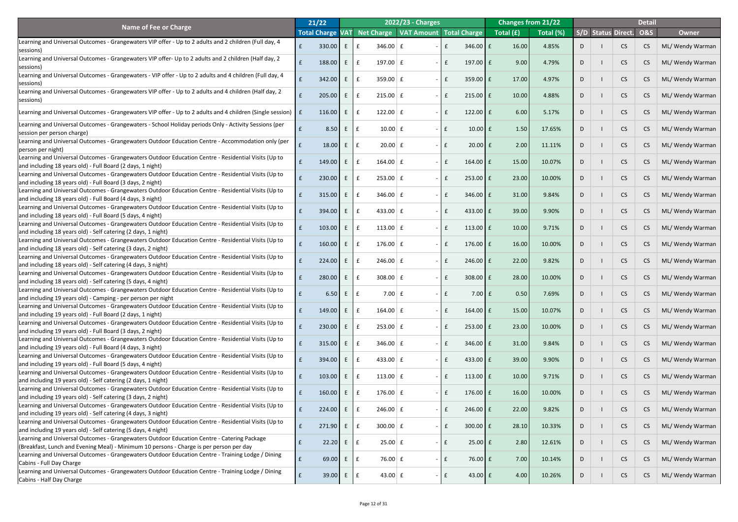|                                                                                                                                                                      | 21/22                   |            |             |                         | 2022/23 - Charges                      |      |                    |           | <b>Changes from 21/22</b> |    |                           | <b>Detail</b>  |                  |
|----------------------------------------------------------------------------------------------------------------------------------------------------------------------|-------------------------|------------|-------------|-------------------------|----------------------------------------|------|--------------------|-----------|---------------------------|----|---------------------------|----------------|------------------|
| Name of Fee or Charge                                                                                                                                                | <b>Total Charge VAT</b> |            |             |                         | Net Charge   VAT Amount   Total Charge |      |                    | Total (£) | Total (%)                 |    | <b>S/D Status Direct.</b> | <b>O&amp;S</b> | <b>Owner</b>     |
| Learning and Universal Outcomes - Grangewaters VIP offer - Up to 2 adults and 2 children (Full day, 4                                                                |                         |            |             |                         |                                        |      |                    |           |                           |    |                           |                |                  |
| sessions)                                                                                                                                                            |                         | 330.00     |             | 346.00 $E$              |                                        |      | $346.00$ $E$       | 16.00     | 4.85%                     |    | <b>CS</b>                 | CS             | ML/ Wendy Warman |
| Learning and Universal Outcomes - Grangewaters VIP offer- Up to 2 adults and 2 children (Half day, 2                                                                 |                         |            |             |                         |                                        |      |                    |           |                           |    |                           |                |                  |
| sessions)                                                                                                                                                            |                         | 188.00     | E           | 197.00 $E$              |                                        |      | 197.00 $E$         | 9.00      | 4.79%                     |    | <b>CS</b>                 | CS             | ML/ Wendy Warman |
| Learning and Universal Outcomes - Grangewaters - VIP offer - Up to 2 adults and 4 children (Full day, 4                                                              |                         | 342.00     | E.          | $359.00 \mid f$         |                                        |      | $359.00$ $E$       | 17.00     | 4.97%                     | D  | <b>CS</b>                 | CS             | ML/ Wendy Warman |
| sessions)                                                                                                                                                            |                         |            |             |                         |                                        |      |                    |           |                           |    |                           |                |                  |
| Learning and Universal Outcomes - Grangewaters VIP offer - Up to 2 adults and 4 children (Half day, 2                                                                |                         | 205.00     | E.          | $215.00 \mid f$         |                                        |      | $215.00$ $E$       | 10.00     | 4.88%                     | D  | <b>CS</b>                 | CS             | ML/ Wendy Warman |
| sessions)                                                                                                                                                            |                         |            |             |                         |                                        |      |                    |           |                           |    |                           |                |                  |
| Learning and Universal Outcomes - Grangewaters VIP offer - Up to 2 adults and 4 children (Single session)   £                                                        |                         | 116.00     | E           | $122.00 \mid f$         |                                        |      | 122.00 f           | 6.00      | 5.17%                     | D  | <b>CS</b>                 | CS             | ML/ Wendy Warman |
| Learning and Universal Outcomes - Grangewaters - School Holiday periods Only - Activity Sessions (per                                                                |                         |            |             |                         |                                        |      |                    |           |                           |    |                           |                |                  |
| session per person charge)                                                                                                                                           |                         | 8.50       | E           | $10.00$ $E$             |                                        | £    | $10.00$ $E$        | 1.50      | 17.65%                    | D  | <b>CS</b>                 | CS             | ML/ Wendy Warman |
| Learning and Universal Outcomes - Grangewaters Outdoor Education Centre - Accommodation only (per                                                                    |                         |            |             |                         |                                        |      |                    |           |                           |    |                           |                |                  |
| (person per night)                                                                                                                                                   |                         | 18.00      | E           | $20.00$ £               |                                        |      | $20.00$ $E$        | 2.00      | 11.11%                    | D  | <b>CS</b>                 | CS             | ML/ Wendy Warman |
| Learning and Universal Outcomes - Grangewaters Outdoor Education Centre - Residential Visits (Up to                                                                  |                         |            |             |                         |                                        |      |                    |           |                           |    |                           |                |                  |
| and including 18 years old) - Full Board (2 days, 1 night)                                                                                                           |                         | 149.00     | E           | $164.00 \mid f$         |                                        |      | 164.00 E           | 15.00     | 10.07%                    |    | <b>CS</b>                 | CS             | ML/ Wendy Warman |
| Learning and Universal Outcomes - Grangewaters Outdoor Education Centre - Residential Visits (Up to                                                                  |                         | 230.00     |             | $253.00 \mid f$         |                                        |      | $253.00$ $E$       | 23.00     | 10.00%                    |    | <b>CS</b>                 | CS             | ML/ Wendy Warman |
| and including 18 years old) - Full Board (3 days, 2 night)                                                                                                           |                         |            |             |                         |                                        |      |                    |           |                           |    |                           |                |                  |
| Learning and Universal Outcomes - Grangewaters Outdoor Education Centre - Residential Visits (Up to                                                                  |                         | 315.00     |             | 346.00 $E$              |                                        |      | $346.00$ $E$       | 31.00     | 9.84%                     |    | <b>CS</b>                 | CS             | ML/ Wendy Warman |
| and including 18 years old) - Full Board (4 days, 3 night)                                                                                                           |                         |            |             |                         |                                        |      |                    |           |                           |    |                           |                |                  |
| Learning and Universal Outcomes - Grangewaters Outdoor Education Centre - Residential Visits (Up to                                                                  |                         | 394.00     | E.          | 433.00 $E$              |                                        |      | 433.00 $E$         | 39.00     | 9.90%                     |    | <b>CS</b>                 | CS             | ML/ Wendy Warman |
| and including 18 years old) - Full Board (5 days, 4 night)<br>Learning and Universal Outcomes - Grangewaters Outdoor Education Centre - Residential Visits (Up to    |                         |            |             |                         |                                        |      |                    |           |                           |    |                           |                |                  |
| and including 18 years old) - Self catering (2 days, 1 night)                                                                                                        |                         | 103.00     | E           | 113.00 $E$<br>£         |                                        |      | $113.00$ $E$       | 10.00     | 9.71%                     |    | <b>CS</b>                 | CS             | ML/ Wendy Warman |
| Learning and Universal Outcomes - Grangewaters Outdoor Education Centre - Residential Visits (Up to                                                                  |                         |            |             |                         |                                        |      |                    |           |                           |    |                           |                |                  |
| and including 18 years old) - Self catering (3 days, 2 night)                                                                                                        |                         | 160.00     | E.          | $176.00 \mid f$         |                                        |      | 176.00 $E$         | 16.00     | 10.00%                    |    | <b>CS</b>                 | CS.            | ML/ Wendy Warman |
| Learning and Universal Outcomes - Grangewaters Outdoor Education Centre - Residential Visits (Up to                                                                  |                         |            | E.          | $246.00 \mid f$         |                                        |      |                    |           | 9.82%                     |    |                           |                |                  |
| and including 18 years old) - Self catering (4 days, 3 night)                                                                                                        |                         | 224.00     |             |                         |                                        |      | $246.00$   £       | 22.00     |                           |    | <b>CS</b>                 | CS.            | ML/ Wendy Warman |
| Learning and Universal Outcomes - Grangewaters Outdoor Education Centre - Residential Visits (Up to                                                                  |                         | 280.00     | E.          | $308.00 \mid f$         |                                        |      | $308.00$ $E$       | 28.00     | 10.00%                    |    | <b>CS</b>                 | CS.            | ML/ Wendy Warman |
| and including 18 years old) - Self catering (5 days, 4 night)                                                                                                        |                         |            |             |                         |                                        |      |                    |           |                           |    |                           |                |                  |
| Learning and Universal Outcomes - Grangewaters Outdoor Education Centre - Residential Visits (Up to                                                                  |                         | 6.50       | E.          | $7.00 \mid f$           |                                        |      | $7.00$ $E$         | 0.50      | 7.69%                     |    | <b>CS</b>                 | CS             | ML/ Wendy Warman |
| and including 19 years old) - Camping - per person per night                                                                                                         |                         |            |             |                         |                                        |      |                    |           |                           |    |                           |                |                  |
| Learning and Universal Outcomes - Grangewaters Outdoor Education Centre - Residential Visits (Up to<br>and including 19 years old) - Full Board (2 days, 1 night)    |                         | 149.00     | E.          | $164.00 \mid f$         |                                        |      | 164.00 £           | 15.00     | 10.07%                    |    | <b>CS</b>                 | CS             | ML/ Wendy Warman |
| Learning and Universal Outcomes - Grangewaters Outdoor Education Centre - Residential Visits (Up to                                                                  |                         |            |             |                         |                                        |      |                    |           |                           |    |                           |                |                  |
| and including 19 years old) - Full Board (3 days, 2 night)                                                                                                           |                         | 230.00     | E.          | $253.00 \mid f$         |                                        |      | $253.00$ $E$       | 23.00     | 10.00%                    |    | <b>CS</b>                 | CS             | ML/ Wendy Warman |
| Learning and Universal Outcomes - Grangewaters Outdoor Education Centre - Residential Visits (Up to                                                                  |                         |            |             |                         |                                        |      |                    |           |                           |    |                           |                |                  |
| and including 19 years old) - Full Board (4 days, 3 night)                                                                                                           |                         | 315.00     | E.          | 346.00 $E$              |                                        |      | 346.00 $E$         | 31.00     | 9.84%                     |    | <b>CS</b>                 | CS             | ML/ Wendy Warman |
| Learning and Universal Outcomes - Grangewaters Outdoor Education Centre - Residential Visits (Up to                                                                  |                         | 394.00     | E.          | 433.00 $E$              |                                        |      | 433.00 $E$         | 39.00     | 9.90%                     |    | <b>CS</b>                 | CS             | ML/ Wendy Warman |
| and including 19 years old) - Full Board (5 days, 4 night)                                                                                                           |                         |            |             |                         |                                        |      |                    |           |                           |    |                           |                |                  |
| Learning and Universal Outcomes - Grangewaters Outdoor Education Centre - Residential Visits (Up to                                                                  |                         | 103.00     | E.          | 113.00 $E$              |                                        |      | 113.00 $E$         | 10.00     | 9.71%                     |    | <b>CS</b>                 | CS             | ML/ Wendy Warman |
| and including 19 years old) - Self catering (2 days, 1 night)                                                                                                        |                         |            |             |                         |                                        |      |                    |           |                           |    |                           |                |                  |
| Learning and Universal Outcomes - Grangewaters Outdoor Education Centre - Residential Visits (Up to                                                                  |                         | 160.00     | E.          | $176.00 \mid f$         |                                        |      | 176.00 $E$         | 16.00     | 10.00%                    |    | <b>CS</b>                 | CS             | ML/ Wendy Warman |
| and including 19 years old) - Self catering (3 days, 2 night)<br>Learning and Universal Outcomes - Grangewaters Outdoor Education Centre - Residential Visits (Up to |                         |            |             |                         |                                        |      |                    |           |                           |    |                           |                |                  |
| and including 19 years old) - Self catering (4 days, 3 night)                                                                                                        |                         | 224.00     | $E_{\perp}$ | $246.00 \mid f$         |                                        |      | $246.00$ $E$       | 22.00     | 9.82%                     |    | <b>CS</b>                 | CS             | ML/ Wendy Warman |
| Learning and Universal Outcomes - Grangewaters Outdoor Education Centre - Residential Visits (Up to                                                                  |                         |            |             |                         |                                        |      |                    |           |                           |    |                           |                |                  |
| and including 19 years old) - Self catering (5 days, 4 night)                                                                                                        |                         | $271.90$ E |             | $300.00 \mid f$         |                                        |      | $300.00$ $E$       | 28.10     | 10.33%                    | D. | CS                        | CS             | ML/ Wendy Warman |
| Learning and Universal Outcomes - Grangewaters Outdoor Education Centre - Catering Package                                                                           |                         | 22.20      | $E_{\perp}$ | $25.00 \mid f$<br>E     |                                        | $ E$ | $25.00 \text{ }$ £ | 2.80      | 12.61%                    | D  | <b>CS</b>                 | CS             | ML/ Wendy Warman |
| (Breakfast, Lunch and Evening Meal) - Minimum 10 persons - Charge is per person per day                                                                              |                         |            |             |                         |                                        |      |                    |           |                           |    |                           |                |                  |
| Learning and Universal Outcomes - Grangewaters Outdoor Education Centre - Training Lodge / Dining                                                                    |                         | 69.00      | E           | 76.00 $\mathbf{f}$<br>E |                                        | $ E$ | $76.00 \text{ }$ £ | 7.00      | 10.14%                    | D  | <b>CS</b>                 | CS             | ML/ Wendy Warman |
| Cabins - Full Day Charge                                                                                                                                             |                         |            |             |                         |                                        |      |                    |           |                           |    |                           |                |                  |
| Learning and Universal Outcomes - Grangewaters Outdoor Education Centre - Training Lodge / Dining                                                                    |                         | 39.00      | E           | 43.00 $\vert$ £<br>£    |                                        | l £  | 43.00 $f$          | 4.00      | 10.26%                    | D  | <b>CS</b>                 | CS             | ML/ Wendy Warman |
| Cabins - Half Day Charge                                                                                                                                             |                         |            |             |                         |                                        |      |                    |           |                           |    |                           |                |                  |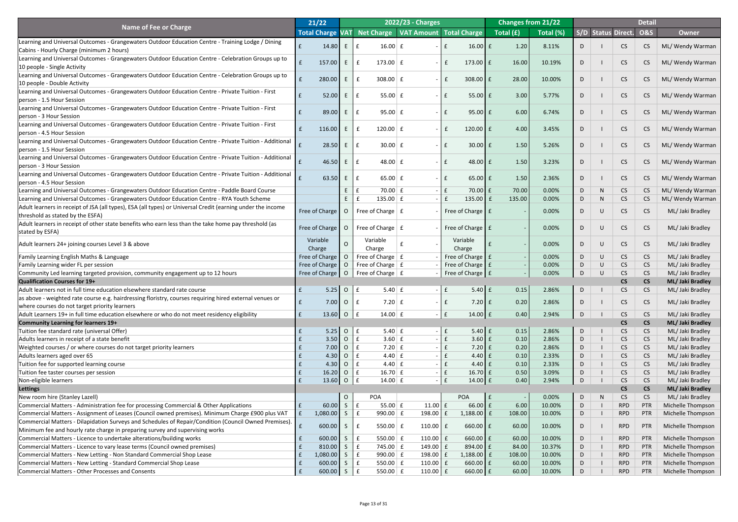|                                                                                                                                                                                                                   | 21/22            |            |                     |                                           | 2022/23 - Charges   |               |                                   |                   | <b>Changes from 21/22</b> |   |        |                           | <b>Detail</b>    |                                              |
|-------------------------------------------------------------------------------------------------------------------------------------------------------------------------------------------------------------------|------------------|------------|---------------------|-------------------------------------------|---------------------|---------------|-----------------------------------|-------------------|---------------------------|---|--------|---------------------------|------------------|----------------------------------------------|
| <b>Name of Fee or Charge</b>                                                                                                                                                                                      | Total Charge VAT |            |                     | Net Charge   VAT Amount   Total Charge    |                     |               |                                   | Total (£)         | Total (%)                 |   |        | <b>S/D Status Direct.</b> | <b>O&amp;S</b>   | <b>Owner</b>                                 |
| Learning and Universal Outcomes - Grangewaters Outdoor Education Centre - Training Lodge / Dining                                                                                                                 |                  |            |                     |                                           |                     |               |                                   |                   |                           |   |        |                           |                  |                                              |
| Cabins - Hourly Charge (minimum 2 hours)                                                                                                                                                                          |                  | 14.80      |                     | $16.00 \mid f$                            |                     |               | $16.00$ $E$                       | 1.20              | 8.11%                     |   |        | <b>CS</b>                 | CS               | ML/ Wendy Warman                             |
| Learning and Universal Outcomes - Grangewaters Outdoor Education Centre - Celebration Groups up to                                                                                                                |                  |            |                     |                                           |                     |               |                                   |                   |                           |   |        |                           |                  |                                              |
| 10 people - Single Activity                                                                                                                                                                                       |                  | 157.00     | E                   | 173.00 $E$                                |                     |               | 173.00 $E$                        | 16.00             | 10.19%                    |   |        | <b>CS</b>                 | CS               | ML/ Wendy Warman                             |
| Learning and Universal Outcomes - Grangewaters Outdoor Education Centre - Celebration Groups up to                                                                                                                |                  |            |                     |                                           |                     |               |                                   |                   |                           |   |        |                           |                  |                                              |
| 10 people - Double Activity                                                                                                                                                                                       |                  | 280.00     | E                   | $308.00$ £                                |                     |               | $308.00$ $E$                      | 28.00             | 10.00%                    |   |        | <b>CS</b>                 | CS               | ML/ Wendy Warman                             |
| Learning and Universal Outcomes - Grangewaters Outdoor Education Centre - Private Tuition - First                                                                                                                 |                  |            | E                   |                                           |                     |               |                                   | 3.00              | 5.77%                     |   |        |                           |                  |                                              |
| person - 1.5 Hour Session                                                                                                                                                                                         |                  | 52.00      |                     | 55.00 $E$                                 |                     |               | $55.00 \mid f$                    |                   |                           |   |        | <b>CS</b>                 | CS               | ML/ Wendy Warman                             |
| Learning and Universal Outcomes - Grangewaters Outdoor Education Centre - Private Tuition - First                                                                                                                 |                  | 89.00      | E                   | $95.00 \mid f$                            |                     |               | $95.00$ £                         | 6.00              | 6.74%                     |   |        | <b>CS</b>                 | CS               | ML/ Wendy Warman                             |
| person - 3 Hour Session                                                                                                                                                                                           |                  |            |                     |                                           |                     |               |                                   |                   |                           |   |        |                           |                  |                                              |
| Learning and Universal Outcomes - Grangewaters Outdoor Education Centre - Private Tuition - First                                                                                                                 |                  | 116.00     | E                   | 120.00 $E$                                |                     |               | $120.00$ $E$                      | 4.00              | 3.45%                     |   |        | <b>CS</b>                 | CS               | ML/ Wendy Warman                             |
| person - 4.5 Hour Session                                                                                                                                                                                         |                  |            |                     |                                           |                     |               |                                   |                   |                           |   |        |                           |                  |                                              |
| Learning and Universal Outcomes - Grangewaters Outdoor Education Centre - Private Tuition - Additional                                                                                                            |                  | 28.50      | E                   | $30.00 \mid f$                            |                     |               | $30.00$ $E$                       | 1.50              | 5.26%                     |   |        | <b>CS</b>                 | CS               | ML/ Wendy Warman                             |
| person - 1.5 Hour Session                                                                                                                                                                                         |                  |            |                     |                                           |                     |               |                                   |                   |                           |   |        |                           |                  |                                              |
| Learning and Universal Outcomes - Grangewaters Outdoor Education Centre - Private Tuition - Additional                                                                                                            |                  | 46.50      | E                   | 48.00 $E$                                 |                     |               | $48.00$ £                         | 1.50              | 3.23%                     |   |        | <b>CS</b>                 | CS               | ML/ Wendy Warman                             |
| person - 3 Hour Session                                                                                                                                                                                           |                  |            |                     |                                           |                     |               |                                   |                   |                           |   |        |                           |                  |                                              |
| Learning and Universal Outcomes - Grangewaters Outdoor Education Centre - Private Tuition - Additional                                                                                                            |                  | 63.50      | E.                  | 65.00 $E$                                 |                     |               | $65.00$ £                         | 1.50              | 2.36%                     | D |        | <b>CS</b>                 | CS               | ML/ Wendy Warman                             |
| person - 4.5 Hour Session                                                                                                                                                                                         |                  |            |                     |                                           |                     |               |                                   |                   |                           |   |        |                           |                  |                                              |
| Learning and Universal Outcomes - Grangewaters Outdoor Education Centre - Paddle Board Course                                                                                                                     |                  |            |                     | 70.00 $E$                                 |                     |               | $70.00$ £                         | 70.00             | 0.00%                     | D |        | <b>CS</b>                 | CS               | ML/ Wendy Warman                             |
| Learning and Universal Outcomes - Grangewaters Outdoor Education Centre - RYA Youth Scheme<br>Adult learners in receipt of JSA (all types), ESA (all types) or Universal Credit (earning under the income         |                  |            |                     | 135.00 $E$                                |                     |               | 135.00 $f$                        | 135.00            | 0.00%                     | D | N      | <b>CS</b>                 | CS               | ML/ Wendy Warman                             |
| threshold as stated by the ESFA)                                                                                                                                                                                  | Free of Charge   |            | $\overline{O}$      | Free of Charge $ f $                      |                     |               | Free of Charge $\mathsf E$        |                   | 0.00%                     |   |        | <b>CS</b>                 | CS               | ML/ Jaki Bradley                             |
| Adult learners in receipt of other state benefits who earn less than the take home pay threshold (as                                                                                                              |                  |            |                     |                                           |                     |               |                                   |                   |                           |   |        |                           |                  |                                              |
| stated by ESFA)                                                                                                                                                                                                   | Free of Charge   |            | $\overline{O}$      | Free of Charge $\vert$ £                  |                     |               | Free of Charge $\mathbf{f}$ f     |                   | 0.00%                     | D | $\cup$ | <b>CS</b>                 | CS               | ML/ Jaki Bradley                             |
|                                                                                                                                                                                                                   | Variable         |            |                     | Variable                                  |                     |               | Variable                          |                   |                           |   |        |                           |                  |                                              |
| Adult learners 24+ joining courses Level 3 & above                                                                                                                                                                | Charge           |            | $\Omega$            | Charge                                    |                     |               | Charge                            |                   | 0.00%                     | D | $\cup$ | <b>CS</b>                 | CS               | ML/ Jaki Bradley                             |
| Family Learning English Maths & Language                                                                                                                                                                          | Free of Charge   |            | $\overline{O}$      | Free of Charge $\vert$ £                  |                     |               | Free of Charge $\mathbf{f}$ f     |                   | 0.00%                     | D | U      | <b>CS</b>                 | CS               | ML/ Jaki Bradley                             |
| Family Learning wider FL per session                                                                                                                                                                              | Free of Charge   |            | $\overline{O}$      | Free of Charge $\mid$ £                   |                     |               | Free of Charge   £                |                   | 0.00%                     | D |        | <b>CS</b>                 | CS               | ML/ Jaki Bradley                             |
| Community Led learning targeted provision, community engagement up to 12 hours                                                                                                                                    |                  |            |                     |                                           |                     |               | Free of Charge E                  |                   | 0.00%                     | D | U      | CS                        | CS               | ML/ Jaki Bradley                             |
| <b>Qualification Courses for 19+</b>                                                                                                                                                                              |                  |            |                     |                                           |                     |               |                                   |                   |                           |   |        | <b>CS</b>                 | CS               | ML/ Jaki Bradley                             |
| Adult learners not in full time education elsewhere standard rate course                                                                                                                                          | $\mathbf f$      | 5.25       | $\overline{O}$      | $5.40 \mid f$<br>E                        |                     | $\mathsf{E}$  | $5.40 \mid f$                     | 0.15              | 2.86%                     | D |        | <b>CS</b>                 | CS               | ML/ Jaki Bradley                             |
| as above - weighted rate course e.g. hairdressing floristry, courses requiring hired external venues or                                                                                                           |                  | 7.00       | $\overline{O}$      | $7.20 \mid f$<br>£                        |                     | l £<br>$\sim$ | $7.20 \text{ }$ f                 | 0.20              | 2.86%                     | D |        | <b>CS</b>                 | CS               | ML/ Jaki Bradley                             |
| where courses do not target priority learners                                                                                                                                                                     |                  |            |                     |                                           |                     |               |                                   |                   |                           |   |        |                           |                  |                                              |
| Adult Learners 19+ in full time education elsewhere or who do not meet residency eligibility                                                                                                                      | f                | 13.60      | $\overline{O}$      | 14.00 $\vert$ £<br>$\mathsf{E}$           |                     | $\mathsf{E}$  | $14.00 \text{ }$ £                | 0.40              | 2.94%                     | D |        | <b>CS</b>                 | CS               | ML/ Jaki Bradley                             |
| <b>Community Learning for learners 19+</b>                                                                                                                                                                        |                  |            |                     |                                           |                     |               |                                   |                   |                           |   |        | <b>CS</b>                 | CS               | ML/ Jaki Bradley                             |
| Tuition fee standard rate (universal Offer)                                                                                                                                                                       |                  | 5.25       | $\overline{O}$      | $5.40 \mid f$<br>$\mathbf{f}$             |                     | $\mathsf{E}$  | $5.40 \mid f$                     | 0.15              | 2.86%                     | D |        | <b>CS</b>                 | CS               | ML/ Jaki Bradley                             |
| Adults learners in receipt of a state benefit                                                                                                                                                                     |                  | 3.50       | $\overline{O}$      | $3.60 \mid f$<br>$\mathbf f$              |                     |               | $\mathbf{f}$<br>$3.60 \mid f$     | 0.10              | 2.86%                     | D |        | <b>CS</b>                 | CS               | ML/ Jaki Bradley                             |
| Weighted courses / or where courses do not target priority learners                                                                                                                                               |                  | 7.00       | $\overline{O}$      | 7.20 $E$<br>£                             |                     |               | $7.20$ £                          | 0.20              | 2.86%                     | D |        | <b>CS</b>                 | CS               | ML/ Jaki Bradley                             |
| Adults learners aged over 65                                                                                                                                                                                      |                  | 4.30       | $\overline{O}$      | $4.40 \mid f$<br>£                        |                     |               | $4.40 \mid f \mid$                | 0.10              | 2.33%                     | D |        | <b>CS</b>                 | CS               | ML/ Jaki Bradley                             |
| Tuition fee for supported learning course                                                                                                                                                                         |                  | 4.30       | $\overline{O}$      | $4.40 \mid f$<br>$\mathbf f$              |                     |               | $4.40 \mid f \mid$                | 0.10              | 2.33%                     | D |        | <b>CS</b>                 | CS               | ML/ Jaki Bradley                             |
| Tuition fee taster courses per session                                                                                                                                                                            |                  | 16.20      | $\overline{O}$      | $16.70 \mid f$<br>E                       |                     |               | $16.70 \text{ f}$<br>$\mathbf{f}$ | 0.50              | 3.09%                     | D |        | <b>CS</b>                 | CS               | ML/ Jaki Bradley                             |
| Non-eligible learners                                                                                                                                                                                             |                  | $13.60$ 0  |                     | $\mathbf{f}$<br>$14.00 \mid f$            |                     |               | f<br>$14.00 \text{ }$ £           | 0.40              | 2.94%                     | D |        | <b>CS</b>                 | CS               | ML/ Jaki Bradley                             |
| Lettings                                                                                                                                                                                                          |                  |            |                     |                                           |                     |               |                                   |                   |                           |   |        | <b>CS</b>                 | <b>CS</b>        | ML/ Jaki Bradley                             |
| New room hire (Stanley Lazell)                                                                                                                                                                                    |                  | 60.00      | $\overline{O}$<br>S | <b>POA</b><br>55.00 $E$                   | $11.00 \mid f \mid$ |               | <b>POA</b><br>$66.00$ £           | $\vert f$<br>6.00 | 0.00%<br>10.00%           | D | N      | <b>CS</b><br><b>RPD</b>   | CS<br><b>PTR</b> | ML/ Jaki Bradley<br><b>Michelle Thompson</b> |
| Commercial Matters - Administration fee for processing Commercial & Other Applications                                                                                                                            | £<br>f           |            | $\mathsf{S}$        | $\mathbf{f}$<br>$\mathbf f$<br>990.00 $E$ | 198.00 $E$          |               | $1,188.00$ £                      | 108.00            | 10.00%                    | D |        | <b>RPD</b>                | PTR              | Michelle Thompson                            |
| Commercial Matters - Assignment of Leases (Council owned premises). Minimum Charge £900 plus VAT<br>Commercial Matters - Dilapidation Surveys and Schedules of Repair/Condition (Council Owned Premises). $\Big $ |                  | 1,080.00   |                     |                                           |                     |               |                                   |                   |                           | D |        |                           |                  |                                              |
| Minimum fee and hourly rate charge in preparing survey and supervising works                                                                                                                                      |                  | $600.00$ S |                     | 550.00                                    | 110.00 $\vert$ £    |               | $660.00$ £                        | 60.00             | 10.00%                    | D |        | <b>RPD</b>                | <b>PTR</b>       | Michelle Thompson                            |
| Commercial Matters - Licence to undertake alterations/building works                                                                                                                                              |                  | 600.00     | $\sqrt{S}$          | 550.00 $E$<br>$\mathbf{f}$                | 110.00 $\vert$ £    |               | $660.00$ $E$                      | 60.00             | 10.00%                    | D |        | <b>RPD</b>                | <b>PTR</b>       | Michelle Thompson                            |
| Commercial Matters - Licence to vary lease terms (Council owned premises)                                                                                                                                         |                  | 810.00     | S                   | E<br>745.00 $E$                           | 149.00 $\vert$ £    |               | $894.00 \, \text{F}$              | 84.00             | 10.37%                    | D |        | <b>RPD</b>                | <b>PTR</b>       | Michelle Thompson                            |
| Commercial Matters - New Letting - Non Standard Commercial Shop Lease                                                                                                                                             |                  | 1,080.00   | $\sqrt{S}$          | 990.00 $E$<br>$\mathbf{f}$                | 198.00 $E$          |               | $1,188.00$ f                      | 108.00            | 10.00%                    | D |        | <b>RPD</b>                | <b>PTR</b>       | Michelle Thompson                            |
| Commercial Matters - New Letting - Standard Commercial Shop Lease                                                                                                                                                 |                  | 600.00     | $S \mid$            | $550.00 \mid f \mid$<br>E                 | 110.00 $\vert$ £    |               | $660.00$ E                        | 60.00             | 10.00%                    | D |        | <b>RPD</b>                | <b>PTR</b>       | Michelle Thompson                            |
| <b>Commercial Matters - Other Processes and Consents</b>                                                                                                                                                          | $\mathbf{f}$     | $600.00$ S |                     | 550.00 $E$<br>E                           | 110.00 $\vert$ £    |               | $660.00$ $E$                      | 60.00             | 10.00%                    | D |        | <b>RPD</b>                | <b>PTR</b>       | Michelle Thompson                            |
|                                                                                                                                                                                                                   |                  |            |                     |                                           |                     |               |                                   |                   |                           |   |        |                           |                  |                                              |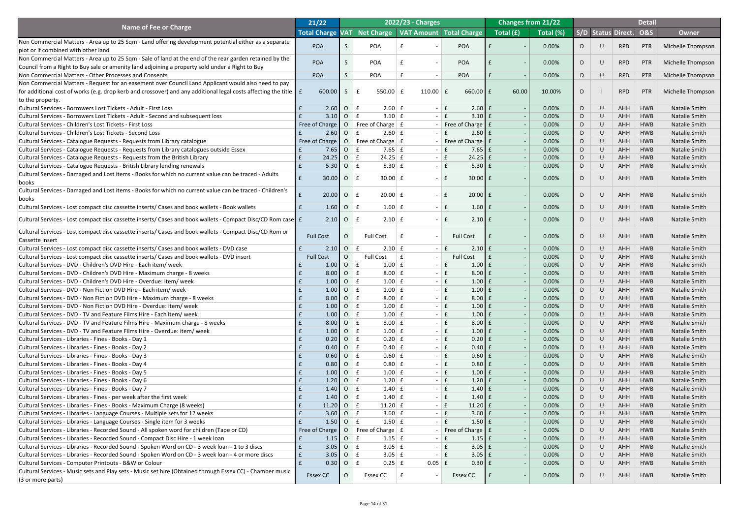|                                                                                                                                 | 21/22                   |                |                                                           | 2022/23 - Charges                      |                               |           | <b>Changes from 21/22</b> |    |        |                           | <b>Detail</b>  |                      |
|---------------------------------------------------------------------------------------------------------------------------------|-------------------------|----------------|-----------------------------------------------------------|----------------------------------------|-------------------------------|-----------|---------------------------|----|--------|---------------------------|----------------|----------------------|
| <b>Name of Fee or Charge</b>                                                                                                    | <b>Total Charge VAT</b> |                |                                                           | Net Charge   VAT Amount   Total Charge |                               | Total (£) | Total (%)                 |    |        | <b>S/D Status Direct.</b> | <b>O&amp;S</b> | <b>Owner</b>         |
| Non Commercial Matters - Area up to 25 Sqm - Land offering development potential either as a separate                           |                         |                |                                                           |                                        |                               |           |                           |    |        |                           |                |                      |
| plot or if combined with other land                                                                                             | <b>POA</b>              |                | <b>POA</b>                                                |                                        | <b>POA</b>                    |           | 0.00%                     | D  | $\cup$ | <b>RPD</b>                | PTR            | Michelle Thompson    |
| Non Commercial Matters - Area up to 25 Sqm - Sale of land at the end of the rear garden retained by the                         |                         |                |                                                           |                                        |                               |           |                           |    |        |                           |                |                      |
| Council from a Right to Buy sale or amenity land adjoining a property sold under a Right to Buy                                 | <b>POA</b>              |                | <b>POA</b>                                                |                                        | <b>POA</b>                    |           | 0.00%                     | D  | $\cup$ | <b>RPD</b>                | PTR            | Michelle Thompson    |
| Non Commercial Matters - Other Processes and Consents                                                                           | <b>POA</b>              |                | <b>POA</b>                                                |                                        | <b>POA</b>                    |           | 0.00%                     | D  | $\cup$ | <b>RPD</b>                | PTR            | Michelle Thompson    |
| Non Commercial Matters - Request for an easement over Council Land Applicant would also need to pay                             |                         |                |                                                           |                                        |                               |           |                           |    |        |                           |                |                      |
| for additional cost of works (e.g. drop kerb and crossover) and any additional legal costs affecting the title $\ \mathbf{f}\ $ | 600.00                  | S              | 550.00                                                    | 110.00 $\vert$ £                       | $660.00$ £                    | 60.00     | 10.00%                    | D  |        | <b>RPD</b>                | PTR            | Michelle Thompson    |
|                                                                                                                                 |                         |                |                                                           |                                        |                               |           |                           |    |        |                           |                |                      |
| to the property.                                                                                                                |                         |                |                                                           |                                        |                               |           |                           |    |        |                           |                |                      |
| Cultural Services - Borrowers Lost Tickets - Adult - First Loss                                                                 | 2.60                    | $\overline{O}$ | $2.60 \mid f$                                             |                                        | $2.60 \mid f$<br>£            |           | 0.00%                     | D  | $\cup$ | AHH                       | <b>HWB</b>     | <b>Natalie Smith</b> |
| Cultural Services - Borrowers Lost Tickets - Adult - Second and subsequent loss                                                 | 3.10                    | $\overline{O}$ | $3.10 \mid f$                                             |                                        | $3.10$ $E$                    |           | 0.00%                     | D  | U      | AHH                       | <b>HWB</b>     | <b>Natalie Smith</b> |
| <b>Cultural Services - Children's Lost Tickets - First Loss</b>                                                                 | Free of Charge          | $\overline{O}$ | Free of Charge $ f $                                      |                                        | Free of Charge   £            |           | 0.00%                     | D  | U      | <b>AHH</b>                | <b>HWB</b>     | Natalie Smith        |
| <b>Cultural Services - Children's Lost Tickets - Second Loss</b>                                                                | 2.60                    | $\overline{O}$ | $2.60 \mid f$                                             |                                        | $2.60 \mid f$                 |           | 0.00%                     | D  | U      | AHH                       | <b>HWB</b>     | <b>Natalie Smith</b> |
| Cultural Services - Catalogue Requests - Requests from Library catalogue                                                        | Free of Charge          | $\overline{O}$ | Free of Charge $ f $                                      |                                        | Free of Charge   £            |           | 0.00%                     | D  | U      | <b>AHH</b>                | <b>HWB</b>     | Natalie Smith        |
| Cultural Services - Catalogue Requests - Requests from Library catalogues outside Essex                                         | 7.65                    | $\overline{O}$ | $7.65 \mid f$                                             |                                        | $7.65$ $E$<br>£               |           | 0.00%                     | D  | U      | AHH                       | <b>HWB</b>     | <b>Natalie Smith</b> |
| Cultural Services - Catalogue Requests - Requests from the British Library                                                      | 24.25                   | $\overline{O}$ | $24.25 \mid f$                                            |                                        | $24.25$ $E$                   |           | 0.00%                     | D  | U      | <b>AHH</b>                | <b>HWB</b>     | Natalie Smith        |
| Cultural Services - Catalogue Requests - British Library lending renewals                                                       | 5.30                    | $\overline{O}$ | $5.30 \mid f$                                             |                                        | $5.30 \mid f$                 |           | 0.00%                     | D  | $\cup$ | AHH                       | <b>HWB</b>     | Natalie Smith        |
| Cultural Services - Damaged and Lost items - Books for which no current value can be traced - Adults                            | 30.00                   | $\overline{O}$ | $30.00 \mid f$<br>£                                       | $\overline{\phantom{0}}$               | $30.00$ $E$                   |           | 0.00%                     | D  | $\cup$ | AHH                       | <b>HWB</b>     | Natalie Smith        |
| books                                                                                                                           |                         |                |                                                           |                                        |                               |           |                           |    |        |                           |                |                      |
| Cultural Services - Damaged and Lost items - Books for which no current value can be traced - Children's                        | 20.00                   | $\overline{O}$ | $20.00$ $E$<br>£                                          | $\sim$                                 | $20.00$ £                     |           | 0.00%                     | D  | $\cup$ | AHH                       | <b>HWB</b>     | <b>Natalie Smith</b> |
| books                                                                                                                           |                         |                |                                                           |                                        |                               |           |                           |    |        |                           |                |                      |
| Cultural Services - Lost compact disc cassette inserts/ Cases and book wallets - Book wallets                                   | 1.60                    | $\overline{O}$ | $1.60 \mid f$<br>£                                        |                                        | $1.60$ $E$<br>$\mathbf{f}$    |           | 0.00%                     | D  | $\cup$ | AHH                       | <b>HWB</b>     | Natalie Smith        |
| Cultural Services - Lost compact disc cassette inserts/ Cases and book wallets - Compact Disc/CD Rom case E                     |                         | $2.10$ 0       | $2.10 \mid f$                                             |                                        | $2.10$ $f$                    |           | 0.00%                     | D. | $\cup$ | AHH                       | HWB            | Natalie Smith        |
| Cultural Services - Lost compact disc cassette inserts/ Cases and book wallets - Compact Disc/CD Rom or                         |                         |                |                                                           |                                        |                               |           |                           |    |        |                           |                |                      |
| Cassette insert                                                                                                                 | <b>Full Cost</b>        | $\overline{O}$ | <b>Full Cost</b>                                          | £<br>$\overline{\phantom{0}}$          | <b>Full Cost</b>              |           | 0.00%                     | D  | $\cup$ | AHH                       | <b>HWB</b>     | Natalie Smith        |
| Cultural Services - Lost compact disc cassette inserts/ Cases and book wallets - DVD case                                       | 2.10                    | $\overline{O}$ | $2.10 \mid f$<br>$\mathbf{f}$                             | $\sim$                                 | $2.10$ $E$<br>$\mathbf{f}$    |           | 0.00%                     | D  | $\cup$ | AHH                       | <b>HWB</b>     | Natalie Smith        |
| Cultural Services - Lost compact disc cassette inserts/ Cases and book wallets - DVD insert                                     | <b>Full Cost</b>        | $\overline{O}$ | <b>Full Cost</b>                                          | $\vert$ f<br>$\overline{\phantom{0}}$  | <b>Full Cost</b>              |           | 0.00%                     | D  | $\cup$ | AHH                       | <b>HWB</b>     | Natalie Smith        |
| Cultural Services - DVD - Children's DVD Hire - Each item/ week                                                                 | 1.00                    | $\overline{O}$ | $1.00 \mid f$<br>£                                        |                                        | $1.00$ $E$<br>$\mathbf{f}$    |           | 0.00%                     | D  | $\cup$ | AHH                       | <b>HWB</b>     | Natalie Smith        |
| Cultural Services - DVD - Children's DVD Hire - Maximum charge - 8 weeks                                                        | 8.00                    | $\overline{O}$ | $8.00 \mid f$<br>$\mathbf{f}$                             |                                        | $8.00$ $E$<br>$\mathbf{f}$    |           | 0.00%                     | D  | $\cup$ | AHH                       | <b>HWB</b>     | Natalie Smith        |
| Cultural Services - DVD - Children's DVD Hire - Overdue: item/ week                                                             | 1.00                    | $\overline{O}$ | $1.00 \mid f$<br>$\mathbf{f}$                             |                                        | $\mathbf{f}$<br>$1.00$ $E$    |           | 0.00%                     | D  | $\cup$ | AHH                       | <b>HWB</b>     | Natalie Smith        |
| Cultural Services - DVD - Non Fiction DVD Hire - Each item/ week                                                                | 1.00                    | $\overline{O}$ | $1.00 \mid f$<br>$\mathbf{f}$                             |                                        | $\mathbf{f}$<br>$1.00$ $E$    |           | 0.00%                     | D  | $\cup$ | AHH                       | <b>HWB</b>     | Natalie Smith        |
| Cultural Services - DVD - Non Fiction DVD Hire - Maximum charge - 8 weeks                                                       | 8.00                    | $\overline{O}$ | $8.00 \mid f$<br>$\mathbf{f}$                             |                                        | $8.00$ $E$<br>$\mathbf{f}$    |           | 0.00%                     | D  | $\cup$ | <b>AHH</b>                | <b>HWB</b>     | Natalie Smith        |
| Cultural Services - DVD - Non Fiction DVD Hire - Overdue: item/ week                                                            | 1.00                    | $\overline{O}$ | $1.00 \mid f$<br>$\mathbf{f}$                             |                                        | $\mathbf{f}$<br>$1.00$ $E$    |           | 0.00%                     | D  | $\cup$ | AHH                       | <b>HWB</b>     | Natalie Smith        |
| Cultural Services - DVD - TV and Feature Films Hire - Each item/ week                                                           | 1.00                    | $\overline{O}$ | $1.00 \mid f$<br>£                                        |                                        | $1.00$ $E$<br>$\mathbf{f}$    |           | 0.00%                     | D  | $\cup$ | <b>AHH</b>                | <b>HWB</b>     | Natalie Smith        |
| Cultural Services - DVD - TV and Feature Films Hire - Maximum charge - 8 weeks                                                  | 8.00                    | $\overline{O}$ | $8.00 \mid f$<br>l £                                      |                                        | $8.00$ $E$<br>$\mathbf{f}$    |           | 0.00%                     | D  | $\cup$ | AHH                       | <b>HWB</b>     | Natalie Smith        |
| Cultural Services - DVD - TV and Feature Films Hire - Overdue: item/ week                                                       | 1.00                    | $\overline{O}$ | $1.00 \mid f$<br>£                                        |                                        | $\mathbf{f}$<br>$1.00$ $E$    |           | 0.00%                     | D  | $\cup$ | <b>AHH</b>                | <b>HWB</b>     | Natalie Smith        |
| Cultural Services - Libraries - Fines - Books - Day 1                                                                           | 0.20                    | $\overline{O}$ | $0.20$ $E$<br>$\mathbf{f}$                                |                                        | $0.20$ £<br>E                 |           | 0.00%                     | D  | $\cup$ | AHH                       | <b>HWB</b>     | Natalie Smith        |
| Cultural Services - Libraries - Fines - Books - Day 2                                                                           | 0.40                    | $\overline{O}$ | $0.40 \mid f$<br>$\mathbf{f}$                             |                                        | $\mathbf{f}$<br>$0.40$ £      |           | 0.00%                     | D  | $\cup$ | <b>AHH</b>                | <b>HWB</b>     | Natalie Smith        |
| Cultural Services - Libraries - Fines - Books - Day 3                                                                           | 0.60                    | $\overline{O}$ | $0.60 \mid f$<br>$\mathbf{f}$                             |                                        | $0.60$ £<br>E                 |           | 0.00%                     | D  | $\cup$ | AHH                       | <b>HWB</b>     | Natalie Smith        |
| Cultural Services - Libraries - Fines - Books - Day 4                                                                           | 0.80                    | $\overline{O}$ | $0.80 \mid f$<br>$\mathbf{f}$                             |                                        | $0.80$ $E$<br>$\mathbf{f}$    |           | 0.00%                     | D  | $\cup$ | <b>AHH</b>                | <b>HWB</b>     | Natalie Smith        |
| Cultural Services - Libraries - Fines - Books - Day 5                                                                           | 1.00                    | $\overline{O}$ | $1.00 \mid f$<br>$\mathbf{f}$                             |                                        | $\mathbf{f}$<br>$1.00$ $E$    |           | 0.00%                     | D  | $\cup$ | AHH                       | <b>HWB</b>     | Natalie Smith        |
| Cultural Services - Libraries - Fines - Books - Day 6                                                                           | 1.20                    | $\overline{O}$ | $1.20 \mid f$<br>£                                        |                                        | $\mathbf{f}$<br>$1.20$ $f$    |           | 0.00%                     | D  | $\cup$ | <b>AHH</b>                | <b>HWB</b>     | Natalie Smith        |
| Cultural Services - Libraries - Fines - Books - Day 7                                                                           | 1.40                    | $\overline{O}$ | $\mathbf{f}$<br>$1.40 \mid f$                             |                                        | E<br>$1.40$ $f$               |           | 0.00%                     | D  | $\cup$ | AHH                       | <b>HWB</b>     | Natalie Smith        |
| Cultural Services - Libraries - Fines - per week after the first week                                                           | 1.40                    | $\overline{O}$ | $1.40 \mid f$<br>$\mathbf{f}$                             |                                        | E<br>$1.40 \mid f$            |           | 0.00%                     | D  | $\cup$ | <b>AHH</b>                | <b>HWB</b>     | Natalie Smith        |
| Cultural Services - Libraries - Fines - Books - Maximum Charge (8 weeks)                                                        | 11.20                   | $\overline{O}$ | $11.20 \mid f$<br>l £                                     |                                        | $11.20$ $E$<br>E              |           | 0.00%                     | D  | $\cup$ | AHH                       | <b>HWB</b>     | Natalie Smith        |
| Cultural Services - Libraries - Language Courses - Multiple sets for 12 weeks                                                   | 3.60                    | $\overline{O}$ | $3.60 \mid f$<br>£                                        |                                        | $3.60 \mid f \mid$<br>E       |           | 0.00%                     | D  | $\cup$ | <b>AHH</b>                | <b>HWB</b>     | Natalie Smith        |
| Cultural Services - Libraries - Language Courses - Single item for 3 weeks                                                      |                         | $1.50$ O $E$   | $1.50 \mid f$                                             |                                        | $1.50$ $E$                    |           | 0.00%                     | D  | $\cup$ | AHH                       | <b>HWB</b>     | Natalie Smith        |
|                                                                                                                                 |                         |                |                                                           |                                        |                               |           |                           |    |        | AHH                       |                |                      |
| Cultural Services - Libraries - Recorded Sound - All spoken word for children (Tape or CD)                                      |                         |                | Free of Charge $\vert$ O $\vert$ Free of Charge $\vert$ £ |                                        | Free of Charge $\mathbf{f}$ £ |           | 0.00%                     | D  | U      |                           | <b>HWB</b>     | Natalie Smith        |
| Cultural Services - Libraries - Recorded Sound - Compact Disc Hire - 1 week loan                                                | 1.15                    | $O \mid f$     | $1.15 \mid f$                                             |                                        | $1.15$ $f$<br>$ E$            |           | 0.00%                     | D  | U      | AHH                       | <b>HWB</b>     | Natalie Smith        |
| Cultural Services - Libraries - Recorded Sound - Spoken Word on CD - 3 week loan - 1 to 3 discs                                 | 3.05                    | $\overline{O}$ | $3.05 \mid f$                                             |                                        | $3.05$ $E$                    |           | 0.00%                     | D  | U      | AHH                       | <b>HWB</b>     | Natalie Smith        |
| Cultural Services - Libraries - Recorded Sound - Spoken Word on CD - 3 week loan - 4 or more discs                              | 3.05                    | $\overline{O}$ | $3.05 \mid f$                                             |                                        | $3.05$ $E$                    |           | 0.00%                     | D  | U      | AHH                       | <b>HWB</b>     | Natalie Smith        |
| Cultural Services - Computer Printouts - B&W or Colour                                                                          | 0.30                    | $0$   $f$      | $0.25$ $E$                                                | $0.05$ $E$                             | $0.30 \mid f \mid$            |           | 0.00%                     | D  | U      | AHH                       | <b>HWB</b>     | Natalie Smith        |
| Cultural Services - Music sets and Play sets - Music set hire (Obtained through Essex CC) - Chamber music                       | Essex CC                | $\overline{O}$ | Essex CC                                                  | Ι£.<br>$\overline{a}$                  | Essex CC                      |           | 0.00%                     | D  | $\cup$ | AHH                       | HWB            | Natalie Smith        |
| (3 or more parts)                                                                                                               |                         |                |                                                           |                                        |                               |           |                           |    |        |                           |                |                      |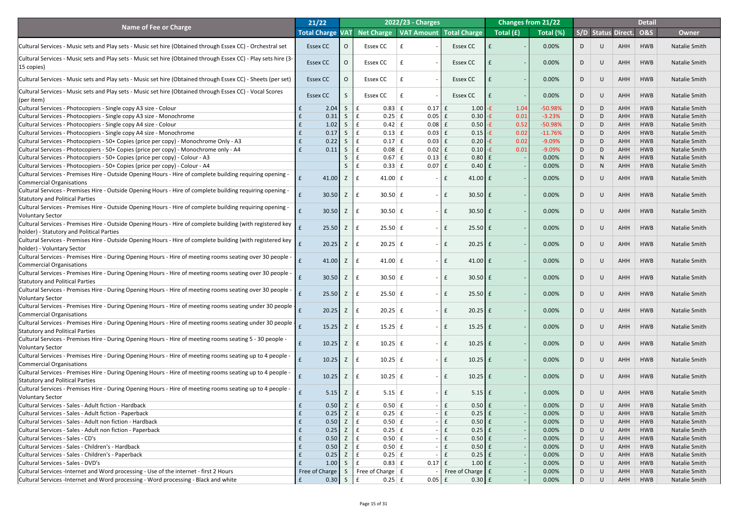|                                                                                                                                                           | 21/22                   |            |                                     | 2022/23 - Charges        |                                        | <b>Changes from 21/22</b> |           |    |                |                           | <b>Detail</b>  |                      |
|-----------------------------------------------------------------------------------------------------------------------------------------------------------|-------------------------|------------|-------------------------------------|--------------------------|----------------------------------------|---------------------------|-----------|----|----------------|---------------------------|----------------|----------------------|
| <b>Name of Fee or Charge</b>                                                                                                                              | <b>Total Charge VAT</b> |            |                                     |                          | Net Charge   VAT Amount   Total Charge | Total (£)                 | Total (%) |    |                | <b>S/D Status Direct.</b> | <b>O&amp;S</b> | <b>Owner</b>         |
| Cultural Services - Music sets and Play sets - Music set hire (Obtained through Essex CC) - Orchestral set                                                | <b>Essex CC</b>         |            | <b>Essex CC</b>                     |                          | <b>Essex CC</b>                        |                           | 0.00%     |    | $\cup$         | AHH                       | <b>HWB</b>     | <b>Natalie Smith</b> |
|                                                                                                                                                           |                         |            |                                     |                          |                                        |                           |           |    |                |                           |                |                      |
| Cultural Services - Music sets and Play sets - Music set hire (Obtained through Essex CC) - Play sets hire (3-<br>$ 15 \text{ copies} $                   | <b>Essex CC</b>         |            | <b>Essex CC</b>                     | $\overline{\phantom{a}}$ | <b>Essex CC</b>                        |                           | 0.00%     | D  | $\cup$         | AHH                       | <b>HWB</b>     | <b>Natalie Smith</b> |
| Cultural Services - Music sets and Play sets - Music set hire (Obtained through Essex CC) - Sheets (per set)                                              | <b>Essex CC</b>         |            | <b>Essex CC</b>                     | $\overline{a}$           | <b>Essex CC</b>                        |                           | 0.00%     | D  | $\cup$         | AHH                       | <b>HWB</b>     | <b>Natalie Smith</b> |
| Cultural Services - Music sets and Play sets - Music set hire (Obtained through Essex CC) - Vocal Scores<br>$ $ (per item)                                | <b>Essex CC</b>         |            | Essex CC                            | $\overline{a}$           | <b>Essex CC</b>                        |                           | 0.00%     | D  | $\cup$         | AHH                       | <b>HWB</b>     | <b>Natalie Smith</b> |
| Cultural Services - Photocopiers - Single copy A3 size - Colour                                                                                           | 2.04                    | S          | $0.83$ $E$<br>$\mathbf{f}$          | $0.17$ $E$               | $1.00$ -f                              | 1.04                      | $-50.98%$ | D  | D              | AHH                       | HWB            | <b>Natalie Smith</b> |
| Cultural Services - Photocopiers - Single copy A3 size - Monochrome                                                                                       | 0.31                    | S          | $\mathbf f$<br>$0.25$ $E$           | $0.05$ $E$               | $0.30 -E$                              | 0.01                      | $-3.23%$  | D  | D              | AHH                       | <b>HWB</b>     | <b>Natalie Smith</b> |
| Cultural Services - Photocopiers - Single copy A4 size - Colour                                                                                           | 1.02                    | $\sqrt{5}$ | $0.42 \mid f$<br>$\mathbf f$        | $0.08$ $E$               | $0.50$ -£                              | 0.52                      | $-50.98%$ | D  | D              | AHH                       | <b>HWB</b>     | <b>Natalie Smith</b> |
| Cultural Services - Photocopiers - Single copy A4 size - Monochrome                                                                                       | 0.17                    | S          | $\mathbf{f}$<br>$0.13$ $E$          | $0.03$ $E$               | $0.15 - E$                             | 0.02                      | $-11.76%$ | D  | D              | AHH                       | <b>HWB</b>     | <b>Natalie Smith</b> |
| Cultural Services - Photocopiers - 50+ Copies (price per copy) - Monochrome Only - A3                                                                     | 0.22                    | S          | $0.17 \mid f$<br>$\mathbf{f}$       | $0.03$ $E$               | $0.20$ -£                              | 0.02                      | $-9.09%$  | D  | D              | AHH                       | <b>HWB</b>     | <b>Natalie Smith</b> |
| Cultural Services - Photocopiers - 50+ Copies (price per copy) - Monochrome only - A4                                                                     | 0.11                    | S          | $0.08$ $E$<br>$\mathbf f$           | $0.02$ $E$               | $0.10$ -£                              | 0.01                      | $-9.09%$  | D  | D              | AHH                       | <b>HWB</b>     | <b>Natalie Smith</b> |
| Cultural Services - Photocopiers - 50+ Copies (price per copy) - Colour - A3                                                                              |                         |            | $0.67 \mid f$                       | $0.13$ $E$               | $0.80$ $E$                             |                           | 0.00%     | D  | N <sub>1</sub> | AHH                       | <b>HWB</b>     | <b>Natalie Smith</b> |
| Cultural Services - Photocopiers - 50+ Copies (price per copy) - Colour - A4                                                                              |                         |            | $0.33$ $E$                          | $0.07 \mid f \mid$       | $0.40$ $E$                             |                           | 0.00%     | D  | N <sub>1</sub> | AHH                       | <b>HWB</b>     | <b>Natalie Smith</b> |
| Cultural Services - Premises Hire - Outside Opening Hours - Hire of complete building requiring opening -<br><b>Commercial Organisations</b>              | 41.00                   | Z          | $41.00 \mid f$<br>$\mathbf{f}$      | $\sim$ $\sim$            | 41.00 $\vert$ £                        |                           | 0.00%     | D  | U              | <b>AHH</b>                | <b>HWB</b>     | <b>Natalie Smith</b> |
| Cultural Services - Premises Hire - Outside Opening Hours - Hire of complete building requiring opening -<br><b>Statutory and Political Parties</b>       | 30.50                   | Z          | $30.50 \mid f \mid$<br>$\mathbf{f}$ | $\sim$ 1                 | $30.50 \mid f$                         |                           | 0.00%     | D  | $\cup$         | <b>AHH</b>                | <b>HWB</b>     | <b>Natalie Smith</b> |
| Cultural Services - Premises Hire - Outside Opening Hours - Hire of complete building requiring opening -<br><b>Voluntary Sector</b>                      | 30.50                   | Z          | $30.50 \mid f \mid$<br>£            | $\sim$                   | $30.50 \mid f$<br>£                    |                           | 0.00%     | D  | $\cup$         | AHH                       | <b>HWB</b>     | <b>Natalie Smith</b> |
| Cultural Services - Premises Hire - Outside Opening Hours - Hire of complete building (with registered key                                                | 25.50                   | Z          | $25.50 \mid f$<br>$\mathbf{f}$      | $\sim$                   | $25.50 \text{ }$ £<br>$\mathbf f$      |                           | 0.00%     | D  | U              | <b>AHH</b>                | <b>HWB</b>     | <b>Natalie Smith</b> |
| holder) - Statutory and Political Parties<br> Cultural Services - Premises Hire - Outside Opening Hours - Hire of complete building (with registered key  | 20.25                   | Z          | $20.25$ £<br>£                      | $\sim$                   | $20.25$ f<br>$\mathbf{f}$              |                           | 0.00%     | D  | $\cup$         | <b>AHH</b>                | <b>HWB</b>     | <b>Natalie Smith</b> |
| holder) - Voluntary Sector<br>Cultural Services - Premises Hire - During Opening Hours - Hire of meeting rooms seating over 30 people -                   |                         | Z          |                                     |                          |                                        |                           |           |    |                |                           | <b>HWB</b>     |                      |
| <b>Commercial Organisations</b>                                                                                                                           | 41.00                   |            | 41.00 $E$<br>£                      | $\sim$                   | $41.00$ £<br>$\mathbf{f}$              |                           | 0.00%     | D  | $\cup$         | <b>AHH</b>                |                | <b>Natalie Smith</b> |
| Cultural Services - Premises Hire - During Opening Hours - Hire of meeting rooms seating over 30 people -<br><b>Statutory and Political Parties</b>       | 30.50                   | Z          | $30.50 \, \text{E}$<br>£            | $\sim$                   | $30.50$ £                              |                           | 0.00%     | D  | $\cup$         | <b>AHH</b>                | <b>HWB</b>     | <b>Natalie Smith</b> |
| Cultural Services - Premises Hire - During Opening Hours - Hire of meeting rooms seating over 30 people -<br><b>Voluntary Sector</b>                      | 25.50                   | Z          | $25.50 \mid f$<br>£                 | $\sim$                   | $25.50 \text{ }$ £                     |                           | 0.00%     | D  | $\cup$         | <b>AHH</b>                | <b>HWB</b>     | <b>Natalie Smith</b> |
| Cultural Services - Premises Hire - During Opening Hours - Hire of meeting rooms seating under 30 people $\frac{1}{f}$<br><b>Commercial Organisations</b> | 20.25                   | Z          | $20.25$ £<br>£                      | $\sim$                   | $20.25$ £<br>$\mathbf{f}$              |                           | 0.00%     | D  | $\cup$         | <b>AHH</b>                | <b>HWB</b>     | <b>Natalie Smith</b> |
| Cultural Services - Premises Hire - During Opening Hours - Hire of meeting rooms seating under 30 people $\frac{1}{f}$                                    |                         |            |                                     |                          |                                        |                           |           |    |                |                           |                |                      |
| <b>Statutory and Political Parties</b>                                                                                                                    | 15.25                   | Z          | $15.25 \mid f$<br>£                 | $\sim$                   | $15.25$ £<br>$\mathbf{f}$              |                           | 0.00%     | D  | $\cup$         | <b>AHH</b>                | <b>HWB</b>     | <b>Natalie Smith</b> |
| Cultural Services - Premises Hire - During Opening Hours - Hire of meeting rooms seating 5 - 30 people -<br><b>Voluntary Sector</b>                       | 10.25                   | Z          | $10.25$ f<br>£                      | $\sim$                   | $10.25$ f<br>$\mathbf{f}$              |                           | 0.00%     | D  | $\cup$         | <b>AHH</b>                | <b>HWB</b>     | <b>Natalie Smith</b> |
| Cultural Services - Premises Hire - During Opening Hours - Hire of meeting rooms seating up to 4 people -<br><b>Commercial Organisations</b>              | 10.25                   | Z          | $10.25$ f<br>£                      | $\sim$                   | $10.25$ f<br>$\mathbf{f}$              |                           | 0.00%     | D  | $\cup$         | <b>AHH</b>                | <b>HWB</b>     | <b>Natalie Smith</b> |
| Cultural Services - Premises Hire - During Opening Hours - Hire of meeting rooms seating up to 4 people -<br><b>Statutory and Political Parties</b>       | 10.25                   | Z          | $10.25$ £<br>$\mathbf{f}$           | $\sim$                   | $10.25$ f<br>$\mathbf{f}$              |                           | 0.00%     | D  | $\cup$         | <b>AHH</b>                | <b>HWB</b>     | <b>Natalie Smith</b> |
| Cultural Services - Premises Hire - During Opening Hours - Hire of meeting rooms seating up to 4 people -<br><b>Voluntary Sector</b>                      | 5.15                    | Z          | $5.15 \mid f$<br>£                  | $\sim$                   | $5.15$ $E$<br>$\mathbf{f}$             |                           | 0.00%     | D  | U              | <b>AHH</b>                | <b>HWB</b>     | <b>Natalie Smith</b> |
| Cultural Services - Sales - Adult fiction - Hardback                                                                                                      | 0.50                    |            | $0.50 \mid f$                       |                          | $0.50$ $E$<br>$\mathbf{f}$             |                           | 0.00%     | D  | $\cup$         | AHH                       | <b>HWB</b>     | <b>Natalie Smith</b> |
| Cultural Services - Sales - Adult fiction - Paperback                                                                                                     | 0.25                    |            | $0.25$ £                            |                          | $\mathbf{f}$<br>$0.25$ £               |                           | 0.00%     | D  |                | AHH                       | <b>HWB</b>     | <b>Natalie Smith</b> |
| Cultural Services - Sales - Adult non fiction - Hardback                                                                                                  | 0.50                    |            | $0.50 \mid f$                       |                          | $0.50$ £                               |                           | 0.00%     | D. |                | AHH                       | <b>HWB</b>     | <b>Natalie Smith</b> |
| Cultural Services - Sales - Adult non fiction - Paperback                                                                                                 | 0.25<br>E               |            | $Z \mid f$<br>$0.25$ $E$            |                          | $0.25$ f<br>E                          |                           | 0.00%     | D  |                | AHH                       | HWB            | <b>Natalie Smith</b> |
| Cultural Services - Sales - CD's                                                                                                                          | 0.50                    |            | $Z \mid f$<br>$0.50 \mid f$         |                          | $0.50$ $f$<br>$ E$                     |                           | 0.00%     | D  | U              | AHH                       | HWB            | Natalie Smith        |
| Cultural Services - Sales - Children's - Hardback                                                                                                         | 0.50                    | Z          | $0.50 \mid f$                       |                          | $0.50$ £<br>$\mathbf{f}$               |                           | 0.00%     | D  | U              | AHH                       | HWB            | <b>Natalie Smith</b> |
| Cultural Services - Sales - Children's - Paperback                                                                                                        | 0.25                    |            | $0.25 \mid f$                       |                          | $0.25$ $E$<br>$\mathbf{f}$             |                           | 0.00%     | D  |                | <b>AHH</b>                | <b>HWB</b>     | Natalie Smith        |
| Cultural Services - Sales - DVD's                                                                                                                         | 1.00                    | S.         | $0.83 \mid f$                       | $0.17$ $E$               | $1.00$ $E$                             |                           | 0.00%     | D  | U              | AHH                       | HWB            | <b>Natalie Smith</b> |
| Cultural Services -Internet and Word processing - Use of the internet - first 2 Hours                                                                     | Free of Charge          | S          | Free of Charge $\vert$ £            |                          | Free of Charge   £                     |                           | 0.00%     | D  | U              | <b>AHH</b>                | <b>HWB</b>     | <b>Natalie Smith</b> |
| Cultural Services - Internet and Word processing - Word processing - Black and white                                                                      | $\mathbf{f}$            | $0.30$ S E | $0.25 \mid f$                       | $0.05$ $E$               | $0.30$ $f$                             |                           | 0.00%     | D  | U              | AHH                       | HWB            | Natalie Smith        |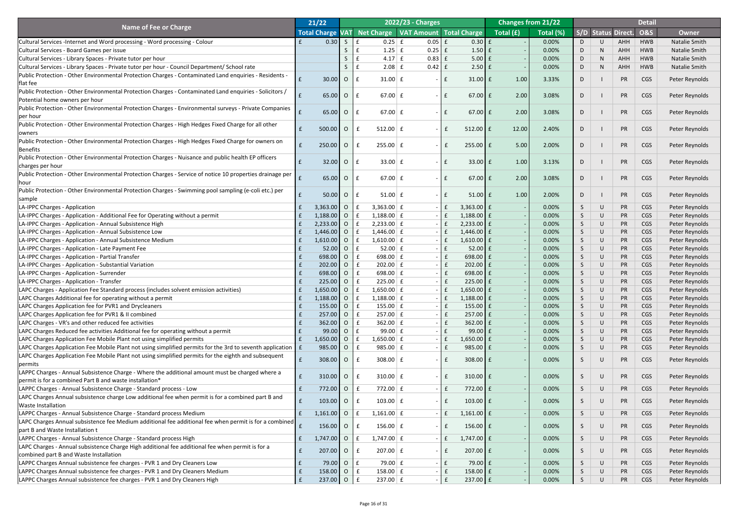| Total Charge VAT Net Charge   VAT Amount   Total Charge<br><b>S/D Status Direct.</b><br>Total (£)<br>Total (%)<br><b>O&amp;S</b><br><b>Owner</b><br>0.30<br>S<br>$0.25$ $E$<br>$0.30$ $E$<br>0.00%<br><b>Natalie Smith</b><br>Cultural Services -Internet and Word processing - Word processing - Colour<br><b>HWB</b><br>0.05<br>$\mathbf f$<br>AHH<br>0.00%<br>Cultural Services - Board Games per issue<br>$1.25$ f<br>$1.50$ $E$<br>AHH<br><b>HWB</b><br><b>Natalie Smith</b><br>$0.25$ $E$<br>D<br>Cultural Services - Library Spaces - Private tutor per hour<br>$4.17 \mid f$<br>$5.00 \mid f$<br>0.00%<br>AHH<br><b>HWB</b><br><b>Natalie Smith</b><br>$0.83 \mid f$<br>D<br>Cultural Services - Library Spaces - Private tutor per hour - Council Department/ School rate<br>$2.08$ $E$<br>$2.50 \mid f$<br>0.00%<br>AHH<br><b>HWB</b><br>Natalie Smith<br>$0.42$   $E$<br>D<br>N <sub>1</sub><br>Public Protection - Other Environmental Protection Charges - Contaminated Land enquiries - Residents -<br>30.00<br>$\overline{O}$<br>CGS<br>$31.00 \mid f$<br>$31.00$ $E$<br>1.00<br>3.33%<br><b>PR</b><br>Peter Reynolds<br>£<br>$\mathbf{f}$<br>D<br>$\sim$<br>flat fee<br>Public Protection - Other Environmental Protection Charges - Contaminated Land enquiries - Solicitors /<br>2.00<br>65.00<br>$\overline{O}$<br>67.00 $E$<br>$67.00$ £<br>3.08%<br><b>PR</b><br>CGS<br>$\mathbf{f}$<br>Peter Reynolds<br>E<br>D<br>$\sim$<br>Potential home owners per hour<br>Public Protection - Other Environmental Protection Charges - Environmental surveys - Private Companies<br>2.00<br>65.00<br>$\overline{O}$<br>67.00 $E$<br>$67.00$ £<br>3.08%<br><b>PR</b><br>CGS<br>$\mathbf{f}$<br>Peter Reynolds<br>$\mathbf{f}$<br>D<br>$\sim$<br>per hour<br>Public Protection - Other Environmental Protection Charges - High Hedges Fixed Charge for all other<br>500.00<br>$\overline{O}$<br>$512.00 \mid f$<br>12.00<br>2.40%<br><b>PR</b><br>CGS<br>$512.00$ $E$<br>$\mathbf{f}$<br>$\mathbf{f}$<br>Peter Reynolds<br>D<br>$\sim$<br>owners<br>Public Protection - Other Environmental Protection Charges - High Hedges Fixed Charge for owners on<br>5.00<br>250.00<br>$\overline{O}$<br>$255.00 \mid f$<br>2.00%<br><b>PR</b><br>CGS<br>$255.00$ $E$<br>$\mathbf{f}$<br>Peter Reynolds<br>D<br>$\sim$<br><b>Benefits</b><br>Public Protection - Other Environmental Protection Charges - Nuisance and public health EP officers<br>32.00<br>$\overline{O}$<br>$33.00 \mid f$<br>$33.00 \mid f$<br>1.00<br>3.13%<br><b>PR</b><br>CGS<br>$\mathbf{f}$<br>Peter Reynolds<br>£<br>D<br>$\sim$<br>charges per hour<br>Public Protection - Other Environmental Protection Charges - Service of notice 10 properties drainage per<br>2.00<br>65.00<br>$\overline{O}$<br>67.00 $E$<br>$67.00$ £<br>3.08%<br><b>PR</b><br>CGS<br>$\mathbf{f}$<br>Peter Reynolds<br>$\mathbf{f}$<br>D<br>$\sim$<br>Public Protection - Other Environmental Protection Charges - Swimming pool sampling (e-coli etc.) per<br>50.00<br>$\overline{O}$<br>1.00<br>2.00%<br><b>PR</b><br>CGS<br>$51.00 \mid f$<br>$51.00$ $E$<br>$\mathbf{f}$<br>Peter Reynolds<br>$\mathbf{f}$<br>D<br>$\sim$<br>sample<br>$3,363.00$ 0<br>$3,363.00 \mid f$<br>$3,363.00 \mid f$<br>0.00%<br><b>PR</b><br><b>CGS</b><br>Peter Reynolds<br>LA-IPPC Charges - Application<br>f<br><sub>S</sub><br>U<br>LA-IPPC Charges - Application - Additional Fee for Operating without a permit<br>$1,188.00$ 0<br>$\mathbf{f}$<br>0.00%<br>$1,188.00 \mid f$<br>$1,188.00$ £<br><b>PR</b><br><b>CGS</b><br>Peter Reynolds<br>S.<br>U<br>$2,233.00$ 0<br>$2,233.00$ £<br>$2,233.00$ £<br>0.00%<br>Peter Reynolds<br>LA-IPPC Charges - Application - Annual Subsistence High<br><b>PR</b><br>CGS<br>$\mathbf f$<br>$1,446.00$ O<br>0.00%<br>LA-IPPC Charges - Application - Annual Subsistence Low<br>$1,446.00 \mid f$<br>E<br>1,446.00 £<br><b>PR</b><br><b>CGS</b><br>Peter Reynolds<br><sub>S</sub><br>U<br>$1,610.00$ 0<br>$1,610.00 \mid f$<br>E<br>$1,610.00$ £<br>0.00%<br><b>PR</b><br><b>CGS</b><br>Peter Reynolds<br>LA-IPPC Charges - Application - Annual Subsistence Medium<br><sub>S</sub><br>LA-IPPC Charges - Application - Late Payment Fee<br>52.00<br>$52.00 \mid f$<br>$52.00$ $E$<br>0.00%<br><b>PR</b><br><b>CGS</b><br>Peter Reynolds<br>$\overline{O}$<br><sub>S</sub><br>698.00 O<br>698.00 $E$<br>$698.00$ E<br>0.00%<br><b>PR</b><br><b>CGS</b><br>Peter Reynolds<br>LA-IPPC Charges - Application - Partial Transfer<br>£<br><sub>S</sub><br>$202.00$ 0<br>$\mathbf{f}$<br>0.00%<br><b>PR</b><br>LA-IPPC Charges - Application - Substantial Variation<br>$202.00$ $E$<br>$202.00$ $E$<br><b>CGS</b><br>Peter Reynolds<br>£<br>S<br>698.00 O<br>698.00 $E$<br>698.00 $E$<br>0.00%<br><b>PR</b><br><b>CGS</b><br>Peter Reynolds<br>LA-IPPC Charges - Application - Surrender<br>£<br><sub>S</sub><br>$225.00$ 0<br>0.00%<br><b>PR</b><br>LA-IPPC Charges - Application - Transfer<br>$225.00 \mid f$<br>$225.00$ $E$<br><b>CGS</b><br>Peter Reynolds<br><sub>S</sub><br>LAPC Charges - Application Fee Standard process (includes solvent emission activities)<br>$1,650.00$ 0<br>$1,650.00 \mid f$<br>E<br>$1,650.00$ £<br>0.00%<br><b>PR</b><br><b>CGS</b><br>Peter Reynolds<br>S<br>$1,188.00$ 0<br>0.00%<br><b>PR</b><br>LAPC Charges Additional fee for operating without a permit<br>$1,188.00 \mid f$<br>E<br>1,188.00 £<br><b>CGS</b><br>Peter Reynolds<br><sub>S</sub><br>LAPC Charges Application fee for PVR1 and Drycleaners<br>$155.00$ 0<br>$155.00 \mid f$<br>0.00%<br><b>PR</b><br><b>CGS</b><br>Peter Reynolds<br>$155.00$   £<br>S<br>LAPC Charges Application fee for PVR1 & II combined<br>$257.00$ 0<br>0.00%<br><b>PR</b><br>$257.00 \mid f$<br>$257.00$ $E$<br><b>CGS</b><br>Peter Reynolds<br>£<br><sub>S</sub><br>$362.00$ 0<br>$\mathbf{f}$<br>LAPC Charges - VR's and other reduced fee activities<br>$362.00 \mid f$<br>$362.00$ $E$<br>0.00%<br><b>PR</b><br><b>CGS</b><br>Peter Reynolds<br>£<br>S<br>LAPC Charges Reduced fee activities Additional fee for operating without a permit<br>0.00%<br><b>PR</b><br>99.00<br>$\overline{O}$<br>99.00 $E$<br>$99.00$ £<br><b>CGS</b><br>Peter Reynolds<br>£<br><sub>S</sub><br>$1,650.00$ O<br>0.00%<br>Peter Reynolds<br>LAPC Charges Application Fee Mobile Plant not using simplified permits<br>$1,650.00 \mid f$<br>l £<br>$1,650.00$ £<br><b>PR</b><br><b>CGS</b><br>S<br>$985.00$ 0<br>$\mathbf{f}$<br><b>PR</b><br>LAPC Charges Application Fee Mobile Plant not using simplified permits for the 3rd to seventh application $\vert$ £<br>0.00%<br><b>CGS</b><br>Peter Reynolds<br>$985.00 \mid f$<br>$985.00$   £<br>£<br>S.<br>U<br>LAPC Charges Application Fee Mobile Plant not using simplified permits for the eighth and subsequent<br>$308.00$ 0<br>$308.00 \mid f$<br>$\mathbf{f}$<br>0.00%<br><b>PR</b><br>CGS<br>$\mathbf{f}$<br>$308.00$ $E$<br>Peter Reynolds<br>$\mathcal{L}$<br>$\sim$<br>permits<br>LAPPC Charges - Annual Subsistence Charge - Where the additional amount must be charged where a<br><b>PR</b><br>$\overline{O}$<br>310.00 $E$<br>$\mathbf{f}$<br>$310.00$ $E$<br>0.00%<br>CGS<br>310.00<br>$\mathbf{f}$<br>Peter Reynolds<br>U<br>5<br>$\sim$<br>permit is for a combined Part B and waste installation*<br>772.00 O<br>0.00%<br><b>PR</b><br>$772.00 \mid f$<br>E<br>772.00 £<br><b>CGS</b><br>LAPPC Charges - Annual Subsistence Charge - Standard process - Low<br>Peter Reynolds<br>£<br>U<br>S.<br>LAPC Charges Annual subsistence charge Low additional fee when permit is for a combined part B and<br>103.00<br>103.00 $E$<br>103.00 $E$<br>0.00%<br><b>PR</b><br>$\overline{O}$<br>$\mathbf{f}$<br><b>CGS</b><br>Peter Reynolds<br>$\mathbf{f}$<br>U<br>$\mathcal{P}$<br>$\sim$<br><b>Waste Installation</b><br>$1,161.00$ 0<br><b>PR</b><br>$1,161.00 \mid f$<br>$1,161.00$ $E$<br>0.00%<br><b>CGS</b><br>Peter Reynolds<br>LAPPC Charges - Annual Subsistence Charge - Standard process Medium<br>$\mathbf{f}$<br>£<br>S.<br>U<br>LAPC Charges Annual subsistence fee Medium additional fee additional fee when permit is for a combined $\begin{array}{ c c }\n\hline\n\end{array}$<br>156.00   $O$   $E$<br>$156.00 \mid f$<br>156.00 $E$<br>0.00%<br><b>PR</b><br><b>CGS</b><br>Peter Reynolds<br>U<br>part B and Waste Installation t<br>1,747.00 0<br>0.00%<br>PR<br>Peter Reynolds<br>LAPPC Charges - Annual Subsistence Charge - Standard process High<br>$1,747.00 \mid f$<br>$1,747.00$ £<br><b>CGS</b><br>$\mathbf{f}$<br>$ E$<br>£<br>S.<br>U<br>LAPC Charges - Annual subsistence Charge High additional fee additional fee when permit is for a<br>207.00 0 $\mid$ £<br>$207.00$ $E$<br>$ \mathsf{E}$<br>PR<br>$\mathbf f$<br>$207.00$ $E$<br>0.00%<br><b>CGS</b><br>Peter Reynolds<br>U<br>$\mathcal{P}$<br>combined part B and Waste Installation<br>LAPPC Charges Annual subsistence fee charges - PVR 1 and Dry Cleaners Low<br>79.00<br>$\overline{O}$<br>$79.00 \mid f$<br>79.00 $E$<br>0.00%<br><b>PR</b><br>Peter Reynolds<br>$\mathbf{f}$<br>$ E$<br><b>CGS</b><br>£<br>S.<br>U<br>LAPPC Charges Annual subsistence fee charges - PVR 1 and Dry Cleaners Medium<br>$158.00$ 0<br>Peter Reynolds<br>$158.00 \mid f$<br>$ E$<br>$158.00$ $E$<br>0.00%<br><b>PR</b><br><b>CGS</b><br>Ι£<br>S<br>LAPPC Charges Annual subsistence fee charges - PVR 1 and Dry Cleaners High<br>$237.00$ 0 $\pm$<br>$237.00$ $E$<br>Peter Reynolds<br>E<br>$237.00 \mid f$<br>$ E$<br><b>PR</b><br>0.00%<br><b>CGS</b><br>S.<br>U |                              | 21/22 |  | <b>2022/23 - Charges</b> |  | <b>Changes from 21/22</b> |  |  | <b>Detail</b> |  |
|------------------------------------------------------------------------------------------------------------------------------------------------------------------------------------------------------------------------------------------------------------------------------------------------------------------------------------------------------------------------------------------------------------------------------------------------------------------------------------------------------------------------------------------------------------------------------------------------------------------------------------------------------------------------------------------------------------------------------------------------------------------------------------------------------------------------------------------------------------------------------------------------------------------------------------------------------------------------------------------------------------------------------------------------------------------------------------------------------------------------------------------------------------------------------------------------------------------------------------------------------------------------------------------------------------------------------------------------------------------------------------------------------------------------------------------------------------------------------------------------------------------------------------------------------------------------------------------------------------------------------------------------------------------------------------------------------------------------------------------------------------------------------------------------------------------------------------------------------------------------------------------------------------------------------------------------------------------------------------------------------------------------------------------------------------------------------------------------------------------------------------------------------------------------------------------------------------------------------------------------------------------------------------------------------------------------------------------------------------------------------------------------------------------------------------------------------------------------------------------------------------------------------------------------------------------------------------------------------------------------------------------------------------------------------------------------------------------------------------------------------------------------------------------------------------------------------------------------------------------------------------------------------------------------------------------------------------------------------------------------------------------------------------------------------------------------------------------------------------------------------------------------------------------------------------------------------------------------------------------------------------------------------------------------------------------------------------------------------------------------------------------------------------------------------------------------------------------------------------------------------------------------------------------------------------------------------------------------------------------------------------------------------------------------------------------------------------------------------------------------------------------------------------------------------------------------------------------------------------------------------------------------------------------------------------------------------------------------------------------------------------------------------------------------------------------------------------------------------------------------------------------------------------------------------------------------------------------------------------------------------------------------------------------------------------------------------------------------------------------------------------------------------------------------------------------------------------------------------------------------------------------------------------------------------------------------------------------------------------------------------------------------------------------------------------------------------------------------------------------------------------------------------------------------------------------------------------------------------------------------------------------------------------------------------------------------------------------------------------------------------------------------------------------------------------------------------------------------------------------------------------------------------------------------------------------------------------------------------------------------------------------------------------------------------------------------------------------------------------------------------------------------------------------------------------------------------------------------------------------------------------------------------------------------------------------------------------------------------------------------------------------------------------------------------------------------------------------------------------------------------------------------------------------------------------------------------------------------------------------------------------------------------------------------------------------------------------------------------------------------------------------------------------------------------------------------------------------------------------------------------------------------------------------------------------------------------------------------------------------------------------------------------------------------------------------------------------------------------------------------------------------------------------------------------------------------------------------------------------------------------------------------------------------------------------------------------------------------------------------------------------------------------------------------------------------------------------------------------------------------------------------------------------------------------------------------------------------------------------------------------------------------------------------------------------------------------------------------------------------------------------------------------------------------------------------------------------------------------------------------------------------------------------------------------------------------------------------------------------------------------------------------------------------------------------------------------------------------------------------------------------------------------------------------------------------------------------------------------------------------------------------------------------------------------------------------------------------------------------------------------------------------------------------------------------------------------------------------------------------------------------------------------------------------------------------------------------------------------------------------------------------------------------------------------------------------------------------------------------------------------------------------------------------------------------------------------------------------------------------------------------------------------------------------------------------------------------------------------------------------------------------------------------------------------------------------------------------------------------------------------------------------------------------------------------------------------------------------------------------------------------------------------------------------------------------------------------------------------------------------------------------------------------------------------------------------------------------------------------------------------------------------------------------------------------------------------------------------------------------------------------------------------------------------------------------------------------------------------------------------------------------------------------------------------------------------------------------------------------------------------------------------------------------------------------------------------------------------------------------------------------------------------------------------------------------------------------------------------------------------------------------------------------------------------------------------------------------------------------------------------------------------------------------------------|------------------------------|-------|--|--------------------------|--|---------------------------|--|--|---------------|--|
|                                                                                                                                                                                                                                                                                                                                                                                                                                                                                                                                                                                                                                                                                                                                                                                                                                                                                                                                                                                                                                                                                                                                                                                                                                                                                                                                                                                                                                                                                                                                                                                                                                                                                                                                                                                                                                                                                                                                                                                                                                                                                                                                                                                                                                                                                                                                                                                                                                                                                                                                                                                                                                                                                                                                                                                                                                                                                                                                                                                                                                                                                                                                                                                                                                                                                                                                                                                                                                                                                                                                                                                                                                                                                                                                                                                                                                                                                                                                                                                                                                                                                                                                                                                                                                                                                                                                                                                                                                                                                                                                                                                                                                                                                                                                                                                                                                                                                                                                                                                                                                                                                                                                                                                                                                                                                                                                                                                                                                                                                                                                                                                                                                                                                                                                                                                                                                                                                                                                                                                                                                                                                                                                                                                                                                                                                                                                                                                                                                                                                                                                                                                                                                                                                                                                                                                                                                                                                                                                                                                                                                                                                                                                                                                                                                                                                                                                                                                                                                                                                                                                                                                                                                                                                                                                                                                                                                                                                                                                                                                                                                                                                                                                                                                                                                                                                                                                                                                                                                                                                                                                                                                                                                                                                                                                                                                                                                                                                                                                                                                                                                                                                                                                                                                                                                                                                                                                                                                                                                                                                                                                                      | <b>Name of Fee or Charge</b> |       |  |                          |  |                           |  |  |               |  |
|                                                                                                                                                                                                                                                                                                                                                                                                                                                                                                                                                                                                                                                                                                                                                                                                                                                                                                                                                                                                                                                                                                                                                                                                                                                                                                                                                                                                                                                                                                                                                                                                                                                                                                                                                                                                                                                                                                                                                                                                                                                                                                                                                                                                                                                                                                                                                                                                                                                                                                                                                                                                                                                                                                                                                                                                                                                                                                                                                                                                                                                                                                                                                                                                                                                                                                                                                                                                                                                                                                                                                                                                                                                                                                                                                                                                                                                                                                                                                                                                                                                                                                                                                                                                                                                                                                                                                                                                                                                                                                                                                                                                                                                                                                                                                                                                                                                                                                                                                                                                                                                                                                                                                                                                                                                                                                                                                                                                                                                                                                                                                                                                                                                                                                                                                                                                                                                                                                                                                                                                                                                                                                                                                                                                                                                                                                                                                                                                                                                                                                                                                                                                                                                                                                                                                                                                                                                                                                                                                                                                                                                                                                                                                                                                                                                                                                                                                                                                                                                                                                                                                                                                                                                                                                                                                                                                                                                                                                                                                                                                                                                                                                                                                                                                                                                                                                                                                                                                                                                                                                                                                                                                                                                                                                                                                                                                                                                                                                                                                                                                                                                                                                                                                                                                                                                                                                                                                                                                                                                                                                                                                      |                              |       |  |                          |  |                           |  |  |               |  |
|                                                                                                                                                                                                                                                                                                                                                                                                                                                                                                                                                                                                                                                                                                                                                                                                                                                                                                                                                                                                                                                                                                                                                                                                                                                                                                                                                                                                                                                                                                                                                                                                                                                                                                                                                                                                                                                                                                                                                                                                                                                                                                                                                                                                                                                                                                                                                                                                                                                                                                                                                                                                                                                                                                                                                                                                                                                                                                                                                                                                                                                                                                                                                                                                                                                                                                                                                                                                                                                                                                                                                                                                                                                                                                                                                                                                                                                                                                                                                                                                                                                                                                                                                                                                                                                                                                                                                                                                                                                                                                                                                                                                                                                                                                                                                                                                                                                                                                                                                                                                                                                                                                                                                                                                                                                                                                                                                                                                                                                                                                                                                                                                                                                                                                                                                                                                                                                                                                                                                                                                                                                                                                                                                                                                                                                                                                                                                                                                                                                                                                                                                                                                                                                                                                                                                                                                                                                                                                                                                                                                                                                                                                                                                                                                                                                                                                                                                                                                                                                                                                                                                                                                                                                                                                                                                                                                                                                                                                                                                                                                                                                                                                                                                                                                                                                                                                                                                                                                                                                                                                                                                                                                                                                                                                                                                                                                                                                                                                                                                                                                                                                                                                                                                                                                                                                                                                                                                                                                                                                                                                                                                      |                              |       |  |                          |  |                           |  |  |               |  |
|                                                                                                                                                                                                                                                                                                                                                                                                                                                                                                                                                                                                                                                                                                                                                                                                                                                                                                                                                                                                                                                                                                                                                                                                                                                                                                                                                                                                                                                                                                                                                                                                                                                                                                                                                                                                                                                                                                                                                                                                                                                                                                                                                                                                                                                                                                                                                                                                                                                                                                                                                                                                                                                                                                                                                                                                                                                                                                                                                                                                                                                                                                                                                                                                                                                                                                                                                                                                                                                                                                                                                                                                                                                                                                                                                                                                                                                                                                                                                                                                                                                                                                                                                                                                                                                                                                                                                                                                                                                                                                                                                                                                                                                                                                                                                                                                                                                                                                                                                                                                                                                                                                                                                                                                                                                                                                                                                                                                                                                                                                                                                                                                                                                                                                                                                                                                                                                                                                                                                                                                                                                                                                                                                                                                                                                                                                                                                                                                                                                                                                                                                                                                                                                                                                                                                                                                                                                                                                                                                                                                                                                                                                                                                                                                                                                                                                                                                                                                                                                                                                                                                                                                                                                                                                                                                                                                                                                                                                                                                                                                                                                                                                                                                                                                                                                                                                                                                                                                                                                                                                                                                                                                                                                                                                                                                                                                                                                                                                                                                                                                                                                                                                                                                                                                                                                                                                                                                                                                                                                                                                                                                      |                              |       |  |                          |  |                           |  |  |               |  |
|                                                                                                                                                                                                                                                                                                                                                                                                                                                                                                                                                                                                                                                                                                                                                                                                                                                                                                                                                                                                                                                                                                                                                                                                                                                                                                                                                                                                                                                                                                                                                                                                                                                                                                                                                                                                                                                                                                                                                                                                                                                                                                                                                                                                                                                                                                                                                                                                                                                                                                                                                                                                                                                                                                                                                                                                                                                                                                                                                                                                                                                                                                                                                                                                                                                                                                                                                                                                                                                                                                                                                                                                                                                                                                                                                                                                                                                                                                                                                                                                                                                                                                                                                                                                                                                                                                                                                                                                                                                                                                                                                                                                                                                                                                                                                                                                                                                                                                                                                                                                                                                                                                                                                                                                                                                                                                                                                                                                                                                                                                                                                                                                                                                                                                                                                                                                                                                                                                                                                                                                                                                                                                                                                                                                                                                                                                                                                                                                                                                                                                                                                                                                                                                                                                                                                                                                                                                                                                                                                                                                                                                                                                                                                                                                                                                                                                                                                                                                                                                                                                                                                                                                                                                                                                                                                                                                                                                                                                                                                                                                                                                                                                                                                                                                                                                                                                                                                                                                                                                                                                                                                                                                                                                                                                                                                                                                                                                                                                                                                                                                                                                                                                                                                                                                                                                                                                                                                                                                                                                                                                                                                      |                              |       |  |                          |  |                           |  |  |               |  |
|                                                                                                                                                                                                                                                                                                                                                                                                                                                                                                                                                                                                                                                                                                                                                                                                                                                                                                                                                                                                                                                                                                                                                                                                                                                                                                                                                                                                                                                                                                                                                                                                                                                                                                                                                                                                                                                                                                                                                                                                                                                                                                                                                                                                                                                                                                                                                                                                                                                                                                                                                                                                                                                                                                                                                                                                                                                                                                                                                                                                                                                                                                                                                                                                                                                                                                                                                                                                                                                                                                                                                                                                                                                                                                                                                                                                                                                                                                                                                                                                                                                                                                                                                                                                                                                                                                                                                                                                                                                                                                                                                                                                                                                                                                                                                                                                                                                                                                                                                                                                                                                                                                                                                                                                                                                                                                                                                                                                                                                                                                                                                                                                                                                                                                                                                                                                                                                                                                                                                                                                                                                                                                                                                                                                                                                                                                                                                                                                                                                                                                                                                                                                                                                                                                                                                                                                                                                                                                                                                                                                                                                                                                                                                                                                                                                                                                                                                                                                                                                                                                                                                                                                                                                                                                                                                                                                                                                                                                                                                                                                                                                                                                                                                                                                                                                                                                                                                                                                                                                                                                                                                                                                                                                                                                                                                                                                                                                                                                                                                                                                                                                                                                                                                                                                                                                                                                                                                                                                                                                                                                                                                      |                              |       |  |                          |  |                           |  |  |               |  |
|                                                                                                                                                                                                                                                                                                                                                                                                                                                                                                                                                                                                                                                                                                                                                                                                                                                                                                                                                                                                                                                                                                                                                                                                                                                                                                                                                                                                                                                                                                                                                                                                                                                                                                                                                                                                                                                                                                                                                                                                                                                                                                                                                                                                                                                                                                                                                                                                                                                                                                                                                                                                                                                                                                                                                                                                                                                                                                                                                                                                                                                                                                                                                                                                                                                                                                                                                                                                                                                                                                                                                                                                                                                                                                                                                                                                                                                                                                                                                                                                                                                                                                                                                                                                                                                                                                                                                                                                                                                                                                                                                                                                                                                                                                                                                                                                                                                                                                                                                                                                                                                                                                                                                                                                                                                                                                                                                                                                                                                                                                                                                                                                                                                                                                                                                                                                                                                                                                                                                                                                                                                                                                                                                                                                                                                                                                                                                                                                                                                                                                                                                                                                                                                                                                                                                                                                                                                                                                                                                                                                                                                                                                                                                                                                                                                                                                                                                                                                                                                                                                                                                                                                                                                                                                                                                                                                                                                                                                                                                                                                                                                                                                                                                                                                                                                                                                                                                                                                                                                                                                                                                                                                                                                                                                                                                                                                                                                                                                                                                                                                                                                                                                                                                                                                                                                                                                                                                                                                                                                                                                                                                      |                              |       |  |                          |  |                           |  |  |               |  |
|                                                                                                                                                                                                                                                                                                                                                                                                                                                                                                                                                                                                                                                                                                                                                                                                                                                                                                                                                                                                                                                                                                                                                                                                                                                                                                                                                                                                                                                                                                                                                                                                                                                                                                                                                                                                                                                                                                                                                                                                                                                                                                                                                                                                                                                                                                                                                                                                                                                                                                                                                                                                                                                                                                                                                                                                                                                                                                                                                                                                                                                                                                                                                                                                                                                                                                                                                                                                                                                                                                                                                                                                                                                                                                                                                                                                                                                                                                                                                                                                                                                                                                                                                                                                                                                                                                                                                                                                                                                                                                                                                                                                                                                                                                                                                                                                                                                                                                                                                                                                                                                                                                                                                                                                                                                                                                                                                                                                                                                                                                                                                                                                                                                                                                                                                                                                                                                                                                                                                                                                                                                                                                                                                                                                                                                                                                                                                                                                                                                                                                                                                                                                                                                                                                                                                                                                                                                                                                                                                                                                                                                                                                                                                                                                                                                                                                                                                                                                                                                                                                                                                                                                                                                                                                                                                                                                                                                                                                                                                                                                                                                                                                                                                                                                                                                                                                                                                                                                                                                                                                                                                                                                                                                                                                                                                                                                                                                                                                                                                                                                                                                                                                                                                                                                                                                                                                                                                                                                                                                                                                                                                      |                              |       |  |                          |  |                           |  |  |               |  |
|                                                                                                                                                                                                                                                                                                                                                                                                                                                                                                                                                                                                                                                                                                                                                                                                                                                                                                                                                                                                                                                                                                                                                                                                                                                                                                                                                                                                                                                                                                                                                                                                                                                                                                                                                                                                                                                                                                                                                                                                                                                                                                                                                                                                                                                                                                                                                                                                                                                                                                                                                                                                                                                                                                                                                                                                                                                                                                                                                                                                                                                                                                                                                                                                                                                                                                                                                                                                                                                                                                                                                                                                                                                                                                                                                                                                                                                                                                                                                                                                                                                                                                                                                                                                                                                                                                                                                                                                                                                                                                                                                                                                                                                                                                                                                                                                                                                                                                                                                                                                                                                                                                                                                                                                                                                                                                                                                                                                                                                                                                                                                                                                                                                                                                                                                                                                                                                                                                                                                                                                                                                                                                                                                                                                                                                                                                                                                                                                                                                                                                                                                                                                                                                                                                                                                                                                                                                                                                                                                                                                                                                                                                                                                                                                                                                                                                                                                                                                                                                                                                                                                                                                                                                                                                                                                                                                                                                                                                                                                                                                                                                                                                                                                                                                                                                                                                                                                                                                                                                                                                                                                                                                                                                                                                                                                                                                                                                                                                                                                                                                                                                                                                                                                                                                                                                                                                                                                                                                                                                                                                                                                      |                              |       |  |                          |  |                           |  |  |               |  |
|                                                                                                                                                                                                                                                                                                                                                                                                                                                                                                                                                                                                                                                                                                                                                                                                                                                                                                                                                                                                                                                                                                                                                                                                                                                                                                                                                                                                                                                                                                                                                                                                                                                                                                                                                                                                                                                                                                                                                                                                                                                                                                                                                                                                                                                                                                                                                                                                                                                                                                                                                                                                                                                                                                                                                                                                                                                                                                                                                                                                                                                                                                                                                                                                                                                                                                                                                                                                                                                                                                                                                                                                                                                                                                                                                                                                                                                                                                                                                                                                                                                                                                                                                                                                                                                                                                                                                                                                                                                                                                                                                                                                                                                                                                                                                                                                                                                                                                                                                                                                                                                                                                                                                                                                                                                                                                                                                                                                                                                                                                                                                                                                                                                                                                                                                                                                                                                                                                                                                                                                                                                                                                                                                                                                                                                                                                                                                                                                                                                                                                                                                                                                                                                                                                                                                                                                                                                                                                                                                                                                                                                                                                                                                                                                                                                                                                                                                                                                                                                                                                                                                                                                                                                                                                                                                                                                                                                                                                                                                                                                                                                                                                                                                                                                                                                                                                                                                                                                                                                                                                                                                                                                                                                                                                                                                                                                                                                                                                                                                                                                                                                                                                                                                                                                                                                                                                                                                                                                                                                                                                                                                      |                              |       |  |                          |  |                           |  |  |               |  |
|                                                                                                                                                                                                                                                                                                                                                                                                                                                                                                                                                                                                                                                                                                                                                                                                                                                                                                                                                                                                                                                                                                                                                                                                                                                                                                                                                                                                                                                                                                                                                                                                                                                                                                                                                                                                                                                                                                                                                                                                                                                                                                                                                                                                                                                                                                                                                                                                                                                                                                                                                                                                                                                                                                                                                                                                                                                                                                                                                                                                                                                                                                                                                                                                                                                                                                                                                                                                                                                                                                                                                                                                                                                                                                                                                                                                                                                                                                                                                                                                                                                                                                                                                                                                                                                                                                                                                                                                                                                                                                                                                                                                                                                                                                                                                                                                                                                                                                                                                                                                                                                                                                                                                                                                                                                                                                                                                                                                                                                                                                                                                                                                                                                                                                                                                                                                                                                                                                                                                                                                                                                                                                                                                                                                                                                                                                                                                                                                                                                                                                                                                                                                                                                                                                                                                                                                                                                                                                                                                                                                                                                                                                                                                                                                                                                                                                                                                                                                                                                                                                                                                                                                                                                                                                                                                                                                                                                                                                                                                                                                                                                                                                                                                                                                                                                                                                                                                                                                                                                                                                                                                                                                                                                                                                                                                                                                                                                                                                                                                                                                                                                                                                                                                                                                                                                                                                                                                                                                                                                                                                                                                      |                              |       |  |                          |  |                           |  |  |               |  |
|                                                                                                                                                                                                                                                                                                                                                                                                                                                                                                                                                                                                                                                                                                                                                                                                                                                                                                                                                                                                                                                                                                                                                                                                                                                                                                                                                                                                                                                                                                                                                                                                                                                                                                                                                                                                                                                                                                                                                                                                                                                                                                                                                                                                                                                                                                                                                                                                                                                                                                                                                                                                                                                                                                                                                                                                                                                                                                                                                                                                                                                                                                                                                                                                                                                                                                                                                                                                                                                                                                                                                                                                                                                                                                                                                                                                                                                                                                                                                                                                                                                                                                                                                                                                                                                                                                                                                                                                                                                                                                                                                                                                                                                                                                                                                                                                                                                                                                                                                                                                                                                                                                                                                                                                                                                                                                                                                                                                                                                                                                                                                                                                                                                                                                                                                                                                                                                                                                                                                                                                                                                                                                                                                                                                                                                                                                                                                                                                                                                                                                                                                                                                                                                                                                                                                                                                                                                                                                                                                                                                                                                                                                                                                                                                                                                                                                                                                                                                                                                                                                                                                                                                                                                                                                                                                                                                                                                                                                                                                                                                                                                                                                                                                                                                                                                                                                                                                                                                                                                                                                                                                                                                                                                                                                                                                                                                                                                                                                                                                                                                                                                                                                                                                                                                                                                                                                                                                                                                                                                                                                                                                      |                              |       |  |                          |  |                           |  |  |               |  |
|                                                                                                                                                                                                                                                                                                                                                                                                                                                                                                                                                                                                                                                                                                                                                                                                                                                                                                                                                                                                                                                                                                                                                                                                                                                                                                                                                                                                                                                                                                                                                                                                                                                                                                                                                                                                                                                                                                                                                                                                                                                                                                                                                                                                                                                                                                                                                                                                                                                                                                                                                                                                                                                                                                                                                                                                                                                                                                                                                                                                                                                                                                                                                                                                                                                                                                                                                                                                                                                                                                                                                                                                                                                                                                                                                                                                                                                                                                                                                                                                                                                                                                                                                                                                                                                                                                                                                                                                                                                                                                                                                                                                                                                                                                                                                                                                                                                                                                                                                                                                                                                                                                                                                                                                                                                                                                                                                                                                                                                                                                                                                                                                                                                                                                                                                                                                                                                                                                                                                                                                                                                                                                                                                                                                                                                                                                                                                                                                                                                                                                                                                                                                                                                                                                                                                                                                                                                                                                                                                                                                                                                                                                                                                                                                                                                                                                                                                                                                                                                                                                                                                                                                                                                                                                                                                                                                                                                                                                                                                                                                                                                                                                                                                                                                                                                                                                                                                                                                                                                                                                                                                                                                                                                                                                                                                                                                                                                                                                                                                                                                                                                                                                                                                                                                                                                                                                                                                                                                                                                                                                                                                      |                              |       |  |                          |  |                           |  |  |               |  |
|                                                                                                                                                                                                                                                                                                                                                                                                                                                                                                                                                                                                                                                                                                                                                                                                                                                                                                                                                                                                                                                                                                                                                                                                                                                                                                                                                                                                                                                                                                                                                                                                                                                                                                                                                                                                                                                                                                                                                                                                                                                                                                                                                                                                                                                                                                                                                                                                                                                                                                                                                                                                                                                                                                                                                                                                                                                                                                                                                                                                                                                                                                                                                                                                                                                                                                                                                                                                                                                                                                                                                                                                                                                                                                                                                                                                                                                                                                                                                                                                                                                                                                                                                                                                                                                                                                                                                                                                                                                                                                                                                                                                                                                                                                                                                                                                                                                                                                                                                                                                                                                                                                                                                                                                                                                                                                                                                                                                                                                                                                                                                                                                                                                                                                                                                                                                                                                                                                                                                                                                                                                                                                                                                                                                                                                                                                                                                                                                                                                                                                                                                                                                                                                                                                                                                                                                                                                                                                                                                                                                                                                                                                                                                                                                                                                                                                                                                                                                                                                                                                                                                                                                                                                                                                                                                                                                                                                                                                                                                                                                                                                                                                                                                                                                                                                                                                                                                                                                                                                                                                                                                                                                                                                                                                                                                                                                                                                                                                                                                                                                                                                                                                                                                                                                                                                                                                                                                                                                                                                                                                                                                      |                              |       |  |                          |  |                           |  |  |               |  |
|                                                                                                                                                                                                                                                                                                                                                                                                                                                                                                                                                                                                                                                                                                                                                                                                                                                                                                                                                                                                                                                                                                                                                                                                                                                                                                                                                                                                                                                                                                                                                                                                                                                                                                                                                                                                                                                                                                                                                                                                                                                                                                                                                                                                                                                                                                                                                                                                                                                                                                                                                                                                                                                                                                                                                                                                                                                                                                                                                                                                                                                                                                                                                                                                                                                                                                                                                                                                                                                                                                                                                                                                                                                                                                                                                                                                                                                                                                                                                                                                                                                                                                                                                                                                                                                                                                                                                                                                                                                                                                                                                                                                                                                                                                                                                                                                                                                                                                                                                                                                                                                                                                                                                                                                                                                                                                                                                                                                                                                                                                                                                                                                                                                                                                                                                                                                                                                                                                                                                                                                                                                                                                                                                                                                                                                                                                                                                                                                                                                                                                                                                                                                                                                                                                                                                                                                                                                                                                                                                                                                                                                                                                                                                                                                                                                                                                                                                                                                                                                                                                                                                                                                                                                                                                                                                                                                                                                                                                                                                                                                                                                                                                                                                                                                                                                                                                                                                                                                                                                                                                                                                                                                                                                                                                                                                                                                                                                                                                                                                                                                                                                                                                                                                                                                                                                                                                                                                                                                                                                                                                                                                      |                              |       |  |                          |  |                           |  |  |               |  |
|                                                                                                                                                                                                                                                                                                                                                                                                                                                                                                                                                                                                                                                                                                                                                                                                                                                                                                                                                                                                                                                                                                                                                                                                                                                                                                                                                                                                                                                                                                                                                                                                                                                                                                                                                                                                                                                                                                                                                                                                                                                                                                                                                                                                                                                                                                                                                                                                                                                                                                                                                                                                                                                                                                                                                                                                                                                                                                                                                                                                                                                                                                                                                                                                                                                                                                                                                                                                                                                                                                                                                                                                                                                                                                                                                                                                                                                                                                                                                                                                                                                                                                                                                                                                                                                                                                                                                                                                                                                                                                                                                                                                                                                                                                                                                                                                                                                                                                                                                                                                                                                                                                                                                                                                                                                                                                                                                                                                                                                                                                                                                                                                                                                                                                                                                                                                                                                                                                                                                                                                                                                                                                                                                                                                                                                                                                                                                                                                                                                                                                                                                                                                                                                                                                                                                                                                                                                                                                                                                                                                                                                                                                                                                                                                                                                                                                                                                                                                                                                                                                                                                                                                                                                                                                                                                                                                                                                                                                                                                                                                                                                                                                                                                                                                                                                                                                                                                                                                                                                                                                                                                                                                                                                                                                                                                                                                                                                                                                                                                                                                                                                                                                                                                                                                                                                                                                                                                                                                                                                                                                                                                      |                              |       |  |                          |  |                           |  |  |               |  |
|                                                                                                                                                                                                                                                                                                                                                                                                                                                                                                                                                                                                                                                                                                                                                                                                                                                                                                                                                                                                                                                                                                                                                                                                                                                                                                                                                                                                                                                                                                                                                                                                                                                                                                                                                                                                                                                                                                                                                                                                                                                                                                                                                                                                                                                                                                                                                                                                                                                                                                                                                                                                                                                                                                                                                                                                                                                                                                                                                                                                                                                                                                                                                                                                                                                                                                                                                                                                                                                                                                                                                                                                                                                                                                                                                                                                                                                                                                                                                                                                                                                                                                                                                                                                                                                                                                                                                                                                                                                                                                                                                                                                                                                                                                                                                                                                                                                                                                                                                                                                                                                                                                                                                                                                                                                                                                                                                                                                                                                                                                                                                                                                                                                                                                                                                                                                                                                                                                                                                                                                                                                                                                                                                                                                                                                                                                                                                                                                                                                                                                                                                                                                                                                                                                                                                                                                                                                                                                                                                                                                                                                                                                                                                                                                                                                                                                                                                                                                                                                                                                                                                                                                                                                                                                                                                                                                                                                                                                                                                                                                                                                                                                                                                                                                                                                                                                                                                                                                                                                                                                                                                                                                                                                                                                                                                                                                                                                                                                                                                                                                                                                                                                                                                                                                                                                                                                                                                                                                                                                                                                                                                      |                              |       |  |                          |  |                           |  |  |               |  |
|                                                                                                                                                                                                                                                                                                                                                                                                                                                                                                                                                                                                                                                                                                                                                                                                                                                                                                                                                                                                                                                                                                                                                                                                                                                                                                                                                                                                                                                                                                                                                                                                                                                                                                                                                                                                                                                                                                                                                                                                                                                                                                                                                                                                                                                                                                                                                                                                                                                                                                                                                                                                                                                                                                                                                                                                                                                                                                                                                                                                                                                                                                                                                                                                                                                                                                                                                                                                                                                                                                                                                                                                                                                                                                                                                                                                                                                                                                                                                                                                                                                                                                                                                                                                                                                                                                                                                                                                                                                                                                                                                                                                                                                                                                                                                                                                                                                                                                                                                                                                                                                                                                                                                                                                                                                                                                                                                                                                                                                                                                                                                                                                                                                                                                                                                                                                                                                                                                                                                                                                                                                                                                                                                                                                                                                                                                                                                                                                                                                                                                                                                                                                                                                                                                                                                                                                                                                                                                                                                                                                                                                                                                                                                                                                                                                                                                                                                                                                                                                                                                                                                                                                                                                                                                                                                                                                                                                                                                                                                                                                                                                                                                                                                                                                                                                                                                                                                                                                                                                                                                                                                                                                                                                                                                                                                                                                                                                                                                                                                                                                                                                                                                                                                                                                                                                                                                                                                                                                                                                                                                                                                      |                              |       |  |                          |  |                           |  |  |               |  |
|                                                                                                                                                                                                                                                                                                                                                                                                                                                                                                                                                                                                                                                                                                                                                                                                                                                                                                                                                                                                                                                                                                                                                                                                                                                                                                                                                                                                                                                                                                                                                                                                                                                                                                                                                                                                                                                                                                                                                                                                                                                                                                                                                                                                                                                                                                                                                                                                                                                                                                                                                                                                                                                                                                                                                                                                                                                                                                                                                                                                                                                                                                                                                                                                                                                                                                                                                                                                                                                                                                                                                                                                                                                                                                                                                                                                                                                                                                                                                                                                                                                                                                                                                                                                                                                                                                                                                                                                                                                                                                                                                                                                                                                                                                                                                                                                                                                                                                                                                                                                                                                                                                                                                                                                                                                                                                                                                                                                                                                                                                                                                                                                                                                                                                                                                                                                                                                                                                                                                                                                                                                                                                                                                                                                                                                                                                                                                                                                                                                                                                                                                                                                                                                                                                                                                                                                                                                                                                                                                                                                                                                                                                                                                                                                                                                                                                                                                                                                                                                                                                                                                                                                                                                                                                                                                                                                                                                                                                                                                                                                                                                                                                                                                                                                                                                                                                                                                                                                                                                                                                                                                                                                                                                                                                                                                                                                                                                                                                                                                                                                                                                                                                                                                                                                                                                                                                                                                                                                                                                                                                                                                      |                              |       |  |                          |  |                           |  |  |               |  |
|                                                                                                                                                                                                                                                                                                                                                                                                                                                                                                                                                                                                                                                                                                                                                                                                                                                                                                                                                                                                                                                                                                                                                                                                                                                                                                                                                                                                                                                                                                                                                                                                                                                                                                                                                                                                                                                                                                                                                                                                                                                                                                                                                                                                                                                                                                                                                                                                                                                                                                                                                                                                                                                                                                                                                                                                                                                                                                                                                                                                                                                                                                                                                                                                                                                                                                                                                                                                                                                                                                                                                                                                                                                                                                                                                                                                                                                                                                                                                                                                                                                                                                                                                                                                                                                                                                                                                                                                                                                                                                                                                                                                                                                                                                                                                                                                                                                                                                                                                                                                                                                                                                                                                                                                                                                                                                                                                                                                                                                                                                                                                                                                                                                                                                                                                                                                                                                                                                                                                                                                                                                                                                                                                                                                                                                                                                                                                                                                                                                                                                                                                                                                                                                                                                                                                                                                                                                                                                                                                                                                                                                                                                                                                                                                                                                                                                                                                                                                                                                                                                                                                                                                                                                                                                                                                                                                                                                                                                                                                                                                                                                                                                                                                                                                                                                                                                                                                                                                                                                                                                                                                                                                                                                                                                                                                                                                                                                                                                                                                                                                                                                                                                                                                                                                                                                                                                                                                                                                                                                                                                                                                      |                              |       |  |                          |  |                           |  |  |               |  |
|                                                                                                                                                                                                                                                                                                                                                                                                                                                                                                                                                                                                                                                                                                                                                                                                                                                                                                                                                                                                                                                                                                                                                                                                                                                                                                                                                                                                                                                                                                                                                                                                                                                                                                                                                                                                                                                                                                                                                                                                                                                                                                                                                                                                                                                                                                                                                                                                                                                                                                                                                                                                                                                                                                                                                                                                                                                                                                                                                                                                                                                                                                                                                                                                                                                                                                                                                                                                                                                                                                                                                                                                                                                                                                                                                                                                                                                                                                                                                                                                                                                                                                                                                                                                                                                                                                                                                                                                                                                                                                                                                                                                                                                                                                                                                                                                                                                                                                                                                                                                                                                                                                                                                                                                                                                                                                                                                                                                                                                                                                                                                                                                                                                                                                                                                                                                                                                                                                                                                                                                                                                                                                                                                                                                                                                                                                                                                                                                                                                                                                                                                                                                                                                                                                                                                                                                                                                                                                                                                                                                                                                                                                                                                                                                                                                                                                                                                                                                                                                                                                                                                                                                                                                                                                                                                                                                                                                                                                                                                                                                                                                                                                                                                                                                                                                                                                                                                                                                                                                                                                                                                                                                                                                                                                                                                                                                                                                                                                                                                                                                                                                                                                                                                                                                                                                                                                                                                                                                                                                                                                                                                      |                              |       |  |                          |  |                           |  |  |               |  |
|                                                                                                                                                                                                                                                                                                                                                                                                                                                                                                                                                                                                                                                                                                                                                                                                                                                                                                                                                                                                                                                                                                                                                                                                                                                                                                                                                                                                                                                                                                                                                                                                                                                                                                                                                                                                                                                                                                                                                                                                                                                                                                                                                                                                                                                                                                                                                                                                                                                                                                                                                                                                                                                                                                                                                                                                                                                                                                                                                                                                                                                                                                                                                                                                                                                                                                                                                                                                                                                                                                                                                                                                                                                                                                                                                                                                                                                                                                                                                                                                                                                                                                                                                                                                                                                                                                                                                                                                                                                                                                                                                                                                                                                                                                                                                                                                                                                                                                                                                                                                                                                                                                                                                                                                                                                                                                                                                                                                                                                                                                                                                                                                                                                                                                                                                                                                                                                                                                                                                                                                                                                                                                                                                                                                                                                                                                                                                                                                                                                                                                                                                                                                                                                                                                                                                                                                                                                                                                                                                                                                                                                                                                                                                                                                                                                                                                                                                                                                                                                                                                                                                                                                                                                                                                                                                                                                                                                                                                                                                                                                                                                                                                                                                                                                                                                                                                                                                                                                                                                                                                                                                                                                                                                                                                                                                                                                                                                                                                                                                                                                                                                                                                                                                                                                                                                                                                                                                                                                                                                                                                                                                      |                              |       |  |                          |  |                           |  |  |               |  |
|                                                                                                                                                                                                                                                                                                                                                                                                                                                                                                                                                                                                                                                                                                                                                                                                                                                                                                                                                                                                                                                                                                                                                                                                                                                                                                                                                                                                                                                                                                                                                                                                                                                                                                                                                                                                                                                                                                                                                                                                                                                                                                                                                                                                                                                                                                                                                                                                                                                                                                                                                                                                                                                                                                                                                                                                                                                                                                                                                                                                                                                                                                                                                                                                                                                                                                                                                                                                                                                                                                                                                                                                                                                                                                                                                                                                                                                                                                                                                                                                                                                                                                                                                                                                                                                                                                                                                                                                                                                                                                                                                                                                                                                                                                                                                                                                                                                                                                                                                                                                                                                                                                                                                                                                                                                                                                                                                                                                                                                                                                                                                                                                                                                                                                                                                                                                                                                                                                                                                                                                                                                                                                                                                                                                                                                                                                                                                                                                                                                                                                                                                                                                                                                                                                                                                                                                                                                                                                                                                                                                                                                                                                                                                                                                                                                                                                                                                                                                                                                                                                                                                                                                                                                                                                                                                                                                                                                                                                                                                                                                                                                                                                                                                                                                                                                                                                                                                                                                                                                                                                                                                                                                                                                                                                                                                                                                                                                                                                                                                                                                                                                                                                                                                                                                                                                                                                                                                                                                                                                                                                                                                      |                              |       |  |                          |  |                           |  |  |               |  |
|                                                                                                                                                                                                                                                                                                                                                                                                                                                                                                                                                                                                                                                                                                                                                                                                                                                                                                                                                                                                                                                                                                                                                                                                                                                                                                                                                                                                                                                                                                                                                                                                                                                                                                                                                                                                                                                                                                                                                                                                                                                                                                                                                                                                                                                                                                                                                                                                                                                                                                                                                                                                                                                                                                                                                                                                                                                                                                                                                                                                                                                                                                                                                                                                                                                                                                                                                                                                                                                                                                                                                                                                                                                                                                                                                                                                                                                                                                                                                                                                                                                                                                                                                                                                                                                                                                                                                                                                                                                                                                                                                                                                                                                                                                                                                                                                                                                                                                                                                                                                                                                                                                                                                                                                                                                                                                                                                                                                                                                                                                                                                                                                                                                                                                                                                                                                                                                                                                                                                                                                                                                                                                                                                                                                                                                                                                                                                                                                                                                                                                                                                                                                                                                                                                                                                                                                                                                                                                                                                                                                                                                                                                                                                                                                                                                                                                                                                                                                                                                                                                                                                                                                                                                                                                                                                                                                                                                                                                                                                                                                                                                                                                                                                                                                                                                                                                                                                                                                                                                                                                                                                                                                                                                                                                                                                                                                                                                                                                                                                                                                                                                                                                                                                                                                                                                                                                                                                                                                                                                                                                                                                      |                              |       |  |                          |  |                           |  |  |               |  |
|                                                                                                                                                                                                                                                                                                                                                                                                                                                                                                                                                                                                                                                                                                                                                                                                                                                                                                                                                                                                                                                                                                                                                                                                                                                                                                                                                                                                                                                                                                                                                                                                                                                                                                                                                                                                                                                                                                                                                                                                                                                                                                                                                                                                                                                                                                                                                                                                                                                                                                                                                                                                                                                                                                                                                                                                                                                                                                                                                                                                                                                                                                                                                                                                                                                                                                                                                                                                                                                                                                                                                                                                                                                                                                                                                                                                                                                                                                                                                                                                                                                                                                                                                                                                                                                                                                                                                                                                                                                                                                                                                                                                                                                                                                                                                                                                                                                                                                                                                                                                                                                                                                                                                                                                                                                                                                                                                                                                                                                                                                                                                                                                                                                                                                                                                                                                                                                                                                                                                                                                                                                                                                                                                                                                                                                                                                                                                                                                                                                                                                                                                                                                                                                                                                                                                                                                                                                                                                                                                                                                                                                                                                                                                                                                                                                                                                                                                                                                                                                                                                                                                                                                                                                                                                                                                                                                                                                                                                                                                                                                                                                                                                                                                                                                                                                                                                                                                                                                                                                                                                                                                                                                                                                                                                                                                                                                                                                                                                                                                                                                                                                                                                                                                                                                                                                                                                                                                                                                                                                                                                                                                      |                              |       |  |                          |  |                           |  |  |               |  |
|                                                                                                                                                                                                                                                                                                                                                                                                                                                                                                                                                                                                                                                                                                                                                                                                                                                                                                                                                                                                                                                                                                                                                                                                                                                                                                                                                                                                                                                                                                                                                                                                                                                                                                                                                                                                                                                                                                                                                                                                                                                                                                                                                                                                                                                                                                                                                                                                                                                                                                                                                                                                                                                                                                                                                                                                                                                                                                                                                                                                                                                                                                                                                                                                                                                                                                                                                                                                                                                                                                                                                                                                                                                                                                                                                                                                                                                                                                                                                                                                                                                                                                                                                                                                                                                                                                                                                                                                                                                                                                                                                                                                                                                                                                                                                                                                                                                                                                                                                                                                                                                                                                                                                                                                                                                                                                                                                                                                                                                                                                                                                                                                                                                                                                                                                                                                                                                                                                                                                                                                                                                                                                                                                                                                                                                                                                                                                                                                                                                                                                                                                                                                                                                                                                                                                                                                                                                                                                                                                                                                                                                                                                                                                                                                                                                                                                                                                                                                                                                                                                                                                                                                                                                                                                                                                                                                                                                                                                                                                                                                                                                                                                                                                                                                                                                                                                                                                                                                                                                                                                                                                                                                                                                                                                                                                                                                                                                                                                                                                                                                                                                                                                                                                                                                                                                                                                                                                                                                                                                                                                                                                      |                              |       |  |                          |  |                           |  |  |               |  |
|                                                                                                                                                                                                                                                                                                                                                                                                                                                                                                                                                                                                                                                                                                                                                                                                                                                                                                                                                                                                                                                                                                                                                                                                                                                                                                                                                                                                                                                                                                                                                                                                                                                                                                                                                                                                                                                                                                                                                                                                                                                                                                                                                                                                                                                                                                                                                                                                                                                                                                                                                                                                                                                                                                                                                                                                                                                                                                                                                                                                                                                                                                                                                                                                                                                                                                                                                                                                                                                                                                                                                                                                                                                                                                                                                                                                                                                                                                                                                                                                                                                                                                                                                                                                                                                                                                                                                                                                                                                                                                                                                                                                                                                                                                                                                                                                                                                                                                                                                                                                                                                                                                                                                                                                                                                                                                                                                                                                                                                                                                                                                                                                                                                                                                                                                                                                                                                                                                                                                                                                                                                                                                                                                                                                                                                                                                                                                                                                                                                                                                                                                                                                                                                                                                                                                                                                                                                                                                                                                                                                                                                                                                                                                                                                                                                                                                                                                                                                                                                                                                                                                                                                                                                                                                                                                                                                                                                                                                                                                                                                                                                                                                                                                                                                                                                                                                                                                                                                                                                                                                                                                                                                                                                                                                                                                                                                                                                                                                                                                                                                                                                                                                                                                                                                                                                                                                                                                                                                                                                                                                                                                      |                              |       |  |                          |  |                           |  |  |               |  |
|                                                                                                                                                                                                                                                                                                                                                                                                                                                                                                                                                                                                                                                                                                                                                                                                                                                                                                                                                                                                                                                                                                                                                                                                                                                                                                                                                                                                                                                                                                                                                                                                                                                                                                                                                                                                                                                                                                                                                                                                                                                                                                                                                                                                                                                                                                                                                                                                                                                                                                                                                                                                                                                                                                                                                                                                                                                                                                                                                                                                                                                                                                                                                                                                                                                                                                                                                                                                                                                                                                                                                                                                                                                                                                                                                                                                                                                                                                                                                                                                                                                                                                                                                                                                                                                                                                                                                                                                                                                                                                                                                                                                                                                                                                                                                                                                                                                                                                                                                                                                                                                                                                                                                                                                                                                                                                                                                                                                                                                                                                                                                                                                                                                                                                                                                                                                                                                                                                                                                                                                                                                                                                                                                                                                                                                                                                                                                                                                                                                                                                                                                                                                                                                                                                                                                                                                                                                                                                                                                                                                                                                                                                                                                                                                                                                                                                                                                                                                                                                                                                                                                                                                                                                                                                                                                                                                                                                                                                                                                                                                                                                                                                                                                                                                                                                                                                                                                                                                                                                                                                                                                                                                                                                                                                                                                                                                                                                                                                                                                                                                                                                                                                                                                                                                                                                                                                                                                                                                                                                                                                                                                      |                              |       |  |                          |  |                           |  |  |               |  |
|                                                                                                                                                                                                                                                                                                                                                                                                                                                                                                                                                                                                                                                                                                                                                                                                                                                                                                                                                                                                                                                                                                                                                                                                                                                                                                                                                                                                                                                                                                                                                                                                                                                                                                                                                                                                                                                                                                                                                                                                                                                                                                                                                                                                                                                                                                                                                                                                                                                                                                                                                                                                                                                                                                                                                                                                                                                                                                                                                                                                                                                                                                                                                                                                                                                                                                                                                                                                                                                                                                                                                                                                                                                                                                                                                                                                                                                                                                                                                                                                                                                                                                                                                                                                                                                                                                                                                                                                                                                                                                                                                                                                                                                                                                                                                                                                                                                                                                                                                                                                                                                                                                                                                                                                                                                                                                                                                                                                                                                                                                                                                                                                                                                                                                                                                                                                                                                                                                                                                                                                                                                                                                                                                                                                                                                                                                                                                                                                                                                                                                                                                                                                                                                                                                                                                                                                                                                                                                                                                                                                                                                                                                                                                                                                                                                                                                                                                                                                                                                                                                                                                                                                                                                                                                                                                                                                                                                                                                                                                                                                                                                                                                                                                                                                                                                                                                                                                                                                                                                                                                                                                                                                                                                                                                                                                                                                                                                                                                                                                                                                                                                                                                                                                                                                                                                                                                                                                                                                                                                                                                                                                      |                              |       |  |                          |  |                           |  |  |               |  |
|                                                                                                                                                                                                                                                                                                                                                                                                                                                                                                                                                                                                                                                                                                                                                                                                                                                                                                                                                                                                                                                                                                                                                                                                                                                                                                                                                                                                                                                                                                                                                                                                                                                                                                                                                                                                                                                                                                                                                                                                                                                                                                                                                                                                                                                                                                                                                                                                                                                                                                                                                                                                                                                                                                                                                                                                                                                                                                                                                                                                                                                                                                                                                                                                                                                                                                                                                                                                                                                                                                                                                                                                                                                                                                                                                                                                                                                                                                                                                                                                                                                                                                                                                                                                                                                                                                                                                                                                                                                                                                                                                                                                                                                                                                                                                                                                                                                                                                                                                                                                                                                                                                                                                                                                                                                                                                                                                                                                                                                                                                                                                                                                                                                                                                                                                                                                                                                                                                                                                                                                                                                                                                                                                                                                                                                                                                                                                                                                                                                                                                                                                                                                                                                                                                                                                                                                                                                                                                                                                                                                                                                                                                                                                                                                                                                                                                                                                                                                                                                                                                                                                                                                                                                                                                                                                                                                                                                                                                                                                                                                                                                                                                                                                                                                                                                                                                                                                                                                                                                                                                                                                                                                                                                                                                                                                                                                                                                                                                                                                                                                                                                                                                                                                                                                                                                                                                                                                                                                                                                                                                                                                      |                              |       |  |                          |  |                           |  |  |               |  |
|                                                                                                                                                                                                                                                                                                                                                                                                                                                                                                                                                                                                                                                                                                                                                                                                                                                                                                                                                                                                                                                                                                                                                                                                                                                                                                                                                                                                                                                                                                                                                                                                                                                                                                                                                                                                                                                                                                                                                                                                                                                                                                                                                                                                                                                                                                                                                                                                                                                                                                                                                                                                                                                                                                                                                                                                                                                                                                                                                                                                                                                                                                                                                                                                                                                                                                                                                                                                                                                                                                                                                                                                                                                                                                                                                                                                                                                                                                                                                                                                                                                                                                                                                                                                                                                                                                                                                                                                                                                                                                                                                                                                                                                                                                                                                                                                                                                                                                                                                                                                                                                                                                                                                                                                                                                                                                                                                                                                                                                                                                                                                                                                                                                                                                                                                                                                                                                                                                                                                                                                                                                                                                                                                                                                                                                                                                                                                                                                                                                                                                                                                                                                                                                                                                                                                                                                                                                                                                                                                                                                                                                                                                                                                                                                                                                                                                                                                                                                                                                                                                                                                                                                                                                                                                                                                                                                                                                                                                                                                                                                                                                                                                                                                                                                                                                                                                                                                                                                                                                                                                                                                                                                                                                                                                                                                                                                                                                                                                                                                                                                                                                                                                                                                                                                                                                                                                                                                                                                                                                                                                                                                      |                              |       |  |                          |  |                           |  |  |               |  |
|                                                                                                                                                                                                                                                                                                                                                                                                                                                                                                                                                                                                                                                                                                                                                                                                                                                                                                                                                                                                                                                                                                                                                                                                                                                                                                                                                                                                                                                                                                                                                                                                                                                                                                                                                                                                                                                                                                                                                                                                                                                                                                                                                                                                                                                                                                                                                                                                                                                                                                                                                                                                                                                                                                                                                                                                                                                                                                                                                                                                                                                                                                                                                                                                                                                                                                                                                                                                                                                                                                                                                                                                                                                                                                                                                                                                                                                                                                                                                                                                                                                                                                                                                                                                                                                                                                                                                                                                                                                                                                                                                                                                                                                                                                                                                                                                                                                                                                                                                                                                                                                                                                                                                                                                                                                                                                                                                                                                                                                                                                                                                                                                                                                                                                                                                                                                                                                                                                                                                                                                                                                                                                                                                                                                                                                                                                                                                                                                                                                                                                                                                                                                                                                                                                                                                                                                                                                                                                                                                                                                                                                                                                                                                                                                                                                                                                                                                                                                                                                                                                                                                                                                                                                                                                                                                                                                                                                                                                                                                                                                                                                                                                                                                                                                                                                                                                                                                                                                                                                                                                                                                                                                                                                                                                                                                                                                                                                                                                                                                                                                                                                                                                                                                                                                                                                                                                                                                                                                                                                                                                                                                      |                              |       |  |                          |  |                           |  |  |               |  |
|                                                                                                                                                                                                                                                                                                                                                                                                                                                                                                                                                                                                                                                                                                                                                                                                                                                                                                                                                                                                                                                                                                                                                                                                                                                                                                                                                                                                                                                                                                                                                                                                                                                                                                                                                                                                                                                                                                                                                                                                                                                                                                                                                                                                                                                                                                                                                                                                                                                                                                                                                                                                                                                                                                                                                                                                                                                                                                                                                                                                                                                                                                                                                                                                                                                                                                                                                                                                                                                                                                                                                                                                                                                                                                                                                                                                                                                                                                                                                                                                                                                                                                                                                                                                                                                                                                                                                                                                                                                                                                                                                                                                                                                                                                                                                                                                                                                                                                                                                                                                                                                                                                                                                                                                                                                                                                                                                                                                                                                                                                                                                                                                                                                                                                                                                                                                                                                                                                                                                                                                                                                                                                                                                                                                                                                                                                                                                                                                                                                                                                                                                                                                                                                                                                                                                                                                                                                                                                                                                                                                                                                                                                                                                                                                                                                                                                                                                                                                                                                                                                                                                                                                                                                                                                                                                                                                                                                                                                                                                                                                                                                                                                                                                                                                                                                                                                                                                                                                                                                                                                                                                                                                                                                                                                                                                                                                                                                                                                                                                                                                                                                                                                                                                                                                                                                                                                                                                                                                                                                                                                                                                      |                              |       |  |                          |  |                           |  |  |               |  |
|                                                                                                                                                                                                                                                                                                                                                                                                                                                                                                                                                                                                                                                                                                                                                                                                                                                                                                                                                                                                                                                                                                                                                                                                                                                                                                                                                                                                                                                                                                                                                                                                                                                                                                                                                                                                                                                                                                                                                                                                                                                                                                                                                                                                                                                                                                                                                                                                                                                                                                                                                                                                                                                                                                                                                                                                                                                                                                                                                                                                                                                                                                                                                                                                                                                                                                                                                                                                                                                                                                                                                                                                                                                                                                                                                                                                                                                                                                                                                                                                                                                                                                                                                                                                                                                                                                                                                                                                                                                                                                                                                                                                                                                                                                                                                                                                                                                                                                                                                                                                                                                                                                                                                                                                                                                                                                                                                                                                                                                                                                                                                                                                                                                                                                                                                                                                                                                                                                                                                                                                                                                                                                                                                                                                                                                                                                                                                                                                                                                                                                                                                                                                                                                                                                                                                                                                                                                                                                                                                                                                                                                                                                                                                                                                                                                                                                                                                                                                                                                                                                                                                                                                                                                                                                                                                                                                                                                                                                                                                                                                                                                                                                                                                                                                                                                                                                                                                                                                                                                                                                                                                                                                                                                                                                                                                                                                                                                                                                                                                                                                                                                                                                                                                                                                                                                                                                                                                                                                                                                                                                                                                      |                              |       |  |                          |  |                           |  |  |               |  |
|                                                                                                                                                                                                                                                                                                                                                                                                                                                                                                                                                                                                                                                                                                                                                                                                                                                                                                                                                                                                                                                                                                                                                                                                                                                                                                                                                                                                                                                                                                                                                                                                                                                                                                                                                                                                                                                                                                                                                                                                                                                                                                                                                                                                                                                                                                                                                                                                                                                                                                                                                                                                                                                                                                                                                                                                                                                                                                                                                                                                                                                                                                                                                                                                                                                                                                                                                                                                                                                                                                                                                                                                                                                                                                                                                                                                                                                                                                                                                                                                                                                                                                                                                                                                                                                                                                                                                                                                                                                                                                                                                                                                                                                                                                                                                                                                                                                                                                                                                                                                                                                                                                                                                                                                                                                                                                                                                                                                                                                                                                                                                                                                                                                                                                                                                                                                                                                                                                                                                                                                                                                                                                                                                                                                                                                                                                                                                                                                                                                                                                                                                                                                                                                                                                                                                                                                                                                                                                                                                                                                                                                                                                                                                                                                                                                                                                                                                                                                                                                                                                                                                                                                                                                                                                                                                                                                                                                                                                                                                                                                                                                                                                                                                                                                                                                                                                                                                                                                                                                                                                                                                                                                                                                                                                                                                                                                                                                                                                                                                                                                                                                                                                                                                                                                                                                                                                                                                                                                                                                                                                                                                      |                              |       |  |                          |  |                           |  |  |               |  |
|                                                                                                                                                                                                                                                                                                                                                                                                                                                                                                                                                                                                                                                                                                                                                                                                                                                                                                                                                                                                                                                                                                                                                                                                                                                                                                                                                                                                                                                                                                                                                                                                                                                                                                                                                                                                                                                                                                                                                                                                                                                                                                                                                                                                                                                                                                                                                                                                                                                                                                                                                                                                                                                                                                                                                                                                                                                                                                                                                                                                                                                                                                                                                                                                                                                                                                                                                                                                                                                                                                                                                                                                                                                                                                                                                                                                                                                                                                                                                                                                                                                                                                                                                                                                                                                                                                                                                                                                                                                                                                                                                                                                                                                                                                                                                                                                                                                                                                                                                                                                                                                                                                                                                                                                                                                                                                                                                                                                                                                                                                                                                                                                                                                                                                                                                                                                                                                                                                                                                                                                                                                                                                                                                                                                                                                                                                                                                                                                                                                                                                                                                                                                                                                                                                                                                                                                                                                                                                                                                                                                                                                                                                                                                                                                                                                                                                                                                                                                                                                                                                                                                                                                                                                                                                                                                                                                                                                                                                                                                                                                                                                                                                                                                                                                                                                                                                                                                                                                                                                                                                                                                                                                                                                                                                                                                                                                                                                                                                                                                                                                                                                                                                                                                                                                                                                                                                                                                                                                                                                                                                                                                      |                              |       |  |                          |  |                           |  |  |               |  |
|                                                                                                                                                                                                                                                                                                                                                                                                                                                                                                                                                                                                                                                                                                                                                                                                                                                                                                                                                                                                                                                                                                                                                                                                                                                                                                                                                                                                                                                                                                                                                                                                                                                                                                                                                                                                                                                                                                                                                                                                                                                                                                                                                                                                                                                                                                                                                                                                                                                                                                                                                                                                                                                                                                                                                                                                                                                                                                                                                                                                                                                                                                                                                                                                                                                                                                                                                                                                                                                                                                                                                                                                                                                                                                                                                                                                                                                                                                                                                                                                                                                                                                                                                                                                                                                                                                                                                                                                                                                                                                                                                                                                                                                                                                                                                                                                                                                                                                                                                                                                                                                                                                                                                                                                                                                                                                                                                                                                                                                                                                                                                                                                                                                                                                                                                                                                                                                                                                                                                                                                                                                                                                                                                                                                                                                                                                                                                                                                                                                                                                                                                                                                                                                                                                                                                                                                                                                                                                                                                                                                                                                                                                                                                                                                                                                                                                                                                                                                                                                                                                                                                                                                                                                                                                                                                                                                                                                                                                                                                                                                                                                                                                                                                                                                                                                                                                                                                                                                                                                                                                                                                                                                                                                                                                                                                                                                                                                                                                                                                                                                                                                                                                                                                                                                                                                                                                                                                                                                                                                                                                                                                      |                              |       |  |                          |  |                           |  |  |               |  |
|                                                                                                                                                                                                                                                                                                                                                                                                                                                                                                                                                                                                                                                                                                                                                                                                                                                                                                                                                                                                                                                                                                                                                                                                                                                                                                                                                                                                                                                                                                                                                                                                                                                                                                                                                                                                                                                                                                                                                                                                                                                                                                                                                                                                                                                                                                                                                                                                                                                                                                                                                                                                                                                                                                                                                                                                                                                                                                                                                                                                                                                                                                                                                                                                                                                                                                                                                                                                                                                                                                                                                                                                                                                                                                                                                                                                                                                                                                                                                                                                                                                                                                                                                                                                                                                                                                                                                                                                                                                                                                                                                                                                                                                                                                                                                                                                                                                                                                                                                                                                                                                                                                                                                                                                                                                                                                                                                                                                                                                                                                                                                                                                                                                                                                                                                                                                                                                                                                                                                                                                                                                                                                                                                                                                                                                                                                                                                                                                                                                                                                                                                                                                                                                                                                                                                                                                                                                                                                                                                                                                                                                                                                                                                                                                                                                                                                                                                                                                                                                                                                                                                                                                                                                                                                                                                                                                                                                                                                                                                                                                                                                                                                                                                                                                                                                                                                                                                                                                                                                                                                                                                                                                                                                                                                                                                                                                                                                                                                                                                                                                                                                                                                                                                                                                                                                                                                                                                                                                                                                                                                                                                      |                              |       |  |                          |  |                           |  |  |               |  |
|                                                                                                                                                                                                                                                                                                                                                                                                                                                                                                                                                                                                                                                                                                                                                                                                                                                                                                                                                                                                                                                                                                                                                                                                                                                                                                                                                                                                                                                                                                                                                                                                                                                                                                                                                                                                                                                                                                                                                                                                                                                                                                                                                                                                                                                                                                                                                                                                                                                                                                                                                                                                                                                                                                                                                                                                                                                                                                                                                                                                                                                                                                                                                                                                                                                                                                                                                                                                                                                                                                                                                                                                                                                                                                                                                                                                                                                                                                                                                                                                                                                                                                                                                                                                                                                                                                                                                                                                                                                                                                                                                                                                                                                                                                                                                                                                                                                                                                                                                                                                                                                                                                                                                                                                                                                                                                                                                                                                                                                                                                                                                                                                                                                                                                                                                                                                                                                                                                                                                                                                                                                                                                                                                                                                                                                                                                                                                                                                                                                                                                                                                                                                                                                                                                                                                                                                                                                                                                                                                                                                                                                                                                                                                                                                                                                                                                                                                                                                                                                                                                                                                                                                                                                                                                                                                                                                                                                                                                                                                                                                                                                                                                                                                                                                                                                                                                                                                                                                                                                                                                                                                                                                                                                                                                                                                                                                                                                                                                                                                                                                                                                                                                                                                                                                                                                                                                                                                                                                                                                                                                                                                      |                              |       |  |                          |  |                           |  |  |               |  |
|                                                                                                                                                                                                                                                                                                                                                                                                                                                                                                                                                                                                                                                                                                                                                                                                                                                                                                                                                                                                                                                                                                                                                                                                                                                                                                                                                                                                                                                                                                                                                                                                                                                                                                                                                                                                                                                                                                                                                                                                                                                                                                                                                                                                                                                                                                                                                                                                                                                                                                                                                                                                                                                                                                                                                                                                                                                                                                                                                                                                                                                                                                                                                                                                                                                                                                                                                                                                                                                                                                                                                                                                                                                                                                                                                                                                                                                                                                                                                                                                                                                                                                                                                                                                                                                                                                                                                                                                                                                                                                                                                                                                                                                                                                                                                                                                                                                                                                                                                                                                                                                                                                                                                                                                                                                                                                                                                                                                                                                                                                                                                                                                                                                                                                                                                                                                                                                                                                                                                                                                                                                                                                                                                                                                                                                                                                                                                                                                                                                                                                                                                                                                                                                                                                                                                                                                                                                                                                                                                                                                                                                                                                                                                                                                                                                                                                                                                                                                                                                                                                                                                                                                                                                                                                                                                                                                                                                                                                                                                                                                                                                                                                                                                                                                                                                                                                                                                                                                                                                                                                                                                                                                                                                                                                                                                                                                                                                                                                                                                                                                                                                                                                                                                                                                                                                                                                                                                                                                                                                                                                                                                      |                              |       |  |                          |  |                           |  |  |               |  |
|                                                                                                                                                                                                                                                                                                                                                                                                                                                                                                                                                                                                                                                                                                                                                                                                                                                                                                                                                                                                                                                                                                                                                                                                                                                                                                                                                                                                                                                                                                                                                                                                                                                                                                                                                                                                                                                                                                                                                                                                                                                                                                                                                                                                                                                                                                                                                                                                                                                                                                                                                                                                                                                                                                                                                                                                                                                                                                                                                                                                                                                                                                                                                                                                                                                                                                                                                                                                                                                                                                                                                                                                                                                                                                                                                                                                                                                                                                                                                                                                                                                                                                                                                                                                                                                                                                                                                                                                                                                                                                                                                                                                                                                                                                                                                                                                                                                                                                                                                                                                                                                                                                                                                                                                                                                                                                                                                                                                                                                                                                                                                                                                                                                                                                                                                                                                                                                                                                                                                                                                                                                                                                                                                                                                                                                                                                                                                                                                                                                                                                                                                                                                                                                                                                                                                                                                                                                                                                                                                                                                                                                                                                                                                                                                                                                                                                                                                                                                                                                                                                                                                                                                                                                                                                                                                                                                                                                                                                                                                                                                                                                                                                                                                                                                                                                                                                                                                                                                                                                                                                                                                                                                                                                                                                                                                                                                                                                                                                                                                                                                                                                                                                                                                                                                                                                                                                                                                                                                                                                                                                                                                      |                              |       |  |                          |  |                           |  |  |               |  |
|                                                                                                                                                                                                                                                                                                                                                                                                                                                                                                                                                                                                                                                                                                                                                                                                                                                                                                                                                                                                                                                                                                                                                                                                                                                                                                                                                                                                                                                                                                                                                                                                                                                                                                                                                                                                                                                                                                                                                                                                                                                                                                                                                                                                                                                                                                                                                                                                                                                                                                                                                                                                                                                                                                                                                                                                                                                                                                                                                                                                                                                                                                                                                                                                                                                                                                                                                                                                                                                                                                                                                                                                                                                                                                                                                                                                                                                                                                                                                                                                                                                                                                                                                                                                                                                                                                                                                                                                                                                                                                                                                                                                                                                                                                                                                                                                                                                                                                                                                                                                                                                                                                                                                                                                                                                                                                                                                                                                                                                                                                                                                                                                                                                                                                                                                                                                                                                                                                                                                                                                                                                                                                                                                                                                                                                                                                                                                                                                                                                                                                                                                                                                                                                                                                                                                                                                                                                                                                                                                                                                                                                                                                                                                                                                                                                                                                                                                                                                                                                                                                                                                                                                                                                                                                                                                                                                                                                                                                                                                                                                                                                                                                                                                                                                                                                                                                                                                                                                                                                                                                                                                                                                                                                                                                                                                                                                                                                                                                                                                                                                                                                                                                                                                                                                                                                                                                                                                                                                                                                                                                                                                      |                              |       |  |                          |  |                           |  |  |               |  |
|                                                                                                                                                                                                                                                                                                                                                                                                                                                                                                                                                                                                                                                                                                                                                                                                                                                                                                                                                                                                                                                                                                                                                                                                                                                                                                                                                                                                                                                                                                                                                                                                                                                                                                                                                                                                                                                                                                                                                                                                                                                                                                                                                                                                                                                                                                                                                                                                                                                                                                                                                                                                                                                                                                                                                                                                                                                                                                                                                                                                                                                                                                                                                                                                                                                                                                                                                                                                                                                                                                                                                                                                                                                                                                                                                                                                                                                                                                                                                                                                                                                                                                                                                                                                                                                                                                                                                                                                                                                                                                                                                                                                                                                                                                                                                                                                                                                                                                                                                                                                                                                                                                                                                                                                                                                                                                                                                                                                                                                                                                                                                                                                                                                                                                                                                                                                                                                                                                                                                                                                                                                                                                                                                                                                                                                                                                                                                                                                                                                                                                                                                                                                                                                                                                                                                                                                                                                                                                                                                                                                                                                                                                                                                                                                                                                                                                                                                                                                                                                                                                                                                                                                                                                                                                                                                                                                                                                                                                                                                                                                                                                                                                                                                                                                                                                                                                                                                                                                                                                                                                                                                                                                                                                                                                                                                                                                                                                                                                                                                                                                                                                                                                                                                                                                                                                                                                                                                                                                                                                                                                                                                      |                              |       |  |                          |  |                           |  |  |               |  |
|                                                                                                                                                                                                                                                                                                                                                                                                                                                                                                                                                                                                                                                                                                                                                                                                                                                                                                                                                                                                                                                                                                                                                                                                                                                                                                                                                                                                                                                                                                                                                                                                                                                                                                                                                                                                                                                                                                                                                                                                                                                                                                                                                                                                                                                                                                                                                                                                                                                                                                                                                                                                                                                                                                                                                                                                                                                                                                                                                                                                                                                                                                                                                                                                                                                                                                                                                                                                                                                                                                                                                                                                                                                                                                                                                                                                                                                                                                                                                                                                                                                                                                                                                                                                                                                                                                                                                                                                                                                                                                                                                                                                                                                                                                                                                                                                                                                                                                                                                                                                                                                                                                                                                                                                                                                                                                                                                                                                                                                                                                                                                                                                                                                                                                                                                                                                                                                                                                                                                                                                                                                                                                                                                                                                                                                                                                                                                                                                                                                                                                                                                                                                                                                                                                                                                                                                                                                                                                                                                                                                                                                                                                                                                                                                                                                                                                                                                                                                                                                                                                                                                                                                                                                                                                                                                                                                                                                                                                                                                                                                                                                                                                                                                                                                                                                                                                                                                                                                                                                                                                                                                                                                                                                                                                                                                                                                                                                                                                                                                                                                                                                                                                                                                                                                                                                                                                                                                                                                                                                                                                                                                      |                              |       |  |                          |  |                           |  |  |               |  |
|                                                                                                                                                                                                                                                                                                                                                                                                                                                                                                                                                                                                                                                                                                                                                                                                                                                                                                                                                                                                                                                                                                                                                                                                                                                                                                                                                                                                                                                                                                                                                                                                                                                                                                                                                                                                                                                                                                                                                                                                                                                                                                                                                                                                                                                                                                                                                                                                                                                                                                                                                                                                                                                                                                                                                                                                                                                                                                                                                                                                                                                                                                                                                                                                                                                                                                                                                                                                                                                                                                                                                                                                                                                                                                                                                                                                                                                                                                                                                                                                                                                                                                                                                                                                                                                                                                                                                                                                                                                                                                                                                                                                                                                                                                                                                                                                                                                                                                                                                                                                                                                                                                                                                                                                                                                                                                                                                                                                                                                                                                                                                                                                                                                                                                                                                                                                                                                                                                                                                                                                                                                                                                                                                                                                                                                                                                                                                                                                                                                                                                                                                                                                                                                                                                                                                                                                                                                                                                                                                                                                                                                                                                                                                                                                                                                                                                                                                                                                                                                                                                                                                                                                                                                                                                                                                                                                                                                                                                                                                                                                                                                                                                                                                                                                                                                                                                                                                                                                                                                                                                                                                                                                                                                                                                                                                                                                                                                                                                                                                                                                                                                                                                                                                                                                                                                                                                                                                                                                                                                                                                                                                      |                              |       |  |                          |  |                           |  |  |               |  |
|                                                                                                                                                                                                                                                                                                                                                                                                                                                                                                                                                                                                                                                                                                                                                                                                                                                                                                                                                                                                                                                                                                                                                                                                                                                                                                                                                                                                                                                                                                                                                                                                                                                                                                                                                                                                                                                                                                                                                                                                                                                                                                                                                                                                                                                                                                                                                                                                                                                                                                                                                                                                                                                                                                                                                                                                                                                                                                                                                                                                                                                                                                                                                                                                                                                                                                                                                                                                                                                                                                                                                                                                                                                                                                                                                                                                                                                                                                                                                                                                                                                                                                                                                                                                                                                                                                                                                                                                                                                                                                                                                                                                                                                                                                                                                                                                                                                                                                                                                                                                                                                                                                                                                                                                                                                                                                                                                                                                                                                                                                                                                                                                                                                                                                                                                                                                                                                                                                                                                                                                                                                                                                                                                                                                                                                                                                                                                                                                                                                                                                                                                                                                                                                                                                                                                                                                                                                                                                                                                                                                                                                                                                                                                                                                                                                                                                                                                                                                                                                                                                                                                                                                                                                                                                                                                                                                                                                                                                                                                                                                                                                                                                                                                                                                                                                                                                                                                                                                                                                                                                                                                                                                                                                                                                                                                                                                                                                                                                                                                                                                                                                                                                                                                                                                                                                                                                                                                                                                                                                                                                                                                      |                              |       |  |                          |  |                           |  |  |               |  |
|                                                                                                                                                                                                                                                                                                                                                                                                                                                                                                                                                                                                                                                                                                                                                                                                                                                                                                                                                                                                                                                                                                                                                                                                                                                                                                                                                                                                                                                                                                                                                                                                                                                                                                                                                                                                                                                                                                                                                                                                                                                                                                                                                                                                                                                                                                                                                                                                                                                                                                                                                                                                                                                                                                                                                                                                                                                                                                                                                                                                                                                                                                                                                                                                                                                                                                                                                                                                                                                                                                                                                                                                                                                                                                                                                                                                                                                                                                                                                                                                                                                                                                                                                                                                                                                                                                                                                                                                                                                                                                                                                                                                                                                                                                                                                                                                                                                                                                                                                                                                                                                                                                                                                                                                                                                                                                                                                                                                                                                                                                                                                                                                                                                                                                                                                                                                                                                                                                                                                                                                                                                                                                                                                                                                                                                                                                                                                                                                                                                                                                                                                                                                                                                                                                                                                                                                                                                                                                                                                                                                                                                                                                                                                                                                                                                                                                                                                                                                                                                                                                                                                                                                                                                                                                                                                                                                                                                                                                                                                                                                                                                                                                                                                                                                                                                                                                                                                                                                                                                                                                                                                                                                                                                                                                                                                                                                                                                                                                                                                                                                                                                                                                                                                                                                                                                                                                                                                                                                                                                                                                                                                      |                              |       |  |                          |  |                           |  |  |               |  |
|                                                                                                                                                                                                                                                                                                                                                                                                                                                                                                                                                                                                                                                                                                                                                                                                                                                                                                                                                                                                                                                                                                                                                                                                                                                                                                                                                                                                                                                                                                                                                                                                                                                                                                                                                                                                                                                                                                                                                                                                                                                                                                                                                                                                                                                                                                                                                                                                                                                                                                                                                                                                                                                                                                                                                                                                                                                                                                                                                                                                                                                                                                                                                                                                                                                                                                                                                                                                                                                                                                                                                                                                                                                                                                                                                                                                                                                                                                                                                                                                                                                                                                                                                                                                                                                                                                                                                                                                                                                                                                                                                                                                                                                                                                                                                                                                                                                                                                                                                                                                                                                                                                                                                                                                                                                                                                                                                                                                                                                                                                                                                                                                                                                                                                                                                                                                                                                                                                                                                                                                                                                                                                                                                                                                                                                                                                                                                                                                                                                                                                                                                                                                                                                                                                                                                                                                                                                                                                                                                                                                                                                                                                                                                                                                                                                                                                                                                                                                                                                                                                                                                                                                                                                                                                                                                                                                                                                                                                                                                                                                                                                                                                                                                                                                                                                                                                                                                                                                                                                                                                                                                                                                                                                                                                                                                                                                                                                                                                                                                                                                                                                                                                                                                                                                                                                                                                                                                                                                                                                                                                                                                      |                              |       |  |                          |  |                           |  |  |               |  |
|                                                                                                                                                                                                                                                                                                                                                                                                                                                                                                                                                                                                                                                                                                                                                                                                                                                                                                                                                                                                                                                                                                                                                                                                                                                                                                                                                                                                                                                                                                                                                                                                                                                                                                                                                                                                                                                                                                                                                                                                                                                                                                                                                                                                                                                                                                                                                                                                                                                                                                                                                                                                                                                                                                                                                                                                                                                                                                                                                                                                                                                                                                                                                                                                                                                                                                                                                                                                                                                                                                                                                                                                                                                                                                                                                                                                                                                                                                                                                                                                                                                                                                                                                                                                                                                                                                                                                                                                                                                                                                                                                                                                                                                                                                                                                                                                                                                                                                                                                                                                                                                                                                                                                                                                                                                                                                                                                                                                                                                                                                                                                                                                                                                                                                                                                                                                                                                                                                                                                                                                                                                                                                                                                                                                                                                                                                                                                                                                                                                                                                                                                                                                                                                                                                                                                                                                                                                                                                                                                                                                                                                                                                                                                                                                                                                                                                                                                                                                                                                                                                                                                                                                                                                                                                                                                                                                                                                                                                                                                                                                                                                                                                                                                                                                                                                                                                                                                                                                                                                                                                                                                                                                                                                                                                                                                                                                                                                                                                                                                                                                                                                                                                                                                                                                                                                                                                                                                                                                                                                                                                                                                      |                              |       |  |                          |  |                           |  |  |               |  |
|                                                                                                                                                                                                                                                                                                                                                                                                                                                                                                                                                                                                                                                                                                                                                                                                                                                                                                                                                                                                                                                                                                                                                                                                                                                                                                                                                                                                                                                                                                                                                                                                                                                                                                                                                                                                                                                                                                                                                                                                                                                                                                                                                                                                                                                                                                                                                                                                                                                                                                                                                                                                                                                                                                                                                                                                                                                                                                                                                                                                                                                                                                                                                                                                                                                                                                                                                                                                                                                                                                                                                                                                                                                                                                                                                                                                                                                                                                                                                                                                                                                                                                                                                                                                                                                                                                                                                                                                                                                                                                                                                                                                                                                                                                                                                                                                                                                                                                                                                                                                                                                                                                                                                                                                                                                                                                                                                                                                                                                                                                                                                                                                                                                                                                                                                                                                                                                                                                                                                                                                                                                                                                                                                                                                                                                                                                                                                                                                                                                                                                                                                                                                                                                                                                                                                                                                                                                                                                                                                                                                                                                                                                                                                                                                                                                                                                                                                                                                                                                                                                                                                                                                                                                                                                                                                                                                                                                                                                                                                                                                                                                                                                                                                                                                                                                                                                                                                                                                                                                                                                                                                                                                                                                                                                                                                                                                                                                                                                                                                                                                                                                                                                                                                                                                                                                                                                                                                                                                                                                                                                                                                      |                              |       |  |                          |  |                           |  |  |               |  |
|                                                                                                                                                                                                                                                                                                                                                                                                                                                                                                                                                                                                                                                                                                                                                                                                                                                                                                                                                                                                                                                                                                                                                                                                                                                                                                                                                                                                                                                                                                                                                                                                                                                                                                                                                                                                                                                                                                                                                                                                                                                                                                                                                                                                                                                                                                                                                                                                                                                                                                                                                                                                                                                                                                                                                                                                                                                                                                                                                                                                                                                                                                                                                                                                                                                                                                                                                                                                                                                                                                                                                                                                                                                                                                                                                                                                                                                                                                                                                                                                                                                                                                                                                                                                                                                                                                                                                                                                                                                                                                                                                                                                                                                                                                                                                                                                                                                                                                                                                                                                                                                                                                                                                                                                                                                                                                                                                                                                                                                                                                                                                                                                                                                                                                                                                                                                                                                                                                                                                                                                                                                                                                                                                                                                                                                                                                                                                                                                                                                                                                                                                                                                                                                                                                                                                                                                                                                                                                                                                                                                                                                                                                                                                                                                                                                                                                                                                                                                                                                                                                                                                                                                                                                                                                                                                                                                                                                                                                                                                                                                                                                                                                                                                                                                                                                                                                                                                                                                                                                                                                                                                                                                                                                                                                                                                                                                                                                                                                                                                                                                                                                                                                                                                                                                                                                                                                                                                                                                                                                                                                                                                      |                              |       |  |                          |  |                           |  |  |               |  |
|                                                                                                                                                                                                                                                                                                                                                                                                                                                                                                                                                                                                                                                                                                                                                                                                                                                                                                                                                                                                                                                                                                                                                                                                                                                                                                                                                                                                                                                                                                                                                                                                                                                                                                                                                                                                                                                                                                                                                                                                                                                                                                                                                                                                                                                                                                                                                                                                                                                                                                                                                                                                                                                                                                                                                                                                                                                                                                                                                                                                                                                                                                                                                                                                                                                                                                                                                                                                                                                                                                                                                                                                                                                                                                                                                                                                                                                                                                                                                                                                                                                                                                                                                                                                                                                                                                                                                                                                                                                                                                                                                                                                                                                                                                                                                                                                                                                                                                                                                                                                                                                                                                                                                                                                                                                                                                                                                                                                                                                                                                                                                                                                                                                                                                                                                                                                                                                                                                                                                                                                                                                                                                                                                                                                                                                                                                                                                                                                                                                                                                                                                                                                                                                                                                                                                                                                                                                                                                                                                                                                                                                                                                                                                                                                                                                                                                                                                                                                                                                                                                                                                                                                                                                                                                                                                                                                                                                                                                                                                                                                                                                                                                                                                                                                                                                                                                                                                                                                                                                                                                                                                                                                                                                                                                                                                                                                                                                                                                                                                                                                                                                                                                                                                                                                                                                                                                                                                                                                                                                                                                                                                      |                              |       |  |                          |  |                           |  |  |               |  |
|                                                                                                                                                                                                                                                                                                                                                                                                                                                                                                                                                                                                                                                                                                                                                                                                                                                                                                                                                                                                                                                                                                                                                                                                                                                                                                                                                                                                                                                                                                                                                                                                                                                                                                                                                                                                                                                                                                                                                                                                                                                                                                                                                                                                                                                                                                                                                                                                                                                                                                                                                                                                                                                                                                                                                                                                                                                                                                                                                                                                                                                                                                                                                                                                                                                                                                                                                                                                                                                                                                                                                                                                                                                                                                                                                                                                                                                                                                                                                                                                                                                                                                                                                                                                                                                                                                                                                                                                                                                                                                                                                                                                                                                                                                                                                                                                                                                                                                                                                                                                                                                                                                                                                                                                                                                                                                                                                                                                                                                                                                                                                                                                                                                                                                                                                                                                                                                                                                                                                                                                                                                                                                                                                                                                                                                                                                                                                                                                                                                                                                                                                                                                                                                                                                                                                                                                                                                                                                                                                                                                                                                                                                                                                                                                                                                                                                                                                                                                                                                                                                                                                                                                                                                                                                                                                                                                                                                                                                                                                                                                                                                                                                                                                                                                                                                                                                                                                                                                                                                                                                                                                                                                                                                                                                                                                                                                                                                                                                                                                                                                                                                                                                                                                                                                                                                                                                                                                                                                                                                                                                                                                      |                              |       |  |                          |  |                           |  |  |               |  |
|                                                                                                                                                                                                                                                                                                                                                                                                                                                                                                                                                                                                                                                                                                                                                                                                                                                                                                                                                                                                                                                                                                                                                                                                                                                                                                                                                                                                                                                                                                                                                                                                                                                                                                                                                                                                                                                                                                                                                                                                                                                                                                                                                                                                                                                                                                                                                                                                                                                                                                                                                                                                                                                                                                                                                                                                                                                                                                                                                                                                                                                                                                                                                                                                                                                                                                                                                                                                                                                                                                                                                                                                                                                                                                                                                                                                                                                                                                                                                                                                                                                                                                                                                                                                                                                                                                                                                                                                                                                                                                                                                                                                                                                                                                                                                                                                                                                                                                                                                                                                                                                                                                                                                                                                                                                                                                                                                                                                                                                                                                                                                                                                                                                                                                                                                                                                                                                                                                                                                                                                                                                                                                                                                                                                                                                                                                                                                                                                                                                                                                                                                                                                                                                                                                                                                                                                                                                                                                                                                                                                                                                                                                                                                                                                                                                                                                                                                                                                                                                                                                                                                                                                                                                                                                                                                                                                                                                                                                                                                                                                                                                                                                                                                                                                                                                                                                                                                                                                                                                                                                                                                                                                                                                                                                                                                                                                                                                                                                                                                                                                                                                                                                                                                                                                                                                                                                                                                                                                                                                                                                                                                      |                              |       |  |                          |  |                           |  |  |               |  |
|                                                                                                                                                                                                                                                                                                                                                                                                                                                                                                                                                                                                                                                                                                                                                                                                                                                                                                                                                                                                                                                                                                                                                                                                                                                                                                                                                                                                                                                                                                                                                                                                                                                                                                                                                                                                                                                                                                                                                                                                                                                                                                                                                                                                                                                                                                                                                                                                                                                                                                                                                                                                                                                                                                                                                                                                                                                                                                                                                                                                                                                                                                                                                                                                                                                                                                                                                                                                                                                                                                                                                                                                                                                                                                                                                                                                                                                                                                                                                                                                                                                                                                                                                                                                                                                                                                                                                                                                                                                                                                                                                                                                                                                                                                                                                                                                                                                                                                                                                                                                                                                                                                                                                                                                                                                                                                                                                                                                                                                                                                                                                                                                                                                                                                                                                                                                                                                                                                                                                                                                                                                                                                                                                                                                                                                                                                                                                                                                                                                                                                                                                                                                                                                                                                                                                                                                                                                                                                                                                                                                                                                                                                                                                                                                                                                                                                                                                                                                                                                                                                                                                                                                                                                                                                                                                                                                                                                                                                                                                                                                                                                                                                                                                                                                                                                                                                                                                                                                                                                                                                                                                                                                                                                                                                                                                                                                                                                                                                                                                                                                                                                                                                                                                                                                                                                                                                                                                                                                                                                                                                                                                      |                              |       |  |                          |  |                           |  |  |               |  |
|                                                                                                                                                                                                                                                                                                                                                                                                                                                                                                                                                                                                                                                                                                                                                                                                                                                                                                                                                                                                                                                                                                                                                                                                                                                                                                                                                                                                                                                                                                                                                                                                                                                                                                                                                                                                                                                                                                                                                                                                                                                                                                                                                                                                                                                                                                                                                                                                                                                                                                                                                                                                                                                                                                                                                                                                                                                                                                                                                                                                                                                                                                                                                                                                                                                                                                                                                                                                                                                                                                                                                                                                                                                                                                                                                                                                                                                                                                                                                                                                                                                                                                                                                                                                                                                                                                                                                                                                                                                                                                                                                                                                                                                                                                                                                                                                                                                                                                                                                                                                                                                                                                                                                                                                                                                                                                                                                                                                                                                                                                                                                                                                                                                                                                                                                                                                                                                                                                                                                                                                                                                                                                                                                                                                                                                                                                                                                                                                                                                                                                                                                                                                                                                                                                                                                                                                                                                                                                                                                                                                                                                                                                                                                                                                                                                                                                                                                                                                                                                                                                                                                                                                                                                                                                                                                                                                                                                                                                                                                                                                                                                                                                                                                                                                                                                                                                                                                                                                                                                                                                                                                                                                                                                                                                                                                                                                                                                                                                                                                                                                                                                                                                                                                                                                                                                                                                                                                                                                                                                                                                                                                      |                              |       |  |                          |  |                           |  |  |               |  |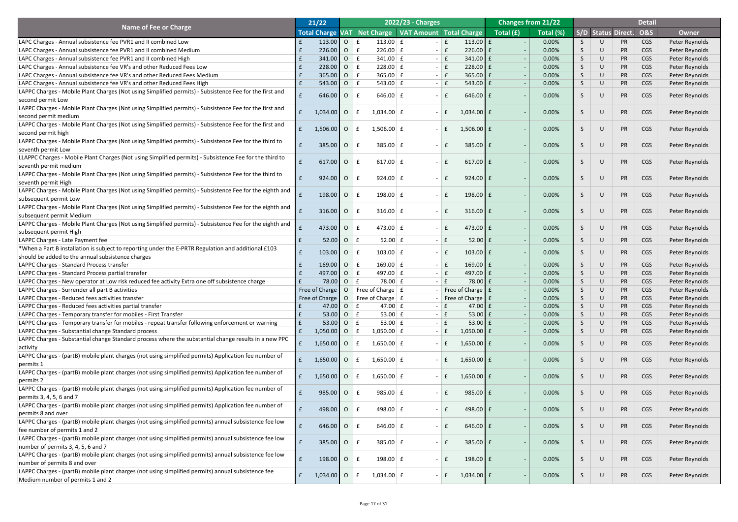|                                                                                                                                                     |   | 21/22                   |                |                            | 2022/23 - Charges                      |              |                    |           | <b>Changes from 21/22</b> |               |                           |           | <b>Detail</b>  |                |
|-----------------------------------------------------------------------------------------------------------------------------------------------------|---|-------------------------|----------------|----------------------------|----------------------------------------|--------------|--------------------|-----------|---------------------------|---------------|---------------------------|-----------|----------------|----------------|
| <b>Name of Fee or Charge</b>                                                                                                                        |   | <b>Total Charge VAT</b> |                |                            | Net Charge   VAT Amount   Total Charge |              |                    | Total (£) | Total (%)                 |               | <b>S/D Status Direct.</b> |           | <b>O&amp;S</b> | <b>Owner</b>   |
| LAPC Charges - Annual subsistence fee PVR1 and II combined Low                                                                                      |   | $113.00$ 0              |                | $113.00 \mid f$<br>l £     |                                        | £            | 113.00 $E$         |           | 0.00%                     | $\mathcal{S}$ | U                         | <b>PR</b> | <b>CGS</b>     | Peter Reynolds |
| LAPC Charges - Annual subsistence fee PVR1 and II combined Medium                                                                                   |   | 226.00                  | $\overline{O}$ | $226.00 \mid f$            |                                        | $\mathbf{f}$ | $226.00$ $E$       |           | 0.00%                     | S             | U                         | <b>PR</b> | <b>CGS</b>     | Peter Reynolds |
| LAPC Charges - Annual subsistence fee PVR1 and II combined High                                                                                     |   | 341.00                  | $\overline{O}$ | $341.00 \mid f$            |                                        | $\mathbf{f}$ | $341.00$ $E$       |           | 0.00%                     | S             | $\cup$                    | <b>PR</b> | <b>CGS</b>     | Peter Reynolds |
|                                                                                                                                                     |   | 228.00                  |                | $228.00 \mid f$            |                                        | $\mathbf{f}$ | $228.00$ $E$       |           | 0.00%                     |               | U                         |           | <b>CGS</b>     |                |
| LAPC Charges - Annual subsistence fee VR's and other Reduced Fees Low                                                                               |   |                         | $\overline{O}$ |                            |                                        | E            |                    |           | 0.00%                     | S             |                           | <b>PR</b> |                | Peter Reynolds |
| LAPC Charges - Annual subsistence fee VR's and other Reduced Fees Medium                                                                            |   | 365.00                  | $\overline{O}$ | $365.00 \mid f$            |                                        |              | $365.00$ $E$       |           |                           | S             |                           | <b>PR</b> | <b>CGS</b>     | Peter Reynolds |
| LAPC Charges - Annual subsistence fee VR's and other Reduced Fees High                                                                              |   | 543.00 0                |                | 543.00 $\vert$ £<br>Ι£     |                                        | $\mathbf{f}$ | $543.00$ $E$       |           | 0.00%                     | S             | U                         | <b>PR</b> | <b>CGS</b>     | Peter Reynolds |
| LAPPC Charges - Mobile Plant Charges (Not using Simplified permits) - Subsistence Fee for the first and                                             |   | 646.00 O                |                | 646.00 $E$                 | $\overline{\phantom{0}}$               | $\mathbf{f}$ | $646.00$ £         |           | 0.00%                     | S             | U                         | <b>PR</b> | <b>CGS</b>     | Peter Reynolds |
| second permit Low                                                                                                                                   |   |                         |                |                            |                                        |              |                    |           |                           |               |                           |           |                |                |
| LAPPC Charges - Mobile Plant Charges (Not using Simplified permits) - Subsistence Fee for the first and                                             |   | $1,034.00$ O            |                | $1,034.00$ £<br>£          |                                        | $\mathbf{f}$ | $1,034.00$ £       |           | 0.00%                     | S             | U                         | <b>PR</b> | <b>CGS</b>     | Peter Reynolds |
| second permit medium                                                                                                                                |   |                         |                |                            |                                        |              |                    |           |                           |               |                           |           |                |                |
| LAPPC Charges - Mobile Plant Charges (Not using Simplified permits) - Subsistence Fee for the first and                                             | £ | $1,506.00$ 0            |                | $1,506.00 \mid f$<br>£     |                                        | $\mathbf{f}$ | $1,506.00$ £       |           | 0.00%                     | S             | U                         | <b>PR</b> | <b>CGS</b>     | Peter Reynolds |
| second permit high                                                                                                                                  |   |                         |                |                            |                                        |              |                    |           |                           |               |                           |           |                |                |
| LAPPC Charges - Mobile Plant Charges (Not using Simplified permits) - Subsistence Fee for the third to                                              |   | 385.00                  | $\overline{O}$ | $385.00 \mid f$<br>£       |                                        | $\mathbf{f}$ | $385.00$ $E$       |           | 0.00%                     | S             | U                         | <b>PR</b> | <b>CGS</b>     | Peter Reynolds |
| seventh permit Low                                                                                                                                  |   |                         |                |                            |                                        |              |                    |           |                           |               |                           |           |                |                |
| LLAPPC Charges - Mobile Plant Charges (Not using Simplified permits) - Subsistence Fee for the third to                                             |   | $617.00$ 0              |                | 617.00 $E$                 | $\sim$                                 | $\mathbf{f}$ | $617.00$ $E$       |           | 0.00%                     | <sub>S</sub>  | U                         | <b>PR</b> | <b>CGS</b>     | Peter Reynolds |
| seventh permit medium                                                                                                                               |   |                         |                |                            |                                        |              |                    |           |                           |               |                           |           |                |                |
| LAPPC Charges - Mobile Plant Charges (Not using Simplified permits) - Subsistence Fee for the third to                                              |   | $924.00$ 0              |                | $924.00 \mid f$            | $\sim$                                 | $\mathbf{f}$ | $924.00$ $E$       |           | 0.00%                     | S             | U                         | <b>PR</b> | <b>CGS</b>     | Peter Reynolds |
| seventh permit High                                                                                                                                 |   |                         |                |                            |                                        |              |                    |           |                           |               |                           |           |                |                |
| LAPPC Charges - Mobile Plant Charges (Not using Simplified permits) - Subsistence Fee for the eighth and                                            |   | 198.00 O                |                | $198.00 \mid f$<br>£       | $\sim$                                 | $\mathbf{f}$ | 198.00 $E$         |           | 0.00%                     | S             | U                         | <b>PR</b> | <b>CGS</b>     | Peter Reynolds |
| subsequent permit Low                                                                                                                               |   |                         |                |                            |                                        |              |                    |           |                           |               |                           |           |                |                |
| LAPPC Charges - Mobile Plant Charges (Not using Simplified permits) - Subsistence Fee for the eighth and                                            |   |                         |                |                            |                                        |              |                    |           |                           |               |                           |           |                |                |
| subsequent permit Medium                                                                                                                            |   | $316.00$ 0              |                | 316.00 $E$                 |                                        |              | $316.00 \mid f$    |           | 0.00%                     | $\mathcal{P}$ | U                         | <b>PR</b> | <b>CGS</b>     | Peter Reynolds |
| LAPPC Charges - Mobile Plant Charges (Not using Simplified permits) - Subsistence Fee for the eighth and $\begin{array}{ c c c }\hline \end{array}$ |   |                         |                |                            |                                        |              |                    |           |                           |               |                           |           |                |                |
| subsequent permit High                                                                                                                              |   | 473.00 O                |                | 473.00 $E$<br>$\mathsf{E}$ |                                        | $\mathbf{f}$ | 473.00 $E$         |           | 0.00%                     | S             | U                         | <b>PR</b> | CGS            | Peter Reynolds |
| LAPPC Charges - Late Payment fee                                                                                                                    |   | 52.00                   | $\overline{O}$ | $52.00 \mid f$             |                                        | E            | $52.00$ £          |           | 0.00%                     | S.            | $\cup$                    | <b>PR</b> | CGS            | Peter Reynolds |
| *When a Part B installation is subject to reporting under the E-PRTR Regulation and additional £103                                                 |   |                         |                |                            |                                        |              |                    |           |                           |               |                           |           |                |                |
| should be added to the annual subsistence charges                                                                                                   |   | 103.00                  | <b>O</b>       | $103.00 \mid f$            |                                        | $\mathbf{f}$ | $103.00$ $E$       |           | 0.00%                     | S             | U                         | <b>PR</b> | CGS            | Peter Reynolds |
| LAPPC Charges - Standard Process transfer                                                                                                           |   | 169.00                  | $\overline{O}$ | 169.00 $E$                 |                                        | $\mathbf{f}$ | $169.00$ $E$       |           | 0.00%                     | S             | U                         | <b>PR</b> | CGS            | Peter Reynolds |
| LAPPC Charges - Standard Process partial transfer                                                                                                   |   | 497.00                  | $\overline{O}$ | 497.00 $E$                 |                                        | $\mathbf{f}$ | 497.00 £           |           | 0.00%                     | S             |                           | <b>PR</b> | CGS            | Peter Reynolds |
| LAPPC Charges - New operator at Low risk reduced fee activity Extra one off subsistence charge                                                      |   | 78.00                   | $\overline{O}$ | $78.00 \mid f$             |                                        |              | $78.00 \text{ E}$  |           | 0.00%                     | S             | U                         | <b>PR</b> | <b>CGS</b>     | Peter Reynolds |
| LAPPC Charges - Surrender all part B activities                                                                                                     |   | Free of Charge          | $\overline{O}$ | Free of Charge $\vert$ £   |                                        |              | Free of Charge   £ |           | 0.00%                     | S             |                           | <b>PR</b> | <b>CGS</b>     | Peter Reynolds |
| LAPPC Charges - Reduced fees activities transfer                                                                                                    |   | Free of Charge          | $\overline{O}$ | Free of Charge $\vert$ £   |                                        |              | Free of Charge   £ |           | 0.00%                     | S             | U                         | <b>PR</b> | <b>CGS</b>     | Peter Reynolds |
| LAPPC Charges - Reduced fees activities partial transfer                                                                                            |   | 47.00                   | $\overline{O}$ | 47.00 $E$                  |                                        | £            | 47.00 $\mathbf{f}$ |           | 0.00%                     | S             |                           | <b>PR</b> | <b>CGS</b>     | Peter Reynolds |
| LAPPC Charges - Temporary transfer for mobiles - First Transfer                                                                                     |   | 53.00                   | $\overline{O}$ | 53.00 $E$                  |                                        | $\mathbf{f}$ | $53.00 \mid f$     |           | 0.00%                     | S             | $\cup$                    | <b>PR</b> | <b>CGS</b>     | Peter Reynolds |
| LAPPC Charges - Temporary transfer for mobiles - repeat transfer following enforcement or warning                                                   |   | 53.00                   | $\overline{O}$ | 53.00 $E$                  |                                        |              | $53.00 \mid f$     |           | 0.00%                     | S             |                           | <b>PR</b> | <b>CGS</b>     | Peter Reynolds |
| LAPPC Charges - Substantial change Standard process                                                                                                 |   | $1,050.00$ 0            |                | $1,050.00$ $E$             |                                        | $\mathbf{f}$ | $1,050.00$ £       |           | 0.00%                     | S             | U                         | <b>PR</b> | CGS            | Peter Reynolds |
| LAPPC Charges - Substantial change Standard process where the substantial change results in a new PPC                                               |   |                         |                |                            |                                        |              |                    |           |                           |               |                           |           |                |                |
| activity                                                                                                                                            |   | $1,650.00$ 0            |                | 1,650.00 $E$               |                                        | $\mathbf{f}$ | $1,650.00$ £       |           | 0.00%                     | $\mathcal{P}$ | U                         | PR        | CGS            | Peter Reynolds |
|                                                                                                                                                     |   |                         |                |                            |                                        |              |                    |           |                           |               |                           |           |                |                |
| LAPPC Charges - (partB) mobile plant charges (not using simplified permits) Application fee number of                                               |   | $1,650.00$ O            |                | $1,650.00 \mid f$          |                                        | $\mathbf{f}$ | $1,650.00$ £       |           | 0.00%                     | $\mathcal{S}$ | U                         | PR        | CGS            | Peter Reynolds |
| permits 1                                                                                                                                           |   |                         |                |                            |                                        |              |                    |           |                           |               |                           |           |                |                |
| LAPPC Charges - (partB) mobile plant charges (not using simplified permits) Application fee number of                                               |   | $1,650.00$ 0            |                | 1,650.00 $E$               |                                        | $\mathbf{f}$ | $1,650.00$ £       |           | 0.00%                     | S             | U                         | PR        | CGS            | Peter Reynolds |
| permits 2                                                                                                                                           |   |                         |                |                            |                                        |              |                    |           |                           |               |                           |           |                |                |
| LAPPC Charges - (partB) mobile plant charges (not using simplified permits) Application fee number of                                               |   | 985.00                  | $\overline{O}$ | $985.00 \mid f$            |                                        | $\mathbf{f}$ | $985.00$ £         |           | 0.00%                     | S             | U                         | PR        | CGS            | Peter Reynolds |
| permits 3, 4, 5, 6 and 7                                                                                                                            |   |                         |                |                            |                                        |              |                    |           |                           |               |                           |           |                |                |
| LAPPC Charges - (partB) mobile plant charges (not using simplified permits) Application fee number of                                               |   | 498.00 O                |                | 498.00 $E$<br>$\mathbf{f}$ |                                        | $\mathbf{f}$ | 498.00 £           |           | 0.00%                     | S             | U                         | PR        | CGS            | Peter Reynolds |
| permits 8 and over                                                                                                                                  |   |                         |                |                            |                                        |              |                    |           |                           |               |                           |           |                |                |
| LAPPC Charges - (partB) mobile plant charges (not using simplified permits) annual subsistence fee low                                              |   | $646.00$ 0              |                | 646.00 $E$                 |                                        |              | $646.00$ £         |           | 0.00%                     |               | $\cup$                    | <b>PR</b> | <b>CGS</b>     | Peter Reynolds |
| lfee number of permits 1 and 2                                                                                                                      |   |                         |                |                            |                                        |              |                    |           |                           |               |                           |           |                |                |
| LAPPC Charges - (partB) mobile plant charges (not using simplified permits) annual subsistence fee low                                              | f | $385.00$ 0              |                | $385.00 \mid f$            | $\sim$                                 | f            | $385.00$ $E$       |           | 0.00%                     | <sub>S</sub>  | U                         | PR        | CGS            | Peter Reynolds |
| number of permits 3, 4, 5, 6 and 7                                                                                                                  |   |                         |                |                            |                                        |              |                    |           |                           |               |                           |           |                |                |
| LAPPC Charges - (partB) mobile plant charges (not using simplified permits) annual subsistence fee low                                              | f | $198.00$ 0              |                | 198.00 $E$                 | $\sim$                                 | $\mathbf{f}$ | $198.00$ $E$       |           | 0.00%                     | S             | U                         | PR        | CGS            | Peter Reynolds |
| number of permits 8 and over                                                                                                                        |   |                         |                |                            |                                        |              |                    |           |                           |               |                           |           |                |                |
| LAPPC Charges - (partB) mobile plant charges (not using simplified permits) annual subsistence fee                                                  | f | $1,034.00$ O            |                | $1,034.00$ £<br>l £        | $\sim$                                 | $\mathsf{E}$ | $1,034.00$ £       |           | 0.00%                     | S             | U                         | PR        | <b>CGS</b>     | Peter Reynolds |
| Medium number of permits 1 and 2                                                                                                                    |   |                         |                |                            |                                        |              |                    |           |                           |               |                           |           |                |                |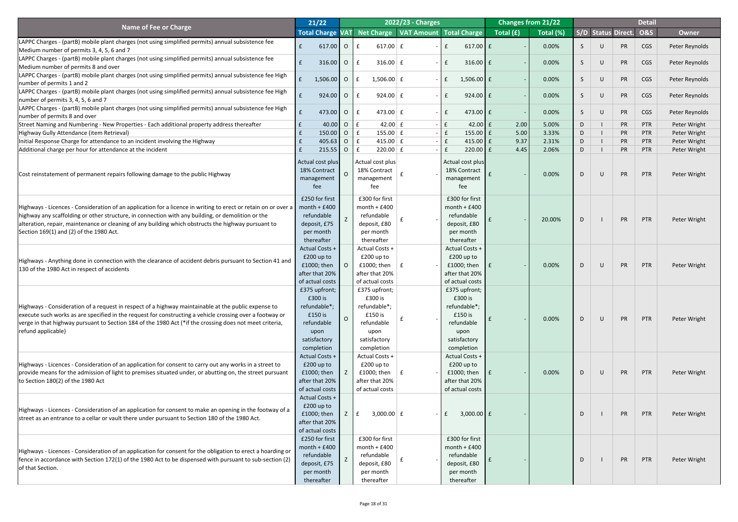|                                                                                                                                                                                                                         | 21/22                               |           |                             | <b>2022/23 - Charges</b>               |                                  |           | <b>Changes from 21/22</b> |    |                           | <b>Detail</b>  |                |
|-------------------------------------------------------------------------------------------------------------------------------------------------------------------------------------------------------------------------|-------------------------------------|-----------|-----------------------------|----------------------------------------|----------------------------------|-----------|---------------------------|----|---------------------------|----------------|----------------|
| <b>Name of Fee or Charge</b>                                                                                                                                                                                            | <b>Total Charge VAT</b>             |           |                             | Net Charge   VAT Amount   Total Charge |                                  | Total (£) | Total (%)                 |    | <b>S/D Status Direct.</b> | <b>O&amp;S</b> | <b>Owner</b>   |
| LAPPC Charges - (partB) mobile plant charges (not using simplified permits) annual subsistence fee                                                                                                                      |                                     |           |                             |                                        |                                  |           |                           |    |                           |                |                |
| Medium number of permits 3, 4, 5, 6 and 7                                                                                                                                                                               | $617.00$ 0                          |           | 617.00 $E$                  |                                        | $617.00$ £                       |           | 0.00%                     |    | PR                        | CGS            | Peter Reynolds |
| LAPPC Charges - (partB) mobile plant charges (not using simplified permits) annual subsistence fee                                                                                                                      | $316.00$ 0                          |           | 316.00 $E$<br>$\mathbf{f}$  |                                        | $316.00 \mid f$<br>£             |           | 0.00%                     |    | PR                        | CGS            |                |
| Medium number of permits 8 and over                                                                                                                                                                                     |                                     |           |                             |                                        |                                  |           |                           |    |                           |                | Peter Reynolds |
| LAPPC Charges - (partB) mobile plant charges (not using simplified permits) annual subsistence fee High                                                                                                                 | $1,506.00$ 0                        |           | 1,506.00 $E$<br>$\mathbf f$ |                                        | $1,506.00$ £                     |           | 0.00%                     |    | PR                        | CGS            | Peter Reynolds |
| number of permits 1 and 2                                                                                                                                                                                               |                                     |           |                             |                                        |                                  |           |                           |    |                           |                |                |
| LAPPC Charges - (partB) mobile plant charges (not using simplified permits) annual subsistence fee High                                                                                                                 | $924.00$ 0                          |           | 924.00 $E$                  |                                        | $924.00$ $E$<br>f                |           | 0.00%                     | S  | PR                        | CGS            | Peter Reynolds |
| number of permits 3, 4, 5, 6 and 7                                                                                                                                                                                      |                                     |           |                             |                                        |                                  |           |                           |    |                           |                |                |
| LAPPC Charges - (partB) mobile plant charges (not using simplified permits) annual subsistence fee High<br>number of permits 8 and over                                                                                 | 473.00 O                            |           | 473.00 $E$<br>$\mathbf{f}$  |                                        | 473.00 $E$<br>£                  |           | 0.00%                     | S  | PR                        | CGS            | Peter Reynolds |
| Street Naming and Numbering - New Properties - Each additional property address thereafter                                                                                                                              |                                     | $40.00$ O | 42.00 $\pm$                 |                                        | $42.00$ $E$                      | 2.00      | 5.00%                     | D  | PR                        | <b>PTR</b>     | Peter Wright   |
| Highway Gully Attendance (item Retrieval)                                                                                                                                                                               | $150.00$ 0                          |           | $155.00 \mid f$             |                                        | 155.00 $E$                       | 5.00      | 3.33%                     | D  | <b>PR</b>                 | <b>PTR</b>     | Peter Wright   |
| Initial Response Charge for attendance to an incident involving the Highway                                                                                                                                             | $405.63$ 0                          |           | 415.00 $E$                  |                                        | 415.00 $\vert$ £                 | 9.37      | 2.31%                     | D  | <b>PR</b>                 | <b>PTR</b>     | Peter Wright   |
| Additional charge per hour for attendance at the incident                                                                                                                                                               | $215.55$ 0                          |           | $220.00$ $E$                |                                        | $220.00$ $E$                     | 4.45      | 2.06%                     | D. | <b>PR</b>                 | <b>PTR</b>     | Peter Wright   |
|                                                                                                                                                                                                                         | Actual cost plus                    |           | Actual cost plus            |                                        | Actual cost plus                 |           |                           |    |                           |                |                |
|                                                                                                                                                                                                                         | 18% Contract                        |           | 18% Contract                |                                        | 18% Contract                     |           |                           |    |                           |                |                |
| Cost reinstatement of permanent repairs following damage to the public Highway                                                                                                                                          | management                          | $\Omega$  | management                  |                                        | management                       |           | 0.00%                     | D  | PR                        | PTR            | Peter Wright   |
|                                                                                                                                                                                                                         | fee                                 |           | fee                         |                                        | fee                              |           |                           |    |                           |                |                |
|                                                                                                                                                                                                                         |                                     |           | £300 for first              |                                        |                                  |           |                           |    |                           |                |                |
| Highways - Licences - Consideration of an application for a licence in writing to erect or retain on or over a month + £400                                                                                             | £250 for first                      |           | $month + £400$              |                                        | £300 for first<br>$month + £400$ |           |                           |    |                           |                |                |
| highway any scaffolding or other structure, in connection with any building, or demolition or the                                                                                                                       | refundable                          |           | refundable                  |                                        | refundable                       |           |                           |    |                           |                |                |
| alteration, repair, maintenance or cleaning of any building which obstructs the highway pursuant to                                                                                                                     | deposit, £75                        |           | deposit, £80                |                                        | deposit, £80                     |           | 20.00%                    | D. | <b>PR</b>                 | PTR            | Peter Wright   |
| Section 169(1) and (2) of the 1980 Act.                                                                                                                                                                                 | per month                           |           | per month                   |                                        | per month                        |           |                           |    |                           |                |                |
|                                                                                                                                                                                                                         | thereafter                          |           | thereafter                  |                                        | thereafter                       |           |                           |    |                           |                |                |
|                                                                                                                                                                                                                         | <b>Actual Costs +</b>               |           | Actual Costs +              |                                        | <b>Actual Costs +</b>            |           |                           |    |                           |                |                |
| Highways - Anything done in connection with the clearance of accident debris pursuant to Section 41 and                                                                                                                 | $£200$ up to                        |           | $£200$ up to                |                                        | $£200$ up to                     |           |                           |    |                           |                |                |
| 130 of the 1980 Act in respect of accidents                                                                                                                                                                             | £1000; then                         |           | £1000; then                 |                                        | £1000; then                      |           | 0.00%                     | D  | PR                        | PTR            | Peter Wright   |
|                                                                                                                                                                                                                         | after that 20%                      |           | after that 20%              |                                        | after that 20%                   |           |                           |    |                           |                |                |
|                                                                                                                                                                                                                         | of actual costs                     |           | of actual costs             |                                        | of actual costs                  |           |                           |    |                           |                |                |
|                                                                                                                                                                                                                         | £375 upfront;                       |           | £375 upfront;               |                                        | £375 upfront;                    |           |                           |    |                           |                |                |
| Highways - Consideration of a request in respect of a highway maintainable at the public expense to                                                                                                                     | £300 is<br>refundable*;             |           | £300 is<br>refundable*;     |                                        | £300 is<br>refundable*;          |           |                           |    |                           |                |                |
| execute such works as are specified in the request for constructing a vehicle crossing over a footway or                                                                                                                | £150 is                             |           | £150 is                     |                                        | £150 is                          |           |                           |    |                           |                |                |
| verge in that highway pursuant to Section 184 of the 1980 Act (*if the crossing does not meet criteria,                                                                                                                 | refundable                          |           | refundable                  |                                        | refundable                       |           | 0.00%                     | D  | PR                        | PTR            | Peter Wright   |
| refund applicable)                                                                                                                                                                                                      | upon                                |           | upon                        |                                        | upon                             |           |                           |    |                           |                |                |
|                                                                                                                                                                                                                         | satisfactory                        |           | satisfactory                |                                        | satisfactory                     |           |                           |    |                           |                |                |
|                                                                                                                                                                                                                         | completion                          |           | completion                  |                                        | completion                       |           |                           |    |                           |                |                |
|                                                                                                                                                                                                                         | <b>Actual Costs +</b>               |           | Actual Costs +              |                                        | Actual Costs +                   |           |                           |    |                           |                |                |
| Highways - Licences - Consideration of an application for consent to carry out any works in a street to                                                                                                                 | $£200$ up to                        |           | $£200$ up to                |                                        | $£200$ up to                     |           |                           |    |                           |                |                |
| provide means for the admission of light to premises situated under, or abutting on, the street pursuant                                                                                                                | £1000; then                         |           | £1000; then                 |                                        | £1000; then                      |           | 0.00%                     | D  | PR                        | PTR            | Peter Wright   |
| to Section $180(2)$ of the 1980 Act                                                                                                                                                                                     | after that 20%                      |           | after that 20%              |                                        | after that 20%                   |           |                           |    |                           |                |                |
|                                                                                                                                                                                                                         | of actual costs                     |           | of actual costs             |                                        | of actual costs                  |           |                           |    |                           |                |                |
|                                                                                                                                                                                                                         | <b>Actual Costs +</b><br>£200 up to |           |                             |                                        |                                  |           |                           |    |                           |                |                |
| Highways - Licences - Consideration of an application for consent to make an opening in the footway of a                                                                                                                | £1000; then                         |           | $3,000.00 \mid f$           |                                        | $3,000.00$ £                     |           |                           |    | PR                        | PTR            | Peter Wright   |
| street as an entrance to a cellar or vault there under pursuant to Section 180 of the 1980 Act.                                                                                                                         | after that 20%                      |           |                             |                                        |                                  |           |                           |    |                           |                |                |
|                                                                                                                                                                                                                         | of actual costs                     |           |                             |                                        |                                  |           |                           |    |                           |                |                |
|                                                                                                                                                                                                                         | £250 for first                      |           | £300 for first              |                                        | £300 for first                   |           |                           |    |                           |                |                |
|                                                                                                                                                                                                                         | $month + £400$                      |           | $month + £400$              |                                        | $month + £400$                   |           |                           |    |                           |                |                |
| Highways - Licences - Consideration of an application for consent for the obligation to erect a hoarding or<br>fence in accordance with Section 172(1) of the 1980 Act to be dispensed with pursuant to sub-section (2) | refundable                          |           | refundable                  |                                        | refundable                       |           |                           | D  | PR                        | PTR            | Peter Wright   |
| of that Section.                                                                                                                                                                                                        | deposit, £75                        |           | deposit, £80                |                                        | deposit, £80                     |           |                           |    |                           |                |                |
|                                                                                                                                                                                                                         | per month                           |           | per month                   |                                        | per month                        |           |                           |    |                           |                |                |
|                                                                                                                                                                                                                         | thereafter                          |           | thereafter                  |                                        | thereafter                       |           |                           |    |                           |                |                |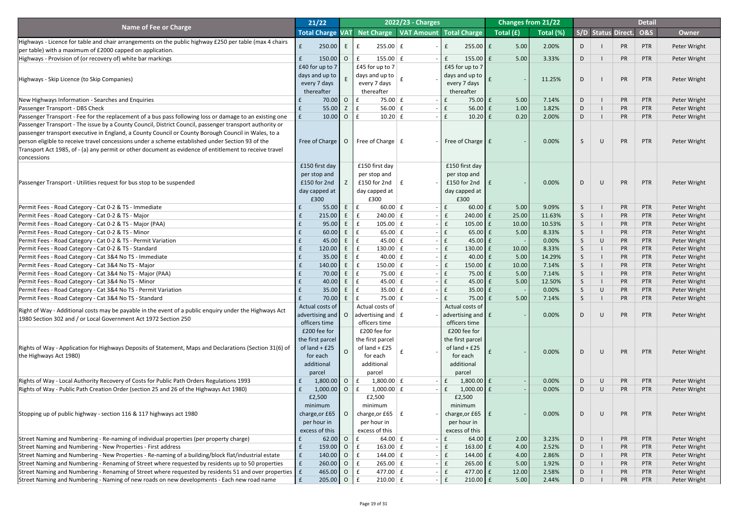|                                                                                                                                                                                      | 21/22                      |                                  |                                                   | 2022/23 - Charges                      |                                                   |                                                          | <b>Changes from 21/22</b> |                   |             |                        | <b>Detail</b>            |                              |
|--------------------------------------------------------------------------------------------------------------------------------------------------------------------------------------|----------------------------|----------------------------------|---------------------------------------------------|----------------------------------------|---------------------------------------------------|----------------------------------------------------------|---------------------------|-------------------|-------------|------------------------|--------------------------|------------------------------|
| <b>Name of Fee or Charge</b>                                                                                                                                                         | <b>Total Charge VAT</b>    |                                  |                                                   | Net Charge   VAT Amount   Total Charge |                                                   | $\overline{\phantom{a}}$ Total $\overline{\mathrm{(f)}}$ | Total (%)                 |                   |             | S/D Status Direct.     | <b>O&amp;S</b>           | <b>Owner</b>                 |
| Highways - Licence for table and chair arrangements on the public highway £250 per table (max 4 chairs<br>per table) with a maximum of £2000 capped on application.                  | 250.00                     | E                                | $255.00 \mid f$                                   |                                        | $255.00$ $E$                                      | 5.00                                                     | 2.00%                     | D                 |             | <b>PR</b>              | PTR                      | Peter Wright                 |
| Highways - Provision of (or recovery of) white bar markings                                                                                                                          | 150.00                     | $\overline{O}$                   | $155.00 \mid f$                                   |                                        | f<br>$155.00$ $E$                                 | 5.00                                                     | 3.33%                     | D                 |             | PR                     | <b>PTR</b>               | Peter Wright                 |
|                                                                                                                                                                                      | £40 for up to 7            |                                  | £45 for up to 7                                   |                                        | £45 for up to 7                                   |                                                          |                           |                   |             |                        |                          |                              |
|                                                                                                                                                                                      | days and up to $\parallel$ |                                  | days and up to $ $                                |                                        | days and up to $\vert$                            |                                                          |                           |                   |             |                        |                          |                              |
| Highways - Skip Licence (to Skip Companies)                                                                                                                                          | every 7 days               |                                  | every 7 days                                      |                                        | every 7 days                                      |                                                          | 11.25%                    | D                 |             | <b>PR</b>              | PTR                      | Peter Wright                 |
|                                                                                                                                                                                      | thereafter                 |                                  | thereafter                                        |                                        | thereafter                                        |                                                          |                           |                   |             |                        |                          |                              |
| New Highways Information - Searches and Enquiries                                                                                                                                    | 70.00                      | $\overline{O}$                   | $75.00 \mid f \mid$<br>$\mathbf f$                | $\sim$                                 | $75.00 \mid f$<br>f                               | 5.00                                                     | 7.14%                     | D                 |             | <b>PR</b>              | PTR                      | Peter Wright                 |
| Passenger Transport - DBS Check                                                                                                                                                      | 55.00                      | Z                                | f<br>56.00 $E$                                    | $\sim$                                 | $\mathbf{f}$<br>$56.00 \mid f$                    | 1.00                                                     | 1.82%                     | D                 |             | <b>PR</b>              | <b>PTR</b>               | Peter Wright                 |
| Passenger Transport - Fee for the replacement of a bus pass following loss or damage to an existing one                                                                              | 10.00<br>f                 | $\overline{O}$                   | f<br>$10.20$ £                                    |                                        | $10.20$ £                                         | 0.20                                                     | 2.00%                     | D                 |             | <b>PR</b>              | <b>PTR</b>               | Peter Wright                 |
| Passenger Transport - The issue by a County Council, District Council, passenger transport authority or                                                                              |                            |                                  |                                                   |                                        |                                                   |                                                          |                           |                   |             |                        |                          |                              |
| passenger transport executive in England, a County Council or County Borough Council in Wales, to a                                                                                  |                            |                                  |                                                   |                                        |                                                   |                                                          |                           |                   |             |                        |                          |                              |
| person eligible to receive travel concessions under a scheme established under Section 93 of the                                                                                     | Free of Charge             | $\overline{O}$                   | Free of Charge $\vert$ £                          |                                        | - Free of Charge $\mathbf{f}$ f                   |                                                          | 0.00%                     | <sub>S</sub>      | $\cup$      | PR                     | PTR                      | Peter Wright                 |
| Transport Act 1985, of - (a) any permit or other document as evidence of entitlement to receive travel                                                                               |                            |                                  |                                                   |                                        |                                                   |                                                          |                           |                   |             |                        |                          |                              |
| concessions                                                                                                                                                                          |                            |                                  |                                                   |                                        |                                                   |                                                          |                           |                   |             |                        |                          |                              |
|                                                                                                                                                                                      | £150 first day             |                                  | £150 first day                                    |                                        | £150 first day                                    |                                                          |                           |                   |             |                        |                          |                              |
|                                                                                                                                                                                      | per stop and               |                                  | per stop and                                      |                                        | per stop and                                      |                                                          |                           |                   |             |                        |                          |                              |
| Passenger Transport - Utilities request for bus stop to be suspended                                                                                                                 | £150 for 2nd               |                                  | £150 for 2nd $\vert$ £                            |                                        | £150 for 2nd                                      |                                                          | 0.00%                     | D                 | $\bigcup$   | PR                     | PTR                      | Peter Wright                 |
|                                                                                                                                                                                      | day capped at              |                                  | day capped at                                     |                                        | day capped at $\parallel$                         |                                                          |                           |                   |             |                        |                          |                              |
|                                                                                                                                                                                      | £300                       |                                  | £300                                              |                                        | £300                                              |                                                          |                           |                   |             |                        |                          |                              |
| Permit Fees - Road Category - Cat 0-2 & TS - Immediate                                                                                                                               | 55.00                      | $E_{\perp}$                      | $60.00$ £<br>f                                    | $\overline{\phantom{0}}$               | $60.00$ £<br>f                                    | 5.00                                                     | 9.09%                     | <sub>S</sub>      |             | <b>PR</b>              | PTR                      | Peter Wright                 |
| Permit Fees - Road Category - Cat 0-2 & TS - Major                                                                                                                                   | 215.00                     | $E_{\perp}$                      | f<br>$240.00 \mid f$                              |                                        | $240.00$ $E$                                      | 25.00                                                    | 11.63%                    | <sub>S</sub>      |             | <b>PR</b>              | <b>PTR</b>               | Peter Wright                 |
| Permit Fees - Road Category - Cat 0-2 & TS - Major (PAA)<br>Permit Fees - Road Category - Cat 0-2 & TS - Minor                                                                       | 95.00<br>60.00             | $\left( E\right)$<br>E           | $105.00 \mid f$<br>$\mathbf{f}$<br>f<br>65.00 $E$ |                                        | $105.00$ $E$<br>$\mathbf{f}$<br>$65.00$ £         | 10.00<br>5.00                                            | 10.53%<br>8.33%           | 5                 |             | <b>PR</b><br><b>PR</b> | <b>PTR</b><br><b>PTR</b> | Peter Wright                 |
| Permit Fees - Road Category - Cat 0-2 & TS - Permit Variation                                                                                                                        | 45.00                      | E                                | $\mathbf f$<br>45.00 $E$                          |                                        | $45.00 \mid f$                                    |                                                          | 0.00%                     | <sub>S</sub><br>S | U           | <b>PR</b>              | <b>PTR</b>               | Peter Wright<br>Peter Wright |
| Permit Fees - Road Category - Cat 0-2 & TS - Standard                                                                                                                                | 120.00                     |                                  | $130.00 \mid f$                                   |                                        | 130.00 $E$                                        | 10.00                                                    | 8.33%                     | <sub>S</sub>      |             | <b>PR</b>              | <b>PTR</b>               | Peter Wright                 |
| Permit Fees - Road Category - Cat 3&4 No TS - Immediate                                                                                                                              | 35.00                      | E                                | 40.00 $\pm$<br>$\mathbf{f}$                       |                                        | f<br>$40.00$ £                                    | 5.00                                                     | 14.29%                    | S                 |             | <b>PR</b>              | <b>PTR</b>               | Peter Wright                 |
| Permit Fees - Road Category - Cat 3&4 No TS - Major                                                                                                                                  | 140.00                     | $E_{\perp}$                      | $150.00 \mid f$                                   |                                        | $150.00$ $E$                                      | 10.00                                                    | 7.14%                     | <sub>S</sub>      |             | <b>PR</b>              | <b>PTR</b>               | Peter Wright                 |
| Permit Fees - Road Category - Cat 3&4 No TS - Major (PAA)                                                                                                                            | 70.00                      |                                  | $75.00 \mid f$<br>$\mathbf{f}$                    |                                        | $\mathbf{f}$<br>$75.00 \mid f$                    | 5.00                                                     | 7.14%                     | S                 |             | <b>PR</b>              | <b>PTR</b>               | Peter Wright                 |
| Permit Fees - Road Category - Cat 3&4 No TS - Minor                                                                                                                                  | 40.00                      | $E_{\perp}$                      | 45.00 $E$<br>$\mathbf{f}$                         |                                        | $45.00 \mid f$                                    | 5.00                                                     | 12.50%                    | <sub>S</sub>      |             | <b>PR</b>              | <b>PTR</b>               | Peter Wright                 |
| Permit Fees - Road Category - Cat 3&4 No TS - Permit Variation                                                                                                                       | 35.00                      |                                  | $35.00 \mid f$<br>$\mathbf{f}$                    |                                        | $35.00 \mid f$                                    |                                                          | 0.00%                     | S                 | U           | <b>PR</b>              | <b>PTR</b>               | Peter Wright                 |
| Permit Fees - Road Category - Cat 3&4 No TS - Standard                                                                                                                               | 70.00                      |                                  | $75.00 \mid f$                                    |                                        | $75.00 \mid f$                                    | 5.00                                                     | 7.14%                     | <sub>S</sub>      |             | <b>PR</b>              | <b>PTR</b>               | Peter Wright                 |
|                                                                                                                                                                                      | Actual costs of            |                                  | Actual costs of                                   |                                        | Actual costs of                                   |                                                          |                           |                   |             |                        |                          |                              |
| Right of Way - Additional costs may be payable in the event of a public enquiry under the Highways Act<br>1980 Section 302 and / or Local Government Act 1972 Section 250            | advertising and O          |                                  | advertising and $\mathbf{f}$ $\mathbf{f}$         |                                        | - advertising and $\mathbf{f}$ f                  |                                                          | 0.00%                     | D                 | $\cup$      | <b>PR</b>              | PTR                      | Peter Wright                 |
|                                                                                                                                                                                      | officers time              |                                  | officers time                                     |                                        | officers time                                     |                                                          |                           |                   |             |                        |                          |                              |
|                                                                                                                                                                                      | £200 fee for               |                                  | £200 fee for                                      |                                        | £200 fee for                                      |                                                          |                           |                   |             |                        |                          |                              |
|                                                                                                                                                                                      | the first parcel           |                                  | the first parcel                                  |                                        | the first parcel                                  |                                                          |                           |                   |             |                        |                          |                              |
| Rights of Way - Application for Highways Deposits of Statement, Maps and Declarations (Section 31(6) of                                                                              | of land $+E25$             | $\overline{O}$                   | of land $+E25$                                    |                                        | of land $+E25$                                    |                                                          | 0.00%                     | D                 | $\bigcup$   | <b>PR</b>              | PTR                      | Peter Wright                 |
| the Highways Act 1980)                                                                                                                                                               | for each                   |                                  | for each                                          |                                        | for each                                          |                                                          |                           |                   |             |                        |                          |                              |
|                                                                                                                                                                                      | additional                 |                                  | additional                                        |                                        | additional                                        |                                                          |                           |                   |             |                        |                          |                              |
|                                                                                                                                                                                      | parcel                     |                                  | parcel                                            |                                        | parcel                                            |                                                          |                           |                   |             |                        |                          |                              |
| Rights of Way - Local Authority Recovery of Costs for Public Path Orders Regulations 1993<br>Rights of Way - Public Path Creation Order (section 25 and 26 of the Highways Act 1980) | 1,800.00<br>1,000.00       | $\overline{O}$<br>$\overline{O}$ | $1,800.00$ £<br>$\mathbf f$<br>$1,000.00$ £       |                                        | $1,800.00$ £<br>$\mathbf{f}$<br>f<br>$1,000.00$ £ |                                                          | 0.00%<br>0.00%            | D<br>D            | $\cup$<br>U | PR<br><b>PR</b>        | PTR<br>PTR               | Peter Wright<br>Peter Wright |
|                                                                                                                                                                                      | £2,500                     |                                  | £2,500                                            |                                        | £2,500                                            |                                                          |                           |                   |             |                        |                          |                              |
|                                                                                                                                                                                      | minimum                    |                                  | minimum                                           |                                        | minimum                                           |                                                          |                           |                   |             |                        |                          |                              |
| Stopping up of public highway - section 116 & 117 highways act 1980                                                                                                                  | charge, or £65             | $\overline{O}$                   | charge, or $E65$ $E$                              |                                        | charge, or $£65$ $E$                              |                                                          | 0.00%                     | D                 | $\cup$      | PR                     | PTR                      | Peter Wright                 |
|                                                                                                                                                                                      | per hour in                |                                  | per hour in                                       |                                        | per hour in                                       |                                                          |                           |                   |             |                        |                          |                              |
|                                                                                                                                                                                      | excess of this             |                                  | excess of this                                    |                                        | excess of this                                    |                                                          |                           |                   |             |                        |                          |                              |
| Street Naming and Numbering - Re-naming of individual properties (per property charge)                                                                                               | 62.00                      | $\overline{O}$                   | 64.00 $\vert$ £<br>£                              |                                        | $64.00$ £                                         | 2.00                                                     | 3.23%                     | D                 |             | PR                     | PTR                      | Peter Wright                 |
| Street Naming and Numbering - New Properties - First address                                                                                                                         | 159.00                     | $\overline{O}$                   | 163.00 $E$<br>$\mathbf f$                         |                                        | 163.00 $E$<br>f                                   | 4.00                                                     | 2.52%                     | D                 |             | PR                     | PTR                      | Peter Wright                 |
| Street Naming and Numbering - New Properties - Re-naming of a building/block flat/industrial estate                                                                                  | 140.00                     | $\overline{O}$                   | 144.00 $E$                                        |                                        | $\mathbf f$<br>144.00 $E$                         | 4.00                                                     | 2.86%                     | D                 |             | PR                     | PTR                      | Peter Wright                 |
| Street Naming and Numbering - Renaming of Street where requested by residents up to 50 properties                                                                                    | 260.00                     | $\overline{O}$                   | $265.00 \mid f$                                   |                                        | $265.00$ £<br>f                                   | 5.00                                                     | 1.92%                     | D                 |             | PR                     | PTR                      | Peter Wright                 |
| Street Naming and Numbering - Renaming of Street where requested by residents 51 and over properties $\mathbf{f}$ f                                                                  | 465.00                     | $\overline{O}$                   | 477.00 $E$                                        |                                        | f<br>477.00 $E$                                   | 12.00                                                    | 2.58%                     | D                 |             | PR                     | PTR                      | Peter Wright                 |
| Street Naming and Numbering - Naming of new roads on new developments - Each new road name                                                                                           | $205.00$ O                 |                                  | $210.00$ $E$<br>$\mathbf{f}$                      |                                        | $210.00$ $E$<br>E                                 | 5.00                                                     | 2.44%                     | D                 |             | PR                     | PTR                      | Peter Wright                 |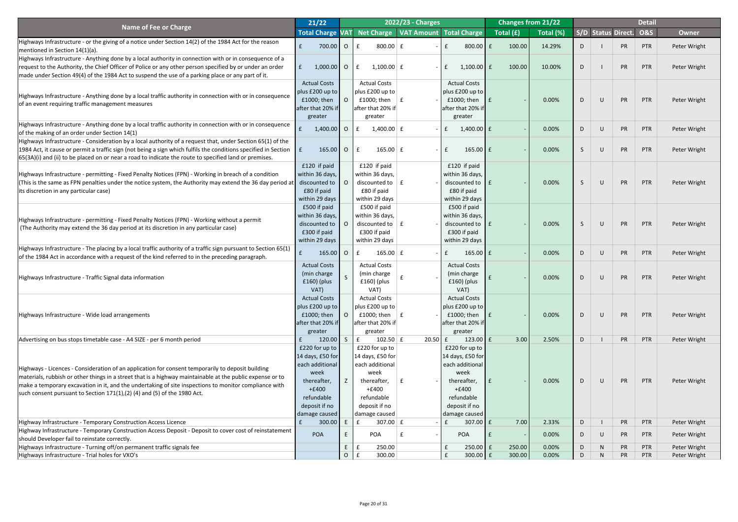|                                                                                                                                                                           | 21/22                              |                |                                    | 2022/23 - Charges        |                                        |     |           | <b>Changes from 21/22</b> |    |                |                           | <b>Detail</b>  |              |
|---------------------------------------------------------------------------------------------------------------------------------------------------------------------------|------------------------------------|----------------|------------------------------------|--------------------------|----------------------------------------|-----|-----------|---------------------------|----|----------------|---------------------------|----------------|--------------|
| <b>Name of Fee or Charge</b>                                                                                                                                              | <b>Total Charge VAT</b>            |                |                                    |                          | Net Charge   VAT Amount   Total Charge |     | Total (£) | Total (%)                 |    |                | <b>S/D Status Direct.</b> | <b>O&amp;S</b> | <b>Owner</b> |
| Highways Infrastructure - or the giving of a notice under Section 14(2) of the 1984 Act for the reason                                                                    |                                    |                |                                    |                          |                                        |     |           |                           |    |                |                           |                |              |
| mentioned in Section 14(1)(a).                                                                                                                                            | 700.00                             | $\overline{O}$ | $800.00$ $E$                       |                          | 800.00 $E$                             |     | 100.00    | 14.29%                    | D  |                | PR                        | PTR            | Peter Wright |
| Highways Infrastructure - Anything done by a local authority in connection with or in consequence of a                                                                    |                                    |                |                                    |                          |                                        |     |           |                           |    |                |                           |                |              |
| request to the Authority, the Chief Officer of Police or any other person specified by or under an order                                                                  | $1,000.00$ O<br>$\mathbf{f}$       |                | $1,100.00$ $E$<br>f                | $\overline{\phantom{0}}$ | $1,100.00$ $E$<br>$\mathbf{f}$         |     | 100.00    | 10.00%                    | D  |                | PR                        | PTR            | Peter Wright |
| made under Section 49(4) of the 1984 Act to suspend the use of a parking place or any part of it.                                                                         |                                    |                |                                    |                          |                                        |     |           |                           |    |                |                           |                |              |
|                                                                                                                                                                           | <b>Actual Costs</b>                |                | <b>Actual Costs</b>                |                          | <b>Actual Costs</b>                    |     |           |                           |    |                |                           |                |              |
| Highways Infrastructure - Anything done by a local traffic authority in connection with or in consequence                                                                 | plus £200 up to                    |                | plus £200 up to                    |                          | $ $ plus £200 up to $ $                |     |           |                           |    |                |                           |                |              |
| of an event requiring traffic management measures                                                                                                                         | £1000; then                        |                | £1000; then $ E $                  |                          | £1000; then                            | l £ |           | 0.00%                     | D  | $\cup$         | PR                        | PTR            | Peter Wright |
|                                                                                                                                                                           | after that 20% if                  |                | after that 20% if                  |                          | after that 20% if                      |     |           |                           |    |                |                           |                |              |
|                                                                                                                                                                           | greater                            |                | greater                            |                          | greater                                |     |           |                           |    |                |                           |                |              |
| Highways Infrastructure - Anything done by a local traffic authority in connection with or in consequence<br>of the making of an order under Section 14(1)                | $1,400.00$ 0                       |                | 1,400.00 $\vert$ f<br>$\mathbf{f}$ | $\sim$                   | $1,400.00$ £<br>f                      |     |           | 0.00%                     | D  | $\cup$         | PR                        | PTR            | Peter Wright |
| Highways Infrastructure - Consideration by a local authority of a request that, under Section 65(1) of the                                                                |                                    |                |                                    |                          |                                        |     |           |                           |    |                |                           |                |              |
| 1984 Act, it cause or permit a traffic sign (not being a sign which fulfils the conditions specified in Section                                                           | 165.00<br>$\mathsf{E}$             | $\overline{O}$ | $\mathbf f$<br>165.00 $E$          | $\overline{\phantom{0}}$ | $165.00$ $E$<br>$\mathbf{f}$           |     |           | 0.00%                     | -S | U              | PR                        | PTR            | Peter Wright |
| (65(3A)(i) and (ii) to be placed on or near a road to indicate the route to specified land or premises.                                                                   |                                    |                |                                    |                          |                                        |     |           |                           |    |                |                           |                |              |
|                                                                                                                                                                           | £120 if paid                       |                | £120 if paid                       |                          | £120 if paid                           |     |           |                           |    |                |                           |                |              |
| Highways Infrastructure - permitting - Fixed Penalty Notices (FPN) - Working in breach of a condition                                                                     | within 36 days,                    |                | within 36 days,                    |                          | within 36 days,                        |     |           |                           |    |                |                           |                |              |
| (This is the same as FPN penalties under the notice system, the Authority may extend the 36 day period at $\vert$                                                         | discounted to                      |                | discounted to $\vert$ £            |                          | discounted to $\mathsf{E}$             |     |           | 0.00%                     | -S | $\bigcup$      | PR                        | PTR            | Peter Wright |
| (its discretion in any particular case)                                                                                                                                   | £80 if paid                        |                | £80 if paid                        |                          | £80 if paid                            |     |           |                           |    |                |                           |                |              |
|                                                                                                                                                                           | within 29 days                     |                | within 29 days                     |                          | within 29 days                         |     |           |                           |    |                |                           |                |              |
|                                                                                                                                                                           | £500 if paid                       |                | £500 if paid                       |                          | £500 if paid                           |     |           |                           |    |                |                           |                |              |
| Highways Infrastructure - permitting - Fixed Penalty Notices (FPN) - Working without a permit                                                                             | within 36 days,                    |                | within 36 days,                    |                          | within 36 days,                        |     |           |                           |    |                |                           |                |              |
| (The Authority may extend the 36 day period at its discretion in any particular case)                                                                                     | discounted to                      |                | discounted to $\parallel$ £        |                          | discounted to $\mathbf{f}$ f           |     |           | 0.00%                     |    |                | <b>PR</b>                 | PTR            | Peter Wright |
|                                                                                                                                                                           | £300 if paid                       |                | £300 if paid                       |                          | £300 if paid                           |     |           |                           |    |                |                           |                |              |
|                                                                                                                                                                           | within 29 days                     |                | within 29 days                     |                          | within 29 days                         |     |           |                           |    |                |                           |                |              |
| Highways Infrastructure - The placing by a local traffic authority of a traffic sign pursuant to Section 65(1)                                                            | $165.00$ 0                         |                | $165.00 \mid f$<br>£               |                          | 165.00 $E$                             |     |           | 0.00%                     | D  | $\cup$         | PR                        | PTR            | Peter Wright |
| of the 1984 Act in accordance with a request of the kind referred to in the preceding paragraph.                                                                          |                                    |                |                                    |                          |                                        |     |           |                           |    |                |                           |                |              |
|                                                                                                                                                                           | <b>Actual Costs</b><br>(min charge |                | <b>Actual Costs</b><br>(min charge |                          | <b>Actual Costs</b><br>(min charge     |     |           |                           |    |                |                           |                |              |
| Highways Infrastructure - Traffic Signal data information                                                                                                                 | $£160)$ (plus                      |                | $£160)$ (plus                      |                          | $£160)$ (plus                          |     |           | 0.00%                     | D  | $\cup$         | PR                        | PTR            | Peter Wright |
|                                                                                                                                                                           | VAT)                               |                | VAT)                               |                          | VAT)                                   |     |           |                           |    |                |                           |                |              |
|                                                                                                                                                                           | <b>Actual Costs</b>                |                | <b>Actual Costs</b>                |                          | <b>Actual Costs</b>                    |     |           |                           |    |                |                           |                |              |
|                                                                                                                                                                           | plus £200 up to                    |                | plus £200 up to                    |                          | $ $ plus £200 up to $ $                |     |           |                           |    |                |                           |                |              |
| Highways Infrastructure - Wide load arrangements                                                                                                                          | £1000; then                        |                | £1000; then                        |                          | £1000; then                            | l £ |           | 0.00%                     | D  | $\cup$         | PR                        | PTR            | Peter Wright |
|                                                                                                                                                                           | after that 20% if                  |                | after that 20% if                  |                          | after that 20% if                      |     |           |                           |    |                |                           |                |              |
|                                                                                                                                                                           | greater                            |                | greater                            |                          | greater                                |     |           |                           |    |                |                           |                |              |
| Advertising on bus stops timetable case - A4 SIZE - per 6 month period                                                                                                    | 120.00                             | $\mathsf{S}$   | $\mathbf{f}$<br>$102.50 \mid f$    | $20.50$ f                | 123.00 $E$                             |     | 3.00      | 2.50%                     | D  |                | PR                        | PTR            | Peter Wright |
|                                                                                                                                                                           | $£220$ for up to                   |                | £220 for up to                     |                          | £220 for up to                         |     |           |                           |    |                |                           |                |              |
|                                                                                                                                                                           | 14 days, £50 for                   |                | 14 days, £50 for                   |                          | 14 days, $£50$ for                     |     |           |                           |    |                |                           |                |              |
| Highways - Licences - Consideration of an application for consent temporarily to deposit building                                                                         | each additional                    |                | each additional                    |                          | each additional                        |     |           |                           |    |                |                           |                |              |
| materials, rubbish or other things in a street that is a highway maintainable at the public expense or to                                                                 | week                               |                | week                               |                          | week                                   |     |           |                           |    |                |                           |                |              |
| make a temporary excavation in it, and the undertaking of site inspections to monitor compliance with                                                                     | thereafter,                        |                | thereafter,                        |                          | thereafter,                            |     |           | 0.00%                     | D  | $\bigcup$      | PR                        | PTR            | Peter Wright |
| such consent pursuant to Section $171(1)$ , $(2)$ $(4)$ and $(5)$ of the 1980 Act.                                                                                        | $+£400$                            |                | $+£400$                            |                          | $+£400$                                |     |           |                           |    |                |                           |                |              |
|                                                                                                                                                                           | refundable                         |                | refundable                         |                          | refundable                             |     |           |                           |    |                |                           |                |              |
|                                                                                                                                                                           | deposit if no                      |                | deposit if no                      |                          | deposit if no                          |     |           |                           |    |                |                           |                |              |
|                                                                                                                                                                           | damage caused                      |                | damage caused                      |                          | damage caused  <br>£                   |     | 7.00      | 2.33%                     |    |                | PR                        | PTR            |              |
| Highway Infrastructure - Temporary Construction Access Licence<br>Highway Infrastructure - Temporary Construction Access Deposit - Deposit to cover cost of reinstatement | 300.00                             |                | $307.00 \mid f$                    |                          | $307.00$ $E$                           |     |           |                           | D  |                |                           |                | Peter Wright |
| should Developer fail to reinstate correctly.                                                                                                                             | <b>POA</b>                         |                | POA                                | $\overline{\phantom{0}}$ | <b>POA</b>                             |     |           | 0.00%                     | D  | U              | PR                        | PTR            | Peter Wright |
| Highways Infrastructure - Turning off/on permanent traffic signals fee                                                                                                    |                                    | E.             | 250.00                             |                          | $250.00$ $E$                           |     | 250.00    | 0.00%                     | D  | N <sub>1</sub> | <b>PR</b>                 | <b>PTR</b>     | Peter Wright |
| Highways Infrastructure - Trial holes for VXO's                                                                                                                           |                                    | $\overline{O}$ | 300.00                             |                          | $300.00$ $E$                           |     | 300.00    | 0.00%                     | D  | N <sub>1</sub> | <b>PR</b>                 | <b>PTR</b>     | Peter Wright |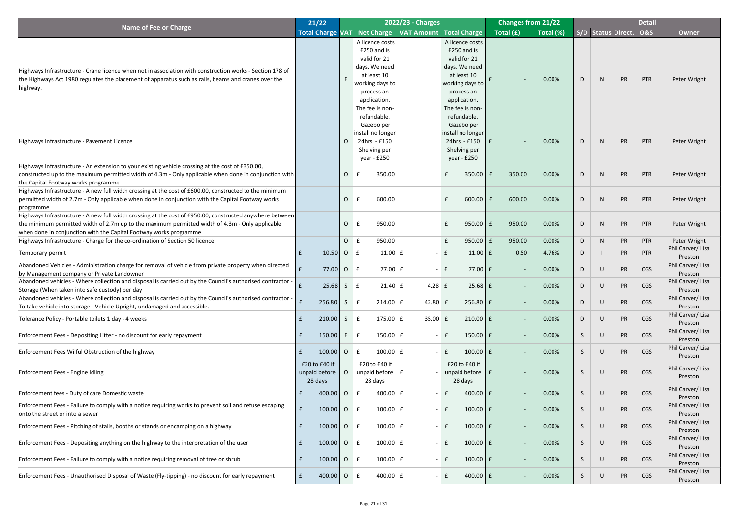|                                                                                                                                                                                                                                                                                  | 21/22                                     |                |                                                                                                                                                                   | 2022/23 - Charges |                          |             |                                                                                                                                                                   |           | <b>Changes from 21/22</b> |   |                        |           | <b>Detail</b> |                             |
|----------------------------------------------------------------------------------------------------------------------------------------------------------------------------------------------------------------------------------------------------------------------------------|-------------------------------------------|----------------|-------------------------------------------------------------------------------------------------------------------------------------------------------------------|-------------------|--------------------------|-------------|-------------------------------------------------------------------------------------------------------------------------------------------------------------------|-----------|---------------------------|---|------------------------|-----------|---------------|-----------------------------|
| <b>Name of Fee or Charge</b>                                                                                                                                                                                                                                                     | <b>Total Charge VAT</b>                   |                | Net Charge   VAT Amount   Total Charge                                                                                                                            |                   |                          |             |                                                                                                                                                                   | Total (£) | Total (%)                 |   | S/D Status Direct. O&S |           |               | Owner                       |
| Highways Infrastructure - Crane licence when not in association with construction works - Section 178 of<br>the Highways Act 1980 regulates the placement of apparatus such as rails, beams and cranes over the<br>highway.                                                      |                                           |                | A licence costs<br>£250 and is<br>valid for 21<br>days. We need<br>at least 10<br>working days to<br>process an<br>application.<br>The fee is non-<br>refundable. |                   |                          |             | A licence costs<br>£250 and is<br>valid for 21<br>days. We need<br>at least 10<br>working days to<br>process an<br>application.<br>The fee is non-<br>refundable. |           | 0.00%                     | D | N                      | PR        | PTR           | Peter Wright                |
| Highways Infrastructure - Pavement Licence                                                                                                                                                                                                                                       |                                           |                | Gazebo per<br>install no longer<br>24hrs - £150<br>Shelving per<br>year - £250                                                                                    |                   |                          |             | Gazebo per<br>install no longer<br>24hrs - £150<br>Shelving per<br>year - $£250$                                                                                  | l £       | 0.00%                     | D | N                      | PR        | PTR           | Peter Wright                |
| Highways Infrastructure - An extension to your existing vehicle crossing at the cost of £350.00,<br>constructed up to the maximum permitted width of 4.3m - Only applicable when done in conjunction with<br>the Capital Footway works programme                                 |                                           | $\overline{O}$ | 350.00                                                                                                                                                            |                   |                          |             | $350.00$ $E$                                                                                                                                                      | 350.00    | 0.00%                     | D | N                      | PR        | PTR           | Peter Wright                |
| Highways Infrastructure - A new full width crossing at the cost of £600.00, constructed to the minimum<br>permitted width of 2.7m - Only applicable when done in conjunction with the Capital Footway works<br>programme                                                         |                                           | $\overline{O}$ | 600.00                                                                                                                                                            |                   |                          |             | $600.00$ $E$                                                                                                                                                      | 600.00    | 0.00%                     | D | N                      | PR        | PTR           | Peter Wright                |
| Highways Infrastructure - A new full width crossing at the cost of £950.00, constructed anywhere between<br>the minimum permitted width of 2.7m up to the maximum permitted width of 4.3m - Only applicable<br>when done in conjunction with the Capital Footway works programme |                                           | $\overline{O}$ | 950.00                                                                                                                                                            |                   |                          |             | $950.00$ £                                                                                                                                                        | 950.00    | 0.00%                     | D | N                      | <b>PR</b> | PTR           | Peter Wright                |
| Highways Infrastructure - Charge for the co-ordination of Section 50 licence                                                                                                                                                                                                     |                                           | $\overline{O}$ | 950.00                                                                                                                                                            |                   |                          |             | 950.00 $E$                                                                                                                                                        | 950.00    | 0.00%                     | D | N                      | PR        | PTR           | Peter Wright                |
| Temporary permit                                                                                                                                                                                                                                                                 | 10.50                                     | $\overline{O}$ | $11.00 \mid f$<br>$\mathbf{f}$                                                                                                                                    |                   | $\overline{\phantom{0}}$ |             | $11.00$ $E$                                                                                                                                                       | 0.50      | 4.76%                     | D |                        | <b>PR</b> | PTR           | Phil Carver/Lisa<br>Preston |
| Abandoned Vehicles - Administration charge for removal of vehicle from private property when directed<br>by Management company or Private Landowner                                                                                                                              | $77.00$ O                                 |                | 77.00 $E$                                                                                                                                                         |                   | $\overline{\phantom{0}}$ |             | $77.00 \text{ E}$                                                                                                                                                 |           | 0.00%                     | D | U                      | <b>PR</b> | CGS           | Phil Carver/Lisa<br>Preston |
| Abandoned vehicles - Where collection and disposal is carried out by the Council's authorised contractor -<br>Storage (When taken into safe custody) per day                                                                                                                     | 25.68                                     | S              | $21.40 \mid f$                                                                                                                                                    |                   | $4.28$ $E$               |             | $25.68$ $E$                                                                                                                                                       |           | 0.00%                     | D | U                      | <b>PR</b> | CGS           | Phil Carver/Lisa<br>Preston |
| Abandoned vehicles - Where collection and disposal is carried out by the Council's authorised contractor -<br>To take vehicle into storage - Vehicle Upright, undamaged and accessible.                                                                                          | 256.80                                    | S              | $214.00 \mid f$                                                                                                                                                   |                   | 42.80                    |             | $256.80 \text{ }E$                                                                                                                                                |           | 0.00%                     | D | U                      | <b>PR</b> | CGS           | Phil Carver/Lisa<br>Preston |
| Tolerance Policy - Portable toilets 1 day - 4 weeks                                                                                                                                                                                                                              | 210.00                                    | S              | 175.00 $E$                                                                                                                                                        |                   | 35.00                    |             | $210.00$ $E$                                                                                                                                                      |           | 0.00%                     | D | U                      | <b>PR</b> | CGS           | Phil Carver/Lisa<br>Preston |
| Enforcement Fees - Depositing Litter - no discount for early repayment                                                                                                                                                                                                           | 150.00                                    | E              | $150.00 \mid f$                                                                                                                                                   |                   | $\sim$                   |             | $150.00$ $E$                                                                                                                                                      |           | 0.00%                     | S | U                      | <b>PR</b> | CGS           | Phil Carver/Lisa<br>Preston |
| Enforcement Fees Wilful Obstruction of the highway                                                                                                                                                                                                                               | 100.00                                    | $\overline{O}$ | $100.00$ $E$                                                                                                                                                      |                   |                          |             | $100.00$ $E$                                                                                                                                                      |           | 0.00%                     | S | U                      | <b>PR</b> | CGS           | Phil Carver/Lisa<br>Preston |
| <b>Enforcement Fees - Engine Idling</b>                                                                                                                                                                                                                                          | £20 to £40 if<br>unpaid before<br>28 days |                | £20 to £40 if<br>unpaid before $\vert$ £<br>28 days                                                                                                               |                   |                          |             | £20 to £40 if<br>unpaid before $\mathbf{f}$ $f$<br>28 days                                                                                                        |           | 0.00%                     | S | U                      | <b>PR</b> | CGS           | Phil Carver/Lisa<br>Preston |
| Enforcement fees - Duty of care Domestic waste                                                                                                                                                                                                                                   | 400.00                                    | $\overline{O}$ | 400.00 $E$<br>$\mathbf{f}$                                                                                                                                        |                   | $\overline{\phantom{0}}$ |             | $400.00$ $E$                                                                                                                                                      |           | 0.00%                     | S | $\cup$                 | PR        | CGS           | Phil Carver/Lisa<br>Preston |
| Enforcement Fees - Failure to comply with a notice requiring works to prevent soil and refuse escaping<br>onto the street or into a sewer                                                                                                                                        | 100.00                                    | $\overline{O}$ | $100.00$ $E$                                                                                                                                                      |                   | $\overline{\phantom{0}}$ |             | $100.00$ $E$                                                                                                                                                      |           | 0.00%                     | S | $\cup$                 | <b>PR</b> | CGS           | Phil Carver/Lisa<br>Preston |
| Enforcement Fees - Pitching of stalls, booths or stands or encamping on a highway                                                                                                                                                                                                | $100.00$ O                                |                | $100.00$   £                                                                                                                                                      |                   |                          |             | $100.00$ $E$                                                                                                                                                      |           | 0.00%                     |   | U                      | <b>PR</b> | <b>CGS</b>    | Phil Carver/Lisa<br>Preston |
| Enforcement Fees - Depositing anything on the highway to the interpretation of the user                                                                                                                                                                                          | 100.00                                    | $\overline{O}$ | $100.00 \mid f$                                                                                                                                                   |                   | $\overline{\phantom{0}}$ | f           | $100.00$ $E$                                                                                                                                                      |           | 0.00%                     | S | $\cup$                 | PR        | CGS           | Phil Carver/Lisa<br>Preston |
| Enforcement Fees - Failure to comply with a notice requiring removal of tree or shrub                                                                                                                                                                                            | $100.00$ O                                |                | $100.00 \mid f$                                                                                                                                                   |                   | $\overline{\phantom{0}}$ |             | $100.00$ $E$                                                                                                                                                      |           | 0.00%                     | S | $\cup$                 | PR        | CGS           | Phil Carver/Lisa<br>Preston |
| Enforcement Fees - Unauthorised Disposal of Waste (Fly-tipping) - no discount for early repayment                                                                                                                                                                                | $400.00$ 0                                |                | 400.00 $E$                                                                                                                                                        |                   | $\sim$                   | $\mathbf f$ | $400.00$ $E$                                                                                                                                                      |           | 0.00%                     | S | U                      | PR        | CGS           | Phil Carver/Lisa<br>Preston |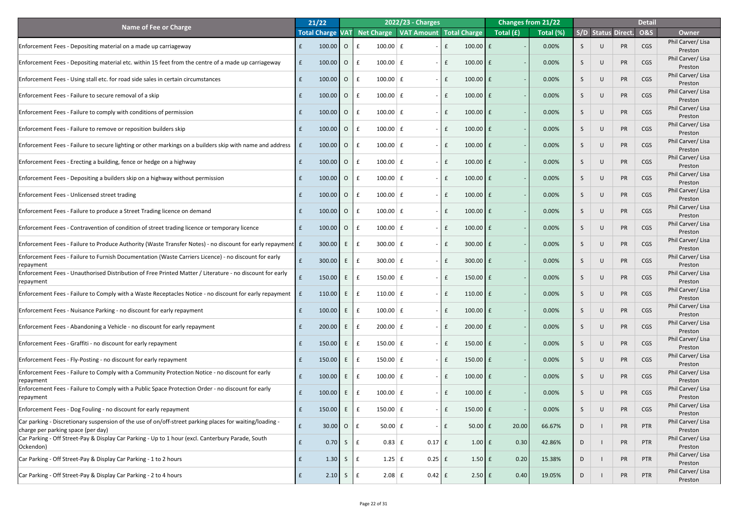|                                                                                                                                                | 21/22      |                |              |                 | 2022/23 - Charges                                       |               |                                   | <b>Changes from 21/22</b> |    |        |                           | <b>Detail</b>  |                             |
|------------------------------------------------------------------------------------------------------------------------------------------------|------------|----------------|--------------|-----------------|---------------------------------------------------------|---------------|-----------------------------------|---------------------------|----|--------|---------------------------|----------------|-----------------------------|
| <b>Name of Fee or Charge</b>                                                                                                                   |            |                |              |                 | Total Charge VAT Net Charge   VAT Amount   Total Charge |               | $\sqrt{\text{Total}(\mathbf{f})}$ | Total (%)                 |    |        | <b>S/D Status Direct.</b> | <b>O&amp;S</b> | <b>Owner</b>                |
| Enforcement Fees - Depositing material on a made up carriageway                                                                                | 100.00     | $\overline{O}$ | $\mathbf{f}$ | $100.00$ $E$    |                                                         | $100.00$ $E$  |                                   | 0.00%                     |    | $\cup$ | PR                        | <b>CGS</b>     | Phil Carver/Lisa<br>Preston |
| Enforcement Fees - Depositing material etc. within 15 feet from the centre of a made up carriageway                                            | 100.00     | $\overline{O}$ | E            | $100.00$ $E$    |                                                         | $100.00$ $E$  |                                   | 0.00%                     | S. | $\cup$ | PR                        | <b>CGS</b>     | Phil Carver/Lisa<br>Preston |
| Enforcement Fees - Using stall etc. for road side sales in certain circumstances                                                               | $100.00$ 0 |                | E            | $100.00$ $E$    |                                                         | $100.00$ $E$  |                                   | 0.00%                     | S. | $\cup$ | PR                        | <b>CGS</b>     | Phil Carver/Lisa<br>Preston |
| Enforcement Fees - Failure to secure removal of a skip                                                                                         | 100.00     | $\overline{O}$ | $\mathbf{f}$ | $100.00$ $E$    |                                                         | $100.00$ $E$  |                                   | 0.00%                     | S. | $\cup$ | PR                        | <b>CGS</b>     | Phil Carver/Lisa<br>Preston |
| Enforcement Fees - Failure to comply with conditions of permission                                                                             | 100.00     | $\overline{O}$ | $\mathbf{f}$ | $100.00$ $E$    |                                                         | $100.00$ $E$  |                                   | 0.00%                     | S. | $\cup$ | PR                        | <b>CGS</b>     | Phil Carver/Lisa<br>Preston |
| Enforcement Fees - Failure to remove or reposition builders skip                                                                               | $100.00$ O |                | $\mathbf{f}$ | $100.00 \mid f$ |                                                         | $100.00$ $E$  |                                   | 0.00%                     | S. | $\cup$ | PR                        | <b>CGS</b>     | Phil Carver/Lisa<br>Preston |
| Enforcement Fees - Failure to secure lighting or other markings on a builders skip with name and address $\ \mathbf{f}\ $                      | $100.00$ O |                | $\mathbf{f}$ | $100.00 \mid f$ |                                                         | $100.00$ $E$  |                                   | 0.00%                     | S. | $\cup$ | PR                        | <b>CGS</b>     | Phil Carver/Lisa<br>Preston |
| Enforcement Fees - Erecting a building, fence or hedge on a highway                                                                            | $100.00$ 0 |                | $\mathbf{f}$ | $100.00 \mid f$ |                                                         | $100.00$ $E$  |                                   | 0.00%                     | S. | $\cup$ | PR                        | <b>CGS</b>     | Phil Carver/Lisa<br>Preston |
| Enforcement Fees - Depositing a builders skip on a highway without permission                                                                  | 100.00     | $\overline{O}$ | $\mathbf{f}$ | $100.00 \mid f$ |                                                         | $100.00$ $E$  |                                   | 0.00%                     | S. | $\cup$ | PR                        | <b>CGS</b>     | Phil Carver/Lisa<br>Preston |
| <b>Enforcement Fees - Unlicensed street trading</b>                                                                                            | 100.00     | $\overline{O}$ | $\mathbf{f}$ | $100.00 \mid f$ |                                                         | $100.00$ $E$  |                                   | 0.00%                     |    | $\cup$ | PR                        | <b>CGS</b>     | Phil Carver/Lisa<br>Preston |
| Enforcement Fees - Failure to produce a Street Trading licence on demand                                                                       | 100.00     | $\overline{O}$ |              | $100.00$ $E$    |                                                         | $100.00$ $E$  |                                   | 0.00%                     |    | $\cup$ | PR                        | CGS            | Phil Carver/Lisa<br>Preston |
| Enforcement Fees - Contravention of condition of street trading licence or temporary licence                                                   | 100.00     | $\overline{O}$ | $\mathbf{f}$ | $100.00 \mid f$ |                                                         | $100.00$ $E$  |                                   | 0.00%                     |    | U      | PR                        | CGS            | Phil Carver/Lisa<br>Preston |
| Enforcement Fees - Failure to Produce Authority (Waste Transfer Notes) - no discount for early repayment E                                     | 300.00     | E.             |              | $300.00 \mid f$ |                                                         | $300.00$ $E$  |                                   | 0.00%                     |    | $\cup$ | PR                        | CGS            | Phil Carver/Lisa<br>Preston |
| Enforcement Fees - Failure to Furnish Documentation (Waste Carriers Licence) - no discount for early<br><b>repayment</b>                       | 300.00     |                |              | $300.00$ $E$    |                                                         | $300.00$ $E$  |                                   | 0.00%                     |    | $\cup$ | PR                        | CGS            | Phil Carver/Lisa<br>Preston |
| Enforcement Fees - Unauthorised Distribution of Free Printed Matter / Literature - no discount for early<br><b>Irepayment</b>                  | 150.00     | E              |              | 150.00 $E$      |                                                         | $150.00$ $E$  |                                   | 0.00%                     |    | $\cup$ | PR                        | CGS            | Phil Carver/Lisa<br>Preston |
| Enforcement Fees - Failure to Comply with a Waste Receptacles Notice - no discount for early repayment $\ $ f                                  | 110.00     | E              |              | 110.00 $E$      |                                                         | 110.00 $E$    |                                   | 0.00%                     |    | $\cup$ | PR                        | CGS            | Phil Carver/Lisa<br>Preston |
| Enforcement Fees - Nuisance Parking - no discount for early repayment                                                                          | 100.00     |                |              | $100.00 \mid f$ |                                                         | $100.00$ $E$  |                                   | 0.00%                     |    | $\cup$ | PR                        | CGS            | Phil Carver/Lisa<br>Preston |
| Enforcement Fees - Abandoning a Vehicle - no discount for early repayment                                                                      | 200.00     |                |              | $200.00$ $E$    |                                                         | $200.00$ $E$  |                                   | 0.00%                     |    | $\cup$ | PR                        | CGS            | Phil Carver/Lisa<br>Preston |
| Enforcement Fees - Graffiti - no discount for early repayment                                                                                  | 150.00     |                |              | 150.00 $E$      |                                                         | $150.00$ $E$  |                                   | 0.00%                     |    | $\cup$ | PR                        | CGS            | Phil Carver/Lisa<br>Preston |
| Enforcement Fees - Fly-Posting - no discount for early repayment                                                                               | 150.00     |                |              | 150.00 $E$      |                                                         | $150.00$ $E$  |                                   | 0.00%                     |    | $\cup$ | PR                        | CGS            | Phil Carver/Lisa<br>Preston |
| Enforcement Fees - Failure to Comply with a Community Protection Notice - no discount for early<br><b>repayment</b>                            | 100.00     |                |              | $100.00$ $E$    |                                                         | $100.00$ $E$  |                                   | 0.00%                     |    | $\cup$ | PR                        | CGS            | Phil Carver/Lisa<br>Preston |
| Enforcement Fees - Failure to Comply with a Public Space Protection Order - no discount for early<br><b>Irepayment</b>                         | 100.00     |                |              | $100.00$ $E$    |                                                         | $100.00$ $E$  |                                   | 0.00%                     |    | $\cup$ | PR                        | CGS            | Phil Carver/Lisa<br>Preston |
| Enforcement Fees - Dog Fouling - no discount for early repayment                                                                               | 150.00     | E              |              | 150.00 $E$      |                                                         | $150.00$ $E$  |                                   | 0.00%                     |    | $\cup$ | PR                        | <b>CGS</b>     | Phil Carver/Lisa<br>Preston |
| - Car parking - Discretionary suspension of the use of on/off-street parking places for waiting/loading <br>charge per parking space (per day) | $30.00$ O  |                |              | $50.00$ £       |                                                         | $50.00$ £     | 20.00                             | 66.67%                    | D. |        | <b>PR</b>                 | PTR            | Phil Carver/Lisa<br>Preston |
| Car Parking - Off Street-Pay & Display Car Parking - Up to 1 hour (excl. Canterbury Parade, South<br>Ockendon)                                 | 0.70       | S              |              | $0.83$ $E$      | $0.17$ $E$                                              | $1.00$ $f$    | 0.30                              | 42.86%                    | D  |        | PR                        | PTR            | Phil Carver/Lisa<br>Preston |
| Car Parking - Off Street-Pay & Display Car Parking - 1 to 2 hours                                                                              | 1.30       | S              |              | $1.25$ $E$      | $0.25$ £                                                | $1.50$ $f$    | 0.20                              | 15.38%                    | D  |        | PR                        | PTR            | Phil Carver/Lisa<br>Preston |
| Car Parking - Off Street-Pay & Display Car Parking - 2 to 4 hours                                                                              | 2.10       | S              |              | $2.08$ $E$      | $0.42$ $E$                                              | $2.50 \mid f$ | 0.40                              | 19.05%                    | D  |        | PR                        | PTR            | Phil Carver/Lisa<br>Preston |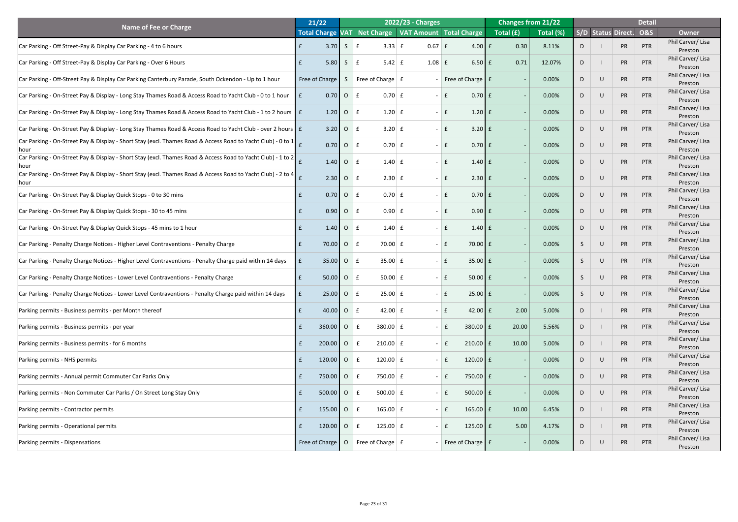|                                                                                                                                     | 21/22                      |                |                                     | 2022/23 - Charges        |                                                         |                                                         | <b>Changes from 21/22</b> |   |                           |           | <b>Detail</b>  |                             |
|-------------------------------------------------------------------------------------------------------------------------------------|----------------------------|----------------|-------------------------------------|--------------------------|---------------------------------------------------------|---------------------------------------------------------|---------------------------|---|---------------------------|-----------|----------------|-----------------------------|
| <b>Name of Fee or Charge</b>                                                                                                        |                            |                |                                     |                          | Total Charge VAT Net Charge   VAT Amount   Total Charge | $\overline{\phantom{a}}$ Total $\overline{\phantom{a}}$ | Total (%)                 |   | <b>S/D Status Direct.</b> |           | <b>O&amp;S</b> | <b>Owner</b>                |
| Car Parking - Off Street-Pay & Display Car Parking - 4 to 6 hours                                                                   | 3.70                       | S              | $3.33 \mid f$                       | $0.67$ $E$               | $4.00$ $E$                                              | 0.30                                                    | 8.11%                     | D |                           | <b>PR</b> | PTR            | Phil Carver/Lisa<br>Preston |
| Car Parking - Off Street-Pay & Display Car Parking - Over 6 Hours                                                                   | 5.80                       | $S_{\ell}$     | $5.42 \mid f$                       | $1.08$ $E$               | $6.50$ £                                                | 0.71                                                    | 12.07%                    | D |                           | PR        | PTR            | Phil Carver/Lisa<br>Preston |
| Car Parking - Off-Street Pay & Display Car Parking Canterbury Parade, South Ockendon - Up to 1 hour                                 | Free of Charge             | S              | Free of Charge $\mid$ £             |                          | Free of Charge   £                                      |                                                         | 0.00%                     | D | $\cup$                    | PR        | PTR            | Phil Carver/Lisa<br>Preston |
| Car Parking - On-Street Pay & Display - Long Stay Thames Road & Access Road to Yacht Club - 0 to 1 hour $\ $ £                      |                            | $0.70$ O       | $0.70$ £                            | $\sim$                   | $0.70$ £<br>$\mathbf{f}$                                |                                                         | 0.00%                     | D | $\cup$                    | PR        | <b>PTR</b>     | Phil Carver/Lisa<br>Preston |
| Car Parking - On-Street Pay & Display - Long Stay Thames Road & Access Road to Yacht Club - 1 to 2 hours $\vert$ £                  |                            | $1.20$ 0       | $1.20 \mid f$                       | $\overline{\phantom{0}}$ | $1.20$ $f$<br>$\mathbf{f}$                              |                                                         | 0.00%                     | D | $\cup$                    | PR        | PTR            | Phil Carver/Lisa<br>Preston |
| Car Parking - On-Street Pay & Display - Long Stay Thames Road & Access Road to Yacht Club - over 2 hours   £                        |                            | $3.20$ 0       | $3.20 \mid f$                       | $\overline{\phantom{0}}$ | $3.20$ $E$<br>$\mathbf{f}$                              |                                                         | 0.00%                     | D | $\cup$                    | PR        | <b>PTR</b>     | Phil Carver/Lisa<br>Preston |
| Car Parking - On-Street Pay & Display - Short Stay (excl. Thames Road & Access Road to Yacht Club) - 0 to 1 $\vert$                 |                            | $0.70$ O       | $0.70$ £                            | $\overline{\phantom{0}}$ | $0.70$ £<br>$\mathbf{f}$                                |                                                         | 0.00%                     | D | $\cup$                    | PR        | <b>PTR</b>     | Phil Carver/Lisa<br>Preston |
| Car Parking - On-Street Pay & Display - Short Stay (excl. Thames Road & Access Road to Yacht Club) - 1 to 2 $\vert$ $\vert$<br>hour |                            | $1.40$ O       | $1.40 \mid f$                       | $\sim$                   | $\mathbf{f}$<br>$1.40$ $f$                              |                                                         | 0.00%                     | D | $\cup$                    | PR        | <b>PTR</b>     | Phil Carver/Lisa<br>Preston |
| Car Parking - On-Street Pay & Display - Short Stay (excl. Thames Road & Access Road to Yacht Club) - 2 to 4<br>hour                 |                            | $2.30$ O       | $2.30 \mid f$                       | $\sim$                   | $2.30 \mid f$<br>$\mathbf{f}$                           |                                                         | 0.00%                     | D | $\cup$                    | PR        | <b>PTR</b>     | Phil Carver/Lisa<br>Preston |
| Car Parking - On-Street Pay & Display Quick Stops - 0 to 30 mins                                                                    |                            | $0.70$ O       | $0.70$ £                            | $\sim$                   | $0.70$ £<br>$\mathbf{f}$                                |                                                         | 0.00%                     | D | $\cup$                    | PR        | <b>PTR</b>     | Phil Carver/Lisa<br>Preston |
| Car Parking - On-Street Pay & Display Quick Stops - 30 to 45 mins                                                                   | 0.90                       | $\overline{O}$ | $0.90 \mid f$                       | $\sim$ $\sim$            | $0.90$ $E$<br>E                                         |                                                         | 0.00%                     | D | $\cup$                    | <b>PR</b> | PTR            | Phil Carver/Lisa<br>Preston |
| Car Parking - On-Street Pay & Display Quick Stops - 45 mins to 1 hour                                                               | f                          | $1.40$ O       | E<br>$1.40 \mid f$                  | $\sim$                   | E<br>$1.40$ $f$                                         |                                                         | 0.00%                     | D | $\cup$                    | PR        | PTR            | Phil Carver/Lisa<br>Preston |
| Car Parking - Penalty Charge Notices - Higher Level Contraventions - Penalty Charge                                                 | 70.00                      | $\overline{O}$ | 70.00 $E$<br>$\mathbf{f}$           | $\sim$ 1                 | $\mathsf{E}$<br>$70.00$ £                               |                                                         | 0.00%                     | S | $\cup$                    | PR        | PTR            | Phil Carver/Lisa<br>Preston |
| Car Parking - Penalty Charge Notices - Higher Level Contraventions - Penalty Charge paid within 14 days                             | 35.00<br>E                 | $\overline{O}$ | $35.00 \mid f$<br>$\mathbf{f}$      | $\sim$                   | f<br>$35.00 \text{ f}$                                  |                                                         | 0.00%                     | S | $\cup$                    | PR        | PTR            | Phil Carver/Lisa<br>Preston |
| Car Parking - Penalty Charge Notices - Lower Level Contraventions - Penalty Charge                                                  | 50.00                      | $\overline{O}$ | $50.00 \mid f \mid$<br>$\mathbf{f}$ | $\sim$                   | f<br>$50.00$ $E$                                        |                                                         | 0.00%                     | S | $\cup$                    | PR        | PTR            | Phil Carver/Lisa<br>Preston |
| Car Parking - Penalty Charge Notices - Lower Level Contraventions - Penalty Charge paid within 14 days                              | 25.00<br>E                 | $\overline{O}$ | $25.00 \mid f \mid$<br>$\mathbf{f}$ | $\sim$                   | f<br>$25.00 \mid f$                                     |                                                         | 0.00%                     | S | $\cup$                    | PR        | PTR            | Phil Carver/Lisa<br>Preston |
| Parking permits - Business permits - per Month thereof                                                                              | 40.00                      | $\overline{O}$ | 42.00 $E$<br>E                      | $\sim$                   | f<br>$42.00$ $E$                                        | 2.00                                                    | 5.00%                     | D |                           | <b>PR</b> | PTR            | Phil Carver/Lisa<br>Preston |
| Parking permits - Business permits - per year                                                                                       | 360.00                     | $\overline{O}$ | 380.00 $E$<br>E                     | $\sim$                   | $\mathbf f$<br>$380.00$ $E$                             | 20.00                                                   | 5.56%                     | D |                           | <b>PR</b> | PTR            | Phil Carver/Lisa<br>Preston |
| Parking permits - Business permits - for 6 months                                                                                   | 200.00                     | $\overline{O}$ | $210.00 \mid f$<br>E                | $\sim$                   | $\mathbf f$<br>$210.00$ $E$                             | 10.00                                                   | 5.00%                     | D |                           | <b>PR</b> | PTR            | Phil Carver/Lisa<br>Preston |
| Parking permits - NHS permits                                                                                                       | 120.00                     | $\overline{O}$ | $120.00 \mid f \mid$<br>E           | $\sim$                   | $\mathbf f$<br>$120.00$ $E$                             |                                                         | 0.00%                     | D | $\cup$                    | PR        | PTR            | Phil Carver/Lisa<br>Preston |
| Parking permits - Annual permit Commuter Car Parks Only                                                                             | 750.00                     | $\overline{O}$ | $750.00 \mid f \mid$<br>E           | $\sim$                   | $\mathbf f$<br>750.00 £                                 |                                                         | 0.00%                     | D | $\cup$                    | PR        | PTR            | Phil Carver/Lisa<br>Preston |
| Parking permits - Non Commuter Car Parks / On Street Long Stay Only                                                                 | 500.00                     | $\overline{O}$ | $\mathbf{f}$<br>$500.00 \mid f$     | $\sim$                   | f<br>$500.00$ $E$                                       |                                                         | 0.00%                     | D | $\cup$                    | PR        | PTR            | Phil Carver/Lisa<br>Preston |
| Parking permits - Contractor permits                                                                                                | $155.00$ 0                 |                | E<br>$165.00 \mid f$                | $\sim$                   | $\mathbf{f}$<br>$165.00$ $E$                            | 10.00                                                   | 6.45%                     | D |                           | <b>PR</b> | PTR            | Phil Carver/Lisa<br>Preston |
| Parking permits - Operational permits                                                                                               | $120.00$ 0<br>$\mathbf{f}$ |                | 125.00 $E$<br>£                     | $\sim$                   | 125.00 $E$<br>$\mathbf{f}$                              | 5.00                                                    | 4.17%                     | D |                           | <b>PR</b> | PTR            | Phil Carver/Lisa<br>Preston |
| Parking permits - Dispensations                                                                                                     | Free of Charge   O         |                | Free of Charge $E$                  |                          | $-$ Free of Charge $\mathbf{f}$ f                       |                                                         | 0.00%                     | D | U                         | PR        | PTR            | Phil Carver/Lisa<br>Preston |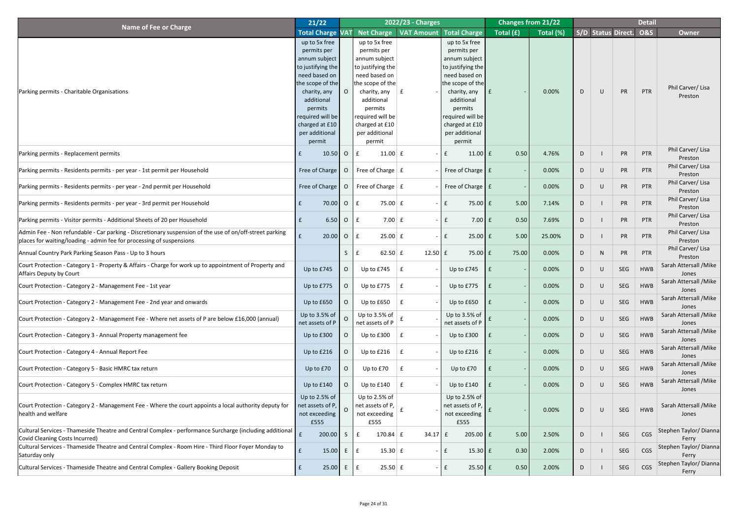|                                                                                                                                                                                           | 21/22                                                                                                                                                                                                              |                |                                                                                                                                                                                                                                    | 2022/23 - Charges   |                                                                                                                                                                                                                    |                    | <b>Changes from 21/22</b> |    |           |                    | <b>Detail</b>  |                                 |
|-------------------------------------------------------------------------------------------------------------------------------------------------------------------------------------------|--------------------------------------------------------------------------------------------------------------------------------------------------------------------------------------------------------------------|----------------|------------------------------------------------------------------------------------------------------------------------------------------------------------------------------------------------------------------------------------|---------------------|--------------------------------------------------------------------------------------------------------------------------------------------------------------------------------------------------------------------|--------------------|---------------------------|----|-----------|--------------------|----------------|---------------------------------|
| <b>Name of Fee or Charge</b>                                                                                                                                                              | <b>Total Charge VAT</b>                                                                                                                                                                                            |                | Net Charge                                                                                                                                                                                                                         |                     | <b>VAT Amount Total Charge</b>                                                                                                                                                                                     | Total (£)          | Total (%)                 |    |           | S/D Status Direct. | <b>O&amp;S</b> | <b>Owner</b>                    |
| Parking permits - Charitable Organisations                                                                                                                                                | up to 5x free<br>permits per<br>annum subject<br>to justifying the<br>need based on<br>the scope of the<br>charity, any<br>additional<br>permits<br>required will be<br>charged at £10<br>per additional<br>permit |                | up to 5x free<br>permits per<br>annum subject<br>$\vert$ to justifying the $\vert$<br>need based on<br>the scope of the<br>charity, any<br>additional<br>permits<br>required will be<br>charged at £10<br>per additional<br>permit |                     | up to 5x free<br>permits per<br>annum subject<br>to justifying the<br>need based on<br>the scope of the<br>charity, any<br>additional<br>permits<br>required will be<br>charged at £10<br>per additional<br>permit | $\mathbf{f}$       | 0.00%                     | D  | $\bigcup$ | PR                 | PTR            | Phil Carver/Lisa<br>Preston     |
| Parking permits - Replacement permits                                                                                                                                                     | $10.50$ O<br>£                                                                                                                                                                                                     |                | $11.00 \mid f$<br>l £                                                                                                                                                                                                              |                     | $11.00 \mid f \mid$<br>$\mathbf{f}$                                                                                                                                                                                | 0.50               | 4.76%                     | D  |           | PR                 | <b>PTR</b>     | Phil Carver/Lisa<br>Preston     |
| Parking permits - Residents permits - per year - 1st permit per Household                                                                                                                 | Free of Charge                                                                                                                                                                                                     | $\overline{O}$ | Free of Charge $\vert$ £                                                                                                                                                                                                           |                     | Free of Charge   £                                                                                                                                                                                                 |                    | 0.00%                     | D  | $\cup$    | PR                 | PTR            | Phil Carver/Lisa<br>Preston     |
| Parking permits - Residents permits - per year - 2nd permit per Household                                                                                                                 | Free of Charge                                                                                                                                                                                                     | $\overline{O}$ | Free of Charge $E$                                                                                                                                                                                                                 |                     | Free of Charge   £                                                                                                                                                                                                 |                    | 0.00%                     | D  | $\cup$    | PR                 | PTR            | Phil Carver/Lisa<br>Preston     |
| Parking permits - Residents permits - per year - 3rd permit per Household                                                                                                                 | 70.00<br>f                                                                                                                                                                                                         | $\circ$        | 75.00 $E$<br>l £                                                                                                                                                                                                                   |                     | $75.00 \text{ f}$<br>$\mathbf{f}$                                                                                                                                                                                  | 5.00               | 7.14%                     | D  |           | PR                 | <b>PTR</b>     | Phil Carver/Lisa<br>Preston     |
| Parking permits - Visitor permits - Additional Sheets of 20 per Household                                                                                                                 | $\vert f \vert$<br>$6.50$ O E                                                                                                                                                                                      |                | $7.00 \mid f$                                                                                                                                                                                                                      |                     | $ E$                                                                                                                                                                                                               | $7.00$ $f$<br>0.50 | 7.69%                     | D  |           | PR                 | <b>PTR</b>     | Phil Carver/Lisa<br>Preston     |
| Admin Fee - Non refundable - Car parking - Discretionary suspension of the use of on/off-street parking<br>places for waiting/loading - admin fee for processing of suspensions           | f<br>20.00                                                                                                                                                                                                         | $\overline{O}$ | $25.00 \mid f$<br>l £                                                                                                                                                                                                              |                     | $25.00 \text{ f}$<br>$\mathbf{f}$                                                                                                                                                                                  | 5.00               | 25.00%                    | D  |           | PR                 | <b>PTR</b>     | Phil Carver/Lisa<br>Preston     |
| Annual Country Park Parking Season Pass - Up to 3 hours                                                                                                                                   |                                                                                                                                                                                                                    | S              | 62.50 $E$                                                                                                                                                                                                                          | $12.50 \mid f \mid$ | $75.00 \mid f \mid$                                                                                                                                                                                                | 75.00              | 0.00%                     | D  | N.        | PR                 | <b>PTR</b>     | Phil Carver/Lisa<br>Preston     |
| Court Protection - Category 1 - Property & Affairs - Charge for work up to appointment of Property and<br><b>Affairs Deputy by Court</b>                                                  | Up to £745                                                                                                                                                                                                         | O              | Up to £745                                                                                                                                                                                                                         |                     | Up to £745                                                                                                                                                                                                         |                    | 0.00%                     | D  | $\cup$    | SEG                | <b>HWB</b>     | Sarah Attersall / Mike<br>Jones |
| Court Protection - Category 2 - Management Fee - 1st year                                                                                                                                 | Up to £775                                                                                                                                                                                                         | O              | Up to £775                                                                                                                                                                                                                         |                     | Up to £775                                                                                                                                                                                                         |                    | 0.00%                     | D  | $\cup$    | SEG                | <b>HWB</b>     | Sarah Attersall / Mike<br>Jones |
| Court Protection - Category 2 - Management Fee - 2nd year and onwards                                                                                                                     | Up to £650                                                                                                                                                                                                         | $\overline{O}$ | Up to £650                                                                                                                                                                                                                         |                     | Up to £650                                                                                                                                                                                                         |                    | 0.00%                     | D  | $\cup$    | SEG                | <b>HWB</b>     | Sarah Attersall / Mike<br>Jones |
| Court Protection - Category 2 - Management Fee - Where net assets of P are below £16,000 (annual)                                                                                         | Up to 3.5% of<br>net assets of P                                                                                                                                                                                   | $\Omega$       | Up to $3.5%$ of<br>net assets of P                                                                                                                                                                                                 |                     | Up to 3.5% of<br>net assets of P                                                                                                                                                                                   |                    | 0.00%                     | D  | $\cup$    | SEG                | <b>HWB</b>     | Sarah Attersall / Mike<br>Jones |
| Court Protection - Category 3 - Annual Property management fee                                                                                                                            | Up to £300                                                                                                                                                                                                         | O.             | Up to £300                                                                                                                                                                                                                         |                     | Up to £300                                                                                                                                                                                                         |                    | 0.00%                     | D  | $\cup$    | SEG                | <b>HWB</b>     | Sarah Attersall / Mike<br>Jones |
| Court Protection - Category 4 - Annual Report Fee                                                                                                                                         | Up to £216                                                                                                                                                                                                         | O.             | Up to £216                                                                                                                                                                                                                         |                     | Up to £216                                                                                                                                                                                                         |                    | 0.00%                     | D  | $\cup$    | SEG                | <b>HWB</b>     | Sarah Attersall / Mike<br>Jones |
| Court Protection - Category 5 - Basic HMRC tax return                                                                                                                                     | Up to £70                                                                                                                                                                                                          | $\overline{O}$ | Up to £70                                                                                                                                                                                                                          |                     | Up to £70                                                                                                                                                                                                          |                    | 0.00%                     | D  | $\cup$    | SEG                | <b>HWB</b>     | Sarah Attersall / Mike<br>Jones |
| Court Protection - Category 5 - Complex HMRC tax return                                                                                                                                   | Up to £140                                                                                                                                                                                                         |                | Up to £140                                                                                                                                                                                                                         |                     | Up to £140                                                                                                                                                                                                         |                    | 0.00%                     | D  | $\cup$    | SEG                | <b>HWB</b>     | Sarah Attersall / Mike<br>Jones |
| Court Protection - Category 2 - Management Fee - Where the court appoints a local authority deputy for<br>health and welfare                                                              | Up to 2.5% of<br>net assets of $P, \parallel$<br>not exceeding<br>£555                                                                                                                                             | $\Omega$       | Up to $2.5%$ of<br>net assets of P, $\vert$<br>not exceeding<br>£555                                                                                                                                                               |                     | Up to $2.5%$ of<br>net assets of P,<br>not exceeding<br>£555                                                                                                                                                       |                    | 0.00%                     | D  | $\cup$    | SEG                | <b>HWB</b>     | Sarah Attersall / Mike<br>Jones |
| Cultural Services - Thameside Theatre and Central Complex - performance Surcharge (including additional $\left  \begin{array}{c} 1 \end{array} \right $<br>Covid Cleaning Costs Incurred) | 200.00                                                                                                                                                                                                             | $\mathsf{S}$   | 170.84 $E$<br>£                                                                                                                                                                                                                    | $34.17 \mid f$      | $205.00$ $E$                                                                                                                                                                                                       | 5.00               | 2.50%                     | D  |           | SEG                | CGS            | Stephen Taylor/ Dianna<br>Ferry |
| Cultural Services - Thameside Theatre and Central Complex - Room Hire - Third Floor Foyer Monday to<br>Saturday only                                                                      | E<br>15.00                                                                                                                                                                                                         | E              | $15.30 \mid f$<br>E                                                                                                                                                                                                                |                     | $15.30 \mid f \mid$<br>$\mathbf{f}$                                                                                                                                                                                | 0.30               | 2.00%                     | D  |           | SEG                | CGS            | Stephen Taylor/Dianna<br>Ferry  |
| Cultural Services - Thameside Theatre and Central Complex - Gallery Booking Deposit                                                                                                       | 25.00                                                                                                                                                                                                              | E              | $25.50 \mid f$<br>E                                                                                                                                                                                                                |                     | $25.50 \, \text{f}$<br>f                                                                                                                                                                                           | 0.50               | 2.00%                     | D. |           | SEG                | CGS            | Stephen Taylor/ Dianna<br>Ferry |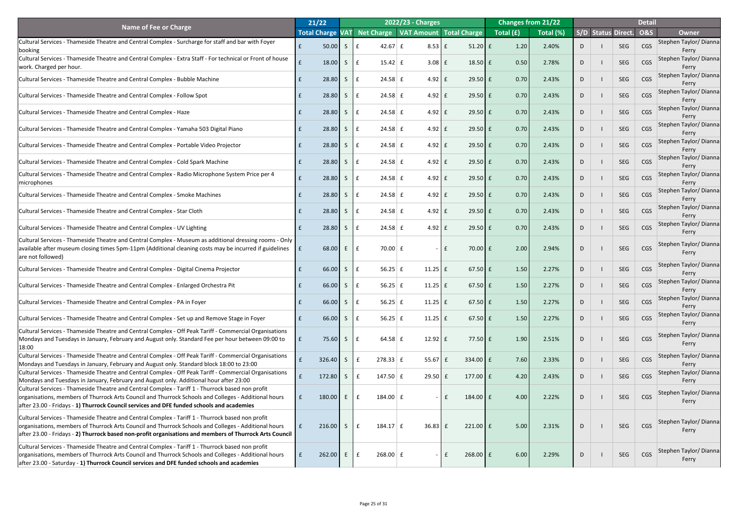|                                                                                                                                                                                                    | 21/22                   |              |    |                       | <b>2022/23 - Charges</b> |                                        | <b>Changes from 21/22</b> |           |   |                    |            | <b>Detail</b>  |                                 |
|----------------------------------------------------------------------------------------------------------------------------------------------------------------------------------------------------|-------------------------|--------------|----|-----------------------|--------------------------|----------------------------------------|---------------------------|-----------|---|--------------------|------------|----------------|---------------------------------|
| <b>Name of Fee or Charge</b>                                                                                                                                                                       | <b>Total Charge VAT</b> |              |    |                       |                          | Net Charge   VAT Amount   Total Charge | Total (£)                 | Total (%) |   | S/D Status Direct. |            | <b>O&amp;S</b> | <b>Owner</b>                    |
| Cultural Services - Thameside Theatre and Central Complex - Surcharge for staff and bar with Foyer                                                                                                 | 50.00                   | S            |    | $42.67 \mid f$        | $8.53 \mid f$            | $51.20$ $f$                            | 1.20                      | 2.40%     | D |                    | <b>SEG</b> | <b>CGS</b>     | Stephen Taylor/ Dianna          |
| <b>booking</b>                                                                                                                                                                                     |                         |              |    |                       |                          |                                        |                           |           |   |                    |            |                | Ferry                           |
| Cultural Services - Thameside Theatre and Central Complex - Extra Staff - For technical or Front of house                                                                                          | 18.00                   | <sub>S</sub> |    | $15.42 \mid f$        | 3.08                     | $18.50 \mid f \mid$                    | 0.50                      | 2.78%     | D |                    | SEG        | CGS            | Stephen Taylor/ Dianna          |
| work. Charged per hour.                                                                                                                                                                            |                         |              |    |                       |                          |                                        |                           |           |   |                    |            |                | Ferry                           |
| Cultural Services - Thameside Theatre and Central Complex - Bubble Machine                                                                                                                         | 28.80                   | S            |    | $24.58 \mid f$        | $4.92 \mid f$            | $29.50 \text{ f}$                      | 0.70                      | 2.43%     | D |                    | SEG        | CGS            | Stephen Taylor/ Dianna<br>Ferry |
|                                                                                                                                                                                                    |                         |              |    |                       |                          |                                        |                           |           |   |                    |            |                | Stephen Taylor/ Dianna          |
| Cultural Services - Thameside Theatre and Central Complex - Follow Spot                                                                                                                            | 28.80                   | S.           |    | $24.58 \mid f$        | $4.92 \mid f$            | $29.50 \text{ f}$                      | 0.70                      | 2.43%     | D |                    | SEG        | CGS            | Ferry                           |
|                                                                                                                                                                                                    |                         |              |    |                       |                          |                                        | 0.70                      |           |   |                    | <b>SEG</b> | CGS            | Stephen Taylor/ Dianna          |
| Cultural Services - Thameside Theatre and Central Complex - Haze                                                                                                                                   | 28.80                   |              |    | $24.58 \mid f$        | $4.92 \mid f$            | $29.50 \, \text{f}$                    |                           | 2.43%     | D |                    |            |                | Ferry                           |
| Cultural Services - Thameside Theatre and Central Complex - Yamaha 503 Digital Piano                                                                                                               | 28.80                   | S.           |    | $24.58 \mid f$        | $4.92 \mid f$            | $29.50 \, \text{f}$                    | 0.70                      | 2.43%     | D |                    | SEG        | CGS            | Stephen Taylor/ Dianna          |
|                                                                                                                                                                                                    |                         |              |    |                       |                          |                                        |                           |           |   |                    |            |                | Ferry                           |
| Cultural Services - Thameside Theatre and Central Complex - Portable Video Projector                                                                                                               | 28.80                   |              |    | $24.58 \mid f$        | $4.92 \mid f$            | $29.50 \text{ f}$                      | 0.70                      | 2.43%     | D |                    | SEG        | CGS            | Stephen Taylor/ Dianna          |
|                                                                                                                                                                                                    |                         |              |    |                       |                          |                                        |                           |           |   |                    |            |                | Ferry<br>Stephen Taylor/ Dianna |
| Cultural Services - Thameside Theatre and Central Complex - Cold Spark Machine                                                                                                                     | 28.80                   | S.           |    | $24.58 \mid f$        | $4.92 \mid f$            | $29.50 \, \text{f}$                    | 0.70                      | 2.43%     | D |                    | SEG        | CGS            | Ferry                           |
| Cultural Services - Thameside Theatre and Central Complex - Radio Microphone System Price per 4                                                                                                    |                         |              |    |                       |                          |                                        |                           |           |   |                    |            | CGS            | Stephen Taylor/ Dianna          |
| <b>Imicrophones</b>                                                                                                                                                                                | 28.80                   |              |    | $24.58 \mid f$        | $4.92 \mid f$            | $29.50 \, \text{f}$                    | 0.70                      | 2.43%     | D |                    | SEG        |                | Ferry                           |
| Cultural Services - Thameside Theatre and Central Complex - Smoke Machines                                                                                                                         | 28.80                   |              |    | $24.58 \mid f$        | $4.92 \mid f$            | $29.50 \, \text{f}$                    | 0.70                      | 2.43%     | D |                    | <b>SEG</b> | CGS            | Stephen Taylor/ Dianna          |
|                                                                                                                                                                                                    |                         |              |    |                       |                          |                                        |                           |           |   |                    |            |                | Ferry                           |
| Cultural Services - Thameside Theatre and Central Complex - Star Cloth                                                                                                                             | 28.80                   |              |    | $24.58 \mid f$        | $4.92 \mid f$            | $29.50 \text{ f}$                      | 0.70                      | 2.43%     | D |                    | SEG        | CGS            | Stephen Taylor/ Dianna          |
|                                                                                                                                                                                                    |                         |              |    |                       |                          |                                        |                           |           |   |                    |            |                | Ferry<br>Stephen Taylor/ Dianna |
| Cultural Services - Thameside Theatre and Central Complex - UV Lighting                                                                                                                            | 28.80                   | $\mathsf{S}$ | Ι£ | $24.58 \mid f$        | $4.92 \mid f$            | $29.50 \text{ f}$                      | 0.70                      | 2.43%     | D |                    | SEG        | CGS            | Ferry                           |
| Cultural Services - Thameside Theatre and Central Complex - Museum as additional dressing rooms - Only                                                                                             |                         |              |    |                       |                          |                                        |                           |           |   |                    |            |                |                                 |
| available after museum closing times 5pm-11pm (Additional cleaning costs may be incurred if guidelines                                                                                             | 68.00                   | E            | Ι£ | $70.00$ £             |                          | $70.00$ £<br>£                         | 2.00                      | 2.94%     | D |                    | <b>SEG</b> | CGS            | Stephen Taylor/Dianna           |
| are not followed)                                                                                                                                                                                  |                         |              |    |                       |                          |                                        |                           |           |   |                    |            |                | Ferry                           |
| Cultural Services - Thameside Theatre and Central Complex - Digital Cinema Projector                                                                                                               | 66.00                   | S.           |    | $56.25$ f             | $11.25$ $E$              | $67.50 \text{ } f$                     | 1.50                      | 2.27%     | D |                    | SEG        | CGS            | Stephen Taylor/ Dianna          |
|                                                                                                                                                                                                    |                         |              |    |                       |                          |                                        |                           |           |   |                    |            |                | Ferry                           |
| Cultural Services - Thameside Theatre and Central Complex - Enlarged Orchestra Pit                                                                                                                 | 66.00                   | S            |    | 56.25                 | $11.25 \mid f$           | $67.50 \text{ } f$                     | 1.50                      | 2.27%     | D |                    | SEG        | CGS            | Stephen Taylor/Dianna           |
|                                                                                                                                                                                                    |                         |              |    |                       |                          |                                        |                           |           |   |                    |            |                | Ferry<br>Stephen Taylor/ Dianna |
| Cultural Services - Thameside Theatre and Central Complex - PA in Foyer                                                                                                                            | 66.00                   | S.           |    | $56.25 \mid f$        | $11.25$ $E$              | $67.50 \text{ } f$                     | 1.50                      | 2.27%     | D |                    | SEG        | CGS            | Ferry                           |
|                                                                                                                                                                                                    |                         |              |    |                       |                          |                                        |                           |           |   |                    |            |                | Stephen Taylor/Dianna           |
| Cultural Services - Thameside Theatre and Central Complex - Set up and Remove Stage in Foyer                                                                                                       | 66.00                   | S.           |    | 56.25                 | $11.25$ $E$              | $67.50 \text{ } f$                     | 1.50                      | 2.27%     | D |                    | SEG        | CGS            | Ferry                           |
| Cultural Services - Thameside Theatre and Central Complex - Off Peak Tariff - Commercial Organisations                                                                                             |                         |              |    |                       |                          |                                        |                           |           |   |                    |            |                | Stephen Taylor/ Dianna          |
| Mondays and Tuesdays in January, February and August only. Standard Fee per hour between 09:00 to                                                                                                  | 75.60                   | $\mathsf{S}$ | Ι£ | $64.58 \mid \text{f}$ | $12.92 \mid f$           | $77.50 \text{ }$ £                     | 1.90                      | 2.51%     | D |                    | <b>SEG</b> | CGS            | Ferry                           |
| 18:00                                                                                                                                                                                              |                         |              |    |                       |                          |                                        |                           |           |   |                    |            |                |                                 |
| Cultural Services - Thameside Theatre and Central Complex - Off Peak Tariff - Commercial Organisations<br>Mondays and Tuesdays in January, February and August only. Standard block 18:00 to 23:00 | 326.40                  |              |    | $278.33$ $E$          | 55.67                    | $334.00$ $E$                           | 7.60                      | 2.33%     | D |                    | SEG        | CGS            | Stephen Taylor/ Dianna<br>Ferry |
| Cultural Services - Thameside Theatre and Central Complex - Off Peak Tariff - Commercial Organisations                                                                                             |                         |              |    |                       |                          |                                        |                           |           |   |                    |            |                | Stephen Taylor/Dianna           |
| Mondays and Tuesdays in January, February and August only. Additional hour after 23:00                                                                                                             | 172.80                  |              |    | 147.50                | 29.50                    | 177.00 $E$<br>$\mathbf{f}$             | 4.20                      | 2.43%     | D |                    | SEG        | <b>CGS</b>     | Ferry                           |
| Cultural Services - Thameside Theatre and Central Complex - Tariff 1 - Thurrock based non profit                                                                                                   |                         |              |    |                       |                          |                                        |                           |           |   |                    |            |                |                                 |
| organisations, members of Thurrock Arts Council and Thurrock Schools and Colleges - Additional hours                                                                                               | 180.00                  |              | £  | $184.00 \mid f$       |                          | $184.00$ $E$<br>£                      | 4.00                      | 2.22%     | D |                    | SEG        | CGS            | Stephen Taylor/ Dianna<br>Ferry |
| after 23.00 - Fridays - 1) Thurrock Council services and DFE funded schools and academies                                                                                                          |                         |              |    |                       |                          |                                        |                           |           |   |                    |            |                |                                 |
| Cultural Services - Thameside Theatre and Central Complex - Tariff 1 - Thurrock based non profit                                                                                                   |                         |              |    |                       |                          |                                        |                           |           |   |                    |            |                |                                 |
| organisations, members of Thurrock Arts Council and Thurrock Schools and Colleges - Additional hours                                                                                               | $216.00$ S              |              |    | $184.17 \mid f$       | $36.83 \mid f$           | $221.00 \text{ } \text{ }$ £           | 5.00                      | 2.31%     | D |                    | <b>SEG</b> | CGS            | Stephen Taylor/Dianna           |
| after 23.00 - Fridays - 2) Thurrock based non-profit organisations and members of Thurrock Arts Council                                                                                            |                         |              |    |                       |                          |                                        |                           |           |   |                    |            |                | Ferry                           |
| Cultural Services - Thameside Theatre and Central Complex - Tariff 1 - Thurrock based non profit                                                                                                   |                         |              |    |                       |                          |                                        |                           |           |   |                    |            |                |                                 |
| organisations, members of Thurrock Arts Council and Thurrock Schools and Colleges - Additional hours                                                                                               | 262.00                  | E            |    | $268.00 \mid f$       |                          | $268.00$ £<br>$f_{\rm L}$              | 6.00                      | 2.29%     | D |                    | SEG        | CGS            | Stephen Taylor/ Dianna          |
| after 23.00 - Saturday - 1) Thurrock Council services and DFE funded schools and academies                                                                                                         |                         |              |    |                       |                          |                                        |                           |           |   |                    |            |                | Ferry                           |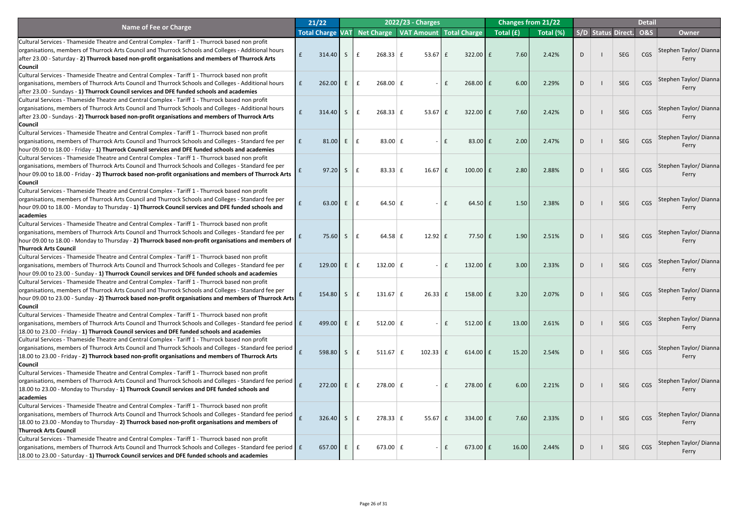|                                                                                                             | 21/22                   |         |   |                                 |           | 2022/23 - Charges                      |              |                      |           | <b>Changes from 21/22</b> |   |                    | <b>Detail</b>  |                        |
|-------------------------------------------------------------------------------------------------------------|-------------------------|---------|---|---------------------------------|-----------|----------------------------------------|--------------|----------------------|-----------|---------------------------|---|--------------------|----------------|------------------------|
| <b>Name of Fee or Charge</b>                                                                                | <b>Total Charge VAT</b> |         |   |                                 |           | Net Charge   VAT Amount   Total Charge |              |                      | Total (£) | Total (%)                 |   | S/D Status Direct. | <b>O&amp;S</b> | <b>Owner</b>           |
| Cultural Services - Thameside Theatre and Central Complex - Tariff 1 - Thurrock based non profit            |                         |         |   |                                 |           |                                        |              |                      |           |                           |   |                    |                |                        |
| organisations, members of Thurrock Arts Council and Thurrock Schools and Colleges - Additional hours        |                         |         |   |                                 |           |                                        |              |                      |           |                           |   |                    |                | Stephen Taylor/ Dianna |
| after 23.00 - Saturday - 2) Thurrock based non-profit organisations and members of Thurrock Arts            | E                       | 314.40  | S | $268.33 \mid f$                 |           | $53.67$ $E$                            |              | $322.00$ $E$         | 7.60      | 2.42%                     | D | <b>SEG</b>         | CGS            | Ferry                  |
| <b>Council</b>                                                                                              |                         |         |   |                                 |           |                                        |              |                      |           |                           |   |                    |                |                        |
| Cultural Services - Thameside Theatre and Central Complex - Tariff 1 - Thurrock based non profit            |                         |         |   |                                 |           |                                        |              |                      |           |                           |   |                    |                |                        |
| organisations, members of Thurrock Arts Council and Thurrock Schools and Colleges - Additional hours        | $\mathbf{f}$            | 262.00  | E | $268.00 \mid f$<br>$\mathbf{f}$ |           | $\sim$ $\sim$                          | $\mathbf{f}$ | $268.00$ $E$         | 6.00      | 2.29%                     | D | <b>SEG</b>         | CGS            | Stephen Taylor/ Dianna |
| after 23.00 - Sundays - 1) Thurrock Council services and DFE funded schools and academies                   |                         |         |   |                                 |           |                                        |              |                      |           |                           |   |                    |                | Ferry                  |
| Cultural Services - Thameside Theatre and Central Complex - Tariff 1 - Thurrock based non profit            |                         |         |   |                                 |           |                                        |              |                      |           |                           |   |                    |                |                        |
| organisations, members of Thurrock Arts Council and Thurrock Schools and Colleges - Additional hours        |                         |         |   |                                 |           |                                        |              |                      |           |                           |   |                    |                | Stephen Taylor/ Dianna |
| after 23.00 - Sundays - 2) Thurrock based non-profit organisations and members of Thurrock Arts             |                         | 314.40  | S | $268.33 \mid f$                 |           | $53.67 \mid f$                         |              | $322.00$ $E$         | 7.60      | 2.42%                     | D | <b>SEG</b>         | CGS            | Ferry                  |
| <b>Council</b>                                                                                              |                         |         |   |                                 |           |                                        |              |                      |           |                           |   |                    |                |                        |
| Cultural Services - Thameside Theatre and Central Complex - Tariff 1 - Thurrock based non profit            |                         |         |   |                                 |           |                                        |              |                      |           |                           |   |                    |                |                        |
| organisations, members of Thurrock Arts Council and Thurrock Schools and Colleges - Standard fee per        | E                       | 81.00   | E | $\mathbf f$                     | 83.00 $E$ | $\sim$                                 | l £          | $83.00$ $E$          | 2.00      | 2.47%                     | D | <b>SEG</b>         | CGS            | Stephen Taylor/ Dianna |
| hour 09.00 to 18.00 - Friday - 1) Thurrock Council services and DFE funded schools and academies            |                         |         |   |                                 |           |                                        |              |                      |           |                           |   |                    |                | Ferry                  |
| Cultural Services - Thameside Theatre and Central Complex - Tariff 1 - Thurrock based non profit            |                         |         |   |                                 |           |                                        |              |                      |           |                           |   |                    |                |                        |
| organisations, members of Thurrock Arts Council and Thurrock Schools and Colleges - Standard fee per        |                         |         |   |                                 |           |                                        |              |                      |           |                           |   |                    |                | Stephen Taylor/ Dianna |
| hour 09.00 to 18.00 - Friday - 2) Thurrock based non-profit organisations and members of Thurrock Arts      |                         | 97.20   | S | $\mathbf{f}$                    | 83.33 $E$ | $16.67$ $E$                            |              | $100.00$ $E$         | 2.80      | 2.88%                     | D | <b>SEG</b>         | CGS            | Ferry                  |
| <b>Council</b>                                                                                              |                         |         |   |                                 |           |                                        |              |                      |           |                           |   |                    |                |                        |
| Cultural Services - Thameside Theatre and Central Complex - Tariff 1 - Thurrock based non profit            |                         |         |   |                                 |           |                                        |              |                      |           |                           |   |                    |                |                        |
| organisations, members of Thurrock Arts Council and Thurrock Schools and Colleges - Standard fee per        |                         |         |   |                                 |           |                                        |              |                      |           |                           |   |                    |                | Stephen Taylor/ Dianna |
| hour 09.00 to 18.00 - Monday to Thursday - 1) Thurrock Council services and DFE funded schools and          |                         | 63.00   | E | $\mathbf{f}$                    | 64.50 $E$ |                                        | $ E$         | $64.50$ $E$          | 1.50      | 2.38%                     | D | <b>SEG</b>         | CGS            | <b>Ferry</b>           |
| academies                                                                                                   |                         |         |   |                                 |           |                                        |              |                      |           |                           |   |                    |                |                        |
| Cultural Services - Thameside Theatre and Central Complex - Tariff 1 - Thurrock based non profit            |                         |         |   |                                 |           |                                        |              |                      |           |                           |   |                    |                |                        |
| organisations, members of Thurrock Arts Council and Thurrock Schools and Colleges - Standard fee per        |                         |         |   |                                 |           |                                        |              |                      |           |                           |   |                    |                | Stephen Taylor/ Dianna |
| hour 09.00 to 18.00 - Monday to Thursday - 2) Thurrock based non-profit organisations and members of        |                         | 75.60 S |   | E                               | 64.58 $E$ | $12.92 \mid f$                         |              | $77.50 \text{ }$ £   | 1.90      | 2.51%                     | D | <b>SEG</b>         | CGS            | Ferry                  |
| <b>Thurrock Arts Council</b>                                                                                |                         |         |   |                                 |           |                                        |              |                      |           |                           |   |                    |                |                        |
| Cultural Services - Thameside Theatre and Central Complex - Tariff 1 - Thurrock based non profit            |                         |         |   |                                 |           |                                        |              |                      |           |                           |   |                    |                |                        |
| organisations, members of Thurrock Arts Council and Thurrock Schools and Colleges - Standard fee per        | $\mathbf{f}$            | 129.00  | E | 132.00 $E$                      |           |                                        | $\mathbf{f}$ | 132.00 $E$           | 3.00      | 2.33%                     | D | SEG                | CGS            | Stephen Taylor/ Dianna |
| hour 09.00 to 23.00 - Sunday - 1) Thurrock Council services and DFE funded schools and academies            |                         |         |   |                                 |           |                                        |              |                      |           |                           |   |                    |                | Ferry                  |
| Cultural Services - Thameside Theatre and Central Complex - Tariff 1 - Thurrock based non profit            |                         |         |   |                                 |           |                                        |              |                      |           |                           |   |                    |                |                        |
| organisations, members of Thurrock Arts Council and Thurrock Schools and Colleges - Standard fee per        |                         |         |   |                                 |           |                                        |              |                      |           |                           |   |                    |                | Stephen Taylor/ Dianna |
| hour 09.00 to 23.00 - Sunday - 2) Thurrock based non-profit organisations and members of Thurrock Arts      |                         | 154.80  | S | $131.67 \mid f$                 |           | $26.33$ $E$                            |              | $158.00$ $E$         | 3.20      | 2.07%                     | D | <b>SEG</b>         | <b>CGS</b>     | Ferry                  |
| <b>Council</b>                                                                                              |                         |         |   |                                 |           |                                        |              |                      |           |                           |   |                    |                |                        |
| Cultural Services - Thameside Theatre and Central Complex - Tariff 1 - Thurrock based non profit            |                         |         |   |                                 |           |                                        |              |                      |           |                           |   |                    |                |                        |
| organisations, members of Thurrock Arts Council and Thurrock Schools and Colleges - Standard fee period   £ |                         | 499.00  | E | $512.00 \mid f$                 |           | $\sim$                                 | $\mathbf{f}$ | $512.00$ $E$         | 13.00     | 2.61%                     | D | <b>SEG</b>         | CGS            | Stephen Taylor/ Dianna |
| [18.00 to 23.00 - Friday - 1] Thurrock Council services and DFE funded schools and academies                |                         |         |   |                                 |           |                                        |              |                      |           |                           |   |                    |                | Ferry                  |
| Cultural Services - Thameside Theatre and Central Complex - Tariff 1 - Thurrock based non profit            |                         |         |   |                                 |           |                                        |              |                      |           |                           |   |                    |                |                        |
| organisations, members of Thurrock Arts Council and Thurrock Schools and Colleges - Standard fee period     |                         |         |   |                                 |           |                                        |              |                      |           |                           |   |                    |                | Stephen Taylor/ Dianna |
| 18.00 to 23.00 - Friday - 2) Thurrock based non-profit organisations and members of Thurrock Arts           |                         | 598.80  | S | $511.67 \mid f$                 |           | $102.33$ $E$                           |              | $614.00$ $E$         | 15.20     | 2.54%                     | D | <b>SEG</b>         | <b>CGS</b>     | Ferry                  |
| <b>Council</b>                                                                                              |                         |         |   |                                 |           |                                        |              |                      |           |                           |   |                    |                |                        |
| Cultural Services - Thameside Theatre and Central Complex - Tariff 1 - Thurrock based non profit            |                         |         |   |                                 |           |                                        |              |                      |           |                           |   |                    |                |                        |
| organisations, members of Thurrock Arts Council and Thurrock Schools and Colleges - Standard fee period     |                         |         |   |                                 |           |                                        |              |                      |           |                           |   |                    |                | Stephen Taylor/ Dianna |
| 18.00 to 23.00 - Monday to Thursday - 1) Thurrock Council services and DFE funded schools and               |                         | 272.00  | E | $278.00 \mid f$                 |           |                                        | $\mathbf{f}$ | $278.00$ £           | 6.00      | 2.21%                     | D | <b>SEG</b>         | <b>CGS</b>     | Ferry                  |
| <b>academies</b>                                                                                            |                         |         |   |                                 |           |                                        |              |                      |           |                           |   |                    |                |                        |
| Cultural Services - Thameside Theatre and Central Complex - Tariff 1 - Thurrock based non profit            |                         |         |   |                                 |           |                                        |              |                      |           |                           |   |                    |                |                        |
| organisations, members of Thurrock Arts Council and Thurrock Schools and Colleges - Standard fee period     |                         |         |   |                                 |           |                                        |              |                      |           |                           |   |                    |                | Stephen Taylor/Dianna  |
| 18.00 to 23.00 - Monday to Thursday - 2) Thurrock based non-profit organisations and members of             |                         | 326.40  | S | $278.33 \mid f$                 |           | $55.67$ $E$                            |              | $334.00$ $E$         | 7.60      | 2.33%                     |   | <b>SEG</b>         | <b>CGS</b>     | Ferry                  |
| <b>Thurrock Arts Council</b>                                                                                |                         |         |   |                                 |           |                                        |              |                      |           |                           |   |                    |                |                        |
| Cultural Services - Thameside Theatre and Central Complex - Tariff 1 - Thurrock based non profit            |                         |         |   |                                 |           |                                        |              |                      |           |                           |   |                    |                |                        |
| organisations, members of Thurrock Arts Council and Thurrock Schools and Colleges - Standard fee period   £ |                         | 657.00  | E | 673.00 $E$                      |           | $\sim$                                 | $\mathbf{f}$ | $673.00 \, \text{f}$ | 16.00     | 2.44%                     | D | SEG                | CGS            | Stephen Taylor/ Dianna |
| 18.00 to 23.00 - Saturday - 1) Thurrock Council services and DFE funded schools and academies               |                         |         |   |                                 |           |                                        |              |                      |           |                           |   |                    |                | Ferry                  |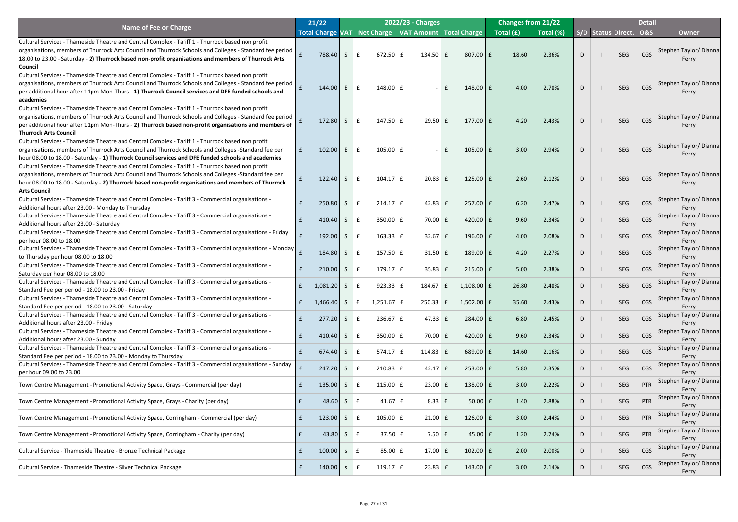|                                                                                                          | 21/22                   |            |                 |                                 | 2022/23 - Charges |                           |                  | <b>Changes from 21/22</b> |           |    |                        | <b>Detail</b> |                        |
|----------------------------------------------------------------------------------------------------------|-------------------------|------------|-----------------|---------------------------------|-------------------|---------------------------|------------------|---------------------------|-----------|----|------------------------|---------------|------------------------|
| Name of Fee or Charge                                                                                    | <b>Total Charge VAT</b> |            |                 | <b>Net Charge</b>               |                   | VAT Amount   Total Charge |                  | Total $(f)$               | Total (%) |    | S/D Status Direct. 0&S |               | <b>Owner</b>           |
| Cultural Services - Thameside Theatre and Central Complex - Tariff 1 - Thurrock based non profit         |                         |            |                 |                                 |                   |                           |                  |                           |           |    |                        |               |                        |
| organisations, members of Thurrock Arts Council and Thurrock Schools and Colleges - Standard fee period  |                         |            |                 |                                 |                   |                           |                  |                           |           |    |                        |               | Stephen Taylor/Dianna  |
| 18.00 to 23.00 - Saturday - 2) Thurrock based non-profit organisations and members of Thurrock Arts      |                         | 788.40     | S               | $672.50 \mid f$<br>$\mathbf{f}$ | $134.50 \mid f$   |                           | 807.00 £         | 18.60                     | 2.36%     | D  | <b>SEG</b>             | CGS           | Ferry                  |
| <b>Council</b>                                                                                           |                         |            |                 |                                 |                   |                           |                  |                           |           |    |                        |               |                        |
| Cultural Services - Thameside Theatre and Central Complex - Tariff 1 - Thurrock based non profit         |                         |            |                 |                                 |                   |                           |                  |                           |           |    |                        |               |                        |
| organisations, members of Thurrock Arts Council and Thurrock Schools and Colleges - Standard fee period  |                         |            |                 |                                 |                   |                           |                  |                           |           |    |                        |               | Stephen Taylor/Dianna  |
| per additional hour after 11pm Mon-Thurs - 1) Thurrock Council services and DFE funded schools and       |                         | 144.00     | E               | 148.00 $E$<br>$\mathbf{f}$      | $\sim$            | £                         | 148.00 £         | 4.00                      | 2.78%     | D  | SEG                    | CGS           | Ferry                  |
| academies                                                                                                |                         |            |                 |                                 |                   |                           |                  |                           |           |    |                        |               |                        |
| Cultural Services - Thameside Theatre and Central Complex - Tariff 1 - Thurrock based non profit         |                         |            |                 |                                 |                   |                           |                  |                           |           |    |                        |               |                        |
| organisations, members of Thurrock Arts Council and Thurrock Schools and Colleges - Standard fee period  |                         |            |                 |                                 |                   |                           |                  |                           |           |    |                        |               | Stephen Taylor/Dianna  |
| per additional hour after 11pm Mon-Thurs - 2) Thurrock based non-profit organisations and members of     |                         | 172.80     | $\mathsf{S}$    | 147.50 $E$                      | $29.50$ $E$       |                           | $177.00$ $E$     | 4.20                      | 2.43%     | D  | SEG                    | CGS           | Ferry                  |
| <b>Thurrock Arts Council</b>                                                                             |                         |            |                 |                                 |                   |                           |                  |                           |           |    |                        |               |                        |
| Cultural Services - Thameside Theatre and Central Complex - Tariff 1 - Thurrock based non profit         |                         |            |                 |                                 |                   |                           |                  |                           |           |    |                        |               |                        |
| organisations, members of Thurrock Arts Council and Thurrock Schools and Colleges -Standard fee per      | $\mathbf{f}$            | 102.00     | E               | $105.00 \mid f$<br>E            | $\sim$ $-$        | £                         | $105.00$ $E$     | 3.00                      | 2.94%     | D  | <b>SEG</b>             | CGS           | Stephen Taylor/Dianna  |
| hour 08.00 to 18.00 - Saturday - 1) Thurrock Council services and DFE funded schools and academies       |                         |            |                 |                                 |                   |                           |                  |                           |           |    |                        |               | Ferry                  |
| Cultural Services - Thameside Theatre and Central Complex - Tariff 1 - Thurrock based non profit         |                         |            |                 |                                 |                   |                           |                  |                           |           |    |                        |               |                        |
| organisations, members of Thurrock Arts Council and Thurrock Schools and Colleges -Standard fee per      |                         |            |                 |                                 |                   |                           |                  |                           |           |    |                        |               | Stephen Taylor/Dianna  |
| hour 08.00 to 18.00 - Saturday - 2) Thurrock based non-profit organisations and members of Thurrock      |                         | 122.40     | $\mathsf{S}$    | $104.17 \mid f$                 | $20.83$ $E$       |                           | $125.00$ $E$     | 2.60                      | 2.12%     |    | SEG                    | CGS           | <b>Ferry</b>           |
| <b>Arts Council</b>                                                                                      |                         |            |                 |                                 |                   |                           |                  |                           |           |    |                        |               |                        |
| Cultural Services - Thameside Theatre and Central Complex - Tariff 3 - Commercial organisations -        |                         |            |                 |                                 |                   |                           |                  |                           |           |    |                        |               | Stephen Taylor/ Dianna |
| Additional hours after 23.00 - Monday to Thursday                                                        |                         | 250.80     | S               | $214.17 \mid f$                 | $42.83 \mid f$    |                           | $257.00$ $E$     | 6.20                      | 2.47%     | D  | <b>SEG</b>             | CGS           | Ferry                  |
| Cultural Services - Thameside Theatre and Central Complex - Tariff 3 - Commercial organisations -        |                         |            |                 |                                 |                   |                           |                  |                           |           |    |                        |               | Stephen Taylor/ Dianna |
| Additional hours after 23.00 - Saturday                                                                  |                         | $410.40$ S |                 | 350.00                          | 70.00             |                           | 420.00 $\pm$     | 9.60                      | 2.34%     | D. | <b>SEG</b>             | <b>CGS</b>    | Ferry                  |
| Cultural Services - Thameside Theatre and Central Complex - Tariff 3 - Commercial organisations - Friday |                         |            |                 |                                 |                   |                           |                  |                           |           |    |                        |               | Stephen Taylor/ Dianna |
| per hour 08.00 to 18.00                                                                                  |                         | 192.00     | S.              | $163.33 \mid f$                 | $32.67$ $E$       |                           | 196.00 £         | 4.00                      | 2.08%     |    | SEG                    | CGS           | Ferry                  |
| Cultural Services - Thameside Theatre and Central Complex - Tariff 3 - Commercial organisations - Monday |                         |            |                 |                                 |                   |                           |                  |                           |           |    |                        |               | Stephen Taylor/ Dianna |
| to Thursday per hour 08.00 to 18.00                                                                      |                         | 184.80     | S.              | 157.50 $E$                      | 31.50             |                           | 189.00 f         | 4.20                      | 2.27%     |    | SEG                    | <b>CGS</b>    | Ferry                  |
| Cultural Services - Thameside Theatre and Central Complex - Tariff 3 - Commercial organisations -        |                         |            |                 |                                 |                   |                           |                  |                           |           |    |                        |               | Stephen Taylor/ Dianna |
| Saturday per hour 08.00 to 18.00                                                                         |                         | 210.00     | S.              | $179.17 \mid f$                 | 35.83             |                           | $215.00$ $E$     | 5.00                      | 2.38%     |    | SEG                    | CGS           | Ferry                  |
| Cultural Services - Thameside Theatre and Central Complex - Tariff 3 - Commercial organisations -        |                         |            |                 |                                 |                   |                           |                  |                           |           |    | SEG                    |               | Stephen Taylor/ Dianna |
| Standard Fee per period - 18.00 to 23.00 - Friday                                                        |                         | 1,081.20   | S.              | 923.33   f                      | $184.67$ $E$      | $1,108.00$ £              |                  | 26.80                     | 2.48%     |    |                        | <b>CGS</b>    | Ferry                  |
| Cultural Services - Thameside Theatre and Central Complex - Tariff 3 - Commercial organisations -        |                         |            |                 |                                 |                   |                           |                  |                           |           |    | SEG                    | <b>CGS</b>    | Stephen Taylor/ Dianna |
| Standard Fee per period - 18.00 to 23.00 - Saturday                                                      |                         | 1,466.40   | $\sqrt{S}$      | $1,251.67$ £                    | $250.33$ $E$      | $1,502.00$ £              |                  | 35.60                     | 2.43%     |    |                        |               | Ferry                  |
| Cultural Services - Thameside Theatre and Central Complex - Tariff 3 - Commercial organisations -        |                         |            |                 |                                 |                   |                           |                  | 6.80                      |           |    | SEG                    | <b>CGS</b>    | Stephen Taylor/ Dianna |
| Additional hours after 23.00 - Friday                                                                    |                         | 277.20     | S.              | $236.67 \mid f$                 | 47.33 $E$         |                           | $284.00$ $E$     |                           | 2.45%     |    |                        |               | Ferry                  |
| Cultural Services - Thameside Theatre and Central Complex - Tariff 3 - Commercial organisations -        |                         | 410.40     | S               | $350.00$ $E$                    | 70.00             |                           | 420.00 $E$       | 9.60                      | 2.34%     |    | SEG                    | CGS           | Stephen Taylor/ Dianna |
| Additional hours after 23.00 - Sunday                                                                    |                         |            |                 |                                 |                   |                           |                  |                           |           |    |                        |               | Ferry                  |
| Cultural Services - Thameside Theatre and Central Complex - Tariff 3 - Commercial organisations -        |                         | 674.40     | S               | $574.17 \mid f$                 | 114.83 $E$        |                           | $689.00$ £       | 14.60                     | 2.16%     |    | SEG                    | <b>CGS</b>    | Stephen Taylor/ Dianna |
| Standard Fee per period - 18.00 to 23.00 - Monday to Thursday                                            |                         |            |                 |                                 |                   |                           |                  |                           |           | D  |                        |               | Ferry                  |
| Cultural Services - Thameside Theatre and Central Complex - Tariff 3 - Commercial organisations - Sunday |                         | 247.20     | S.              | $210.83$ $E$                    | $42.17$ $E$       |                           | $253.00$ $E$     | 5.80                      | 2.35%     |    | SEG                    | <b>CGS</b>    | Stephen Taylor/ Dianna |
| per hour 09.00 to 23.00                                                                                  |                         |            |                 |                                 |                   |                           |                  |                           |           |    |                        |               | Ferry                  |
| Town Centre Management - Promotional Activity Space, Grays - Commercial (per day)                        |                         | 135.00     | S               | 115.00 $E$                      | 23.00             |                           | 138.00 £         | 3.00                      | 2.22%     |    | SEG                    | PTR           | Stephen Taylor/ Dianna |
|                                                                                                          |                         |            |                 |                                 |                   |                           |                  |                           |           |    |                        |               | Ferry                  |
| Town Centre Management - Promotional Activity Space, Grays - Charity (per day)                           |                         | 48.60      | $S_{\parallel}$ | 41.67 $E$                       | $8.33 \mid f$     |                           | $50.00$ £        | 1.40                      | 2.88%     | D  | SEG                    | PTR           | Stephen Taylor/ Dianna |
|                                                                                                          |                         |            |                 |                                 |                   |                           |                  |                           |           |    |                        |               | Ferry                  |
| Town Centre Management - Promotional Activity Space, Corringham - Commercial (per day)                   |                         | 123.00     | S.              | $105.00$ $E$                    | 21.00             |                           | $126.00$ $E$     | 3.00                      | 2.44%     |    | SEG                    | PTR           | Stephen Taylor/ Dianna |
|                                                                                                          |                         |            |                 |                                 |                   |                           |                  |                           |           |    |                        |               | Ferry                  |
| Town Centre Management - Promotional Activity Space, Corringham - Charity (per day)                      | E                       | 43.80      | S               | $37.50 \mid f \mid$             | $7.50 \mid f$     |                           | $45.00$ £        | 1.20                      | 2.74%     | D  | SEG                    | PTR           | Stephen Taylor/ Dianna |
|                                                                                                          |                         |            |                 |                                 |                   |                           |                  |                           |           |    |                        |               | Ferry                  |
| Cultural Service - Thameside Theatre - Bronze Technical Package                                          |                         | 100.00     | S               | $85.00 \mid f$<br>∣£            | 17.00 $\vert$ £   |                           | 102.00 $E$       | 2.00                      | 2.00%     | D  | SEG                    | CGS           | Stephen Taylor/Dianna  |
|                                                                                                          |                         |            |                 |                                 |                   |                           |                  |                           |           |    |                        |               | Ferry                  |
| Cultural Service - Thameside Theatre - Silver Technical Package                                          |                         | 140.00     | S               | 119.17 $E$                      | $23.83 \mid f$    |                           | 143.00 $\vert$ £ | 3.00                      | 2.14%     | D  | SEG                    | CGS           | Stephen Taylor/Dianna  |
|                                                                                                          |                         |            |                 |                                 |                   |                           |                  |                           |           |    |                        |               | Ferry                  |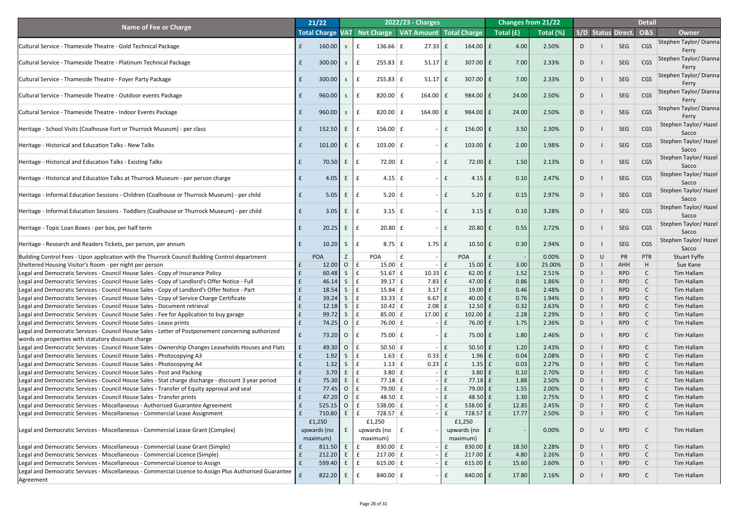|                                                                                                                                                                                              |              | 21/22                             |                              |                                            |     | 2022/23 - Charges              |               |                                             |                                                        | <b>Changes from 21/22</b> |        |        |                           | <b>Detail</b>  |                                       |
|----------------------------------------------------------------------------------------------------------------------------------------------------------------------------------------------|--------------|-----------------------------------|------------------------------|--------------------------------------------|-----|--------------------------------|---------------|---------------------------------------------|--------------------------------------------------------|---------------------------|--------|--------|---------------------------|----------------|---------------------------------------|
| <b>Name of Fee or Charge</b>                                                                                                                                                                 |              | <b>Total Charge VAT</b>           |                              | Net Charge   VAT Amount   Total Charge     |     |                                |               |                                             | $\vert$ Total $\left(\overline{\text{f}}\right) \vert$ | Total (%)                 |        |        | <b>S/D Status Direct.</b> | <b>O&amp;S</b> | <b>Owner</b>                          |
| Cultural Service - Thameside Theatre - Gold Technical Package                                                                                                                                |              | 160.00                            | <sub>S</sub>                 | $136.66 \mid f$                            |     | $27.33 \mid f$                 |               | $164.00$ $E$                                | 4.00                                                   | 2.50%                     | D.     |        | SEG                       | CGS            | Stephen Taylor/Dianna<br>Ferry        |
| Cultural Service - Thameside Theatre - Platinum Technical Package                                                                                                                            |              | 300.00                            | S                            | $255.83 \mid f$<br>$\mathbf{f}$            |     | $51.17$ $E$                    |               | $307.00$ $E$                                | 7.00                                                   | 2.33%                     | D      |        | SEG                       | CGS            | Stephen Taylor/ Dianna<br>Ferry       |
| Cultural Service - Thameside Theatre - Foyer Party Package                                                                                                                                   |              | 300.00                            | S                            | $255.83 \mid f$<br>$\mathbf{f}$            |     | $51.17$ $E$                    |               | $307.00$ $E$                                | 7.00                                                   | 2.33%                     | D      |        | SEG                       | CGS            | Stephen Taylor/ Dianna<br>Ferry       |
| Cultural Service - Thameside Theatre - Outdoor events Package                                                                                                                                |              | 960.00                            | S                            | 820.00<br>$\mathbf{f}$                     | -£. | 164.00   $E$                   |               | 984.00 £                                    | 24.00                                                  | 2.50%                     | D      |        | SEG                       | CGS            | Stephen Taylor/ Dianna<br>Ferry       |
| Cultural Service - Thameside Theatre - Indoor Events Package                                                                                                                                 |              | 960.00                            | S                            | 820.00<br>$\mathbf{f}$                     | £   | $164.00$ $E$                   |               | 984.00 £                                    | 24.00                                                  | 2.50%                     | D      |        | SEG                       | CGS            | Stephen Taylor/ Dianna<br>Ferry       |
| Heritage - School Visits (Coalhouse Fort or Thurrock Museum) - per class                                                                                                                     |              | 152.50                            | E                            | $\mathbf{f}$<br>$156.00 \mid f$            |     |                                | $\mathbf{f}$  | $156.00$ $E$                                | 3.50                                                   | 2.30%                     | D      |        | SEG                       | CGS            | Stephen Taylor/ Hazel<br>Sacco        |
| Heritage - Historical and Education Talks - New Talks                                                                                                                                        |              | 101.00                            | E                            | $103.00 \mid f$<br>$\mathbf{f}$            |     |                                | $ \mathsf{E}$ | $103.00$ $E$                                | 2.00                                                   | 1.98%                     | D      |        | SEG                       | CGS            | Stephen Taylor/ Hazel<br>Sacco        |
| Heritage - Historical and Education Talks - Existing Talks                                                                                                                                   |              | 70.50                             | E                            | 72.00 $\mathbf{f}$<br>f                    |     |                                | $\mathbf{f}$  | $72.00 \text{ }$ £                          | 1.50                                                   | 2.13%                     | D      |        | SEG                       | CGS            | Stephen Taylor/ Hazel<br>Sacco        |
| Heritage - Historical and Education Talks at Thurrock Museum - per person charge                                                                                                             |              | 4.05                              | E                            | $\mathbf{f}$<br>$4.15 \mid f$              |     |                                | l £           | $4.15$ $E$                                  | 0.10                                                   | 2.47%                     | D      |        | SEG                       | CGS            | Stephen Taylor/ Hazel<br>Sacco        |
| Heritage - Informal Education Sessions - Children (Coalhouse or Thurrock Museum) - per child                                                                                                 |              | 5.05                              | E                            | $5.20 \mid f$<br>$\mathbf f$               |     |                                | l £           | $5.20 \mid f \mid$                          | 0.15                                                   | 2.97%                     | D      |        | SEG                       | CGS            | <b>Stephen Taylor/ Hazel</b><br>Sacco |
| Heritage - Informal Education Sessions - Toddlers (Coalhouse or Thurrock Museum) - per child                                                                                                 |              | 3.05                              | E                            | $\mathbf f$<br>$3.15 \mid f$               |     |                                | $\mathbf{f}$  | $3.15$ $E$                                  | 0.10                                                   | 3.28%                     | D      |        | SEG                       | CGS            | Stephen Taylor/Hazel<br>Sacco         |
| Heritage - Topic Loan Boxes - per box, per half term                                                                                                                                         |              | 20.25                             | E                            | f<br>$20.80 \mid f$                        |     |                                | £             | $20.80$ $E$                                 | 0.55                                                   | 2.72%                     | D.     |        | <b>SEG</b>                | <b>CGS</b>     | Stephen Taylor/Hazel<br>Sacco         |
| Heritage - Research and Readers Tickets, per person, per annum                                                                                                                               |              | 10.20                             | S                            | $\mathbf{f}$<br>$8.75 \mid f$              |     | $1.75 \mid f$                  |               | $10.50$ $E$                                 | 0.30                                                   | 2.94%                     | D.     |        | SEG                       | CGS            | <b>Stephen Taylor/ Hazel</b><br>Sacco |
| Building Control Fees - Upon application with the Thurrock Council Building Control department                                                                                               |              | <b>POA</b>                        |                              | <b>POA</b>                                 |     |                                |               | <b>POA</b>                                  |                                                        | 0.00%                     | D      | $\cup$ | <b>PR</b>                 | <b>PTR</b>     | <b>Stuart Fyffe</b>                   |
| Sheltered Housing Visitor's Room - per night per person                                                                                                                                      |              | 12.00                             | $\overline{O}$               | $15.00 \mid f$<br>£                        |     |                                | $\mathbf{f}$  | $15.00$ $E$                                 | 3.00                                                   | 25.00%                    | D      |        | <b>AHH</b>                |                | Sue Kane                              |
| Legal and Democratic Services - Council House Sales - Copy of Insurance Policy                                                                                                               |              | 60.48                             | $\mathsf{S}$                 | f<br>$51.67 \mid f$<br>f<br>$39.17 \mid f$ |     | $10.33$ $E$                    |               | $62.00$ E<br>47.00 $\vert$ £                | 1.52<br>0.86                                           | 2.51%<br>1.86%            | D<br>D |        | <b>RPD</b><br><b>RPD</b>  |                | <b>Tim Hallam</b>                     |
| Legal and Democratic Services - Council House Sales - Copy of Landlord's Offer Notice - Full<br>Legal and Democratic Services - Council House Sales - Copy of Landlord's Offer Notice - Part |              | 46.14<br>18.54                    | $\mathsf{S}$<br>$\mathsf{S}$ | f<br>$15.84 \mid f$                        |     | $7.83 \mid f$<br>$3.17 \mid f$ |               | $19.00$ $E$                                 | 0.46                                                   | 2.48%                     | D      |        | <b>RPD</b>                |                | Tim Hallam<br><b>Tim Hallam</b>       |
| Legal and Democratic Services - Council House Sales - Copy of Service Charge Certificate                                                                                                     |              | 39.24                             | S                            | f<br>$33.33 \mid f$                        |     | $6.67 \mid f$                  |               | $40.00$ $E$                                 | 0.76                                                   | 1.94%                     | D      |        | <b>RPD</b>                |                | Tim Hallam                            |
| Legal and Democratic Services - Council House Sales - Document retrieval                                                                                                                     |              | 12.18                             | $\mathsf{S}$                 | f<br>$10.42 \mid f$                        |     | $2.08$ $E$                     |               | $12.50$ $E$                                 | 0.32                                                   | 2.63%                     | D      |        | <b>RPD</b>                |                | <b>Tim Hallam</b>                     |
| Legal and Democratic Services - Council House Sales - Fee for Application to buy garage                                                                                                      |              | 99.72                             | $\mathsf{S}$                 | f<br>85.00 $E$                             |     | 17.00 $f$                      |               | $102.00$ $E$                                | 2.28                                                   | 2.29%                     | D      |        | <b>RPD</b>                |                | Tim Hallam                            |
| Legal and Democratic Services - Council House Sales - Lease prints                                                                                                                           |              | 74.25                             | $\overline{O}$               | $\mathbf{f}$<br>76.00 $E$                  |     |                                | $\mathbf{f}$  | 76.00 $E$                                   | 1.75                                                   | 2.36%                     | D      |        | <b>RPD</b>                |                | <b>Tim Hallam</b>                     |
| Legal and Democratic Services - Council House Sales - Letter of Postponement concerning authorized<br>words on properties with statutory discount charge                                     |              | 73.20                             | $\overline{O}$               | $75.00 \mid f$<br>$\mathbf{f}$             |     |                                | £             | $75.00 \text{ E}$                           | 1.80                                                   | 2.46%                     | D      |        | <b>RPD</b>                |                | Tim Hallam                            |
| Legal and Democratic Services - Council House Sales - Ownership Changes Leaseholds Houses and Flats                                                                                          | f            | 49.30                             | $\overline{O}$               | $\mathbf{f}$<br>$50.50 \mid f$             |     |                                | $\mathbf{f}$  | $50.50 \text{ }$ £                          | 1.20                                                   | 2.43%                     | D      |        | <b>RPD</b>                |                | Tim Hallam                            |
| Legal and Democratic Services - Council House Sales - Photocopying A3                                                                                                                        |              | 1.92                              | $\mathsf{S}$                 | $\mathbf{f}$<br>$1.63 \mid f$              |     | $0.33$ $E$                     |               | $1.96 \mid f$                               | 0.04                                                   | 2.08%                     | D      |        | <b>RPD</b>                |                | Tim Hallam                            |
| Legal and Democratic Services - Council House Sales - Photocopying A4                                                                                                                        |              | 1.32                              | $\mathsf{S}$                 | $1.13 \mid f$<br>$\mathbf{f}$              |     | $0.23$ $E$                     |               | $1.35 \mid f$                               | 0.03                                                   | 2.27%                     | D      |        | <b>RPD</b>                |                | Tim Hallam                            |
| Legal and Democratic Services - Council House Sales - Post and Packing                                                                                                                       |              | 3.70                              | E.                           | $\mathbf{f}$<br>$3.80 \mid f$              |     |                                | $\mathbf{f}$  | $3.80 \mid f$                               | 0.10                                                   | 2.70%                     | D      |        | <b>RPD</b>                |                | <b>Tim Hallam</b>                     |
| Legal and Democratic Services - Council House Sales - Stat charge discharge - discount 3 year period                                                                                         | $\mathbf{f}$ | 75.30                             | E                            | f<br>$77.18 \mid f$                        |     |                                | $\mathbf{f}$  | $77.18$ $E$                                 | 1.88                                                   | 2.50%                     | D      |        | <b>RPD</b>                |                | Tim Hallam                            |
| Legal and Democratic Services - Council House Sales - Transfer of Equity approval and seal                                                                                                   | $\mathbf f$  | 77.45                             | $\overline{O}$               | $\mathbf{f}$<br>$79.00 \mid f$             |     |                                | $\mathbf{f}$  | $79.00$ £                                   | 1.55                                                   | 2.00%                     | D      |        | <b>RPD</b>                |                | <b>Tim Hallam</b>                     |
| Legal and Democratic Services - Council House Sales - Transfer prints                                                                                                                        |              | 47.20                             | $\overline{O}$               | $\mathbf{f}$<br>48.50 $E$                  |     |                                | $\mathbf{f}$  | 48.50 $\vert$ £                             | 1.30                                                   | 2.75%                     | D      |        | <b>RPD</b>                |                | Tim Hallam                            |
| Legal and Democratic Services - Miscellaneous - Authorised Guarantee Agreement                                                                                                               |              | 525.15                            | $\overline{O}$               | $\mathbf{f}$<br>538.00 $E$                 |     |                                | $\mathbf{f}$  | 538.00 $E$                                  | 12.85                                                  | 2.45%                     | D      |        | <b>RPD</b>                |                | <b>Tim Hallam</b>                     |
| Legal and Democratic Services - Miscellaneous - Commercial Lease Assignment                                                                                                                  | $\mathbf{f}$ | 710.80                            | E                            | $\mathbf{f}$<br>$728.57 \mid f$            |     |                                | $\mathbf{f}$  | $728.57$ £                                  | 17.77                                                  | 2.50%                     | D      |        | <b>RPD</b>                |                | Tim Hallam                            |
| Legal and Democratic Services - Miscellaneous - Commercial Lease Grant (Complex)                                                                                                             |              | £1,250<br>upwards (no<br>maximum) |                              | £1,250<br>upwards (no $ f $<br>maximum)    |     |                                |               | £1,250<br>upwards (no $\vert$ £<br>maximum) |                                                        | 0.00%                     |        |        | <b>RPD</b>                |                | Tim Hallam                            |
| Legal and Democratic Services - Miscellaneous - Commercial Lease Grant (Simple)                                                                                                              |              | 811.50                            | E                            | 830.00 $E$<br>£                            |     |                                | $\mathbf{f}$  | 830.00 $E$                                  | 18.50                                                  | 2.28%                     | D      |        | <b>RPD</b>                |                | Tim Hallam                            |
| Legal and Democratic Services - Miscellaneous - Commercial Licence (Simple)                                                                                                                  |              | 212.20                            | $E_{\perp}$                  | $217.00 \mid f$<br>E                       |     |                                | $\mathsf{E}$  | $217.00$ $E$                                | 4.80                                                   | 2.26%                     | D      |        | <b>RPD</b>                |                | Tim Hallam                            |
| Legal and Democratic Services - Miscellaneous - Commercial Licence to Assign                                                                                                                 | $\mathbf{f}$ | 599.40                            | $E_{\perp}$                  | 615.00 $E$<br>E                            |     |                                | $\mathsf{E}$  | $615.00$   £                                | 15.60                                                  | 2.60%                     | D      |        | <b>RPD</b>                |                | Tim Hallam                            |
| Legal and Democratic Services - Miscellaneous - Commercial Licence to Assign Plus Authorised Guarantee<br>Agreement                                                                          |              | 822.20                            | E                            | 840.00 $E$<br>£                            |     |                                | $\mathbf{f}$  | 840.00 $E$                                  | 17.80                                                  | 2.16%                     | D.     |        | <b>RPD</b>                |                | Tim Hallam                            |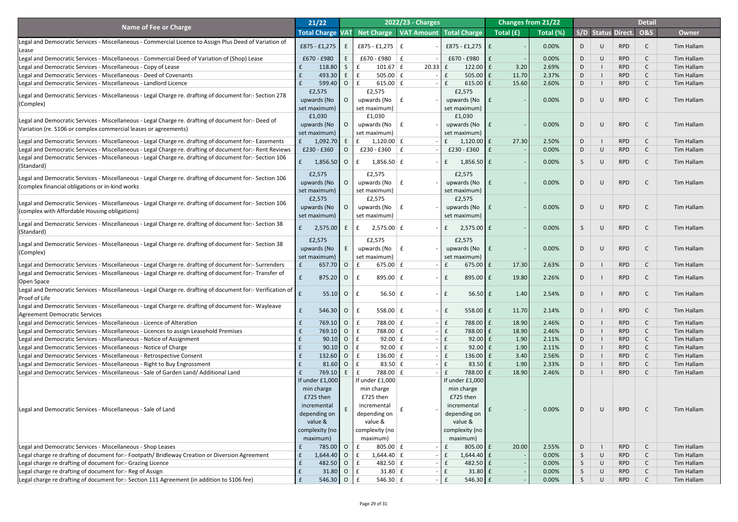|                                                                                                                                              | 21/22               |                |                                   | 2022/23 - Charges                      |                                |                                                          | <b>Changes from 21/22</b> |                 |           |                           | <b>Detail</b>  |                   |
|----------------------------------------------------------------------------------------------------------------------------------------------|---------------------|----------------|-----------------------------------|----------------------------------------|--------------------------------|----------------------------------------------------------|---------------------------|-----------------|-----------|---------------------------|----------------|-------------------|
| <b>Name of Fee or Charge</b>                                                                                                                 | <b>Total Charge</b> | <b>VAT</b>     |                                   | Net Charge   VAT Amount   Total Charge |                                | $\overline{\phantom{a}}$ Total $\overline{\mathrm{(f)}}$ | Total (%)                 |                 |           | <b>S/D Status Direct.</b> | <b>O&amp;S</b> | <b>Owner</b>      |
| Legal and Democratic Services - Miscellaneous - Commercial Licence to Assign Plus Deed of Variation of<br>Lease                              | £875 - £1,275       |                | £875 - £1,275   £                 |                                        | £875 - £1,275   £              |                                                          | 0.00%                     | D               | $\cup$    | <b>RPD</b>                |                | Tim Hallam        |
| Legal and Democratic Services - Miscellaneous - Commercial Deed of Variation of (Shop) Lease                                                 | £670 - £980         |                | £670 - £980 $ $ £                 |                                        | £670 - £980                    | Ι£                                                       | 0.00%                     | D               | $\cup$    | <b>RPD</b>                |                | Tim Hallam        |
| Legal and Democratic Services - Miscellaneous - Copy of Lease                                                                                | 118.80              | S.             | $101.67 \mid f$                   | $20.33$ $f$                            | 122.00 $E$                     | 3.20                                                     | 2.69%                     | D               |           | <b>RPD</b>                |                | Tim Hallam        |
| Legal and Democratic Services - Miscellaneous - Deed of Covenants                                                                            | 493.30              | $E_{\perp}$    | 505.00 $E$                        |                                        | $505.00$ $E$                   | 11.70                                                    | 2.37%                     | D               |           | <b>RPD</b>                |                | Tim Hallam        |
| Legal and Democratic Services - Miscellaneous - Landlord Licence                                                                             | 599.40              | $\overline{O}$ | 615.00 $E$                        |                                        | 615.00 $E$                     | 15.60                                                    | 2.60%                     | D               |           | <b>RPD</b>                |                | Tim Hallam        |
|                                                                                                                                              | £2,575              |                | £2,575                            |                                        | £2,575                         |                                                          |                           |                 |           |                           |                |                   |
| Legal and Democratic Services - Miscellaneous - Legal Charge re. drafting of document for:- Section 278                                      | upwards (No         |                | upwards (No $\vert$ £             |                                        | upwards (No                    |                                                          | 0.00%                     | D               | $\cup$    | <b>RPD</b>                |                | <b>Tim Hallam</b> |
| (Complex)                                                                                                                                    | set maximum)        |                | set maximum)                      |                                        | set maximum)                   |                                                          |                           |                 |           |                           |                |                   |
| Legal and Democratic Services - Miscellaneous - Legal Charge re. drafting of document for:- Deed of                                          | £1,030              |                | £1,030                            |                                        | £1,030                         |                                                          |                           |                 |           |                           |                |                   |
| Variation (re. S106 or complex commercial leases or agreements)                                                                              | upwards (No         |                | upwards (No $\vert$ £             |                                        | upwards (No                    |                                                          | 0.00%                     | D               | $\cup$    | <b>RPD</b>                |                | <b>Tim Hallam</b> |
|                                                                                                                                              | set maximum)        |                | set maximum)                      |                                        | set maximum)                   |                                                          |                           |                 |           |                           |                |                   |
| Legal and Democratic Services - Miscellaneous - Legal Charge re. drafting of document for:- Easements                                        | 1,092.70            |                | $1,120.00 \mid f$                 |                                        | $1,120.00$ £<br>f              | 27.30                                                    | 2.50%                     | D               |           | <b>RPD</b>                |                | <b>Tim Hallam</b> |
| Legal and Democratic Services - Miscellaneous - Legal Charge re. drafting of document for:- Rent Reviews                                     | £230 - £360         |                | £230 - £360 $\vert$ £             |                                        | £230 - £360                    |                                                          | 0.00%                     | D               | $\cup$    | <b>RPD</b>                |                | Tim Hallam        |
| Legal and Democratic Services - Miscellaneous - Legal Charge re. drafting of document for:- Section 106                                      | $1,856.50$ 0        |                | $1,856.50 \mid f$<br>£            |                                        | $1,856.50$ £<br>$\mathbf{f}$   |                                                          | 0.00%                     | S.              | $\cup$    | <b>RPD</b>                |                | Tim Hallam        |
| (Standard)                                                                                                                                   |                     |                |                                   |                                        |                                |                                                          |                           |                 |           |                           |                |                   |
| Legal and Democratic Services - Miscellaneous - Legal Charge re. drafting of document for:- Section 106                                      | £2,575              |                | £2,575                            |                                        | £2,575                         |                                                          |                           |                 |           |                           |                |                   |
| (complex financial obligations or in-kind works                                                                                              | upwards (No         |                | upwards (No $\vert$ £             |                                        | upwards (No                    |                                                          | 0.00%                     | D               | $\cup$    | <b>RPD</b>                |                | <b>Tim Hallam</b> |
|                                                                                                                                              | set maximum)        |                | set maximum)                      |                                        | set maximum)                   |                                                          |                           |                 |           |                           |                |                   |
| Legal and Democratic Services - Miscellaneous - Legal Charge re. drafting of document for:- Section 106                                      | £2,575              |                | £2,575                            |                                        | £2,575                         |                                                          |                           |                 |           |                           |                |                   |
| (complex with Affordable Housing obligations)                                                                                                | upwards (No         |                | upwards (No $\vert$ £             |                                        | upwards (No                    |                                                          | 0.00%                     | D               | $\cup$    | <b>RPD</b>                |                | <b>Tim Hallam</b> |
|                                                                                                                                              | set maximum)        |                | set maximum)                      |                                        | set maximum)                   |                                                          |                           |                 |           |                           |                |                   |
| Legal and Democratic Services - Miscellaneous - Legal Charge re. drafting of document for:- Section 38<br>(Standard)                         | $2,575.00$ E E      |                | $2,575.00 \mid f$                 |                                        | $2,575.00$ £<br>f              |                                                          | 0.00%                     | S.              | $\cup$    | <b>RPD</b>                |                | Tim Hallam        |
| Legal and Democratic Services - Miscellaneous - Legal Charge re. drafting of document for:- Section 38                                       | £2,575              |                | £2,575                            |                                        | £2,575                         |                                                          |                           |                 |           |                           |                |                   |
| (Complex)                                                                                                                                    | upwards (No         |                | upwards (No $\vert$ £             |                                        | upwards (No                    |                                                          | 0.00%                     | D               | $\cup$    | <b>RPD</b>                |                | Tim Hallam        |
|                                                                                                                                              | set maximum)        |                | set maximum)                      |                                        | set maximum)                   |                                                          |                           |                 |           |                           |                |                   |
| Legal and Democratic Services - Miscellaneous - Legal Charge re. drafting of document for:- Surrenders                                       | 657.70              | $\overline{O}$ | 675.00 $E$<br>$\mathbf f$         |                                        | $\mathbf f$<br>$675.00$ £      | 17.30                                                    | 2.63%                     | D               |           | <b>RPD</b>                |                | Tim Hallam        |
| Legal and Democratic Services - Miscellaneous - Legal Charge re. drafting of document for:- Transfer of<br>Open Space                        | 875.20              | $\overline{O}$ | 895.00 $E$<br>£                   |                                        | E<br>895.00 $E$                | 19.80                                                    | 2.26%                     | D               |           | <b>RPD</b>                |                | Tim Hallam        |
| Legal and Democratic Services - Miscellaneous - Legal Charge re. drafting of document for:- Verification of $\vert$ $_{f}$<br>Proof of Life  | 55.10               | $\overline{O}$ | 56.50 $\vert$ £<br>Ι£             |                                        | $56.50 \mid f$<br>$\mathbf{f}$ | 1.40                                                     | 2.54%                     | D               |           | <b>RPD</b>                |                | Tim Hallam        |
| Legal and Democratic Services - Miscellaneous - Legal Charge re. drafting of document for:- Wayleave<br><b>Agreement Democratic Services</b> | 546.30              | $\overline{O}$ | 558.00 $E$<br>£                   |                                        | $\mathbf{f}$<br>558.00 $E$     | 11.70                                                    | 2.14%                     | D               |           | <b>RPD</b>                |                | Tim Hallam        |
| Legal and Democratic Services - Miscellaneous - Licence of Alteration                                                                        | 769.10              | $\overline{O}$ | $788.00 \mid f \mid$<br>l £       |                                        | l £<br>788.00 £                | 18.90                                                    | 2.46%                     | D               |           | <b>RPD</b>                |                | Tim Hallam        |
| Legal and Democratic Services - Miscellaneous - Licences to assign Leasehold Premises                                                        | 769.10              | O f            | 788.00 $E$                        |                                        | E<br>788.00 £                  | 18.90                                                    | 2.46%                     | D.              |           | <b>RPD</b>                |                | Tim Hallam        |
| Legal and Democratic Services - Miscellaneous - Notice of Assignment                                                                         | 90.10               | $\overline{O}$ | 92.00 $E$                         |                                        | $92.00$ £<br>l £               | 1.90                                                     | 2.11%                     | D.              |           | <b>RPD</b>                |                | Tim Hallam        |
| Legal and Democratic Services - Miscellaneous - Notice of Charge                                                                             | 90.10               | $O \mid f$     | 92.00 $E$                         |                                        | $92.00$ £<br>l £               | 1.90                                                     | 2.11%                     | D.              |           | <b>RPD</b>                |                | Tim Hallam        |
| Legal and Democratic Services - Miscellaneous - Retrospective Consent                                                                        | 132.60              | $\overline{O}$ | $136.00 \mid f$<br>Ι£             |                                        | $\mathsf{E}$<br>136.00 $E$     | 3.40                                                     | 2.56%                     | D.              |           | <b>RPD</b>                |                | Tim Hallam        |
| Legal and Democratic Services - Miscellaneous - Right to Buy Engrossment                                                                     | 81.60               | $O \mid f$     | 83.50 $E$                         |                                        | 83.50 $E$<br>l £               | 1.90                                                     | 2.33%                     | D.              |           | <b>RPD</b>                |                | Tim Hallam        |
| Legal and Democratic Services - Miscellaneous - Sale of Garden Land/ Additional Land                                                         | 769.10              |                | 788.00 £                          |                                        | 788.00 £                       | 18.90                                                    | 2.46%                     | D.              |           | <b>RPD</b>                |                | Tim Hallam        |
|                                                                                                                                              | If under $£1,000$   |                | If under £1,000                   |                                        | If under $£1,000$              |                                                          |                           |                 |           |                           |                |                   |
|                                                                                                                                              | min charge          |                | min charge                        |                                        | min charge                     |                                                          |                           |                 |           |                           |                |                   |
|                                                                                                                                              | £725 then           |                | £725 then                         |                                        | £725 then                      |                                                          |                           |                 |           |                           |                |                   |
| Legal and Democratic Services - Miscellaneous - Sale of Land                                                                                 | incremental         |                | incremental                       |                                        | incremental                    |                                                          | 0.00%                     | D               | $\cup$    | <b>RPD</b>                |                | Tim Hallam        |
|                                                                                                                                              | depending on        |                | depending on                      |                                        | depending on                   |                                                          |                           |                 |           |                           |                |                   |
|                                                                                                                                              | value &             |                | value &                           |                                        | value &                        |                                                          |                           |                 |           |                           |                |                   |
|                                                                                                                                              | complexity (no      |                | complexity (no                    |                                        | complexity (no                 |                                                          |                           |                 |           |                           |                |                   |
|                                                                                                                                              | maximum)            |                | maximum)                          |                                        | maximum)                       |                                                          |                           |                 |           |                           |                |                   |
| Legal and Democratic Services - Miscellaneous - Shop Leases                                                                                  | 785.00   O   £      |                | 805.00 $E$                        | $\sim$                                 | $\mathbf{f}$<br>805.00 $E$     | 20.00                                                    | 2.55%                     | D               |           | <b>RPD</b>                |                | Tim Hallam        |
| Legal charge re drafting of document for:- Footpath/Bridleway Creation or Diversion Agreement                                                | $1,644.40$ O<br>f   |                | $\mathsf{E}$<br>$1,644.40 \mid f$ |                                        | $-$   £<br>$1,644.40$ £        |                                                          | 0.00%                     | S.              | $\bigcup$ | <b>RPD</b>                |                | Tim Hallam        |
| Legal charge re drafting of document for:- Grazing Licence                                                                                   | 482.50<br>f         | $O \mid f$     | $482.50 \mid f$                   |                                        | $ \mathsf{E}$<br>$482.50$ $E$  |                                                          | 0.00%                     | S.              | $\cup$    | <b>RPD</b>                |                | Tim Hallam        |
| Legal charge re drafting of document for:- Reg of Assign                                                                                     | 31.80               | O f            | $31.80 \mid f$                    |                                        | $31.80 \text{ f}$<br>$ E$      |                                                          | 0.00%                     | S               | U         | <b>RPD</b>                |                | Tim Hallam        |
| Legal charge re drafting of document for:- Section 111 Agreement (in addition to S106 fee)                                                   | 546.30 0 $f$<br>E   |                | 546.30 $E$                        |                                        | $ E$<br>546.30 $\mathbf{f}$    |                                                          | 0.00%                     | $S_{\parallel}$ | $\cup$    | <b>RPD</b>                |                | Tim Hallam        |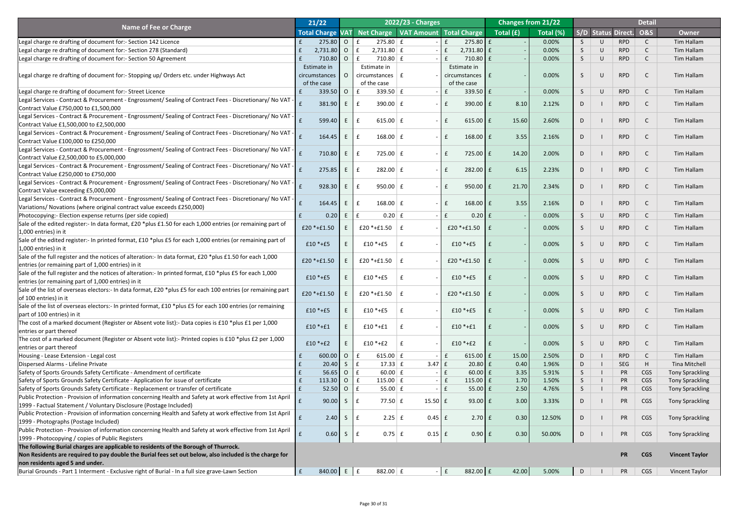|                                                                                                                                                                    | 21/22             |                |                                                     | 2022/23 - Charges |              |                       | <b>Changes from 21/22</b>         |           |             |           |                           | <b>Detail</b>  |                        |
|--------------------------------------------------------------------------------------------------------------------------------------------------------------------|-------------------|----------------|-----------------------------------------------------|-------------------|--------------|-----------------------|-----------------------------------|-----------|-------------|-----------|---------------------------|----------------|------------------------|
| <b>Name of Fee or Charge</b>                                                                                                                                       |                   |                | Total Charge VAT Net Charge VAT Amount Total Charge |                   |              |                       | $\sqrt{\text{Total}(\mathbf{f})}$ | Total (%) |             |           | <b>S/D Status Direct.</b> | <b>O&amp;S</b> | <b>Owner</b>           |
| Legal charge re drafting of document for:- Section 142 Licence                                                                                                     | $275.80$ 0        |                | $275.80 \mid f$                                     |                   | $\mathbf{f}$ | $275.80$ £            |                                   | 0.00%     | S.          | $\cup$    | <b>RPD</b>                |                | <b>Tim Hallam</b>      |
| Legal charge re drafting of document for:- Section 278 (Standard)                                                                                                  | $2,731.80$ 0      |                | $2,731.80 \mid f$                                   |                   | $\mathbf{f}$ | $2,731.80$ £          |                                   | 0.00%     | S.          | $\cup$    | <b>RPD</b>                |                | Tim Hallam             |
| Legal charge re drafting of document for:- Section 50 Agreement                                                                                                    | 710.80 O          |                | $710.80 \mid f \mid$                                |                   |              | $710.80$ $E$          |                                   | 0.00%     | S.          | U         | <b>RPD</b>                |                | Tim Hallam             |
|                                                                                                                                                                    | Estimate in       |                | Estimate in                                         |                   |              | Estimate in           |                                   |           |             |           |                           |                |                        |
| Legal charge re drafting of document for:- Stopping up/ Orders etc. under Highways Act                                                                             | circumstances     |                | circumstances $\vert$ £                             |                   |              | circumstances E       |                                   | 0.00%     | S           | $\cup$    | <b>RPD</b>                |                | <b>Tim Hallam</b>      |
|                                                                                                                                                                    | of the case       |                | of the case                                         |                   |              | of the case           |                                   |           |             |           |                           |                |                        |
| Legal charge re drafting of document for:- Street Licence                                                                                                          | $339.50$ 0        |                | 339.50 $E$<br>£                                     |                   |              | $339.50 \, \text{f}$  |                                   | 0.00%     | S.          | $\cup$    | <b>RPD</b>                |                | <b>Tim Hallam</b>      |
| Legal Services - Contract & Procurement - Engrossment/ Sealing of Contract Fees - Discretionary/ No VAT -                                                          |                   |                |                                                     |                   |              |                       |                                   |           |             |           |                           |                |                        |
| Contract Value £750,000 to £1,500,000                                                                                                                              | 381.90            | E              | 390.00 $E$<br>$\mathbf{f}$                          |                   |              | $390.00$ $E$          | 8.10                              | 2.12%     | D           |           | <b>RPD</b>                |                | <b>Tim Hallam</b>      |
| Legal Services - Contract & Procurement - Engrossment/ Sealing of Contract Fees - Discretionary/ No VAT -                                                          |                   | E              | 615.00 $E$                                          |                   |              |                       |                                   | 2.60%     |             |           | <b>RPD</b>                |                |                        |
| Contract Value £1,500,000 to £2,500,000                                                                                                                            | 599.40            |                | $\mathbf{f}$                                        |                   |              | $615.00$ $E$          | 15.60                             |           | D           |           |                           |                | <b>Tim Hallam</b>      |
| Legal Services - Contract & Procurement - Engrossment/ Sealing of Contract Fees - Discretionary/ No VAT -                                                          | 164.45            | E              | $168.00 \mid f$<br>$\mathbf{f}$                     |                   |              | $168.00$ $E$          | 3.55                              | 2.16%     | D           |           | <b>RPD</b>                |                | <b>Tim Hallam</b>      |
| Contract Value £100,000 to £250,000                                                                                                                                |                   |                |                                                     |                   |              |                       |                                   |           |             |           |                           |                |                        |
| Legal Services - Contract & Procurement - Engrossment/ Sealing of Contract Fees - Discretionary/ No VAT -                                                          | 710.80            | E              | $725.00 \mid f$<br>$\mathbf{f}$                     |                   |              | 725.00 E              | 14.20                             | 2.00%     | D           |           | <b>RPD</b>                |                | <b>Tim Hallam</b>      |
| Contract Value £2,500,000 to £5,000,000                                                                                                                            |                   |                |                                                     |                   |              |                       |                                   |           |             |           |                           |                |                        |
| Legal Services - Contract & Procurement - Engrossment/ Sealing of Contract Fees - Discretionary/ No VAT -                                                          | 275.85            | E              | $282.00 \mid f$<br>$\mathbf{f}$                     |                   |              | $282.00$ $E$          | 6.15                              | 2.23%     | D           |           | <b>RPD</b>                |                | <b>Tim Hallam</b>      |
| Contract Value £250,000 to £750,000                                                                                                                                |                   |                |                                                     |                   |              |                       |                                   |           |             |           |                           |                |                        |
| Legal Services - Contract & Procurement - Engrossment/ Sealing of Contract Fees - Discretionary/ No VAT -                                                          | 928.30            | E              | $950.00 \mid f$<br>$\mathbf{f}$                     |                   |              | $950.00$ $E$          | 21.70                             | 2.34%     | D           |           | <b>RPD</b>                |                | <b>Tim Hallam</b>      |
| Contract Value exceeding £5,000,000                                                                                                                                |                   |                |                                                     |                   |              |                       |                                   |           |             |           |                           |                |                        |
| Legal Services - Contract & Procurement - Engrossment/ Sealing of Contract Fees - Discretionary/ No VAT -                                                          | 164.45            | E              | $168.00 \mid f$<br>$\mathbf{f}$                     |                   |              | $168.00$ $E$          | 3.55                              | 2.16%     | D           |           | <b>RPD</b>                |                | <b>Tim Hallam</b>      |
| Variations/ Novations (where original contract value exceeds £250,000)                                                                                             |                   |                |                                                     |                   |              |                       |                                   |           |             |           |                           |                |                        |
| Photocopying:- Election expense returns (per side copied)                                                                                                          | 0.20              | E              | $0.20$ $E$<br>$\mathbf{f}$                          |                   |              | $0.20$ £              |                                   | 0.00%     | S           | $\bigcup$ | <b>RPD</b>                |                | <b>Tim Hallam</b>      |
| Sale of the edited register:- In data format, £20 *plus £1.50 for each 1,000 entries (or remaining part of                                                         | $£20 * + £1.50$   |                | £20 *+£1.50 $\vert$ £                               |                   |              | £20 *+£1.50 $\vert$ £ |                                   | 0.00%     | S           | $\cup$    | <b>RPD</b>                |                | Tim Hallam             |
| 1,000 entries) in it                                                                                                                                               |                   |                |                                                     |                   |              |                       |                                   |           |             |           |                           |                |                        |
| Sale of the edited register:- In printed format, £10 *plus £5 for each 1,000 entries (or remaining part of                                                         | $£10 * + E5$      |                | $£10 * + E5$                                        |                   |              | $£10 * + E5$          |                                   | 0.00%     | S           | $\cup$    | <b>RPD</b>                |                | Tim Hallam             |
| 1,000 entries) in it                                                                                                                                               |                   |                |                                                     |                   |              |                       |                                   |           |             |           |                           |                |                        |
| Sale of the full register and the notices of alteration:- In data format, £20 *plus £1.50 for each 1,000                                                           | $£20 * + £1.50$   |                | £20 $*$ +£1.50                                      |                   |              | £20 *+£1.50 $\vert$ £ |                                   | 0.00%     |             | $\cup$    | <b>RPD</b>                |                | Tim Hallam             |
| entries (or remaining part of 1,000 entries) in it                                                                                                                 |                   |                |                                                     |                   |              |                       |                                   |           |             |           |                           |                |                        |
| Sale of the full register and the notices of alteration:- In printed format, £10 *plus £5 for each 1,000                                                           | $£10 * + £5$      |                | $£10 * + £5$                                        |                   |              | $£10 * + £5$          |                                   | 0.00%     | S           | $\cup$    | <b>RPD</b>                |                | Tim Hallam             |
| entries (or remaining part of 1,000 entries) in it<br>Sale of the list of overseas electors:- In data format, £20 *plus £5 for each 100 entries (or remaining part |                   |                |                                                     |                   |              |                       |                                   |           |             |           |                           |                |                        |
| of 100 entries) in it                                                                                                                                              | $£20 * + £1.50$   |                | £20 $*$ +£1.50                                      |                   |              | £20 *+£1.50 $\vert$ £ |                                   | 0.00%     | S           | $\cup$    | <b>RPD</b>                |                | Tim Hallam             |
| Sale of the list of overseas electors:- In printed format, £10 *plus £5 for each 100 entries (or remaining                                                         |                   |                |                                                     |                   |              |                       |                                   |           |             |           |                           |                |                        |
| part of 100 entries) in it                                                                                                                                         | $£10 * + E5$      |                | $£10 * + E5$                                        |                   |              | $£10 * + £5$          |                                   | 0.00%     | S           | $\cup$    | <b>RPD</b>                |                | Tim Hallam             |
| The cost of a marked document (Register or Absent vote list):- Data copies is £10 *plus £1 per 1,000                                                               |                   |                |                                                     |                   |              |                       |                                   |           |             |           |                           |                |                        |
| entries or part thereof                                                                                                                                            | $£10 * + £1$      |                | $£10 * + £1$                                        |                   |              | $£10 * + £1$          |                                   | 0.00%     | S           | $\cup$    | <b>RPD</b>                |                | Tim Hallam             |
| The cost of a marked document (Register or Absent vote list):- Printed copies is £10 *plus £2 per 1,000                                                            |                   |                |                                                     |                   |              |                       |                                   |           |             |           |                           |                |                        |
| entries or part thereof                                                                                                                                            | $£10 * + £2$      |                | $£10 * + £2$                                        |                   |              | $£10 * + £2$          |                                   | 0.00%     | S           | $\cup$    | <b>RPD</b>                |                | Tim Hallam             |
| Housing - Lease Extension - Legal cost                                                                                                                             | 600.00            | $\overline{O}$ | 615.00 $E$<br>$\mathbf{f}$                          |                   | f            | 615.00 $E$            | 15.00                             | 2.50%     | D           |           | <b>RPD</b>                |                | Tim Hallam             |
| Dispersed Alarms - Lifeline Private                                                                                                                                | 20.40             | $\mathsf{S}$   | $17.33 \mid f$<br>E                                 | $3.47 \mid f$     |              | $20.80$ £             | 0.40                              | 1.96%     | D           |           | <b>SEG</b>                | H              | <b>Tina Mitchell</b>   |
| Safety of Sports Grounds Safety Certificate - Amendment of certificate                                                                                             | 56.65             | $\overline{O}$ | $\mathbf{f}$<br>$60.00 \, \text{f}$                 |                   | $\mathbf f$  | $60.00$ £             | 3.35                              | 5.91%     | $S_{\cdot}$ |           | PR                        | <b>CGS</b>     | Tony Sprackling        |
| Safety of Sports Grounds Safety Certificate - Application for issue of certificate                                                                                 | 113.30 0 $f$      |                | 115.00 $E$                                          |                   | $\mathsf{E}$ | 115.00 $E$            | 1.70                              | 1.50%     |             |           | PR                        | <b>CGS</b>     | Tony Sprackling        |
| Safety of Sports Grounds Safety Certificate - Replacement or transfer of certificate                                                                               | 52.50             | $\overline{O}$ | $\mathbf{f}$<br>55.00 $E$                           |                   | $\mathbf{f}$ | $55.00 \text{ E}$     | 2.50                              | 4.76%     | S.          |           | PR                        | <b>CGS</b>     | <b>Tony Sprackling</b> |
| Public Protection - Provision of information concerning Health and Safety at work effective from 1st April                                                         |                   |                |                                                     |                   |              |                       |                                   |           |             |           |                           |                |                        |
| [1999 - Factual Statement / Voluntary Disclosure (Postage Included)                                                                                                | 90.00             | S.             | 77.50 $E$                                           | $15.50 \mid f$    |              | $93.00 \text{ E}$     | 3.00                              | 3.33%     | D.          |           | <b>PR</b>                 | <b>CGS</b>     | <b>Tony Sprackling</b> |
| Public Protection - Provision of information concerning Health and Safety at work effective from 1st April                                                         | 2.40              | S.             |                                                     | $0.45 \mid f$     |              | $2.70$ $E$            | 0.30                              |           |             |           |                           |                |                        |
| [1999 - Photographs (Postage Included)                                                                                                                             |                   |                | $2.25 \mid f$                                       |                   |              |                       |                                   | 12.50%    | D           |           | PR                        | <b>CGS</b>     | <b>Tony Sprackling</b> |
| Public Protection - Provision of information concerning Health and Safety at work effective from 1st April                                                         | 0.60              | $\mathsf{S}$   | $0.75$ $E$<br>$\mathbf{f}$                          |                   |              |                       | 0.30                              | 50.00%    |             |           | <b>PR</b>                 |                |                        |
| 1999 - Photocopying / copies of Public Registers                                                                                                                   |                   |                |                                                     | $0.15$ $E$        |              | $0.90$ f              |                                   |           | D           |           |                           | <b>CGS</b>     | <b>Tony Sprackling</b> |
| The following Burial charges are applicable to residents of the Borough of Thurrock.                                                                               |                   |                |                                                     |                   |              |                       |                                   |           |             |           |                           |                |                        |
| Non Residents are required to pay double the Burial fees set out below, also included is the charge for                                                            |                   |                |                                                     |                   |              |                       |                                   |           |             |           | <b>PR</b>                 | <b>CGS</b>     | <b>Vincent Taylor</b>  |
| non residents aged 5 and under.                                                                                                                                    |                   |                |                                                     |                   |              |                       |                                   |           |             |           |                           |                |                        |
| Burial Grounds - Part 1 Interment - Exclusive right of Burial - In a full size grave-Lawn Section                                                                  | 840.00 E $E$<br>E |                | 882.00 $E$                                          |                   | $ E$         | 882.00 £              | 42.00                             | 5.00%     | D           |           | PR                        | <b>CGS</b>     | <b>Vincent Taylor</b>  |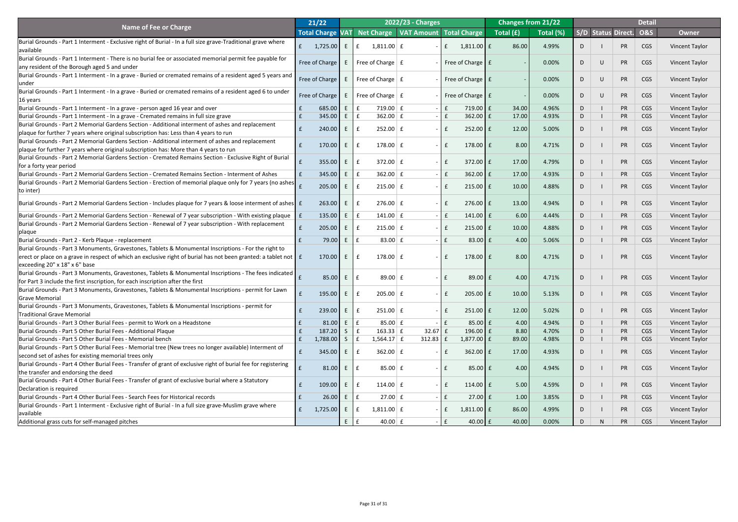|                                                                                                                                         | 21/22                   |          |                 |                                     | 2022/23 - Charges                  |              |                             | <b>Changes from 21/22</b> |           |   |                    | <b>Detail</b>  |                       |
|-----------------------------------------------------------------------------------------------------------------------------------------|-------------------------|----------|-----------------|-------------------------------------|------------------------------------|--------------|-----------------------------|---------------------------|-----------|---|--------------------|----------------|-----------------------|
| <b>Name of Fee or Charge</b>                                                                                                            | <b>Total Charge VAT</b> |          |                 |                                     | Net Charge VAT Amount Total Charge |              |                             | Total (£)                 | Total (%) |   | S/D Status Direct. | <b>O&amp;S</b> | <b>Owner</b>          |
| Burial Grounds - Part 1 Interment - Exclusive right of Burial - In a full size grave-Traditional grave where                            |                         |          |                 |                                     |                                    |              |                             |                           |           |   |                    |                |                       |
| <b>lavailable</b>                                                                                                                       | $\mathbf{f}$            | 1,725.00 | E               | $1,811.00 \mid f$<br>£              |                                    | f            | $1,811.00$ $E$              | 86.00                     | 4.99%     |   | <b>PR</b>          | CGS            | <b>Vincent Taylor</b> |
| Burial Grounds - Part 1 Interment - There is no burial fee or associated memorial permit fee payable for                                | Free of Charge          |          | E               | Free of Charge $\vert$ £            |                                    |              | Free of Charge $E$          |                           | 0.00%     | D | <b>PR</b>          | <b>CGS</b>     | Vincent Taylor        |
| any resident of the Borough aged 5 and under                                                                                            |                         |          |                 |                                     |                                    |              |                             |                           |           |   |                    |                |                       |
| Burial Grounds - Part 1 Interment - In a grave - Buried or cremated remains of a resident aged 5 years and                              | Free of Charge          |          | E               | Free of Charge $\mid$ £             |                                    |              | Free of Charge $E$          |                           | 0.00%     | D | <b>PR</b>          | <b>CGS</b>     | Vincent Taylor        |
| lunder                                                                                                                                  |                         |          |                 |                                     |                                    |              |                             |                           |           |   |                    |                |                       |
| Burial Grounds - Part 1 Interment - In a grave - Buried or cremated remains of a resident aged 6 to under                               | Free of Charge          |          | E               | Free of Charge $\mid$ £             |                                    |              | Free of Charge $\mathbf{E}$ |                           | 0.00%     | D | <b>PR</b>          | CGS            | Vincent Taylor        |
| 16 years                                                                                                                                |                         |          |                 |                                     |                                    |              |                             |                           |           |   |                    |                |                       |
| Burial Grounds - Part 1 Interment - In a grave - person aged 16 year and over                                                           |                         | 685.00   | E               | $719.00 \mid f$                     |                                    | f            | $719.00$ $E$                | 34.00                     | 4.96%     | D | <b>PR</b>          | <b>CGS</b>     | <b>Vincent Taylor</b> |
| Burial Grounds - Part 1 Interment - In a grave - Cremated remains in full size grave                                                    |                         | 345.00   | E               | $362.00 \mid f$                     |                                    | $\mathbf{f}$ | $362.00$ $E$                | 17.00                     | 4.93%     | D | <b>PR</b>          | CGS            | Vincent Taylor        |
| Burial Grounds - Part 2 Memorial Gardens Section - Additional interment of ashes and replacement                                        |                         | 240.00   | E               | $252.00 \mid f$                     |                                    | £            | $252.00$ $E$                | 12.00                     | 5.00%     |   | <b>PR</b>          | CGS            | <b>Vincent Taylor</b> |
| plaque for further 7 years where original subscription has: Less than 4 years to run                                                    |                         |          |                 |                                     |                                    |              |                             |                           |           |   |                    |                |                       |
| Burial Grounds - Part 2 Memorial Gardens Section - Additional interment of ashes and replacement                                        |                         | 170.00   | E               | 178.00 $E$                          |                                    | f            | $178.00$ $E$                | 8.00                      | 4.71%     | D | <b>PR</b>          | <b>CGS</b>     | Vincent Taylor        |
| plaque for further 7 years where original subscription has: More than 4 years to run                                                    |                         |          |                 |                                     |                                    |              |                             |                           |           |   |                    |                |                       |
| Burial Grounds - Part 2 Memorial Gardens Section - Cremated Remains Section - Exclusive Right of Burial                                 |                         | 355.00   | E               | $372.00 \mid f$                     |                                    | f            | $372.00 \text{ E}$          | 17.00                     | 4.79%     | D | <b>PR</b>          | CGS            | Vincent Taylor        |
| for a forty year period<br>Burial Grounds - Part 2 Memorial Gardens Section - Cremated Remains Section - Interment of Ashes             |                         |          | E               | $362.00 \mid f$                     |                                    | f            | $362.00$ $E$                | 17.00                     | 4.93%     |   | PR                 |                |                       |
|                                                                                                                                         |                         | 345.00   |                 |                                     |                                    |              |                             |                           |           | D |                    | <b>CGS</b>     | <b>Vincent Taylor</b> |
| Burial Grounds - Part 2 Memorial Gardens Section - Erection of memorial plaque only for 7 years (no ashes<br>(to inter)                 |                         | 205.00   | E               | $215.00 \mid f$<br>$\mathbf{f}$     |                                    | $\mathbf{f}$ | $215.00 \text{ E}$          | 10.00                     | 4.88%     | D | <b>PR</b>          | <b>CGS</b>     | Vincent Taylor        |
|                                                                                                                                         |                         |          |                 |                                     |                                    |              |                             |                           |           |   |                    |                |                       |
| Burial Grounds - Part 2 Memorial Gardens Section - Includes plaque for 7 years & loose interment of ashes E                             |                         | 263.00   | E               | $276.00 \mid f$                     |                                    | $\mathbf f$  | $276.00 \text{ E}$          | 13.00                     | 4.94%     | D | <b>PR</b>          | <b>CGS</b>     | Vincent Taylor        |
| Burial Grounds - Part 2 Memorial Gardens Section - Renewal of 7 year subscription - With existing plaque $\ \mathbf{f}\ $               |                         | 135.00   | E               | $141.00 \mid f$                     |                                    | f            | 141.00 $E$                  | 6.00                      | 4.44%     | D | <b>PR</b>          | <b>CGS</b>     | Vincent Taylor        |
| Burial Grounds - Part 2 Memorial Gardens Section - Renewal of 7 year subscription - With replacement                                    |                         |          |                 |                                     |                                    |              |                             |                           |           |   |                    |                |                       |
| plaque                                                                                                                                  |                         | 205.00   | E               | f<br>$215.00 \mid f$                |                                    | £            | $215.00 \mid f$             | 10.00                     | 4.88%     | D | <b>PR</b>          | CGS            | <b>Vincent Taylor</b> |
| Burial Grounds - Part 2 - Kerb Plaque - replacement                                                                                     |                         | 79.00    | E               | 83.00 $E$<br>$\mathbf{f}$           |                                    | f            | 83.00 $E$                   | 4.00                      | 5.06%     | D | PR                 | <b>CGS</b>     | <b>Vincent Taylor</b> |
| Burial Grounds - Part 3 Monuments, Gravestones, Tablets & Monumental Inscriptions - For the right to                                    |                         |          |                 |                                     |                                    |              |                             |                           |           |   |                    |                |                       |
| erect or place on a grave in respect of which an exclusive right of burial has not been granted: a tablet not $\mathbf{f}$ $\mathbf{f}$ |                         | 170.00   | E               | $178.00 \mid f$                     |                                    |              | 178.00 $E$                  | 8.00                      | 4.71%     | D | <b>PR</b>          | CGS            | Vincent Taylor        |
| $\left $ exceeding 20" x 18" x 6" base                                                                                                  |                         |          |                 |                                     |                                    |              |                             |                           |           |   |                    |                |                       |
| Burial Grounds - Part 3 Monuments, Gravestones, Tablets & Monumental Inscriptions - The fees indicated                                  |                         |          |                 |                                     |                                    |              |                             |                           |           |   |                    |                |                       |
| for Part 3 include the first inscription, for each inscription after the first                                                          |                         | 85.00    | $E_{\parallel}$ | 89.00 $E$<br>$\mathbf{f}$           |                                    |              | 89.00 £                     | 4.00                      | 4.71%     | D | PR                 | <b>CGS</b>     | <b>Vincent Taylor</b> |
| Burial Grounds - Part 3 Monuments, Gravestones, Tablets & Monumental Inscriptions - permit for Lawn                                     |                         |          |                 |                                     |                                    |              |                             |                           |           |   |                    |                |                       |
| <b>Grave Memorial</b>                                                                                                                   |                         | 195.00   | E               | $205.00$ $E$                        |                                    | f            | $205.00$ $E$                | 10.00                     | 5.13%     | D | <b>PR</b>          | <b>CGS</b>     | <b>Vincent Taylor</b> |
| Burial Grounds - Part 3 Monuments, Gravestones, Tablets & Monumental Inscriptions - permit for                                          |                         |          |                 |                                     |                                    |              |                             |                           |           |   |                    |                |                       |
| <b>Traditional Grave Memorial</b>                                                                                                       |                         | 239.00   | E               | $251.00 \mid f$<br>$\mathbf f$      |                                    | $\mathbf{f}$ | $251.00$ $E$                | 12.00                     | 5.02%     | D | <b>PR</b>          | <b>CGS</b>     | <b>Vincent Taylor</b> |
| Burial Grounds - Part 3 Other Burial Fees - permit to Work on a Headstone                                                               |                         | 81.00    | E               | 85.00 $E$                           |                                    |              | $85.00 \mid f$              | 4.00                      | 4.94%     | D | <b>PR</b>          | <b>CGS</b>     | <b>Vincent Taylor</b> |
| Burial Grounds - Part 5 Other Burial Fees - Additional Plaque                                                                           |                         | 187.20   | S               | $163.33 \mid f$                     | 32.67                              |              | $196.00$ $E$                | 8.80                      | 4.70%     | D | <b>PR</b>          | <b>CGS</b>     | Vincent Taylor        |
| Burial Grounds - Part 5 Other Burial Fees - Memorial bench                                                                              |                         | 1,788.00 | S               | $1,564.17$ £                        | 312.83                             | $\mathbf{f}$ | $1,877.00$ £                | 89.00                     | 4.98%     | D | <b>PR</b>          | CGS            | <b>Vincent Taylor</b> |
| Burial Grounds - Part 5 Other Burial Fees - Memorial tree (New trees no longer available) Interment of                                  |                         | 345.00   | E               | $362.00 \mid f$                     |                                    |              | $362.00$ $E$                | 17.00                     | 4.93%     | D | <b>PR</b>          | CGS            | <b>Vincent Taylor</b> |
| second set of ashes for existing memorial trees only                                                                                    |                         |          |                 |                                     |                                    |              |                             |                           |           |   |                    |                |                       |
| Burial Grounds - Part 4 Other Burial Fees - Transfer of grant of exclusive right of burial fee for registering                          |                         | 81.00    | E               | $85.00 \mid f$<br>$\mathbf{f}$      |                                    |              | $85.00$ £                   | 4.00                      | 4.94%     | D | <b>PR</b>          | <b>CGS</b>     | <b>Vincent Taylor</b> |
| the transfer and endorsing the deed                                                                                                     |                         |          |                 |                                     |                                    |              |                             |                           |           |   |                    |                |                       |
| Burial Grounds - Part 4 Other Burial Fees - Transfer of grant of exclusive burial where a Statutory                                     |                         | 109.00   | E               | 114.00 $E$                          |                                    | $\mathbf{f}$ | $114.00$ $E$                | 5.00                      | 4.59%     | D | PR                 | CGS            | <b>Vincent Taylor</b> |
| Declaration is required                                                                                                                 |                         |          |                 |                                     |                                    |              |                             |                           |           |   |                    |                |                       |
| Burial Grounds - Part 4 Other Burial Fees - Search Fees for Historical records                                                          |                         | 26.00    | E               | $27.00 \mid f \mid$<br>$\mathbf{f}$ |                                    | $\mathbf{f}$ | $27.00$ £                   | 1.00                      | 3.85%     | D | PR                 | <b>CGS</b>     | <b>Vincent Taylor</b> |
| Burial Grounds - Part 1 Interment - Exclusive right of Burial - In a full size grave-Muslim grave where                                 | f                       | 1,725.00 | E               | $1,811.00 \mid f$<br>$\mathbf{f}$   |                                    | $\mathbf{f}$ | $1,811.00$ $E$              | 86.00                     | 4.99%     | D | <b>PR</b>          | CGS            | Vincent Taylor        |
| available                                                                                                                               |                         |          |                 |                                     |                                    |              |                             |                           |           |   |                    |                |                       |
| Additional grass cuts for self-managed pitches                                                                                          |                         |          | $E_{\perp}$     | 40.00 $E$                           |                                    |              | $40.00$ $E$                 | 40.00                     | 0.00%     |   | <b>PR</b>          | <b>CGS</b>     | Vincent Taylor        |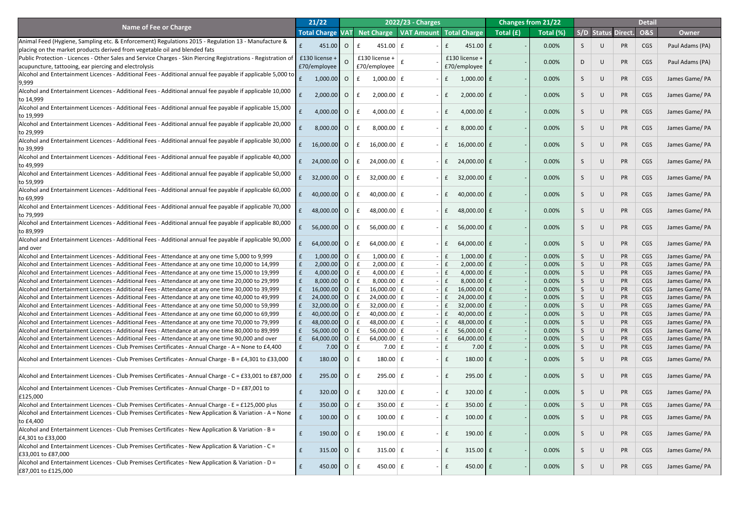|                                                                                                                                                                                                          | 21/22                        |                |                                   | <b>2022/23 - Charges</b>       |                                 |           | <b>Changes from 21/22</b> |               |                  |                        | <b>Detail</b>  |                                  |
|----------------------------------------------------------------------------------------------------------------------------------------------------------------------------------------------------------|------------------------------|----------------|-----------------------------------|--------------------------------|---------------------------------|-----------|---------------------------|---------------|------------------|------------------------|----------------|----------------------------------|
| <b>Name of Fee or Charge</b>                                                                                                                                                                             | <b>Total Charge VAT</b>      |                | Net Charge                        | <b>VAT Amount Total Charge</b> |                                 | Total (£) | Total (%)                 |               |                  | S/D Status Direct.     | <b>O&amp;S</b> | <b>Owner</b>                     |
| Animal Feed (Hygiene, Sampling etc. & Enforcement) Regulations 2015 - Regulation 13 - Manufacture &                                                                                                      | 451.00                       | $\overline{O}$ | $451.00$ $E$                      |                                | $451.00$ $E$                    |           | 0.00%                     |               |                  | <b>PR</b>              | CGS            | Paul Adams (PA)                  |
| placing on the market products derived from vegetable oil and blended fats                                                                                                                               |                              |                |                                   |                                |                                 |           |                           |               |                  |                        |                |                                  |
| Public Protection - Licences - Other Sales and Service Charges - Skin Piercing Registrations - Registration of                                                                                           | £130 license +               | $\Omega$       | £130 license +                    |                                | £130 license +                  |           | 0.00%                     |               | $\cup$           | <b>PR</b>              | <b>CGS</b>     | Paul Adams (PA)                  |
| acupuncture, tattooing, ear piercing and electrolysis                                                                                                                                                    | £70/employee                 |                | £70/employee                      |                                | £70/employee                    |           |                           |               |                  |                        |                |                                  |
| Alcohol and Entertainment Licences - Additional Fees - Additional annual fee payable if applicable 5,000 to                                                                                              | $1,000.00$ 0                 |                | $1,000.00$ $E$                    |                                | $1,000.00$ $E$                  |           | 0.00%                     |               | U                | PR                     | <b>CGS</b>     | James Game/ PA                   |
| 9,999                                                                                                                                                                                                    |                              |                |                                   |                                |                                 |           |                           |               |                  |                        |                |                                  |
| Alcohol and Entertainment Licences - Additional Fees - Additional annual fee payable if applicable 10,000                                                                                                | 2,000.00                     | $\overline{O}$ | $2,000.00$ £                      |                                | $2,000.00$ £                    |           | 0.00%                     |               | U                | <b>PR</b>              | <b>CGS</b>     | James Game/ PA                   |
| to 14,999                                                                                                                                                                                                |                              |                |                                   |                                |                                 |           |                           |               |                  |                        |                |                                  |
| Alcohol and Entertainment Licences - Additional Fees - Additional annual fee payable if applicable 15,000                                                                                                | 4,000.00                     | $\overline{O}$ | 4,000.00 $E$                      |                                | $4,000.00$ £                    |           | 0.00%                     |               | $\cup$           | <b>PR</b>              | <b>CGS</b>     | James Game/ PA                   |
| to 19,999                                                                                                                                                                                                |                              |                |                                   |                                |                                 |           |                           |               |                  |                        |                |                                  |
| Alcohol and Entertainment Licences - Additional Fees - Additional annual fee payable if applicable 20,000                                                                                                | $8,000.00$ O                 |                | 8,000.00 $E$                      |                                | $8,000.00$ £                    |           | 0.00%                     |               | $\cup$           | <b>PR</b>              | <b>CGS</b>     | James Game/ PA                   |
| to 29,999                                                                                                                                                                                                |                              |                |                                   |                                |                                 |           |                           |               |                  |                        |                |                                  |
| Alcohol and Entertainment Licences - Additional Fees - Additional annual fee payable if applicable 30,000                                                                                                | 16,000.00                    | $\overline{O}$ | 16,000.00 $\vert$ £               |                                | 16,000.00 $E$                   |           | 0.00%                     |               | $\cup$           | <b>PR</b>              | <b>CGS</b>     | James Game/ PA                   |
| to 39,999                                                                                                                                                                                                |                              |                |                                   |                                |                                 |           |                           |               |                  |                        |                |                                  |
| Alcohol and Entertainment Licences - Additional Fees - Additional annual fee payable if applicable 40,000                                                                                                | 24,000.00                    | $\overline{O}$ | $24,000.00$ £                     |                                | $24,000.00$ £                   |           | 0.00%                     |               | $\cup$           | <b>PR</b>              | <b>CGS</b>     | James Game/ PA                   |
| to 49,999                                                                                                                                                                                                |                              |                |                                   |                                |                                 |           |                           |               |                  |                        |                |                                  |
| Alcohol and Entertainment Licences - Additional Fees - Additional annual fee payable if applicable 50,000                                                                                                | 32,000.00                    | $\overline{O}$ | $32,000.00 \mid f$                |                                | $32,000.00$ £                   |           | 0.00%                     |               | $\cup$           | <b>PR</b>              | <b>CGS</b>     | James Game/ PA                   |
| to 59,999                                                                                                                                                                                                |                              |                |                                   |                                |                                 |           |                           |               |                  |                        |                |                                  |
| Alcohol and Entertainment Licences - Additional Fees - Additional annual fee payable if applicable 60,000                                                                                                | 40,000.00                    | $\overline{O}$ | 40,000.00 $E$                     |                                | 40,000.00 £                     |           | 0.00%                     |               | $\cup$           | <b>PR</b>              | <b>CGS</b>     | James Game/ PA                   |
| to 69,999                                                                                                                                                                                                |                              |                |                                   |                                |                                 |           |                           |               |                  |                        |                |                                  |
| Alcohol and Entertainment Licences - Additional Fees - Additional annual fee payable if applicable 70,000                                                                                                | 48,000.00                    | $\overline{O}$ | 48,000.00 $E$                     |                                | 48,000.00 £                     |           | 0.00%                     |               |                  | <b>PR</b>              | <b>CGS</b>     | James Game/ PA                   |
| to 79,999                                                                                                                                                                                                |                              |                |                                   |                                |                                 |           |                           |               |                  |                        |                |                                  |
| Alcohol and Entertainment Licences - Additional Fees - Additional annual fee payable if applicable 80,000                                                                                                | $56,000.00$ 0                |                | 56,000.00 $E$<br>$\mathbf{f}$     |                                | $56,000.00$ £<br>$\mathbf{f}$   |           | 0.00%                     |               | U                | <b>PR</b>              | <b>CGS</b>     | James Game/PA                    |
| to 89,999                                                                                                                                                                                                |                              |                |                                   |                                |                                 |           |                           |               |                  |                        |                |                                  |
| Alcohol and Entertainment Licences - Additional Fees - Additional annual fee payable if applicable 90,000                                                                                                | 64,000.00                    | $\overline{O}$ | 64,000.00 $E$<br>£                |                                | 64,000.00 $E$<br>$\mathbf{f}$   |           | 0.00%                     |               | $\cup$           | <b>PR</b>              | <b>CGS</b>     | James Game/ PA                   |
| and over                                                                                                                                                                                                 |                              |                |                                   |                                |                                 |           |                           |               |                  |                        |                |                                  |
| Alcohol and Entertainment Licences - Additional Fees - Attendance at any one time 5,000 to 9,999                                                                                                         | $1,000.00$ O                 |                | $1,000.00 \mid f$                 | l £<br>l £                     | $1,000.00$ £                    |           | 0.00%<br>0.00%            |               | $\cup$<br>$\cup$ | <b>PR</b>              | CGS<br>CGS     | James Game/ PA                   |
| Alcohol and Entertainment Licences - Additional Fees - Attendance at any one time 10,000 to 14,999<br>Alcohol and Entertainment Licences - Additional Fees - Attendance at any one time 15,000 to 19,999 | $2,000.00$ O<br>$4,000.00$ O |                | $2,000.00 \mid f$<br>4,000.00 $E$ | l £                            | $2,000.00$ $E$<br>4,000.00 $E$  |           | 0.00%                     |               | $\cup$           | <b>PR</b><br><b>PR</b> | CGS            | James Game/PA                    |
| Alcohol and Entertainment Licences - Additional Fees - Attendance at any one time 20,000 to 29,999                                                                                                       | $8,000.00$ 0                 |                | 8,000.00 $E$                      |                                | $\mathbf{f}$<br>$8,000.00$ £    |           | 0.00%                     |               | $\cup$           | <b>PR</b>              | CGS            | James Game/ PA                   |
| Alcohol and Entertainment Licences - Additional Fees - Attendance at any one time 30,000 to 39,999                                                                                                       | 16,000.00                    | $\overline{O}$ | $16,000.00$ £                     |                                | 16,000.00 £<br>$\mathbf{f}$     |           | 0.00%                     |               | $\cup$           | <b>PR</b>              | CGS            | James Game/ PA<br>James Game/ PA |
| Alcohol and Entertainment Licences - Additional Fees - Attendance at any one time 40,000 to 49,999                                                                                                       | 24,000.00                    | $\overline{O}$ | $24,000.00$ £                     |                                | $\mathbf{f}$<br>24,000.00 £     |           | 0.00%                     |               | $\cup$           | <b>PR</b>              | CGS            | James Game/ PA                   |
| Alcohol and Entertainment Licences - Additional Fees - Attendance at any one time 50,000 to 59,999                                                                                                       | 32,000.00                    | $\overline{O}$ | $32,000.00 \mid f$                |                                | 32,000.00 £<br>$\mathbf{f}$     |           | 0.00%                     |               | $\cup$           | <b>PR</b>              | CGS            | James Game/PA                    |
| Alcohol and Entertainment Licences - Additional Fees - Attendance at any one time 60,000 to 69,999                                                                                                       | 40,000.00                    | $\overline{O}$ | 40,000.00 $E$                     |                                | $\mathbf{f}$<br>40,000.00 £     |           | 0.00%                     |               | $\cup$           | <b>PR</b>              | CGS            | James Game/PA                    |
| Alcohol and Entertainment Licences - Additional Fees - Attendance at any one time 70,000 to 79,999                                                                                                       | 48,000.00                    | $\overline{O}$ | 48,000.00 $E$                     |                                | 48,000.00 £<br>$\mathbf{f}$     |           | 0.00%                     |               | U                | <b>PR</b>              | CGS            | James Game/PA                    |
| Alcohol and Entertainment Licences - Additional Fees - Attendance at any one time 80,000 to 89,999                                                                                                       | 56,000.00                    | $\overline{O}$ | $56,000.00$ £                     |                                | 56,000.00 £<br>$\mathbf{f}$     |           | 0.00%                     |               | $\cup$           | <b>PR</b>              | CGS            | James Game/PA                    |
| Alcohol and Entertainment Licences - Additional Fees - Attendance at any one time 90,000 and over                                                                                                        | $64,000.00$ 0                |                | 64,000.00 $E$                     | l £                            | 64,000.00 $E$                   |           | 0.00%                     |               | $\cup$           | <b>PR</b>              | CGS            | James Game/PA                    |
| Alcohol and Entertainment Licences - Club Premises Certificates - Annual Charge - A = None to £4,400                                                                                                     | 7.00<br>E                    | $\overline{O}$ | 7.00 $E$                          |                                | $\mathbf{f}$<br>$7.00$ $E$      |           | 0.00%                     |               | $\cup$           | <b>PR</b>              | <b>CGS</b>     | James Game/ PA                   |
|                                                                                                                                                                                                          |                              |                |                                   |                                |                                 |           |                           |               |                  |                        |                |                                  |
| Alcohol and Entertainment Licences - Club Premises Certificates - Annual Charge - B = £4,301 to £33,000                                                                                                  | l £<br>180.00                | $\overline{O}$ | $180.00 \mid f$<br>$\cdot$ £      |                                | $180.00$ $E$<br>$\mathbf{f}$    |           | 0.00%                     |               | $\cup$           | <b>PR</b>              | CGS            | James Game/PA                    |
|                                                                                                                                                                                                          |                              |                |                                   |                                |                                 |           |                           |               |                  |                        |                |                                  |
| Alcohol and Entertainment Licences - Club Premises Certificates - Annual Charge - C = £33,001 to £87,000 $\vert$ £                                                                                       | 295.00                       | $\overline{O}$ | $295.00 \mid f$<br>$\mathbf{f}$   |                                | $295.00$ $E$<br>$\mathbf{f}$    |           | 0.00%                     |               | $\cup$           | <b>PR</b>              | CGS            | James Game/ PA                   |
| Alcohol and Entertainment Licences - Club Premises Certificates - Annual Charge - D = £87,001 to                                                                                                         |                              |                |                                   |                                |                                 |           |                           |               |                  |                        |                |                                  |
| E125,000                                                                                                                                                                                                 | 320.00 O                     |                | $320.00 \mid f$<br>E              |                                | $320.00$ $E$<br>$\mathbf{f}$    |           | 0.00%                     |               | $\cup$           | <b>PR</b>              | CGS            | James Game/ PA                   |
| Alcohol and Entertainment Licences - Club Premises Certificates - Annual Charge - E = £125,000 plus                                                                                                      | 350.00<br>$\mathbf f$        | $\overline{O}$ | $350.00 \mid f$<br>E              | $ E$                           | $350.00$ $E$                    |           | 0.00%                     |               | $\cup$           | <b>PR</b>              | <b>CGS</b>     | James Game/PA                    |
| Alcohol and Entertainment Licences - Club Premises Certificates - New Application & Variation - A = None                                                                                                 |                              |                |                                   |                                |                                 |           |                           |               |                  |                        |                |                                  |
| to £4,400                                                                                                                                                                                                | $100.00$ O                   |                | $100.00 \mid f$                   |                                | $100.00$ $E$<br>$\mathbf{f}$    |           | 0.00%                     |               | U                | <b>PR</b>              | <b>CGS</b>     | James Game/ PA                   |
| Alcohol and Entertainment Licences - Club Premises Certificates - New Application & Variation - B =                                                                                                      |                              |                |                                   |                                |                                 |           |                           |               |                  |                        |                |                                  |
| E4,301 to £33,000                                                                                                                                                                                        | f<br>$190.00$ 0              |                | $190.00 \mid f$<br>l £            | $\sim$                         | $\mathbf{f}$<br>190.00 $E$      |           | 0.00%                     | S.            | U                | PR                     | <b>CGS</b>     | James Game/ PA                   |
| Alcohol and Entertainment Licences - Club Premises Certificates - New Application & Variation - C =                                                                                                      |                              |                |                                   |                                |                                 |           |                           |               |                  |                        |                |                                  |
| E33,001 to £87,000                                                                                                                                                                                       | f<br>$315.00$   0   $f$      |                | $315.00 \mid f$                   | $\sim$                         | $315.00 \mid f$<br>$\mathbf{f}$ |           | 0.00%                     | S.            | $\bigcup$        | PR                     | <b>CGS</b>     | James Game/ PA                   |
| Alcohol and Entertainment Licences - Club Premises Certificates - New Application & Variation - D =                                                                                                      |                              |                |                                   |                                |                                 |           |                           |               |                  |                        |                |                                  |
| E87,001 to £125,000                                                                                                                                                                                      | 450.00   $O$   $E$           |                | 450.00 $E$                        | $\sim$                         | $\mathbf{f}$<br>$450.00$ $E$    |           | 0.00%                     | $\mathcal{S}$ | U                | PR                     | <b>CGS</b>     | James Game/ PA                   |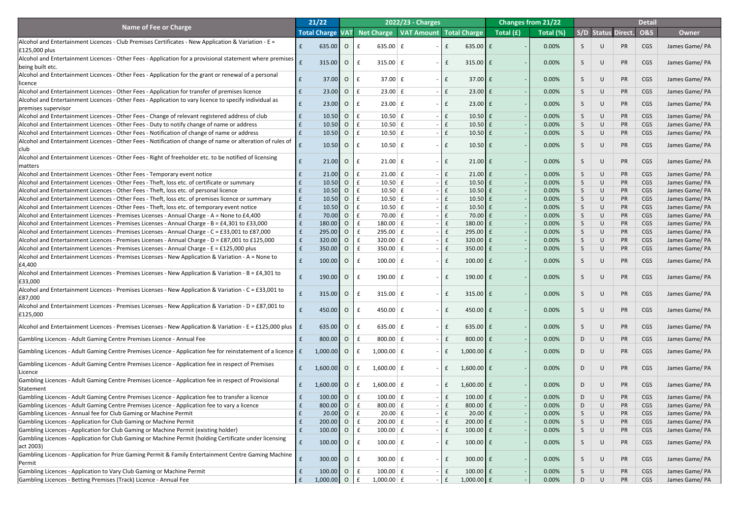|                                                                                                                                                                                                   |             | 21/22                   |                |              |                                 | 2022/23 - Charges                      |              |                              |           | <b>Changes from 21/22</b> |    |        |                           | <b>Detail</b>  |                                 |
|---------------------------------------------------------------------------------------------------------------------------------------------------------------------------------------------------|-------------|-------------------------|----------------|--------------|---------------------------------|----------------------------------------|--------------|------------------------------|-----------|---------------------------|----|--------|---------------------------|----------------|---------------------------------|
| <b>Name of Fee or Charge</b>                                                                                                                                                                      |             | <b>Total Charge VAT</b> |                |              |                                 | Net Charge   VAT Amount   Total Charge |              |                              | Total (£) | Total (%)                 |    |        | <b>S/D Status Direct.</b> | <b>O&amp;S</b> | <b>Owner</b>                    |
| Alcohol and Entertainment Licences - Club Premises Certificates - New Application & Variation - E =                                                                                               |             |                         |                |              |                                 |                                        |              |                              |           |                           |    |        |                           |                |                                 |
| $E125,000$ plus                                                                                                                                                                                   |             | 635.00                  | $\overline{O}$ |              | 635.00 $E$                      |                                        |              | 635.00 $E$                   |           | 0.00%                     |    |        | <b>PR</b>                 | <b>CGS</b>     | James Game/ PA                  |
| Alcohol and Entertainment Licences - Other Fees - Application for a provisional statement where premises                                                                                          |             |                         |                |              |                                 |                                        |              |                              |           |                           |    |        |                           |                |                                 |
| being built etc.                                                                                                                                                                                  |             | 315.00                  | $\overline{O}$ |              | 315.00 $E$                      |                                        |              | $315.00 \mid f$              |           | 0.00%                     |    | $\cup$ | PR                        | CGS            | James Game/ PA                  |
| Alcohol and Entertainment Licences - Other Fees - Application for the grant or renewal of a personal                                                                                              |             |                         |                |              |                                 |                                        |              |                              |           |                           |    |        |                           |                |                                 |
| licence                                                                                                                                                                                           |             | 37.00                   | $\overline{O}$ |              | 37.00 $E$                       | $\sim$                                 |              | $37.00$ £                    |           | 0.00%                     | S. | $\cup$ | <b>PR</b>                 | <b>CGS</b>     | James Game/ PA                  |
| Alcohol and Entertainment Licences - Other Fees - Application for transfer of premises licence                                                                                                    |             | 23.00                   | $\overline{O}$ | Ι£           | $23.00 \mid f$                  |                                        |              | $23.00 \text{ }$ £           |           | 0.00%                     | S  | $\cup$ | <b>PR</b>                 | <b>CGS</b>     | James Game/ PA                  |
| Alcohol and Entertainment Licences - Other Fees - Application to vary licence to specify individual as                                                                                            |             |                         |                |              |                                 |                                        |              |                              |           | 0.00%                     |    |        | <b>PR</b>                 |                |                                 |
| premises supervisor                                                                                                                                                                               |             | 23.00                   | $\overline{O}$ | Ι£           | $23.00 \mid f$                  |                                        |              | $23.00 \text{ }$ £           |           |                           |    |        |                           | <b>CGS</b>     | James Game/ PA                  |
| Alcohol and Entertainment Licences - Other Fees - Change of relevant registered address of club                                                                                                   | f           | 10.50                   | $\overline{O}$ | l £          | $10.50 \mid f \mid$             |                                        | $-1f$        | $10.50$ £                    |           | 0.00%                     | S  | $\cup$ | <b>PR</b>                 | CGS            | James Game/ PA                  |
| Alcohol and Entertainment Licences - Other Fees - Duty to notify change of name or address                                                                                                        |             | 10.50                   | $\overline{O}$ | Ι£           | $10.50 \mid f \mid$             |                                        |              | $10.50$ $E$                  |           | 0.00%                     | S  |        | <b>PR</b>                 | CGS            | James Game/ PA                  |
| Alcohol and Entertainment Licences - Other Fees - Notification of change of name or address                                                                                                       |             | 10.50                   | $\overline{O}$ | Ι£           | $10.50 \mid f \mid$             |                                        |              | $10.50$ $E$                  |           | 0.00%                     |    |        | <b>PR</b>                 | CGS            | James Game/ PA                  |
| Alcohol and Entertainment Licences - Other Fees - Notification of change of name or alteration of rules of                                                                                        |             | $10.50$ O               |                |              | $10.50 \mid f \mid$             |                                        |              | $10.50$ $E$                  |           | 0.00%                     |    |        | <b>PR</b>                 | CGS            | James Game/ PA                  |
|                                                                                                                                                                                                   |             |                         |                |              |                                 |                                        |              |                              |           |                           |    |        |                           |                |                                 |
| Alcohol and Entertainment Licences - Other Fees - Right of freeholder etc. to be notified of licensing                                                                                            |             | 21.00                   | $\overline{O}$ |              | $21.00 \mid f$                  |                                        |              | $21.00 \text{ }$ £           |           | 0.00%                     | S. | $\cup$ | <b>PR</b>                 | <b>CGS</b>     | James Game/ PA                  |
| matters                                                                                                                                                                                           |             |                         |                |              |                                 |                                        |              |                              |           |                           |    |        |                           |                |                                 |
| Alcohol and Entertainment Licences - Other Fees - Temporary event notice                                                                                                                          |             | 21.00                   | $\overline{O}$ | Ι£           | $21.00 \mid f \mid$             |                                        |              | $21.00$ £                    |           | 0.00%                     | S  |        | PR                        | <b>CGS</b>     | James Game/ PA                  |
| Alcohol and Entertainment Licences - Other Fees - Theft, loss etc. of certificate or summary                                                                                                      |             | 10.50                   | $\overline{O}$ | Ι£           | $10.50 \mid f \mid$             |                                        |              | $10.50$ £                    |           | 0.00%                     | S  |        | <b>PR</b>                 | CGS            | James Game/ PA                  |
| Alcohol and Entertainment Licences - Other Fees - Theft, loss etc. of personal licence                                                                                                            |             | 10.50                   | $\overline{O}$ |              | $10.50 \mid f \mid$             |                                        |              | $10.50$ £                    |           | 0.00%                     |    |        | <b>PR</b>                 | CGS            | James Game/ PA                  |
| Alcohol and Entertainment Licences - Other Fees - Theft, loss etc. of premises licence or summary                                                                                                 | f           | 10.50                   | $\overline{O}$ | Ι£           | $10.50 \mid f \mid$             |                                        |              | $10.50$ £                    |           | 0.00%                     |    |        | <b>PR</b>                 | CGS            | James Game/ PA                  |
| Alcohol and Entertainment Licences - Other Fees - Theft, loss etc. of temporary event notice                                                                                                      |             | 10.50                   | $\overline{O}$ |              | $10.50 \mid f \mid$             |                                        |              | $10.50$ $E$                  |           | 0.00%                     |    |        | <b>PR</b>                 | CGS            | James Game/ PA                  |
| Alcohol and Entertainment Licences - Premises Licenses - Annual Charge - A = None to £4,400                                                                                                       |             | 70.00                   | $\overline{O}$ |              | 70.00 $E$                       |                                        |              | $70.00$ £                    |           | 0.00%                     |    |        | <b>PR</b>                 | CGS            | James Game/ PA                  |
| Alcohol and Entertainment Licences - Premises Licenses - Annual Charge - B = £4,301 to £33,000<br>Alcohol and Entertainment Licences - Premises Licenses - Annual Charge - C = £33,001 to £87,000 | f           | 180.00 O<br>295.00      | $\overline{O}$ | $\mathbf{f}$ | $180.00$ $E$<br>$295.00 \mid f$ |                                        |              | $180.00$ $E$<br>$295.00$ $E$ |           | 0.00%<br>0.00%            |    |        | <b>PR</b><br><b>PR</b>    | CGS<br>CGS     | James Game/PA                   |
| Alcohol and Entertainment Licences - Premises Licenses - Annual Charge - D = £87,001 to £125,000                                                                                                  | $\mathbf f$ | 320.00                  | $\overline{O}$ |              | 320.00 $E$                      |                                        |              | $320.00$ $E$                 |           | 0.00%                     |    |        | <b>PR</b>                 | CGS            | James Game/ PA<br>James Game/PA |
| Alcohol and Entertainment Licences - Premises Licenses - Annual Charge - E = £125,000 plus                                                                                                        |             | 350.00                  | $\overline{O}$ |              | 350.00 $E$                      |                                        |              | $350.00$ $E$                 |           | 0.00%                     |    |        | <b>PR</b>                 | CGS            | James Game/ PA                  |
| Alcohol and Entertainment Licences - Premises Licenses - New Application & Variation - A = None to                                                                                                |             |                         |                |              |                                 |                                        |              |                              |           |                           |    |        |                           |                |                                 |
| £4,400                                                                                                                                                                                            |             | 100.00                  | $\overline{O}$ |              | $100.00$ $E$                    |                                        |              | $100.00$ $E$                 |           | 0.00%                     |    | $\cup$ | <b>PR</b>                 | <b>CGS</b>     | James Game/PA                   |
| Alcohol and Entertainment Licences - Premises Licenses - New Application & Variation - B = £4,301 to                                                                                              |             |                         |                |              |                                 |                                        |              |                              |           |                           |    |        |                           |                |                                 |
| E33,000                                                                                                                                                                                           |             | 190.00                  | $\overline{O}$ |              | 190.00 $E$                      |                                        |              | $190.00$ $E$                 |           | 0.00%                     |    | $\cup$ | <b>PR</b>                 | <b>CGS</b>     | James Game/PA                   |
| Alcohol and Entertainment Licences - Premises Licenses - New Application & Variation - C = £33,001 to                                                                                             |             |                         |                |              |                                 |                                        |              |                              |           |                           |    |        |                           |                |                                 |
| £87,000                                                                                                                                                                                           |             | 315.00                  | $\overline{O}$ |              | 315.00 $E$                      |                                        |              | $315.00 \mid f$              |           | 0.00%                     |    | $\cup$ | <b>PR</b>                 | <b>CGS</b>     | James Game/PA                   |
| Alcohol and Entertainment Licences - Premises Licenses - New Application & Variation - D = £87,001 to                                                                                             |             |                         |                |              |                                 |                                        |              |                              |           |                           |    |        |                           |                |                                 |
| £125,000                                                                                                                                                                                          |             | 450.00                  | $\overline{O}$ |              | 450.00 $E$                      |                                        |              | 450.00 $E$                   |           | 0.00%                     |    | $\cup$ | <b>PR</b>                 | <b>CGS</b>     | James Game/PA                   |
| Alcohol and Entertainment Licences - Premises Licenses - New Application & Variation - E = £125,000 plus $\mathbf{f}$ £                                                                           |             | 635.00                  | $\overline{O}$ |              | 635.00 $E$                      |                                        |              | 635.00 $E$                   |           | 0.00%                     |    | $\cup$ | <b>PR</b>                 | <b>CGS</b>     |                                 |
|                                                                                                                                                                                                   |             |                         |                |              |                                 |                                        |              |                              |           |                           |    |        |                           |                | James Game/ PA                  |
| Gambling Licences - Adult Gaming Centre Premises Licence - Annual Fee                                                                                                                             |             | 800.00                  | $\overline{O}$ |              | 800.00 $E$                      |                                        |              | 800.00 $E$                   |           | 0.00%                     | D  | $\cup$ | PR                        | <b>CGS</b>     | James Game/ PA                  |
| Gambling Licences - Adult Gaming Centre Premises Licence - Application fee for reinstatement of a licence   £                                                                                     |             | $1,000.00$ O            |                |              | $1,000.00$ $E$                  |                                        |              | $1,000.00$ £                 |           | 0.00%                     | D. |        | <b>PR</b>                 | <b>CGS</b>     | James Game/ PA                  |
|                                                                                                                                                                                                   |             |                         |                |              |                                 |                                        |              |                              |           |                           |    |        |                           |                |                                 |
| Gambling Licences - Adult Gaming Centre Premises Licence - Application fee in respect of Premises                                                                                                 |             | $1,600.00$ O            |                |              | $1,600.00 \mid f$               |                                        |              | $1,600.00$ £                 |           | 0.00%                     | D. |        | <b>PR</b>                 | <b>CGS</b>     | James Game/ PA                  |
| Licence                                                                                                                                                                                           |             |                         |                |              |                                 |                                        |              |                              |           |                           |    |        |                           |                |                                 |
| Gambling Licences - Adult Gaming Centre Premises Licence - Application fee in respect of Provisional                                                                                              |             | 1,600.00                | $\overline{O}$ |              | $1,600.00$ £                    |                                        |              | $1,600.00$ £                 |           | 0.00%                     | D  | $\cup$ | <b>PR</b>                 | <b>CGS</b>     | James Game/ PA                  |
| Statement                                                                                                                                                                                         |             |                         |                |              |                                 |                                        |              |                              |           |                           |    |        |                           |                |                                 |
| Gambling Licences - Adult Gaming Centre Premises Licence - Application fee to transfer a licence                                                                                                  |             | 100.00                  | $\overline{O}$ |              | $100.00$ $E$                    |                                        |              | $100.00$ $E$                 |           | 0.00%                     | D  | $\cup$ | PR                        | <b>CGS</b>     | James Game/ PA                  |
| Gambling Licences - Adult Gaming Centre Premises Licence - Application fee to vary a licence                                                                                                      |             | 800.00                  | $\overline{O}$ |              | 800.00 $E$                      |                                        |              | 800.00 $E$                   |           | 0.00%                     | D  |        | <b>PR</b>                 | CGS            | James Game/ PA                  |
| Gambling Licences - Annual fee for Club Gaming or Machine Permit                                                                                                                                  |             | 20.00                   | $\overline{O}$ |              | $20.00$ £                       |                                        |              | $20.00$ £                    |           | 0.00%                     |    |        | <b>PR</b>                 | CGS            | James Game/ PA                  |
| Gambling Licences - Application for Club Gaming or Machine Permit                                                                                                                                 |             | $200.00$ 0              |                |              | $200.00$ $E$                    |                                        |              | $200.00$ $E$                 |           | 0.00%                     |    | U      | <b>PR</b>                 | CGS            | James Game/ PA                  |
| Gambling Licences - Application for Club Gaming or Machine Permit (existing holder)                                                                                                               | $\mathbf t$ | 100.00                  | $\overline{O}$ |              | $100.00$ $E$                    |                                        |              | $100.00$ $E$                 |           | 0.00%                     | S  | U      | <b>PR</b>                 | CGS            | James Game/ PA                  |
| Gambling Licences - Application for Club Gaming or Machine Permit (holding Certificate under licensing<br>act 2003)                                                                               |             | 100.00                  | $\overline{O}$ |              | $100.00$ $E$                    | $-1$                                   |              | $100.00$ $E$                 |           | 0.00%                     | S. | $\cup$ | PR                        | <b>CGS</b>     | James Game/ PA                  |
| Gambling Licences - Application for Prize Gaming Permit & Family Entertainment Centre Gaming Machine                                                                                              |             |                         |                |              |                                 |                                        |              |                              |           |                           |    |        |                           |                |                                 |
| Permit                                                                                                                                                                                            |             | 300.00                  | $\overline{O}$ |              | 300.00 $E$                      | $-1$                                   | $\mathbf{f}$ | $300.00$ $E$                 |           | 0.00%                     | S. | $\cup$ | PR                        | <b>CGS</b>     | James Game/ PA                  |
| Gambling Licences - Application to Vary Club Gaming or Machine Permit                                                                                                                             |             | 100.00                  | $\overline{O}$ |              | $100.00$ $E$                    |                                        |              | $100.00$ $E$                 |           | 0.00%                     |    |        | <b>PR</b>                 | CGS            | James Game/ PA                  |
| Gambling Licences - Betting Premises (Track) Licence - Annual Fee                                                                                                                                 |             | $1,000.00$ O            |                |              | $1,000.00$ $E$                  |                                        | $ E$         | $1,000.00$ $f$               |           | 0.00%                     | D  | U      | <b>PR</b>                 | <b>CGS</b>     | James Game/ PA                  |
|                                                                                                                                                                                                   |             |                         |                |              |                                 |                                        |              |                              |           |                           |    |        |                           |                |                                 |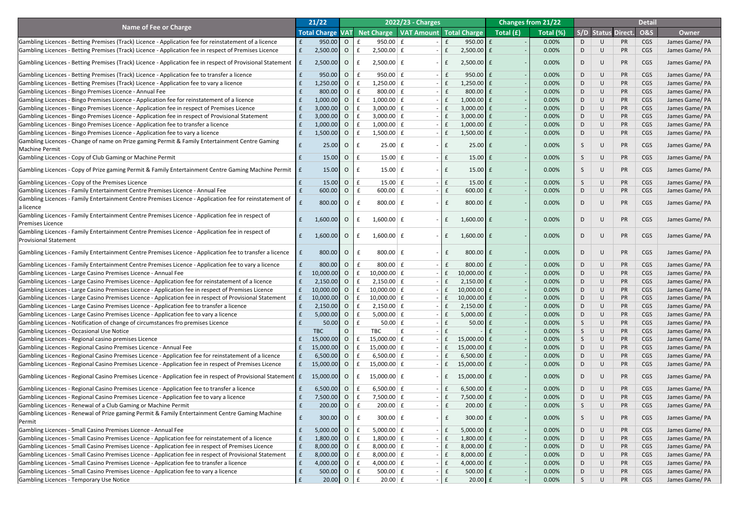|                                                                                                                             |   | 21/22               |                |              | 2022/23 - Charges                      |               |                        |           | <b>Changes from 21/22</b> |    |           |                           | <b>Detail</b>  |                |
|-----------------------------------------------------------------------------------------------------------------------------|---|---------------------|----------------|--------------|----------------------------------------|---------------|------------------------|-----------|---------------------------|----|-----------|---------------------------|----------------|----------------|
| <b>Name of Fee or Charge</b>                                                                                                |   |                     |                |              |                                        |               |                        |           |                           |    |           |                           |                |                |
|                                                                                                                             |   | <b>Total Charge</b> | <b>VAT</b>     |              | Net Charge   VAT Amount   Total Charge |               |                        | Total (£) | Total (%)                 |    |           | <b>S/D Status Direct.</b> | <b>O&amp;S</b> | <b>Owner</b>   |
| Gambling Licences - Betting Premises (Track) Licence - Application fee for reinstatement of a licence                       |   | 950.00              | $\overline{O}$ | $\mathbf{f}$ | 950.00 $E$                             | $\mathsf{F}$  | $950.00$ $E$           |           | 0.00%                     | D  |           | <b>PR</b>                 | CGS            | James Game/ PA |
| Gambling Licences - Betting Premises (Track) Licence - Application fee in respect of Premises Licence                       |   | 2,500.00            | $\overline{O}$ |              | $2,500.00 \mid f$                      | $ \mathsf{E}$ | $2,500.00$ $E$         |           | 0.00%                     | D. |           | <b>PR</b>                 | <b>CGS</b>     | James Game/ PA |
| Gambling Licences - Betting Premises (Track) Licence - Application fee in respect of Provisional Statement $\ \mathbf{f}\ $ |   | 2,500.00            | $\overline{O}$ | £            | $2,500.00 \mid f$                      | $ E$          | $2,500.00$ $E$         |           | 0.00%                     | D. | U         | <b>PR</b>                 | <b>CGS</b>     | James Game/ PA |
| Gambling Licences - Betting Premises (Track) Licence - Application fee to transfer a licence                                |   | 950.00              | $\overline{O}$ | $\mathbf{f}$ | $950.00 \mid f$                        | $ \mathsf{E}$ | $950.00$ $E$           |           | 0.00%                     | D  | $\cup$    | PR                        | <b>CGS</b>     | James Game/ PA |
| Gambling Licences - Betting Premises (Track) Licence - Application fee to vary a licence                                    |   | 1,250.00            | $\overline{O}$ |              | $1,250.00 \mid f$                      | $ \mathsf{E}$ | $1,250.00$ $E$         |           | 0.00%                     | D  |           | <b>PR</b>                 | <b>CGS</b>     | James Game/PA  |
| Gambling Licences - Bingo Premises Licence - Annual Fee                                                                     |   | 800.00              | $\overline{O}$ |              | 800.00 $E$                             | $ \mathsf{E}$ | 800.00 $E$             |           | 0.00%                     | D  |           | <b>PR</b>                 | <b>CGS</b>     | James Game/PA  |
| Gambling Licences - Bingo Premises Licence - Application fee for reinstatement of a licence                                 |   | 1,000.00            | $\overline{O}$ |              | $1,000.00 \mid f$                      | $ \mathsf{E}$ | $1,000.00$ $E$         |           | 0.00%                     | D  |           | <b>PR</b>                 | <b>CGS</b>     | James Game/PA  |
| Gambling Licences - Bingo Premises Licence - Application fee in respect of Premises Licence                                 |   | 3,000.00            | $\overline{O}$ |              | 3,000.00 $E$                           | $ E$          | $3,000.00$ $E$         |           | 0.00%                     | D  |           | <b>PR</b>                 | <b>CGS</b>     | James Game/PA  |
| Gambling Licences - Bingo Premises Licence - Application fee in respect of Provisional Statement                            |   | 3,000.00            | $\overline{O}$ |              | 3,000.00 $E$                           | $ E$          | $3,000.00$ $E$         |           | 0.00%                     | D  |           | <b>PR</b>                 | <b>CGS</b>     | James Game/PA  |
| Gambling Licences - Bingo Premises Licence - Application fee to transfer a licence                                          |   | 1,000.00            | $\overline{O}$ |              | $1,000.00 \mid f$                      | $ E$          | $1,000.00$ $E$         |           | 0.00%                     | D  |           | <b>PR</b>                 | <b>CGS</b>     | James Game/PA  |
| Gambling Licences - Bingo Premises Licence - Application fee to vary a licence                                              |   | 1,500.00            | $\overline{O}$ |              | $1,500.00 \mid f$                      | $ E$          | $1,500.00$ $E$         |           | 0.00%                     | D  | U         | <b>PR</b>                 | <b>CGS</b>     | James Game/ PA |
| Gambling Licences - Change of name on Prize gaming Permit & Family Entertainment Centre Gaming                              |   |                     |                |              |                                        |               |                        |           |                           |    |           |                           |                |                |
| Machine Permit                                                                                                              |   | 25.00               | $\overline{O}$ | £            | $25.00 \mid f \mid$<br>$\sim$          | $\mathbf{f}$  | $25.00 \mid f$         |           | 0.00%                     | S  | U         | <b>PR</b>                 | <b>CGS</b>     | James Game/PA  |
| Gambling Licences - Copy of Club Gaming or Machine Permit                                                                   |   | 15.00               | $\overline{O}$ | l £          | $15.00 \mid f \mid$                    | $ \mathsf{E}$ | $15.00 \mid f$         |           | 0.00%                     | S. | $\bigcup$ | PR                        | <b>CGS</b>     | James Game/PA  |
| Gambling Licences - Copy of Prize gaming Permit & Family Entertainment Centre Gaming Machine Permit $\ \mathbf{f}\ $        |   | 15.00               | $\overline{O}$ | Ι£           | $15.00 \mid f \mid$                    | $ \mathsf{E}$ | $15.00 \text{ E}$      |           | 0.00%                     | S. | U         | <b>PR</b>                 | <b>CGS</b>     | James Game/ PA |
| Gambling Licences - Copy of the Premises Licence                                                                            |   | 15.00               | $\overline{O}$ | £            | $15.00 \mid f$                         | $ \mathsf{E}$ | $15.00 \mid f$         |           | 0.00%                     | S  | $\cup$    | <b>PR</b>                 | <b>CGS</b>     | James Game/ PA |
| Gambling Licences - Family Entertainment Centre Premises Licence - Annual Fee                                               |   | 600.00              | $\overline{O}$ | l £          | 600.00   E                             | $ \mathsf{E}$ | $600.00$   £           |           | 0.00%                     | D  | U         | <b>PR</b>                 | <b>CGS</b>     | James Game/ PA |
| Gambling Licences - Family Entertainment Centre Premises Licence - Application fee for reinstatement of                     |   |                     |                |              |                                        |               |                        |           |                           |    |           |                           |                |                |
| la licence                                                                                                                  |   | 800.00              | $\overline{O}$ | Ι£           | 800.00 $E$                             | $ \mathsf{E}$ | $800.00$ $E$           |           | 0.00%                     | D. | $\cup$    | <b>PR</b>                 | <b>CGS</b>     | James Game/ PA |
| Gambling Licences - Family Entertainment Centre Premises Licence - Application fee in respect of                            |   |                     |                |              |                                        |               |                        |           |                           |    |           |                           |                |                |
| <b>Premises Licence</b>                                                                                                     | f | $1,600.00$ 0        |                | f            | $1,600.00 \mid f$                      | f             | $1,600.00$ £           |           | 0.00%                     | D. | U         | <b>PR</b>                 | CGS            | James Game/PA  |
| Gambling Licences - Family Entertainment Centre Premises Licence - Application fee in respect of                            |   |                     |                |              |                                        |               |                        |           |                           |    |           |                           |                |                |
| <b>Provisional Statement</b>                                                                                                | f | $1,600.00$ O        |                | Ι£           | $1,600.00 \mid f$                      | $ E$          | $1,600.00$ £           |           | 0.00%                     | D. | $\cup$    | <b>PR</b>                 | <b>CGS</b>     | James Game/PA  |
| Gambling Licences - Family Entertainment Centre Premises Licence - Application fee to transfer a licence                    |   | 800.00              | $\overline{O}$ | Ι£           | 800.00 $E$                             | $ \mathsf{E}$ | 800.00 $E$             |           | 0.00%                     | D. | U         | <b>PR</b>                 | <b>CGS</b>     | James Game/ PA |
| Gambling Licences - Family Entertainment Centre Premises Licence - Application fee to vary a licence                        |   | 800.00              | $\overline{O}$ | $\mathbf{f}$ | $800.00$ $E$                           | $ \mathsf{E}$ | 800.00 $E$             |           | 0.00%                     | D  | $\cup$    | <b>PR</b>                 | <b>CGS</b>     | James Game/ PA |
| Gambling Licences - Large Casino Premises Licence - Annual Fee                                                              |   | 10,000.00           | $\overline{O}$ |              | 10,000.00 £                            | $ E$          | $10,000.00$ £          |           | 0.00%                     | D  |           | <b>PR</b>                 | <b>CGS</b>     | James Game/PA  |
| Gambling Licences - Large Casino Premises Licence - Application fee for reinstatement of a licence                          |   | 2,150.00            | $\overline{O}$ |              | $2,150.00 \mid f$                      | $ \mathsf{E}$ | $2,150.00$   £         |           | 0.00%                     | D. |           | <b>PR</b>                 | <b>CGS</b>     | James Game/PA  |
| Gambling Licences - Large Casino Premises Licence - Application fee in respect of Premises Licence                          |   | 10,000.00           | $\overline{O}$ |              | $10,000.00$ $\mid$ $\textup{f}$        | $ E$          | $10,000.00$ £          |           | 0.00%                     | D. |           | <b>PR</b>                 | <b>CGS</b>     | James Game/PA  |
| Gambling Licences - Large Casino Premises Licence - Application fee in respect of Provisional Statement                     |   | 10,000.00           | $\overline{O}$ |              | 10,000.00 £                            | l £           | 10,000.00 £            |           | 0.00%                     | D  |           | <b>PR</b>                 | <b>CGS</b>     | James Game/PA  |
| Gambling Licences - Large Casino Premises Licence - Application fee to transfer a licence                                   |   | 2,150.00            | $\overline{O}$ |              | $2,150.00 \mid f$                      | $ \mathsf{E}$ | $2,150.00$   £         |           | 0.00%                     | D. |           | <b>PR</b>                 | <b>CGS</b>     | James Game/PA  |
| Gambling Licences - Large Casino Premises Licence - Application fee to vary a licence                                       |   | 5,000.00            | $\overline{O}$ |              | $5,000.00 \mid f$                      | $ \mathsf{E}$ | $5,000.00$ £           |           | 0.00%                     | D  |           | <b>PR</b>                 | <b>CGS</b>     | James Game/PA  |
| Gambling Licences - Notification of change of circumstances fro premises Licence                                            |   | 50.00               | $\overline{O}$ |              | $50.00 \mid f \mid$                    |               | $50.00$ $E$            |           | 0.00%                     |    |           | <b>PR</b>                 | <b>CGS</b>     | James Game/PA  |
| Gambling Licences - Occasional Use Notice                                                                                   |   | <b>TBC</b>          |                |              | TBC                                    |               |                        |           | 0.00%                     |    |           | <b>PR</b>                 | <b>CGS</b>     | James Game/PA  |
| Gambling Licences - Regional casino premises Licence                                                                        |   | 15,000.00           | $\overline{O}$ |              | 15,000.00 $E$                          | l £           | 15,000.00 £            |           | 0.00%                     |    |           | <b>PR</b>                 | <b>CGS</b>     | James Game/PA  |
| Gambling Licences - Regional Casino Premises Licence - Annual Fee                                                           |   | 15,000.00           | $\overline{O}$ |              | 15,000.00 $E$                          | $ E$          | 15,000.00 £            |           | 0.00%                     | D  |           | <b>PR</b>                 | <b>CGS</b>     | James Game/PA  |
| Gambling Licences - Regional Casino Premises Licence - Application fee for reinstatement of a licence                       |   | 6,500.00            | $\overline{O}$ |              | 6,500.00 $E$                           | $ \mathsf{E}$ | $6,500.00$ $E$         |           | 0.00%                     | D  |           | <b>PR</b>                 | <b>CGS</b>     | James Game/ PA |
| Gambling Licences - Regional Casino Premises Licence - Application fee in respect of Premises Licence                       |   | 15,000.00           | $\overline{O}$ |              | 15,000.00 $\pm$                        | l £           | 15,000.00 $\mathbf{f}$ |           | 0.00%                     | D  |           | <b>PR</b>                 | <b>CGS</b>     | James Game/ PA |
| Gambling Licences - Regional Casino Premises Licence - Application fee in respect of Provisional Statement E                |   | $15,000.00$ 0       |                | l £          | $15,000.00 \mid f$                     | $ \mathsf{E}$ | $15,000.00$ £          |           | 0.00%                     | D. | U         | <b>PR</b>                 | <b>CGS</b>     | James Game/ PA |
|                                                                                                                             |   |                     |                |              |                                        |               |                        |           |                           |    |           |                           |                |                |
| Gambling Licences - Regional Casino Premises Licence - Application fee to transfer a licence                                |   | 6,500.00            | $\overline{O}$ |              | 6,500.00 $E$                           | $ \mathsf{E}$ | 6,500.00 $E$           |           | 0.00%                     | D  | $\cup$    | <b>PR</b>                 | <b>CGS</b>     | James Game/PA  |
| Gambling Licences - Regional Casino Premises Licence - Application fee to vary a licence                                    |   | 7,500.00            | $\overline{O}$ |              | $7,500.00 \mid f$                      | $ \mathsf{E}$ | $7,500.00$ £           |           | 0.00%                     | D  |           | <b>PR</b>                 | <b>CGS</b>     | James Game/PA  |
| Gambling Licences - Renewal of a Club Gaming or Machine Permit                                                              |   | 200.00              | $\overline{O}$ |              | $200.00$ $E$                           | $ \mathsf{E}$ | $200.00$ $E$           |           | 0.00%                     |    |           | <b>PR</b>                 | <b>CGS</b>     | James Game/ PA |
| Gambling Licences - Renewal of Prize gaming Permit & Family Entertainment Centre Gaming Machine<br>Permit                   |   | 300.00              | $\overline{O}$ | £            | 300.00 $E$                             | £             | $300.00$ $E$           |           | 0.00%                     |    |           | <b>PR</b>                 | <b>CGS</b>     | James Game/PA  |
| Gambling Licences - Small Casino Premises Licence - Annual Fee                                                              |   | $5,000.00$ O        |                |              | 5,000.00 $E$                           | l £           | $5,000.00$ $E$         |           | 0.00%                     | D. |           | <b>PR</b>                 | <b>CGS</b>     | James Game/ PA |
| Gambling Licences - Small Casino Premises Licence - Application fee for reinstatement of a licence                          |   | 1,800.00            | $\overline{O}$ |              | $1,800.00 \mid f$                      | $ E$          | $1,800.00$ $E$         |           | 0.00%                     | D  |           | <b>PR</b>                 | <b>CGS</b>     | James Game/ PA |
| Gambling Licences - Small Casino Premises Licence - Application fee in respect of Premises Licence                          |   | 8,000.00            | $\overline{O}$ |              | 8,000.00 $E$                           | $ E$          | $8,000.00$ $E$         |           | 0.00%                     | D  |           | <b>PR</b>                 | <b>CGS</b>     | James Game/ PA |
| Gambling Licences - Small Casino Premises Licence - Application fee in respect of Provisional Statement                     |   | 8,000.00            | $\overline{O}$ |              | 8,000.00 $E$                           | $ E$          | $8,000.00$ $E$         |           | 0.00%                     | D  |           | <b>PR</b>                 | <b>CGS</b>     | James Game/PA  |
| Gambling Licences - Small Casino Premises Licence - Application fee to transfer a licence                                   |   | 4,000.00            | $\overline{O}$ |              | 4,000.00 $E$                           | $ \mathsf{E}$ | 4,000.00 $E$           |           | 0.00%                     | D  |           | <b>PR</b>                 | <b>CGS</b>     | James Game/ PA |
| Gambling Licences - Small Casino Premises Licence - Application fee to vary a licence                                       |   | 500.00              | $\overline{O}$ |              | 500.00 $E$                             | $ E$          | $500.00$ $E$           |           | 0.00%                     | D. |           | <b>PR</b>                 | <b>CGS</b>     | James Game/PA  |
| <b>Gambling Licences - Temporary Use Notice</b>                                                                             |   | $20.00$ O E         |                |              | $20.00$ $E$                            | $ E$          | $20.00$ $f$            |           | 0.00%                     |    |           | <b>PR</b>                 | <b>CGS</b>     | James Game/ PA |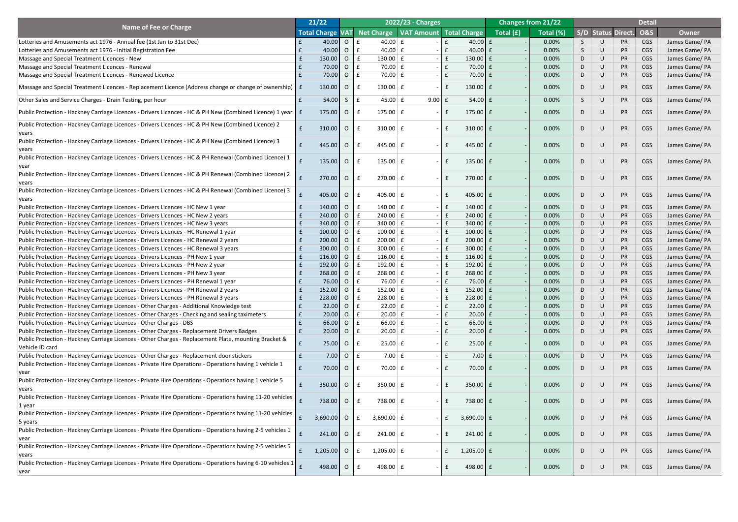|                                                                                                                            | 21/22 |                         |                |                                    | 2022/23 - Charges |              |                |                                   | <b>Changes from 21/22</b> |    |        |                    | <b>Detail</b>  |                |
|----------------------------------------------------------------------------------------------------------------------------|-------|-------------------------|----------------|------------------------------------|-------------------|--------------|----------------|-----------------------------------|---------------------------|----|--------|--------------------|----------------|----------------|
| <b>Name of Fee or Charge</b>                                                                                               |       | <b>Total Charge VAT</b> |                | Net Charge VAT Amount Total Charge |                   |              |                | $\sqrt{\text{Total}(\mathbf{f})}$ | Total (%)                 |    |        | S/D Status Direct. | <b>O&amp;S</b> | <b>Owner</b>   |
| Lotteries and Amusements act 1976 - Annual fee (1st Jan to 31st Dec)                                                       |       | 40.00                   | $\overline{O}$ | 40.00 $E$                          |                   | $\mathbf{f}$ | $40.00$ £      |                                   | 0.00%                     |    | U      | PR                 | <b>CGS</b>     | James Game/ PA |
| Lotteries and Amusements act 1976 - Initial Registration Fee                                                               |       | 40.00                   | $\overline{O}$ | 40.00 $E$<br>$\mathbf f$           |                   | f            | $40.00$ E      |                                   | 0.00%                     |    | U      | PR                 | CGS            | James Game/ PA |
| Massage and Special Treatment Licences - New                                                                               |       | 130.00                  | $\overline{O}$ | 130.00 $E$<br>E                    |                   | $\mathbf{f}$ | $130.00$ $E$   |                                   | 0.00%                     |    | $\cup$ | <b>PR</b>          | <b>CGS</b>     | James Game/ PA |
| Massage and Special Treatment Licences - Renewal                                                                           |       | 70.00                   | $\overline{O}$ | $70.00 \mid f$<br>$\mathbf f$      |                   | $\mathbf{f}$ | $70.00$ E      |                                   | 0.00%                     | D. | $\cup$ | <b>PR</b>          | <b>CGS</b>     | James Game/ PA |
| Massage and Special Treatment Licences - Renewed Licence                                                                   |       | 70.00                   | $\overline{O}$ | 70.00 $E$                          |                   | f            | $70.00$ £      |                                   | 0.00%                     | D. | $\cup$ | PR                 | <b>CGS</b>     | James Game/ PA |
|                                                                                                                            |       |                         |                |                                    |                   |              |                |                                   |                           |    |        |                    |                |                |
| Massage and Special Treatment Licences - Replacement Licence (Address change or change of ownership)   £                   |       | 130.00                  | $\overline{O}$ | 130.00 $E$<br>$\mathbf{f}$         |                   | $\mathbf{f}$ | 130.00 $E$     |                                   | 0.00%                     |    | $\cup$ | PR                 | <b>CGS</b>     | James Game/ PA |
| Other Sales and Service Charges - Drain Testing, per hour                                                                  |       | 54.00                   | S              | $\mathbf{f}$<br>45.00 $E$          | $9.00 \mid f$     |              | $54.00 \mid f$ |                                   | 0.00%                     | S. | $\cup$ | PR                 | <b>CGS</b>     | James Game/ PA |
| Public Protection - Hackney Carriage Licences - Drivers Licences - HC & PH New (Combined Licence) 1 year   £               |       | 175.00                  | $\overline{O}$ | 175.00 $E$<br>£                    |                   |              | 175.00 E       |                                   | 0.00%                     |    | $\cup$ | PR                 | <b>CGS</b>     | James Game/ PA |
| Public Protection - Hackney Carriage Licences - Drivers Licences - HC & PH New (Combined Licence) 2<br>years               |       | 310.00                  | $\overline{O}$ | 310.00 $E$<br>$\mathbf{f}$         |                   | $\mathbf{f}$ | $310.00$ $E$   |                                   | 0.00%                     |    | $\cup$ | PR                 | CGS            | James Game/ PA |
| Public Protection - Hackney Carriage Licences - Drivers Licences - HC & PH New (Combined Licence) 3                        |       | 445.00                  | $\overline{O}$ | $\mathbf{f}$<br>445.00 $E$         |                   | $\mathbf{f}$ | 445.00 $E$     |                                   | 0.00%                     |    | $\cup$ | PR                 | CGS            | James Game/PA  |
| years<br>Public Protection - Hackney Carriage Licences - Drivers Licences - HC & PH Renewal (Combined Licence) 1           |       |                         |                |                                    |                   |              |                |                                   |                           |    |        |                    |                |                |
| lyear                                                                                                                      |       | 135.00                  | $\overline{O}$ | $135.00 \mid f$<br>$\mathbf{f}$    |                   | $\mathbf{f}$ | 135.00 $E$     |                                   | 0.00%                     |    | $\cup$ | PR                 | CGS            | James Game/ PA |
| Public Protection - Hackney Carriage Licences - Drivers Licences - HC & PH Renewal (Combined Licence) 2                    |       | 270.00                  | $\overline{O}$ | $270.00$ $E$<br>$\mathbf{f}$       |                   | $\mathbf{f}$ | $270.00$ $E$   |                                   | 0.00%                     |    | $\cup$ | PR                 | CGS            | James Game/PA  |
| years                                                                                                                      |       |                         |                |                                    |                   |              |                |                                   |                           |    |        |                    |                |                |
| Public Protection - Hackney Carriage Licences - Drivers Licences - HC & PH Renewal (Combined Licence) 3                    |       | 405.00                  | $\overline{O}$ | 405.00 $E$<br>$\mathbf{f}$         |                   | $\mathbf{f}$ | $405.00$ $E$   |                                   | 0.00%                     | D. | $\cup$ | <b>PR</b>          | <b>CGS</b>     | James Game/ PA |
| years                                                                                                                      |       |                         |                |                                    |                   |              |                |                                   |                           |    |        |                    |                |                |
| Public Protection - Hackney Carriage Licences - Drivers Licences - HC New 1 year                                           |       | 140.00                  | $\overline{O}$ | $140.00 \mid f$<br>E               |                   | $\mathbf{f}$ | 140.00 $E$     |                                   | 0.00%                     | D  | $\cup$ | PR                 | <b>CGS</b>     | James Game/PA  |
| Public Protection - Hackney Carriage Licences - Drivers Licences - HC New 2 years                                          |       | 240.00                  | $\overline{O}$ | $240.00 \mid f$<br>E               |                   | $\mathbf{f}$ | $240.00$   £   |                                   | 0.00%                     |    | U      | PR                 | CGS            | James Game/ PA |
| Public Protection - Hackney Carriage Licences - Drivers Licences - HC New 3 years                                          |       | $340.00$ 0              |                | 340.00 $E$<br>Ι£                   |                   | £            | 340.00 E       |                                   | 0.00%                     |    | U      | <b>PR</b>          | <b>CGS</b>     | James Game/PA  |
| Public Protection - Hackney Carriage Licences - Drivers Licences - HC Renewal 1 year                                       |       | $100.00$ 0              |                | $100.00 \mid f$<br>l £             |                   | $\mathbf{f}$ | $100.00$ $E$   |                                   | 0.00%                     |    | $\cup$ | <b>PR</b>          | <b>CGS</b>     | James Game/ PA |
| Public Protection - Hackney Carriage Licences - Drivers Licences - HC Renewal 2 years                                      |       | 200.00                  | $\overline{O}$ | $200.00$ $E$<br>E                  |                   | $\mathbf{f}$ | $200.00$ E     |                                   | 0.00%                     |    | $\cup$ | <b>PR</b>          | <b>CGS</b>     | James Game/ PA |
| Public Protection - Hackney Carriage Licences - Drivers Licences - HC Renewal 3 years                                      |       | 300.00                  | $\overline{O}$ | 300.00 $E$<br>∣ £                  |                   | $\mathbf{f}$ | $300.00$ $E$   |                                   | 0.00%                     |    | $\cup$ | <b>PR</b>          | <b>CGS</b>     | James Game/ PA |
| Public Protection - Hackney Carriage Licences - Drivers Licences - PH New 1 year                                           |       | 116.00                  | $\overline{O}$ | 116.00 $E$<br>E                    |                   | $\mathbf{f}$ | $116.00$ $E$   |                                   | 0.00%                     |    | $\cup$ | <b>PR</b>          | <b>CGS</b>     | James Game/ PA |
| Public Protection - Hackney Carriage Licences - Drivers Licences - PH New 2 year                                           |       | 192.00                  | $\overline{O}$ | 192.00 $E$<br>∣ £                  |                   | $\mathbf{f}$ | 192.00 $E$     |                                   | 0.00%                     |    | $\cup$ | <b>PR</b>          | <b>CGS</b>     | James Game/ PA |
| Public Protection - Hackney Carriage Licences - Drivers Licences - PH New 3 year                                           |       | 268.00                  | $\overline{O}$ | $268.00 \mid f$<br>E               |                   | $\mathbf{f}$ | $268.00$ E     |                                   | 0.00%                     |    | $\cup$ | <b>PR</b>          | <b>CGS</b>     | James Game/ PA |
| Public Protection - Hackney Carriage Licences - Drivers Licences - PH Renewal 1 year                                       |       | 76.00                   | $\overline{O}$ | 76.00 $E$                          |                   | $\mathbf{f}$ | 76.00 $E$      |                                   | 0.00%                     |    | $\cup$ | <b>PR</b>          | <b>CGS</b>     | James Game/ PA |
| Public Protection - Hackney Carriage Licences - Drivers Licences - PH Renewal 2 years                                      |       | 152.00                  | $\overline{O}$ | 152.00 $E$<br>E                    |                   | $\mathbf{f}$ | 152.00 $E$     |                                   | 0.00%                     |    | $\cup$ | <b>PR</b>          | <b>CGS</b>     | James Game/ PA |
| Public Protection - Hackney Carriage Licences - Drivers Licences - PH Renewal 3 years                                      |       | 228.00                  | $\overline{O}$ | $228.00$ $E$<br>∣ £                |                   | $\mathbf{f}$ | 228.00 E       |                                   | 0.00%                     |    | $\cup$ | <b>PR</b>          | <b>CGS</b>     | James Game/ PA |
| Public Protection - Hackney Carriage Licences - Other Charges - Additional Knowledge test                                  |       | 22.00                   | $\overline{O}$ | $22.00 \mid f$                     |                   | $\mathbf{f}$ | $22.00$ $E$    |                                   | 0.00%                     |    | $\cup$ | <b>PR</b>          | <b>CGS</b>     | James Game/ PA |
| Public Protection - Hackney Carriage Licences - Other Charges - Checking and sealing taximeters                            |       | 20.00                   | $\overline{O}$ | $20.00 \mid f$<br>E                |                   |              | $20.00$ £      |                                   | 0.00%                     | D. | $\cup$ | PR                 | CGS            | James Game/ PA |
| Public Protection - Hackney Carriage Licences - Other Charges - DBS                                                        |       | 66.00                   | $\overline{O}$ | 66.00 $E$<br>E                     |                   |              | $66.00 \mid f$ |                                   | 0.00%                     | D. | $\cup$ | PR                 | <b>CGS</b>     | James Game/ PA |
| Public Protection - Hackney Carriage Licences - Other Charges - Replacement Drivers Badges                                 |       | 20.00                   | $\overline{O}$ | $20.00 \mid f$<br>£                |                   |              | $20.00$ $E$    |                                   | 0.00%                     | D. | $\cup$ | PR                 | <b>CGS</b>     | James Game/ PA |
| Public Protection - Hackney Carriage Licences - Other Charges - Replacement Plate, mounting Bracket &                      |       |                         |                |                                    |                   |              |                |                                   |                           |    |        |                    |                |                |
| Vehicle ID card                                                                                                            |       | 25.00                   | $\overline{O}$ | $25.00 \mid f$<br>£                |                   | $\mathbf{f}$ | $25.00$ $E$    |                                   | 0.00%                     |    | $\cup$ | <b>PR</b>          | <b>CGS</b>     | James Game/ PA |
| Public Protection - Hackney Carriage Licences - Other Charges - Replacement door stickers                                  |       | 7.00                    | $\overline{O}$ | $7.00 \mid f$<br>f.                |                   | $\mathbf{f}$ | $7.00$ £       |                                   | 0.00%                     | D  | $\cup$ | <b>PR</b>          | <b>CGS</b>     | James Game/ PA |
| Public Protection - Hackney Carriage Licences - Private Hire Operations - Operations having 1 vehicle 1                    |       | $70.00$ 0               |                | 70.00 $E$                          |                   |              | $70.00$ E      |                                   | 0.00%                     |    | U      | <b>PR</b>          | CGS            | James Game/ PA |
| Iyear<br>Public Protection - Hackney Carriage Licences - Private Hire Operations - Operations having 1 vehicle 5           |       |                         |                |                                    |                   |              |                |                                   |                           |    |        |                    |                |                |
| years                                                                                                                      |       | $350.00$ 0              |                | $350.00 \mid f$                    |                   | $\mathbf{f}$ | $350.00$ E     |                                   | 0.00%                     |    | $\cup$ | PR                 | <b>CGS</b>     | James Game/PA  |
| Public Protection - Hackney Carriage Licences - Private Hire Operations - Operations having 11-20 vehicles $\Big $ f       |       | 738.00 O                |                | 738.00 $E$                         |                   |              | 738.00 E       |                                   | 0.00%                     |    | $\cup$ | <b>PR</b>          | <b>CGS</b>     | James Game/ PA |
| 1 year                                                                                                                     |       |                         |                |                                    |                   |              |                |                                   |                           |    |        |                    |                |                |
| Public Protection - Hackney Carriage Licences - Private Hire Operations - Operations having 11-20 vehicles                 |       | $3,690.00$ O            |                | 3,690.00 $E$                       |                   | $\mathbf{f}$ | $3,690.00$ £   |                                   | 0.00%                     |    | U      | PR                 | <b>CGS</b>     | James Game/ PA |
| 5 years<br>Public Protection - Hackney Carriage Licences - Private Hire Operations - Operations having 2-5 vehicles 1      |       |                         |                |                                    |                   |              |                |                                   |                           |    |        |                    |                |                |
| year                                                                                                                       |       | $241.00$ 0              |                | 241.00 $E$<br>E                    |                   | $\mathbf f$  | $241.00$ $E$   |                                   | 0.00%                     | D  | $\cup$ | PR                 | <b>CGS</b>     | James Game/ PA |
| Public Protection - Hackney Carriage Licences - Private Hire Operations - Operations having 2-5 vehicles 5<br><b>years</b> |       | $1,205.00$ 0            |                | 1,205.00 $E$<br>£                  |                   | $\mathbf{f}$ | $1,205.00$ £   |                                   | 0.00%                     | D  | $\cup$ | PR                 | <b>CGS</b>     | James Game/ PA |
| Public Protection - Hackney Carriage Licences - Private Hire Operations - Operations having 6-10 vehicles $1\vert$ $\vert$ |       | 498.00 0                |                | 498.00 $E$                         |                   | $\mathbf{f}$ | 498.00 £       |                                   | 0.00%                     | D. | U      | PR                 | <b>CGS</b>     | James Game/ PA |
| year                                                                                                                       |       |                         |                |                                    |                   |              |                |                                   |                           |    |        |                    |                |                |